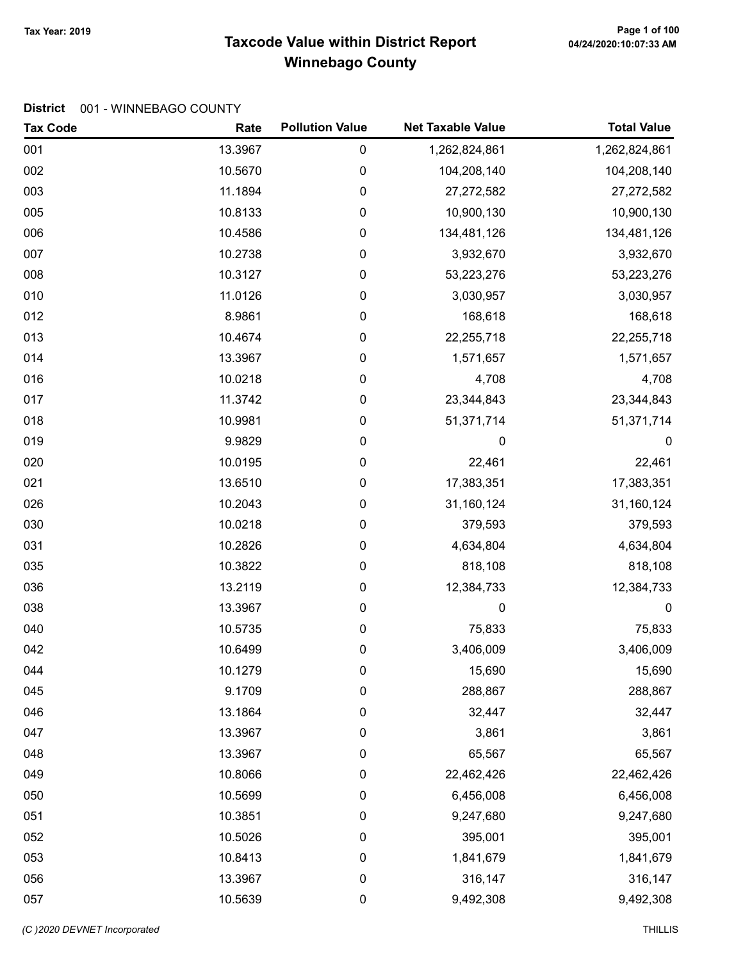# Taxcode Value within District Report Tax Year: 2019 Page 1 of 100 Winnebago County

| <b>Tax Code</b> | Rate    | <b>Pollution Value</b> | <b>Net Taxable Value</b> | <b>Total Value</b> |
|-----------------|---------|------------------------|--------------------------|--------------------|
| 001             | 13.3967 | 0                      | 1,262,824,861            | 1,262,824,861      |
| 002             | 10.5670 | 0                      | 104,208,140              | 104,208,140        |
| 003             | 11.1894 | 0                      | 27,272,582               | 27,272,582         |
| 005             | 10.8133 | 0                      | 10,900,130               | 10,900,130         |
| 006             | 10.4586 | 0                      | 134,481,126              | 134,481,126        |
| 007             | 10.2738 | 0                      | 3,932,670                | 3,932,670          |
| 008             | 10.3127 | $\pmb{0}$              | 53,223,276               | 53,223,276         |
| 010             | 11.0126 | 0                      | 3,030,957                | 3,030,957          |
| 012             | 8.9861  | 0                      | 168,618                  | 168,618            |
| 013             | 10.4674 | 0                      | 22,255,718               | 22,255,718         |
| 014             | 13.3967 | 0                      | 1,571,657                | 1,571,657          |
| 016             | 10.0218 | 0                      | 4,708                    | 4,708              |
| 017             | 11.3742 | 0                      | 23,344,843               | 23,344,843         |
| 018             | 10.9981 | 0                      | 51,371,714               | 51,371,714         |
| 019             | 9.9829  | $\pmb{0}$              | 0                        | $\boldsymbol{0}$   |
| 020             | 10.0195 | 0                      | 22,461                   | 22,461             |
| 021             | 13.6510 | 0                      | 17,383,351               | 17,383,351         |
| 026             | 10.2043 | 0                      | 31,160,124               | 31,160,124         |
| 030             | 10.0218 | 0                      | 379,593                  | 379,593            |
| 031             | 10.2826 | 0                      | 4,634,804                | 4,634,804          |
| 035             | 10.3822 | $\pmb{0}$              | 818,108                  | 818,108            |
| 036             | 13.2119 | $\pmb{0}$              | 12,384,733               | 12,384,733         |
| 038             | 13.3967 | 0                      | 0                        | $\boldsymbol{0}$   |
| 040             | 10.5735 | $\pmb{0}$              | 75,833                   | 75,833             |
| 042             | 10.6499 | 0                      | 3,406,009                | 3,406,009          |
| 044             | 10.1279 | 0                      | 15,690                   | 15,690             |
| 045             | 9.1709  | 0                      | 288,867                  | 288,867            |
| 046             | 13.1864 | 0                      | 32,447                   | 32,447             |
| 047             | 13.3967 | 0                      | 3,861                    | 3,861              |
| 048             | 13.3967 | 0                      | 65,567                   | 65,567             |
| 049             | 10.8066 | $\pmb{0}$              | 22,462,426               | 22,462,426         |
| 050             | 10.5699 | 0                      | 6,456,008                | 6,456,008          |
| 051             | 10.3851 | 0                      | 9,247,680                | 9,247,680          |
| 052             | 10.5026 | 0                      | 395,001                  | 395,001            |
| 053             | 10.8413 | 0                      | 1,841,679                | 1,841,679          |
| 056             | 13.3967 | $\pmb{0}$              | 316,147                  | 316,147            |
| 057             | 10.5639 | $\pmb{0}$              | 9,492,308                | 9,492,308          |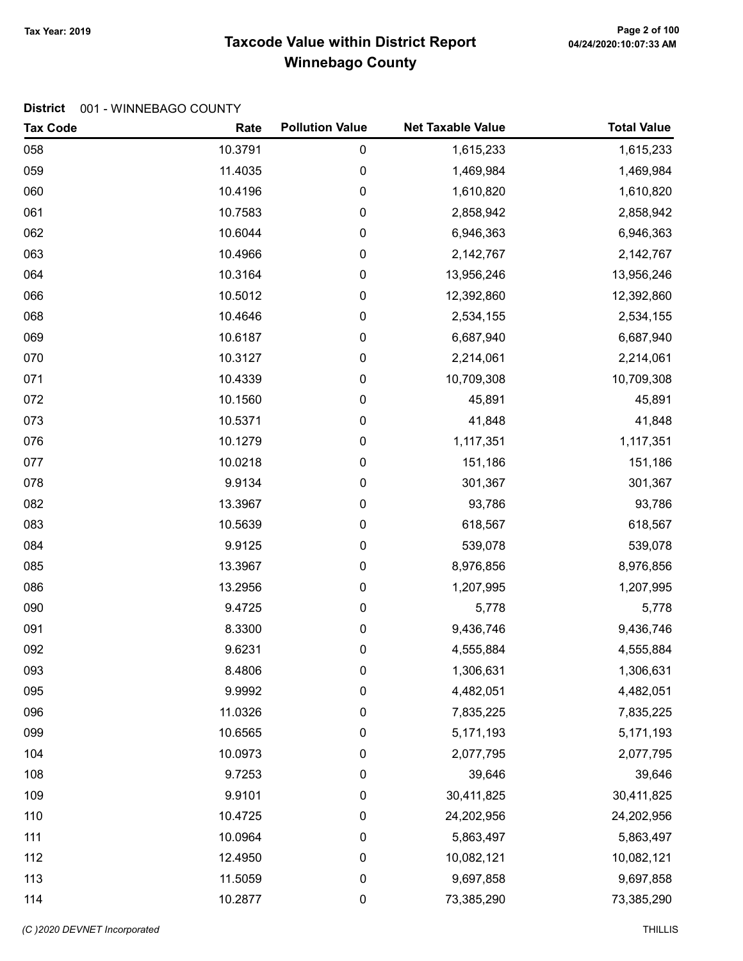# Taxcode Value within District Report Tax Year: 2019 Page 2 of 100 Winnebago County

| <b>Tax Code</b> | Rate    | <b>Pollution Value</b> | <b>Net Taxable Value</b> | <b>Total Value</b> |
|-----------------|---------|------------------------|--------------------------|--------------------|
| 058             | 10.3791 | 0                      | 1,615,233                | 1,615,233          |
| 059             | 11.4035 | 0                      | 1,469,984                | 1,469,984          |
| 060             | 10.4196 | 0                      | 1,610,820                | 1,610,820          |
| 061             | 10.7583 | 0                      | 2,858,942                | 2,858,942          |
| 062             | 10.6044 | 0                      | 6,946,363                | 6,946,363          |
| 063             | 10.4966 | 0                      | 2,142,767                | 2,142,767          |
| 064             | 10.3164 | 0                      | 13,956,246               | 13,956,246         |
| 066             | 10.5012 | 0                      | 12,392,860               | 12,392,860         |
| 068             | 10.4646 | 0                      | 2,534,155                | 2,534,155          |
| 069             | 10.6187 | 0                      | 6,687,940                | 6,687,940          |
| 070             | 10.3127 | 0                      | 2,214,061                | 2,214,061          |
| 071             | 10.4339 | 0                      | 10,709,308               | 10,709,308         |
| 072             | 10.1560 | 0                      | 45,891                   | 45,891             |
| 073             | 10.5371 | 0                      | 41,848                   | 41,848             |
| 076             | 10.1279 | 0                      | 1,117,351                | 1,117,351          |
| 077             | 10.0218 | 0                      | 151,186                  | 151,186            |
| 078             | 9.9134  | 0                      | 301,367                  | 301,367            |
| 082             | 13.3967 | 0                      | 93,786                   | 93,786             |
| 083             | 10.5639 | 0                      | 618,567                  | 618,567            |
| 084             | 9.9125  | 0                      | 539,078                  | 539,078            |
| 085             | 13.3967 | 0                      | 8,976,856                | 8,976,856          |
| 086             | 13.2956 | 0                      | 1,207,995                | 1,207,995          |
| 090             | 9.4725  | 0                      | 5,778                    | 5,778              |
| 091             | 8.3300  | 0                      | 9,436,746                | 9,436,746          |
| 092             | 9.6231  | 0                      | 4,555,884                | 4,555,884          |
| 093             | 8.4806  | 0                      | 1,306,631                | 1,306,631          |
| 095             | 9.9992  | 0                      | 4,482,051                | 4,482,051          |
| 096             | 11.0326 | 0                      | 7,835,225                | 7,835,225          |
| 099             | 10.6565 | 0                      | 5,171,193                | 5,171,193          |
| 104             | 10.0973 | 0                      | 2,077,795                | 2,077,795          |
| 108             | 9.7253  | 0                      | 39,646                   | 39,646             |
| 109             | 9.9101  | 0                      | 30,411,825               | 30,411,825         |
| 110             | 10.4725 | 0                      | 24,202,956               | 24,202,956         |
| 111             | 10.0964 | 0                      | 5,863,497                | 5,863,497          |
| 112             | 12.4950 | 0                      | 10,082,121               | 10,082,121         |
| 113             | 11.5059 | 0                      | 9,697,858                | 9,697,858          |
| 114             | 10.2877 | 0                      | 73,385,290               | 73,385,290         |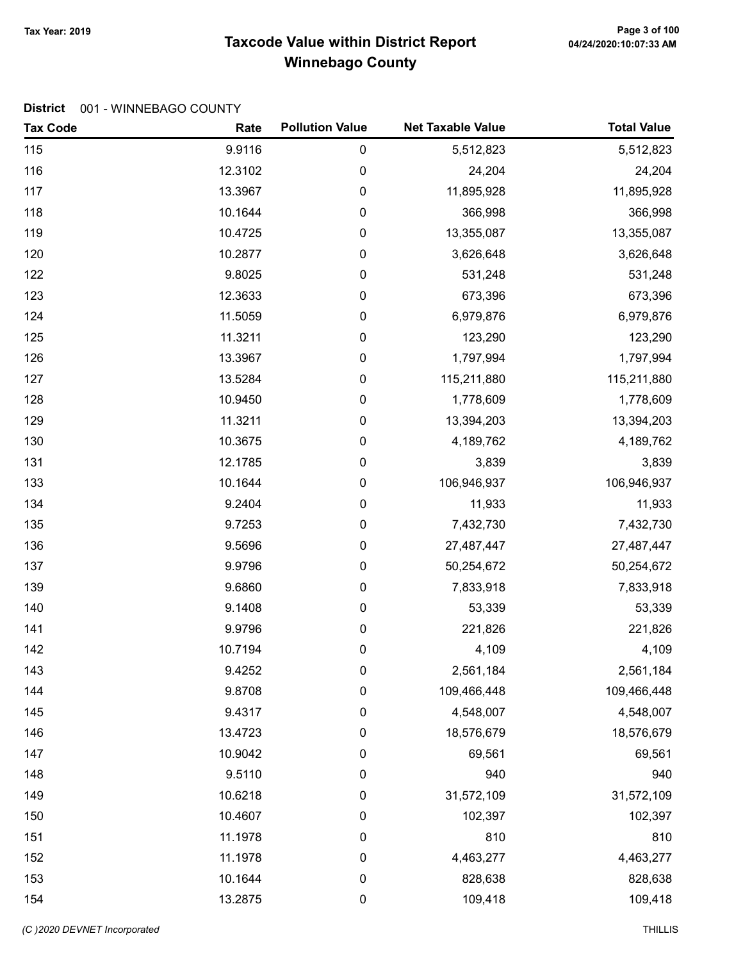# Taxcode Value within District Report Tax Year: 2019 Page 3 of 100 Winnebago County

#### District 001 - WINNEBAGO COUNTY

| <b>Tax Code</b> | Rate    | <b>Pollution Value</b> | <b>Net Taxable Value</b> | <b>Total Value</b> |
|-----------------|---------|------------------------|--------------------------|--------------------|
| 115             | 9.9116  | $\pmb{0}$              | 5,512,823                | 5,512,823          |
| 116             | 12.3102 | 0                      | 24,204                   | 24,204             |
| 117             | 13.3967 | $\pmb{0}$              | 11,895,928               | 11,895,928         |
| 118             | 10.1644 | 0                      | 366,998                  | 366,998            |
| 119             | 10.4725 | $\pmb{0}$              | 13,355,087               | 13,355,087         |
| 120             | 10.2877 | 0                      | 3,626,648                | 3,626,648          |
| 122             | 9.8025  | 0                      | 531,248                  | 531,248            |
| 123             | 12.3633 | $\boldsymbol{0}$       | 673,396                  | 673,396            |
| 124             | 11.5059 | 0                      | 6,979,876                | 6,979,876          |
| 125             | 11.3211 | 0                      | 123,290                  | 123,290            |
| 126             | 13.3967 | 0                      | 1,797,994                | 1,797,994          |
| 127             | 13.5284 | 0                      | 115,211,880              | 115,211,880        |
| 128             | 10.9450 | 0                      | 1,778,609                | 1,778,609          |
| 129             | 11.3211 | 0                      | 13,394,203               | 13,394,203         |
| 130             | 10.3675 | $\boldsymbol{0}$       | 4,189,762                | 4,189,762          |
| 131             | 12.1785 | 0                      | 3,839                    | 3,839              |
| 133             | 10.1644 | 0                      | 106,946,937              | 106,946,937        |
| 134             | 9.2404  | 0                      | 11,933                   | 11,933             |
| 135             | 9.7253  | 0                      | 7,432,730                | 7,432,730          |
| 136             | 9.5696  | 0                      | 27,487,447               | 27,487,447         |
| 137             | 9.9796  | 0                      | 50,254,672               | 50,254,672         |
| 139             | 9.6860  | $\boldsymbol{0}$       | 7,833,918                | 7,833,918          |
| 140             | 9.1408  | 0                      | 53,339                   | 53,339             |
| 141             | 9.9796  | $\boldsymbol{0}$       | 221,826                  | 221,826            |
| 142             | 10.7194 | 0                      | 4,109                    | 4,109              |
| 143             | 9.4252  | 0                      | 2,561,184                | 2,561,184          |
| 144             | 9.8708  | 0                      | 109,466,448              | 109,466,448        |
| 145             | 9.4317  | 0                      | 4,548,007                | 4,548,007          |
| 146             | 13.4723 | 0                      | 18,576,679               | 18,576,679         |
| 147             | 10.9042 | 0                      | 69,561                   | 69,561             |
| 148             | 9.5110  | 0                      | 940                      | 940                |
| 149             | 10.6218 | 0                      | 31,572,109               | 31,572,109         |
| 150             | 10.4607 | 0                      | 102,397                  | 102,397            |
| 151             | 11.1978 | 0                      | 810                      | 810                |
| 152             | 11.1978 | 0                      | 4,463,277                | 4,463,277          |
| 153             | 10.1644 | 0                      | 828,638                  | 828,638            |
| 154             | 13.2875 | 0                      | 109,418                  | 109,418            |

(C)2020 DEVNET Incorporated THILLIS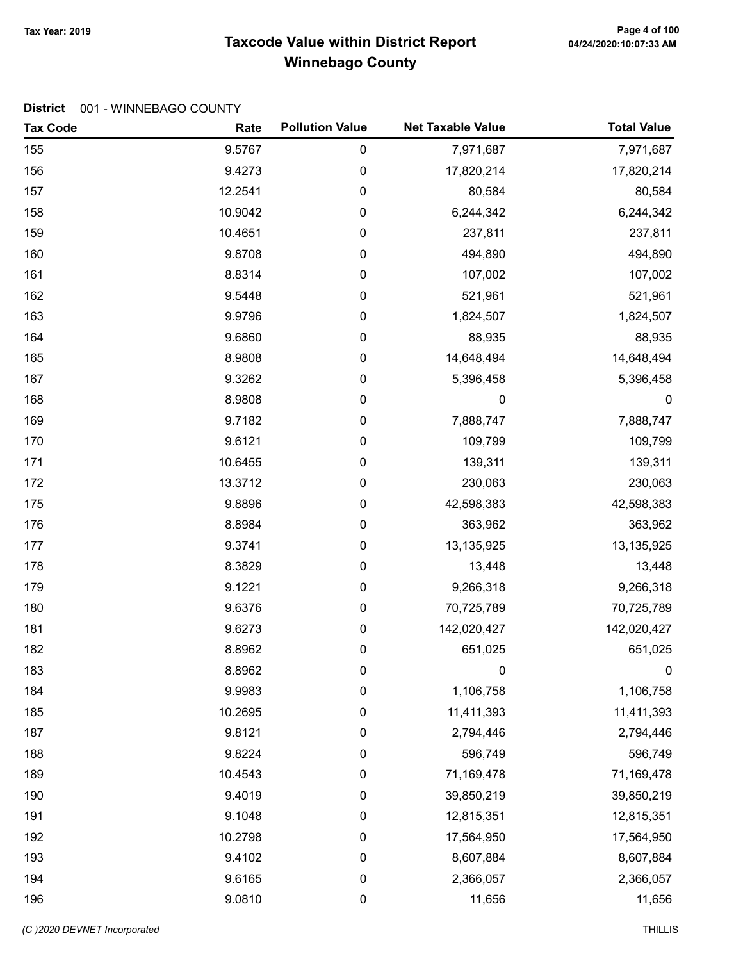# Taxcode Value within District Report Tax Year: 2019 Page 4 of 100 Winnebago County

| <b>Tax Code</b> | Rate    | <b>Pollution Value</b> | <b>Net Taxable Value</b> | <b>Total Value</b> |
|-----------------|---------|------------------------|--------------------------|--------------------|
| 155             | 9.5767  | $\pmb{0}$              | 7,971,687                | 7,971,687          |
| 156             | 9.4273  | $\mathbf 0$            | 17,820,214               | 17,820,214         |
| 157             | 12.2541 | 0                      | 80,584                   | 80,584             |
| 158             | 10.9042 | 0                      | 6,244,342                | 6,244,342          |
| 159             | 10.4651 | 0                      | 237,811                  | 237,811            |
| 160             | 9.8708  | 0                      | 494,890                  | 494,890            |
| 161             | 8.8314  | 0                      | 107,002                  | 107,002            |
| 162             | 9.5448  | 0                      | 521,961                  | 521,961            |
| 163             | 9.9796  | 0                      | 1,824,507                | 1,824,507          |
| 164             | 9.6860  | 0                      | 88,935                   | 88,935             |
| 165             | 8.9808  | $\pmb{0}$              | 14,648,494               | 14,648,494         |
| 167             | 9.3262  | 0                      | 5,396,458                | 5,396,458          |
| 168             | 8.9808  | 0                      | 0                        | $\boldsymbol{0}$   |
| 169             | 9.7182  | 0                      | 7,888,747                | 7,888,747          |
| 170             | 9.6121  | 0                      | 109,799                  | 109,799            |
| 171             | 10.6455 | 0                      | 139,311                  | 139,311            |
| 172             | 13.3712 | 0                      | 230,063                  | 230,063            |
| 175             | 9.8896  | $\pmb{0}$              | 42,598,383               | 42,598,383         |
| 176             | 8.8984  | 0                      | 363,962                  | 363,962            |
| 177             | 9.3741  | 0                      | 13,135,925               | 13,135,925         |
| 178             | 8.3829  | $\pmb{0}$              | 13,448                   | 13,448             |
| 179             | 9.1221  | $\pmb{0}$              | 9,266,318                | 9,266,318          |
| 180             | 9.6376  | 0                      | 70,725,789               | 70,725,789         |
| 181             | 9.6273  | $\pmb{0}$              | 142,020,427              | 142,020,427        |
| 182             | 8.8962  | 0                      | 651,025                  | 651,025            |
| 183             | 8.8962  | 0                      | 0                        | 0                  |
| 184             | 9.9983  | 0                      | 1,106,758                | 1,106,758          |
| 185             | 10.2695 | $\pmb{0}$              | 11,411,393               | 11,411,393         |
| 187             | 9.8121  | 0                      | 2,794,446                | 2,794,446          |
| 188             | 9.8224  | 0                      | 596,749                  | 596,749            |
| 189             | 10.4543 | $\boldsymbol{0}$       | 71,169,478               | 71,169,478         |
| 190             | 9.4019  | 0                      | 39,850,219               | 39,850,219         |
| 191             | 9.1048  | 0                      | 12,815,351               | 12,815,351         |
| 192             | 10.2798 | 0                      | 17,564,950               | 17,564,950         |
| 193             | 9.4102  | $\boldsymbol{0}$       | 8,607,884                | 8,607,884          |
| 194             | 9.6165  | $\pmb{0}$              | 2,366,057                | 2,366,057          |
| 196             | 9.0810  | $\pmb{0}$              | 11,656                   | 11,656             |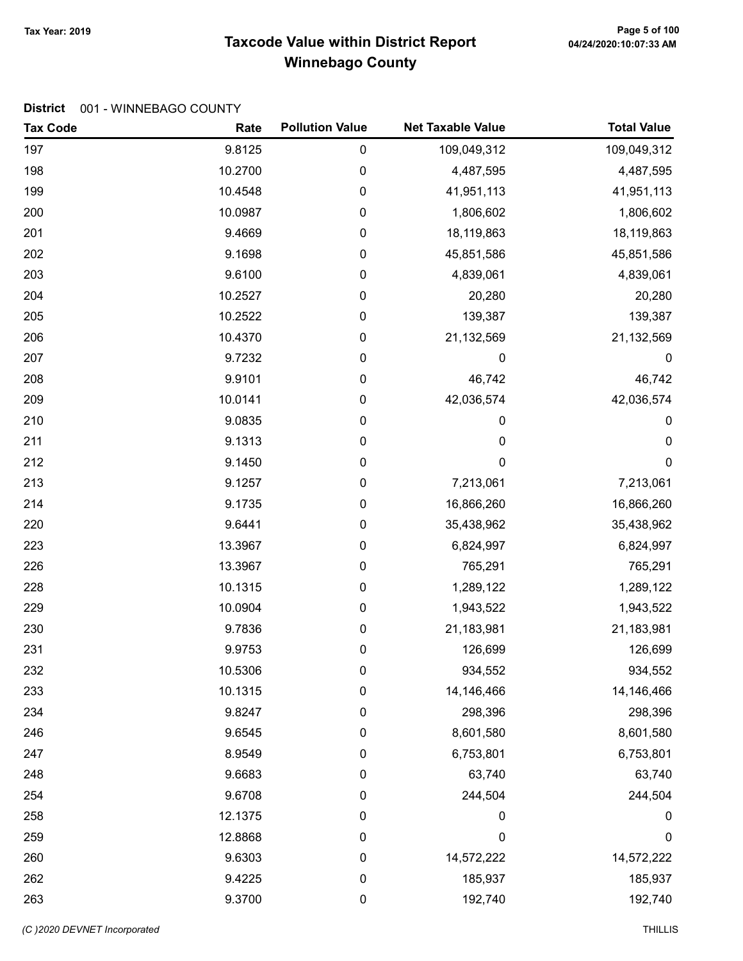# Taxcode Value within District Report Tax Year: 2019 Page 5 of 100 Winnebago County

| <b>Tax Code</b> | Rate    | <b>Pollution Value</b> | <b>Net Taxable Value</b> | <b>Total Value</b> |
|-----------------|---------|------------------------|--------------------------|--------------------|
| 197             | 9.8125  | 0                      | 109,049,312              | 109,049,312        |
| 198             | 10.2700 | 0                      | 4,487,595                | 4,487,595          |
| 199             | 10.4548 | $\pmb{0}$              | 41,951,113               | 41,951,113         |
| 200             | 10.0987 | 0                      | 1,806,602                | 1,806,602          |
| 201             | 9.4669  | 0                      | 18,119,863               | 18,119,863         |
| 202             | 9.1698  | 0                      | 45,851,586               | 45,851,586         |
| 203             | 9.6100  | 0                      | 4,839,061                | 4,839,061          |
| 204             | 10.2527 | $\boldsymbol{0}$       | 20,280                   | 20,280             |
| 205             | 10.2522 | 0                      | 139,387                  | 139,387            |
| 206             | 10.4370 | $\pmb{0}$              | 21,132,569               | 21,132,569         |
| 207             | 9.7232  | 0                      | 0                        | 0                  |
| 208             | 9.9101  | 0                      | 46,742                   | 46,742             |
| 209             | 10.0141 | 0                      | 42,036,574               | 42,036,574         |
| 210             | 9.0835  | 0                      | 0                        | 0                  |
| 211             | 9.1313  | $\boldsymbol{0}$       | 0                        | $\boldsymbol{0}$   |
| 212             | 9.1450  | 0                      | 0                        | $\boldsymbol{0}$   |
| 213             | 9.1257  | 0                      | 7,213,061                | 7,213,061          |
| 214             | 9.1735  | 0                      | 16,866,260               | 16,866,260         |
| 220             | 9.6441  | 0                      | 35,438,962               | 35,438,962         |
| 223             | 13.3967 | 0                      | 6,824,997                | 6,824,997          |
| 226             | 13.3967 | 0                      | 765,291                  | 765,291            |
| 228             | 10.1315 | $\boldsymbol{0}$       | 1,289,122                | 1,289,122          |
| 229             | 10.0904 | 0                      | 1,943,522                | 1,943,522          |
| 230             | 9.7836  | 0                      | 21,183,981               | 21,183,981         |
| 231             | 9.9753  | 0                      | 126,699                  | 126,699            |
| 232             | 10.5306 | 0                      | 934,552                  | 934,552            |
| 233             | 10.1315 | 0                      | 14,146,466               | 14,146,466         |
| 234             | 9.8247  | 0                      | 298,396                  | 298,396            |
| 246             | 9.6545  | 0                      | 8,601,580                | 8,601,580          |
| 247             | 8.9549  | 0                      | 6,753,801                | 6,753,801          |
| 248             | 9.6683  | 0                      | 63,740                   | 63,740             |
| 254             | 9.6708  | 0                      | 244,504                  | 244,504            |
| 258             | 12.1375 | 0                      | 0                        | $\boldsymbol{0}$   |
| 259             | 12.8868 | 0                      | 0                        | $\mathbf 0$        |
| 260             | 9.6303  | $\boldsymbol{0}$       | 14,572,222               | 14,572,222         |
| 262             | 9.4225  | $\boldsymbol{0}$       | 185,937                  | 185,937            |
| 263             | 9.3700  | 0                      | 192,740                  | 192,740            |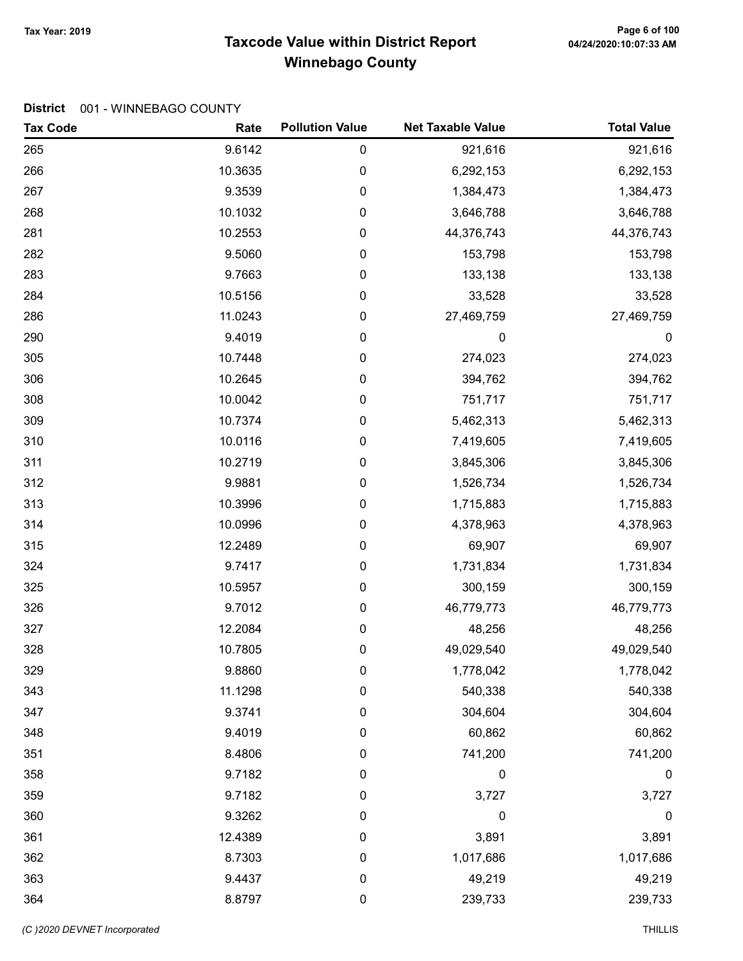# Taxcode Value within District Report Tax Year: 2019 Page 6 of 100 Winnebago County

| <b>Tax Code</b> | Rate    | <b>Pollution Value</b> | <b>Net Taxable Value</b> | <b>Total Value</b> |
|-----------------|---------|------------------------|--------------------------|--------------------|
| 265             | 9.6142  | 0                      | 921,616                  | 921,616            |
| 266             | 10.3635 | 0                      | 6,292,153                | 6,292,153          |
| 267             | 9.3539  | 0                      | 1,384,473                | 1,384,473          |
| 268             | 10.1032 | 0                      | 3,646,788                | 3,646,788          |
| 281             | 10.2553 | 0                      | 44,376,743               | 44,376,743         |
| 282             | 9.5060  | 0                      | 153,798                  | 153,798            |
| 283             | 9.7663  | 0                      | 133,138                  | 133,138            |
| 284             | 10.5156 | 0                      | 33,528                   | 33,528             |
| 286             | 11.0243 | 0                      | 27,469,759               | 27,469,759         |
| 290             | 9.4019  | 0                      | 0                        | $\boldsymbol{0}$   |
| 305             | 10.7448 | 0                      | 274,023                  | 274,023            |
| 306             | 10.2645 | 0                      | 394,762                  | 394,762            |
| 308             | 10.0042 | 0                      | 751,717                  | 751,717            |
| 309             | 10.7374 | 0                      | 5,462,313                | 5,462,313          |
| 310             | 10.0116 | 0                      | 7,419,605                | 7,419,605          |
| 311             | 10.2719 | 0                      | 3,845,306                | 3,845,306          |
| 312             | 9.9881  | 0                      | 1,526,734                | 1,526,734          |
| 313             | 10.3996 | 0                      | 1,715,883                | 1,715,883          |
| 314             | 10.0996 | 0                      | 4,378,963                | 4,378,963          |
| 315             | 12.2489 | 0                      | 69,907                   | 69,907             |
| 324             | 9.7417  | 0                      | 1,731,834                | 1,731,834          |
| 325             | 10.5957 | 0                      | 300,159                  | 300,159            |
| 326             | 9.7012  | 0                      | 46,779,773               | 46,779,773         |
| 327             | 12.2084 | 0                      | 48,256                   | 48,256             |
| 328             | 10.7805 | 0                      | 49,029,540               | 49,029,540         |
| 329             | 9.8860  | 0                      | 1,778,042                | 1,778,042          |
| 343             | 11.1298 | 0                      | 540,338                  | 540,338            |
| 347             | 9.3741  | 0                      | 304,604                  | 304,604            |
| 348             | 9.4019  | 0                      | 60,862                   | 60,862             |
| 351             | 8.4806  | 0                      | 741,200                  | 741,200            |
| 358             | 9.7182  | 0                      | 0                        | $\pmb{0}$          |
| 359             | 9.7182  | 0                      | 3,727                    | 3,727              |
| 360             | 9.3262  | 0                      | $\mathbf 0$              | 0                  |
| 361             | 12.4389 | 0                      | 3,891                    | 3,891              |
| 362             | 8.7303  | 0                      | 1,017,686                | 1,017,686          |
| 363             | 9.4437  | 0                      | 49,219                   | 49,219             |
| 364             | 8.8797  | $\pmb{0}$              | 239,733                  | 239,733            |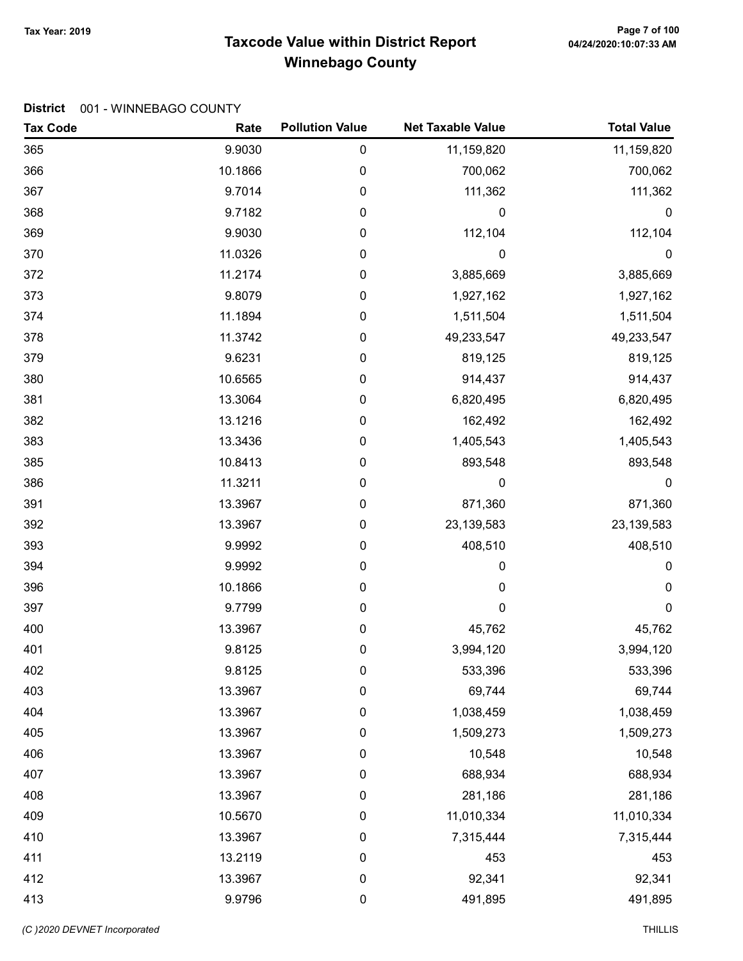# Taxcode Value within District Report Tax Year: 2019 Page 7 of 100 Winnebago County

| <b>Tax Code</b> | Rate    | <b>Pollution Value</b> | <b>Net Taxable Value</b> | <b>Total Value</b> |
|-----------------|---------|------------------------|--------------------------|--------------------|
| 365             | 9.9030  | $\pmb{0}$              | 11,159,820               | 11,159,820         |
| 366             | 10.1866 | $\mathbf 0$            | 700,062                  | 700,062            |
| 367             | 9.7014  | 0                      | 111,362                  | 111,362            |
| 368             | 9.7182  | 0                      | 0                        | 0                  |
| 369             | 9.9030  | 0                      | 112,104                  | 112,104            |
| 370             | 11.0326 | 0                      | 0                        | 0                  |
| 372             | 11.2174 | 0                      | 3,885,669                | 3,885,669          |
| 373             | 9.8079  | 0                      | 1,927,162                | 1,927,162          |
| 374             | 11.1894 | 0                      | 1,511,504                | 1,511,504          |
| 378             | 11.3742 | 0                      | 49,233,547               | 49,233,547         |
| 379             | 9.6231  | 0                      | 819,125                  | 819,125            |
| 380             | 10.6565 | 0                      | 914,437                  | 914,437            |
| 381             | 13.3064 | 0                      | 6,820,495                | 6,820,495          |
| 382             | 13.1216 | 0                      | 162,492                  | 162,492            |
| 383             | 13.3436 | 0                      | 1,405,543                | 1,405,543          |
| 385             | 10.8413 | 0                      | 893,548                  | 893,548            |
| 386             | 11.3211 | 0                      | 0                        | $\mathbf 0$        |
| 391             | 13.3967 | 0                      | 871,360                  | 871,360            |
| 392             | 13.3967 | 0                      | 23,139,583               | 23,139,583         |
| 393             | 9.9992  | 0                      | 408,510                  | 408,510            |
| 394             | 9.9992  | 0                      | 0                        | 0                  |
| 396             | 10.1866 | 0                      | 0                        | $\boldsymbol{0}$   |
| 397             | 9.7799  | 0                      | 0                        | 0                  |
| 400             | 13.3967 | 0                      | 45,762                   | 45,762             |
| 401             | 9.8125  | 0                      | 3,994,120                | 3,994,120          |
| 402             | 9.8125  | 0                      | 533,396                  | 533,396            |
| 403             | 13.3967 | 0                      | 69,744                   | 69,744             |
| 404             | 13.3967 | $\pmb{0}$              | 1,038,459                | 1,038,459          |
| 405             | 13.3967 | $\boldsymbol{0}$       | 1,509,273                | 1,509,273          |
| 406             | 13.3967 | $\boldsymbol{0}$       | 10,548                   | 10,548             |
| 407             | 13.3967 | $\pmb{0}$              | 688,934                  | 688,934            |
| 408             | 13.3967 | 0                      | 281,186                  | 281,186            |
| 409             | 10.5670 | $\pmb{0}$              | 11,010,334               | 11,010,334         |
| 410             | 13.3967 | 0                      | 7,315,444                | 7,315,444          |
| 411             | 13.2119 | $\pmb{0}$              | 453                      | 453                |
| 412             | 13.3967 | $\pmb{0}$              | 92,341                   | 92,341             |
| 413             | 9.9796  | $\pmb{0}$              | 491,895                  | 491,895            |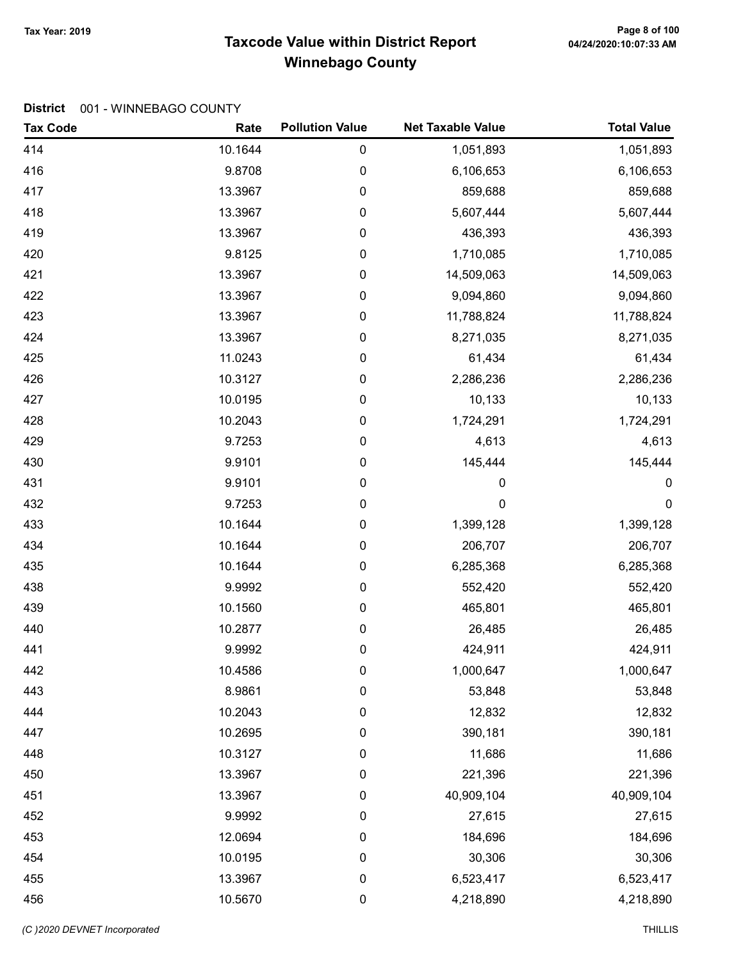# Taxcode Value within District Report Tax Year: 2019 Page 8 of 100 Winnebago County

| <b>Tax Code</b> | Rate    | <b>Pollution Value</b> | <b>Net Taxable Value</b> | <b>Total Value</b> |
|-----------------|---------|------------------------|--------------------------|--------------------|
| 414             | 10.1644 | $\pmb{0}$              | 1,051,893                | 1,051,893          |
| 416             | 9.8708  | $\pmb{0}$              | 6,106,653                | 6,106,653          |
| 417             | 13.3967 | $\pmb{0}$              | 859,688                  | 859,688            |
| 418             | 13.3967 | $\mathbf 0$            | 5,607,444                | 5,607,444          |
| 419             | 13.3967 | $\boldsymbol{0}$       | 436,393                  | 436,393            |
| 420             | 9.8125  | $\pmb{0}$              | 1,710,085                | 1,710,085          |
| 421             | 13.3967 | $\mathbf 0$            | 14,509,063               | 14,509,063         |
| 422             | 13.3967 | $\mathbf 0$            | 9,094,860                | 9,094,860          |
| 423             | 13.3967 | $\mathbf 0$            | 11,788,824               | 11,788,824         |
| 424             | 13.3967 | $\pmb{0}$              | 8,271,035                | 8,271,035          |
| 425             | 11.0243 | $\boldsymbol{0}$       | 61,434                   | 61,434             |
| 426             | 10.3127 | $\boldsymbol{0}$       | 2,286,236                | 2,286,236          |
| 427             | 10.0195 | $\boldsymbol{0}$       | 10,133                   | 10,133             |
| 428             | 10.2043 | $\mathbf 0$            | 1,724,291                | 1,724,291          |
| 429             | 9.7253  | $\mathbf 0$            | 4,613                    | 4,613              |
| 430             | 9.9101  | $\mathbf 0$            | 145,444                  | 145,444            |
| 431             | 9.9101  | $\pmb{0}$              | $\boldsymbol{0}$         | 0                  |
| 432             | 9.7253  | $\mathbf 0$            | $\mathbf 0$              | $\mathbf 0$        |
| 433             | 10.1644 | $\boldsymbol{0}$       | 1,399,128                | 1,399,128          |
| 434             | 10.1644 | $\boldsymbol{0}$       | 206,707                  | 206,707            |
| 435             | 10.1644 | $\mathbf 0$            | 6,285,368                | 6,285,368          |
| 438             | 9.9992  | $\mathbf 0$            | 552,420                  | 552,420            |
| 439             | 10.1560 | $\mathbf 0$            | 465,801                  | 465,801            |
| 440             | 10.2877 | $\pmb{0}$              | 26,485                   | 26,485             |
| 441             | 9.9992  | $\pmb{0}$              | 424,911                  | 424,911            |
| 442             | 10.4586 | 0                      | 1,000,647                | 1,000,647          |
| 443             | 8.9861  | $\boldsymbol{0}$       | 53,848                   | 53,848             |
| 444             | 10.2043 | $\mathbf 0$            | 12,832                   | 12,832             |
| 447             | 10.2695 | 0                      | 390,181                  | 390,181            |
| 448             | 10.3127 | $\mathbf 0$            | 11,686                   | 11,686             |
| 450             | 13.3967 | $\mathbf 0$            | 221,396                  | 221,396            |
| 451             | 13.3967 | $\boldsymbol{0}$       | 40,909,104               | 40,909,104         |
| 452             | 9.9992  | $\mathbf 0$            | 27,615                   | 27,615             |
| 453             | 12.0694 | 0                      | 184,696                  | 184,696            |
| 454             | 10.0195 | 0                      | 30,306                   | 30,306             |
| 455             | 13.3967 | $\mathbf 0$            | 6,523,417                | 6,523,417          |
| 456             | 10.5670 | $\pmb{0}$              | 4,218,890                | 4,218,890          |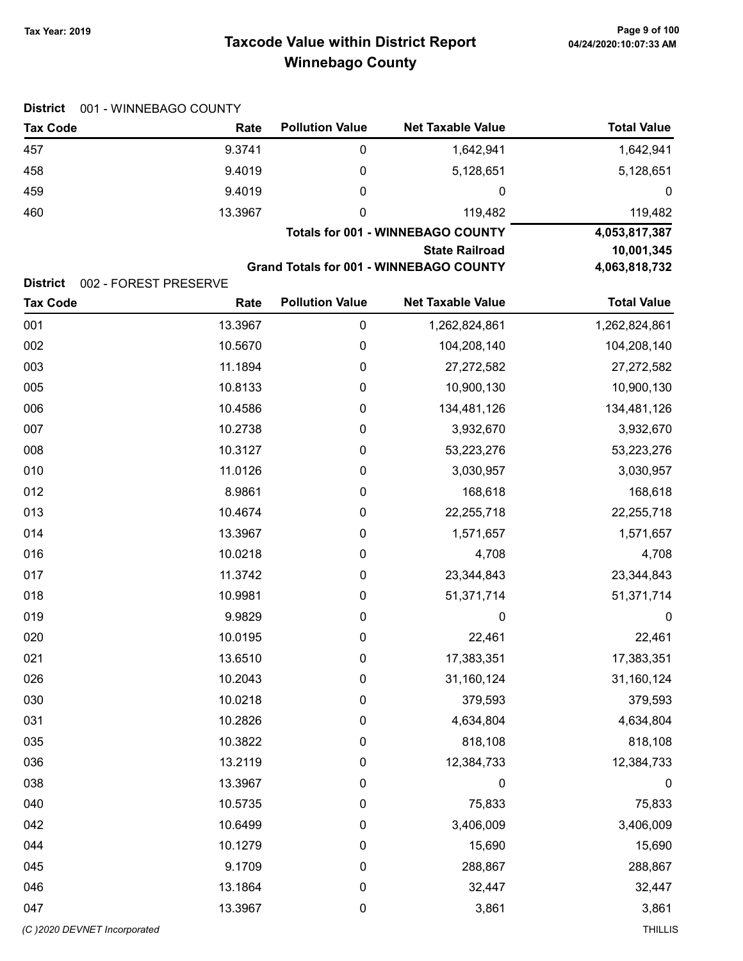District 001 - WINNEBAGO COUNTY

# Taxcode Value within District Report Tax Year: 2019 Page 9 of 100 Winnebago County

| <b>Tax Code</b>                    | Rate                          | <b>Pollution Value</b>                   | <b>Net Taxable Value</b>                       | <b>Total Value</b> |  |  |
|------------------------------------|-------------------------------|------------------------------------------|------------------------------------------------|--------------------|--|--|
| 457                                | 9.3741                        | $\pmb{0}$                                | 1,642,941                                      | 1,642,941          |  |  |
| 458                                | 9.4019                        | 0                                        | 5,128,651                                      | 5,128,651          |  |  |
| 459                                | 9.4019                        | 0                                        | 0                                              | $\boldsymbol{0}$   |  |  |
| 460                                | 13.3967                       | 0                                        | 119,482                                        | 119,482            |  |  |
|                                    |                               | <b>Totals for 001 - WINNEBAGO COUNTY</b> |                                                |                    |  |  |
|                                    |                               | <b>State Railroad</b>                    |                                                |                    |  |  |
|                                    |                               |                                          | <b>Grand Totals for 001 - WINNEBAGO COUNTY</b> | 4,063,818,732      |  |  |
| <b>District</b><br><b>Tax Code</b> | 002 - FOREST PRESERVE<br>Rate | <b>Pollution Value</b>                   | <b>Net Taxable Value</b>                       | <b>Total Value</b> |  |  |
| 001                                | 13.3967                       | $\pmb{0}$                                | 1,262,824,861                                  | 1,262,824,861      |  |  |
| 002                                | 10.5670                       | 0                                        | 104,208,140                                    | 104,208,140        |  |  |
| 003                                | 11.1894                       | 0                                        | 27,272,582                                     | 27,272,582         |  |  |
| 005                                | 10.8133                       | 0                                        | 10,900,130                                     | 10,900,130         |  |  |
| 006                                | 10.4586                       | $\boldsymbol{0}$                         | 134,481,126                                    | 134,481,126        |  |  |
| 007                                | 10.2738                       | 0                                        | 3,932,670                                      | 3,932,670          |  |  |
| 008                                | 10.3127                       | 0                                        | 53,223,276                                     | 53,223,276         |  |  |
| 010                                | 11.0126                       | $\boldsymbol{0}$                         | 3,030,957                                      | 3,030,957          |  |  |
| 012                                | 8.9861                        | 0                                        | 168,618                                        | 168,618            |  |  |
| 013                                | 10.4674                       | $\boldsymbol{0}$                         | 22,255,718                                     | 22,255,718         |  |  |
| 014                                | 13.3967                       | $\boldsymbol{0}$                         | 1,571,657                                      | 1,571,657          |  |  |
| 016                                | 10.0218                       | $\boldsymbol{0}$                         | 4,708                                          | 4,708              |  |  |
| 017                                | 11.3742                       | 0                                        | 23,344,843                                     | 23,344,843         |  |  |
| 018                                | 10.9981                       | 0                                        | 51,371,714                                     | 51,371,714         |  |  |
| 019                                | 9.9829                        | 0                                        | 0                                              | $\boldsymbol{0}$   |  |  |
| 020                                | 10.0195                       | 0                                        | 22,461                                         | 22,461             |  |  |
| 021                                | 13.6510                       | 0                                        | 17,383,351                                     | 17,383,351         |  |  |
| 026                                | 10.2043                       | 0                                        | 31,160,124                                     | 31,160,124         |  |  |
| 030                                | 10.0218                       | 0                                        | 379,593                                        | 379,593            |  |  |
| 031                                | 10.2826                       | 0                                        | 4,634,804                                      | 4,634,804          |  |  |
| 035                                | 10.3822                       | 0                                        | 818,108                                        | 818,108            |  |  |
| 036                                | 13.2119                       | 0                                        | 12,384,733                                     | 12,384,733         |  |  |
| 038                                | 13.3967                       | 0                                        | 0                                              | 0                  |  |  |
| 040                                | 10.5735                       | 0                                        | 75,833                                         | 75,833             |  |  |
| 042                                | 10.6499                       | 0                                        | 3,406,009                                      | 3,406,009          |  |  |
| 044                                | 10.1279                       | 0                                        | 15,690                                         | 15,690             |  |  |
| 045                                | 9.1709                        | 0                                        | 288,867                                        | 288,867            |  |  |
| 046                                | 13.1864                       | 0                                        | 32,447                                         | 32,447             |  |  |
| 047                                | 13.3967                       | 0                                        | 3,861                                          | 3,861              |  |  |
| (C)2020 DEVNET Incorporated        |                               |                                          |                                                | <b>THILLIS</b>     |  |  |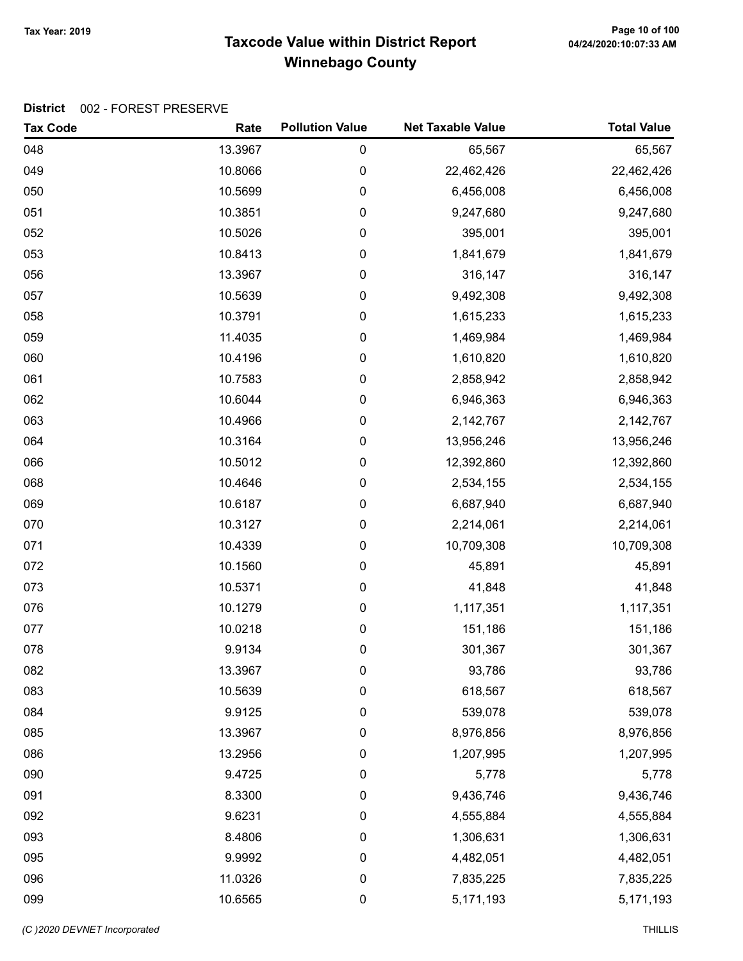# Taxcode Value within District Report Tax Year: 2019 Page 10 of 100 Winnebago County

| <b>Tax Code</b> | Rate    | <b>Pollution Value</b> | <b>Net Taxable Value</b> | <b>Total Value</b> |
|-----------------|---------|------------------------|--------------------------|--------------------|
| 048             | 13.3967 | 0                      | 65,567                   | 65,567             |
| 049             | 10.8066 | 0                      | 22,462,426               | 22,462,426         |
| 050             | 10.5699 | 0                      | 6,456,008                | 6,456,008          |
| 051             | 10.3851 | 0                      | 9,247,680                | 9,247,680          |
| 052             | 10.5026 | 0                      | 395,001                  | 395,001            |
| 053             | 10.8413 | 0                      | 1,841,679                | 1,841,679          |
| 056             | 13.3967 | 0                      | 316,147                  | 316,147            |
| 057             | 10.5639 | 0                      | 9,492,308                | 9,492,308          |
| 058             | 10.3791 | 0                      | 1,615,233                | 1,615,233          |
| 059             | 11.4035 | 0                      | 1,469,984                | 1,469,984          |
| 060             | 10.4196 | 0                      | 1,610,820                | 1,610,820          |
| 061             | 10.7583 | 0                      | 2,858,942                | 2,858,942          |
| 062             | 10.6044 | 0                      | 6,946,363                | 6,946,363          |
| 063             | 10.4966 | 0                      | 2,142,767                | 2,142,767          |
| 064             | 10.3164 | 0                      | 13,956,246               | 13,956,246         |
| 066             | 10.5012 | 0                      | 12,392,860               | 12,392,860         |
| 068             | 10.4646 | 0                      | 2,534,155                | 2,534,155          |
| 069             | 10.6187 | 0                      | 6,687,940                | 6,687,940          |
| 070             | 10.3127 | 0                      | 2,214,061                | 2,214,061          |
| 071             | 10.4339 | 0                      | 10,709,308               | 10,709,308         |
| 072             | 10.1560 | 0                      | 45,891                   | 45,891             |
| 073             | 10.5371 | 0                      | 41,848                   | 41,848             |
| 076             | 10.1279 | 0                      | 1,117,351                | 1,117,351          |
| 077             | 10.0218 | 0                      | 151,186                  | 151,186            |
| 078             | 9.9134  | 0                      | 301,367                  | 301,367            |
| 082             | 13.3967 | 0                      | 93,786                   | 93,786             |
| 083             | 10.5639 | 0                      | 618,567                  | 618,567            |
| 084             | 9.9125  | 0                      | 539,078                  | 539,078            |
| 085             | 13.3967 | 0                      | 8,976,856                | 8,976,856          |
| 086             | 13.2956 | 0                      | 1,207,995                | 1,207,995          |
| 090             | 9.4725  | 0                      | 5,778                    | 5,778              |
| 091             | 8.3300  | 0                      | 9,436,746                | 9,436,746          |
| 092             | 9.6231  | 0                      | 4,555,884                | 4,555,884          |
| 093             | 8.4806  | 0                      | 1,306,631                | 1,306,631          |
| 095             | 9.9992  | 0                      | 4,482,051                | 4,482,051          |
| 096             | 11.0326 | 0                      | 7,835,225                | 7,835,225          |
| 099             | 10.6565 | 0                      | 5,171,193                | 5,171,193          |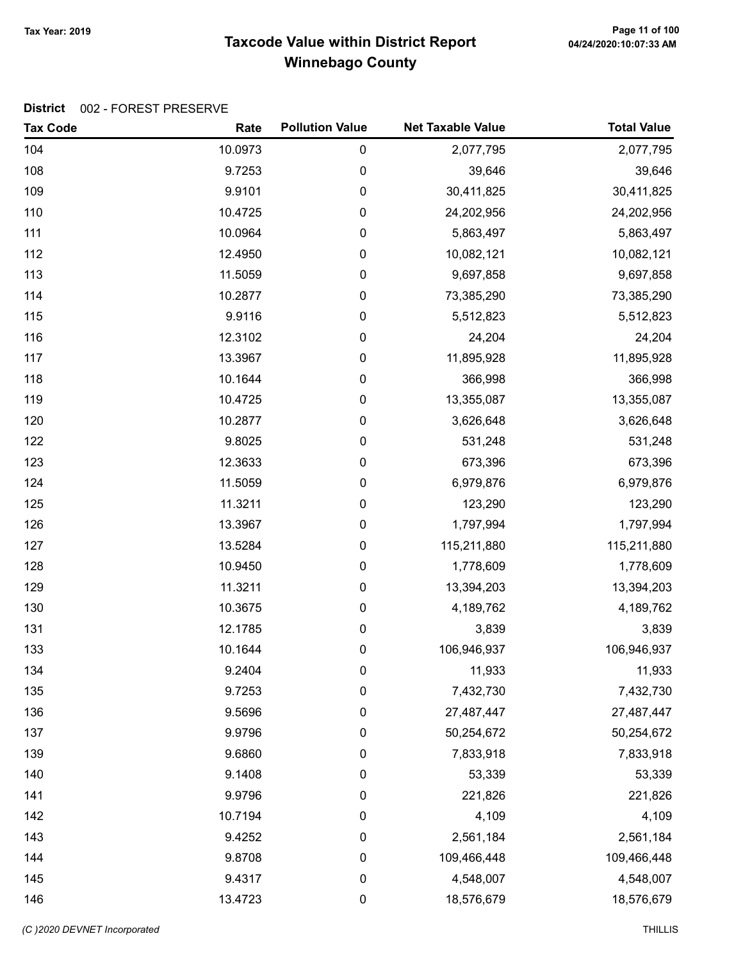# Taxcode Value within District Report Tax Year: 2019 Page 11 of 100 Winnebago County

| <b>Tax Code</b> | Rate    | <b>Pollution Value</b> | <b>Net Taxable Value</b> | <b>Total Value</b> |
|-----------------|---------|------------------------|--------------------------|--------------------|
| 104             | 10.0973 | 0                      | 2,077,795                | 2,077,795          |
| 108             | 9.7253  | 0                      | 39,646                   | 39,646             |
| 109             | 9.9101  | 0                      | 30,411,825               | 30,411,825         |
| 110             | 10.4725 | 0                      | 24,202,956               | 24,202,956         |
| 111             | 10.0964 | 0                      | 5,863,497                | 5,863,497          |
| 112             | 12.4950 | $\boldsymbol{0}$       | 10,082,121               | 10,082,121         |
| 113             | 11.5059 | 0                      | 9,697,858                | 9,697,858          |
| 114             | 10.2877 | $\boldsymbol{0}$       | 73,385,290               | 73,385,290         |
| 115             | 9.9116  | 0                      | 5,512,823                | 5,512,823          |
| 116             | 12.3102 | 0                      | 24,204                   | 24,204             |
| 117             | 13.3967 | 0                      | 11,895,928               | 11,895,928         |
| 118             | 10.1644 | 0                      | 366,998                  | 366,998            |
| 119             | 10.4725 | $\boldsymbol{0}$       | 13,355,087               | 13,355,087         |
| 120             | 10.2877 | 0                      | 3,626,648                | 3,626,648          |
| 122             | 9.8025  | $\boldsymbol{0}$       | 531,248                  | 531,248            |
| 123             | 12.3633 | 0                      | 673,396                  | 673,396            |
| 124             | 11.5059 | 0                      | 6,979,876                | 6,979,876          |
| 125             | 11.3211 | 0                      | 123,290                  | 123,290            |
| 126             | 13.3967 | 0                      | 1,797,994                | 1,797,994          |
| 127             | 13.5284 | 0                      | 115,211,880              | 115,211,880        |
| 128             | 10.9450 | 0                      | 1,778,609                | 1,778,609          |
| 129             | 11.3211 | $\boldsymbol{0}$       | 13,394,203               | 13,394,203         |
| 130             | 10.3675 | 0                      | 4,189,762                | 4,189,762          |
| 131             | 12.1785 | $\pmb{0}$              | 3,839                    | 3,839              |
| 133             | 10.1644 | 0                      | 106,946,937              | 106,946,937        |
| 134             | 9.2404  | 0                      | 11,933                   | 11,933             |
| 135             | 9.7253  | 0                      | 7,432,730                | 7,432,730          |
| 136             | 9.5696  | $\boldsymbol{0}$       | 27,487,447               | 27,487,447         |
| 137             | 9.9796  | $\boldsymbol{0}$       | 50,254,672               | 50,254,672         |
| 139             | 9.6860  | 0                      | 7,833,918                | 7,833,918          |
| 140             | 9.1408  | 0                      | 53,339                   | 53,339             |
| 141             | 9.9796  | 0                      | 221,826                  | 221,826            |
| 142             | 10.7194 | 0                      | 4,109                    | 4,109              |
| 143             | 9.4252  | 0                      | 2,561,184                | 2,561,184          |
| 144             | 9.8708  | 0                      | 109,466,448              | 109,466,448        |
| 145             | 9.4317  | $\boldsymbol{0}$       | 4,548,007                | 4,548,007          |
| 146             | 13.4723 | $\pmb{0}$              | 18,576,679               | 18,576,679         |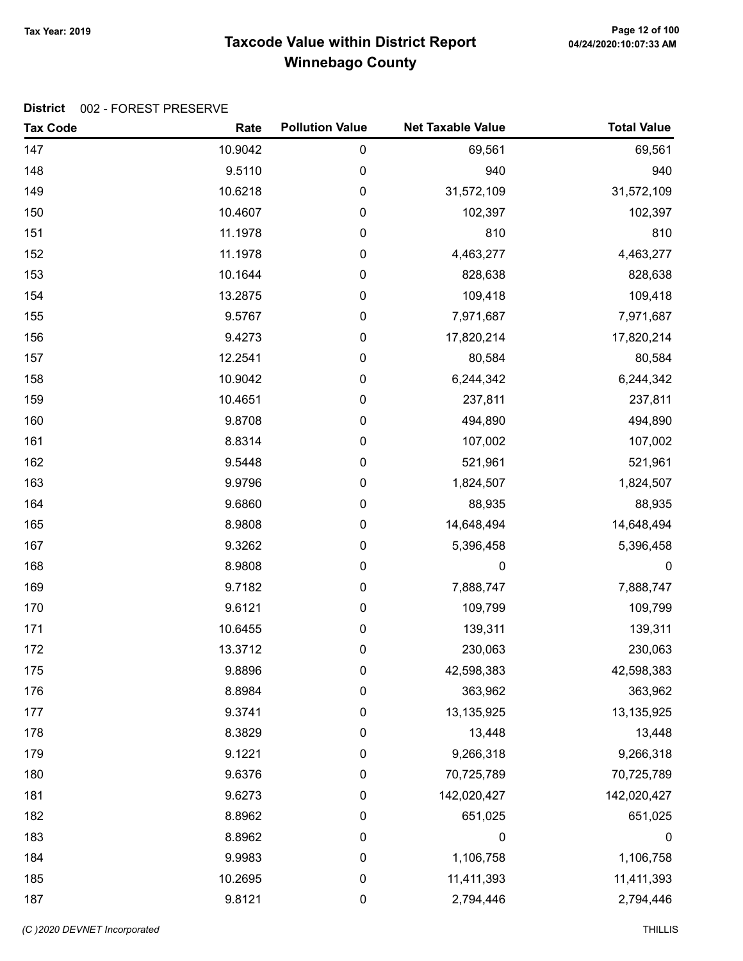# Taxcode Value within District Report Tax Year: 2019 Page 12 of 100 Winnebago County

| <b>Tax Code</b> | Rate    | <b>Pollution Value</b> | <b>Net Taxable Value</b> | <b>Total Value</b> |
|-----------------|---------|------------------------|--------------------------|--------------------|
| 147             | 10.9042 | 0                      | 69,561                   | 69,561             |
| 148             | 9.5110  | 0                      | 940                      | 940                |
| 149             | 10.6218 | $\pmb{0}$              | 31,572,109               | 31,572,109         |
| 150             | 10.4607 | 0                      | 102,397                  | 102,397            |
| 151             | 11.1978 | 0                      | 810                      | 810                |
| 152             | 11.1978 | 0                      | 4,463,277                | 4,463,277          |
| 153             | 10.1644 | 0                      | 828,638                  | 828,638            |
| 154             | 13.2875 | $\mathbf 0$            | 109,418                  | 109,418            |
| 155             | 9.5767  | 0                      | 7,971,687                | 7,971,687          |
| 156             | 9.4273  | $\pmb{0}$              | 17,820,214               | 17,820,214         |
| 157             | 12.2541 | 0                      | 80,584                   | 80,584             |
| 158             | 10.9042 | 0                      | 6,244,342                | 6,244,342          |
| 159             | 10.4651 | 0                      | 237,811                  | 237,811            |
| 160             | 9.8708  | 0                      | 494,890                  | 494,890            |
| 161             | 8.8314  | $\mathbf 0$            | 107,002                  | 107,002            |
| 162             | 9.5448  | 0                      | 521,961                  | 521,961            |
| 163             | 9.9796  | 0                      | 1,824,507                | 1,824,507          |
| 164             | 9.6860  | $\boldsymbol{0}$       | 88,935                   | 88,935             |
| 165             | 8.9808  | 0                      | 14,648,494               | 14,648,494         |
| 167             | 9.3262  | 0                      | 5,396,458                | 5,396,458          |
| 168             | 8.9808  | 0                      | 0                        | $\boldsymbol{0}$   |
| 169             | 9.7182  | $\mathbf 0$            | 7,888,747                | 7,888,747          |
| 170             | 9.6121  | 0                      | 109,799                  | 109,799            |
| 171             | 10.6455 | 0                      | 139,311                  | 139,311            |
| 172             | 13.3712 | 0                      | 230,063                  | 230,063            |
| 175             | 9.8896  | 0                      | 42,598,383               | 42,598,383         |
| 176             | 8.8984  | 0                      | 363,962                  | 363,962            |
| 177             | 9.3741  | $\mathbf 0$            | 13,135,925               | 13,135,925         |
| 178             | 8.3829  | 0                      | 13,448                   | 13,448             |
| 179             | 9.1221  | 0                      | 9,266,318                | 9,266,318          |
| 180             | 9.6376  | 0                      | 70,725,789               | 70,725,789         |
| 181             | 9.6273  | 0                      | 142,020,427              | 142,020,427        |
| 182             | 8.8962  | 0                      | 651,025                  | 651,025            |
| 183             | 8.8962  | 0                      | 0                        | $\boldsymbol{0}$   |
| 184             | 9.9983  | $\boldsymbol{0}$       | 1,106,758                | 1,106,758          |
| 185             | 10.2695 | $\boldsymbol{0}$       | 11,411,393               | 11,411,393         |
| 187             | 9.8121  | 0                      | 2,794,446                | 2,794,446          |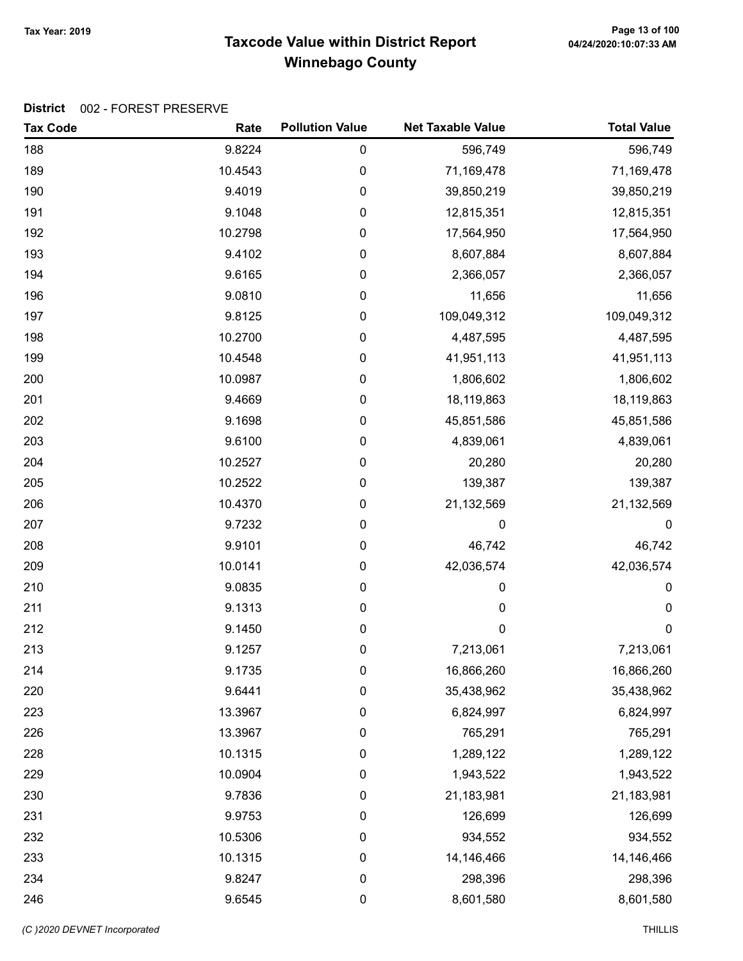# Taxcode Value within District Report Tax Year: 2019 Page 13 of 100 Winnebago County

| <b>Tax Code</b> | Rate    | <b>Pollution Value</b> | <b>Net Taxable Value</b> | <b>Total Value</b> |
|-----------------|---------|------------------------|--------------------------|--------------------|
| 188             | 9.8224  | $\pmb{0}$              | 596,749                  | 596,749            |
| 189             | 10.4543 | 0                      | 71,169,478               | 71,169,478         |
| 190             | 9.4019  | $\pmb{0}$              | 39,850,219               | 39,850,219         |
| 191             | 9.1048  | 0                      | 12,815,351               | 12,815,351         |
| 192             | 10.2798 | 0                      | 17,564,950               | 17,564,950         |
| 193             | 9.4102  | $\pmb{0}$              | 8,607,884                | 8,607,884          |
| 194             | 9.6165  | $\pmb{0}$              | 2,366,057                | 2,366,057          |
| 196             | 9.0810  | $\pmb{0}$              | 11,656                   | 11,656             |
| 197             | 9.8125  | 0                      | 109,049,312              | 109,049,312        |
| 198             | 10.2700 | $\pmb{0}$              | 4,487,595                | 4,487,595          |
| 199             | 10.4548 | $\pmb{0}$              | 41,951,113               | 41,951,113         |
| 200             | 10.0987 | 0                      | 1,806,602                | 1,806,602          |
| 201             | 9.4669  | $\pmb{0}$              | 18,119,863               | 18,119,863         |
| 202             | 9.1698  | $\pmb{0}$              | 45,851,586               | 45,851,586         |
| 203             | 9.6100  | $\pmb{0}$              | 4,839,061                | 4,839,061          |
| 204             | 10.2527 | 0                      | 20,280                   | 20,280             |
| 205             | 10.2522 | $\pmb{0}$              | 139,387                  | 139,387            |
| 206             | 10.4370 | $\pmb{0}$              | 21,132,569               | 21,132,569         |
| 207             | 9.7232  | 0                      | 0                        | $\boldsymbol{0}$   |
| 208             | 9.9101  | $\pmb{0}$              | 46,742                   | 46,742             |
| 209             | 10.0141 | $\pmb{0}$              | 42,036,574               | 42,036,574         |
| 210             | 9.0835  | $\pmb{0}$              | 0                        | 0                  |
| 211             | 9.1313  | $\pmb{0}$              | 0                        | $\boldsymbol{0}$   |
| 212             | 9.1450  | $\pmb{0}$              | $\mathbf 0$              | $\pmb{0}$          |
| 213             | 9.1257  | 0                      | 7,213,061                | 7,213,061          |
| 214             | 9.1735  | 0                      | 16,866,260               | 16,866,260         |
| 220             | 9.6441  | 0                      | 35,438,962               | 35,438,962         |
| 223             | 13.3967 | $\pmb{0}$              | 6,824,997                | 6,824,997          |
| 226             | 13.3967 | 0                      | 765,291                  | 765,291            |
| 228             | 10.1315 | $\mathbf 0$            | 1,289,122                | 1,289,122          |
| 229             | 10.0904 | $\pmb{0}$              | 1,943,522                | 1,943,522          |
| 230             | 9.7836  | $\pmb{0}$              | 21,183,981               | 21,183,981         |
| 231             | 9.9753  | $\pmb{0}$              | 126,699                  | 126,699            |
| 232             | 10.5306 | $\boldsymbol{0}$       | 934,552                  | 934,552            |
| 233             | 10.1315 | $\boldsymbol{0}$       | 14,146,466               | 14,146,466         |
| 234             | 9.8247  | $\boldsymbol{0}$       | 298,396                  | 298,396            |
| 246             | 9.6545  | $\pmb{0}$              | 8,601,580                | 8,601,580          |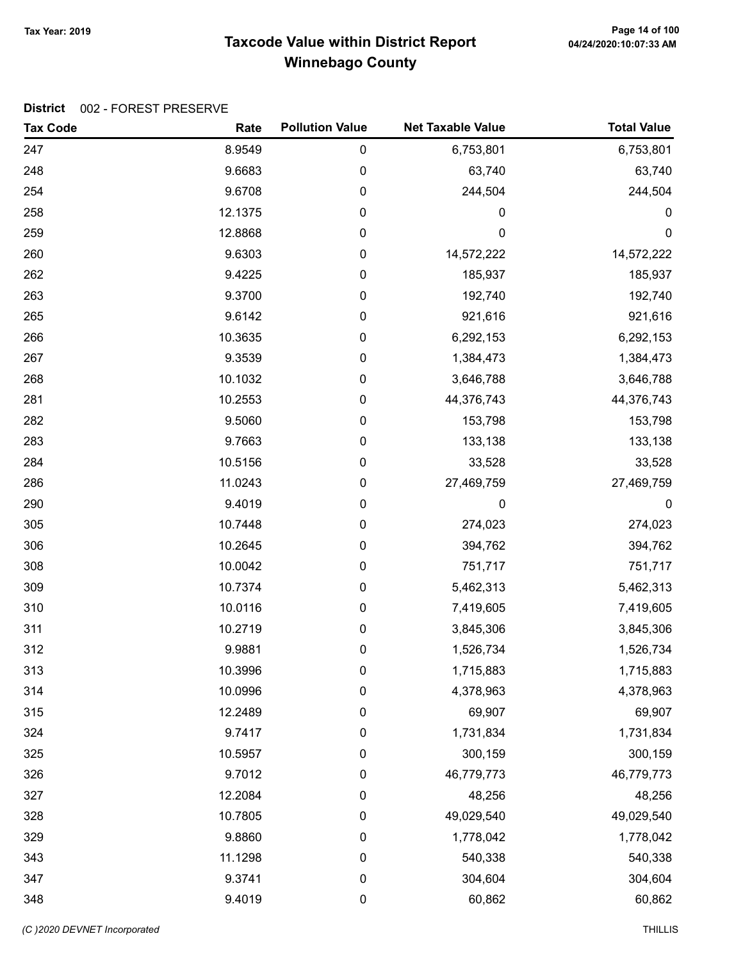# Taxcode Value within District Report Tax Year: 2019 Page 14 of 100 Winnebago County

| <b>Tax Code</b> | Rate    | <b>Pollution Value</b> | <b>Net Taxable Value</b> | <b>Total Value</b> |
|-----------------|---------|------------------------|--------------------------|--------------------|
| 247             | 8.9549  | 0                      | 6,753,801                | 6,753,801          |
| 248             | 9.6683  | 0                      | 63,740                   | 63,740             |
| 254             | 9.6708  | 0                      | 244,504                  | 244,504            |
| 258             | 12.1375 | 0                      | 0                        | $\boldsymbol{0}$   |
| 259             | 12.8868 | 0                      | 0                        | $\mathbf 0$        |
| 260             | 9.6303  | 0                      | 14,572,222               | 14,572,222         |
| 262             | 9.4225  | 0                      | 185,937                  | 185,937            |
| 263             | 9.3700  | 0                      | 192,740                  | 192,740            |
| 265             | 9.6142  | 0                      | 921,616                  | 921,616            |
| 266             | 10.3635 | 0                      | 6,292,153                | 6,292,153          |
| 267             | 9.3539  | 0                      | 1,384,473                | 1,384,473          |
| 268             | 10.1032 | 0                      | 3,646,788                | 3,646,788          |
| 281             | 10.2553 | 0                      | 44,376,743               | 44,376,743         |
| 282             | 9.5060  | 0                      | 153,798                  | 153,798            |
| 283             | 9.7663  | 0                      | 133,138                  | 133,138            |
| 284             | 10.5156 | 0                      | 33,528                   | 33,528             |
| 286             | 11.0243 | 0                      | 27,469,759               | 27,469,759         |
| 290             | 9.4019  | 0                      | 0                        | 0                  |
| 305             | 10.7448 | 0                      | 274,023                  | 274,023            |
| 306             | 10.2645 | 0                      | 394,762                  | 394,762            |
| 308             | 10.0042 | 0                      | 751,717                  | 751,717            |
| 309             | 10.7374 | 0                      | 5,462,313                | 5,462,313          |
| 310             | 10.0116 | 0                      | 7,419,605                | 7,419,605          |
| 311             | 10.2719 | 0                      | 3,845,306                | 3,845,306          |
| 312             | 9.9881  | 0                      | 1,526,734                | 1,526,734          |
| 313             | 10.3996 | 0                      | 1,715,883                | 1,715,883          |
| 314             | 10.0996 | 0                      | 4,378,963                | 4,378,963          |
| 315             | 12.2489 | $\pmb{0}$              | 69,907                   | 69,907             |
| 324             | 9.7417  | 0                      | 1,731,834                | 1,731,834          |
| 325             | 10.5957 | $\boldsymbol{0}$       | 300,159                  | 300,159            |
| 326             | 9.7012  | $\pmb{0}$              | 46,779,773               | 46,779,773         |
| 327             | 12.2084 | $\pmb{0}$              | 48,256                   | 48,256             |
| 328             | 10.7805 | 0                      | 49,029,540               | 49,029,540         |
| 329             | 9.8860  | 0                      | 1,778,042                | 1,778,042          |
| 343             | 11.1298 | $\boldsymbol{0}$       | 540,338                  | 540,338            |
| 347             | 9.3741  | $\pmb{0}$              | 304,604                  | 304,604            |
| 348             | 9.4019  | 0                      | 60,862                   | 60,862             |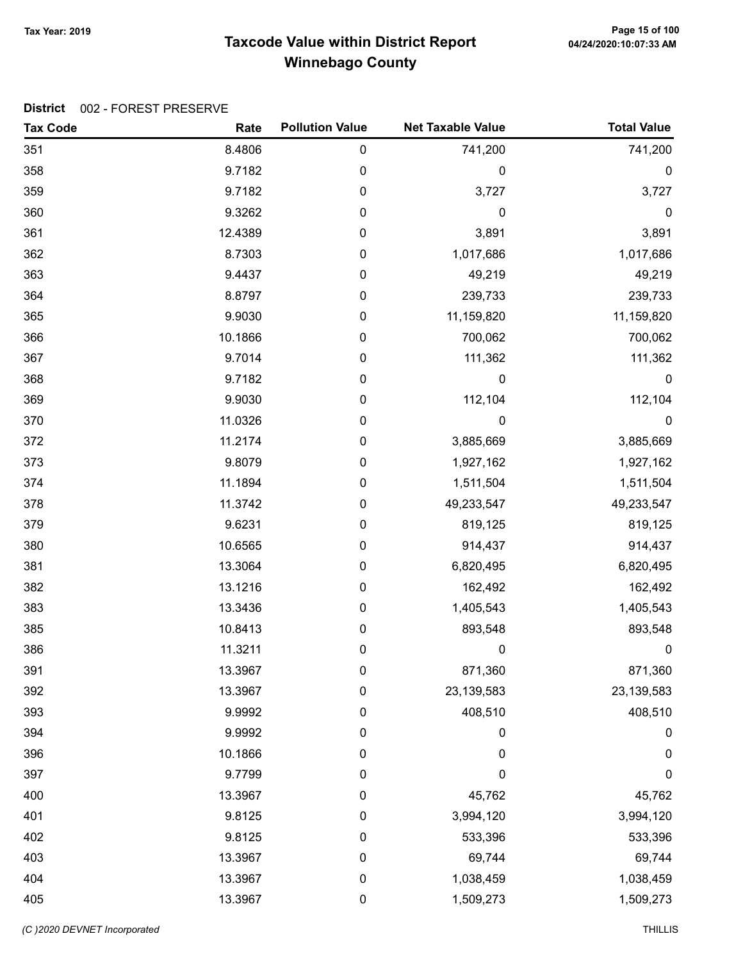# Taxcode Value within District Report Tax Year: 2019 Page 15 of 100 Winnebago County

| <b>Tax Code</b> | Rate    | <b>Pollution Value</b> | <b>Net Taxable Value</b> | <b>Total Value</b> |
|-----------------|---------|------------------------|--------------------------|--------------------|
| 351             | 8.4806  | 0                      | 741,200                  | 741,200            |
| 358             | 9.7182  | 0                      | 0                        | 0                  |
| 359             | 9.7182  | 0                      | 3,727                    | 3,727              |
| 360             | 9.3262  | 0                      | 0                        | 0                  |
| 361             | 12.4389 | 0                      | 3,891                    | 3,891              |
| 362             | 8.7303  | 0                      | 1,017,686                | 1,017,686          |
| 363             | 9.4437  | 0                      | 49,219                   | 49,219             |
| 364             | 8.8797  | 0                      | 239,733                  | 239,733            |
| 365             | 9.9030  | 0                      | 11,159,820               | 11,159,820         |
| 366             | 10.1866 | 0                      | 700,062                  | 700,062            |
| 367             | 9.7014  | 0                      | 111,362                  | 111,362            |
| 368             | 9.7182  | 0                      | 0                        | $\boldsymbol{0}$   |
| 369             | 9.9030  | 0                      | 112,104                  | 112,104            |
| 370             | 11.0326 | 0                      | 0                        | 0                  |
| 372             | 11.2174 | 0                      | 3,885,669                | 3,885,669          |
| 373             | 9.8079  | 0                      | 1,927,162                | 1,927,162          |
| 374             | 11.1894 | 0                      | 1,511,504                | 1,511,504          |
| 378             | 11.3742 | 0                      | 49,233,547               | 49,233,547         |
| 379             | 9.6231  | 0                      | 819,125                  | 819,125            |
| 380             | 10.6565 | 0                      | 914,437                  | 914,437            |
| 381             | 13.3064 | 0                      | 6,820,495                | 6,820,495          |
| 382             | 13.1216 | 0                      | 162,492                  | 162,492            |
| 383             | 13.3436 | 0                      | 1,405,543                | 1,405,543          |
| 385             | 10.8413 | 0                      | 893,548                  | 893,548            |
| 386             | 11.3211 | 0                      | 0                        | 0                  |
| 391             | 13.3967 | 0                      | 871,360                  | 871,360            |
| 392             | 13.3967 | 0                      | 23,139,583               | 23,139,583         |
| 393             | 9.9992  | 0                      | 408,510                  | 408,510            |
| 394             | 9.9992  | 0                      | 0                        | 0                  |
| 396             | 10.1866 | $\boldsymbol{0}$       | 0                        | $\mathbf 0$        |
| 397             | 9.7799  | $\boldsymbol{0}$       | $\mathbf 0$              | 0                  |
| 400             | 13.3967 | $\pmb{0}$              | 45,762                   | 45,762             |
| 401             | 9.8125  | 0                      | 3,994,120                | 3,994,120          |
| 402             | 9.8125  | 0                      | 533,396                  | 533,396            |
| 403             | 13.3967 | 0                      | 69,744                   | 69,744             |
| 404             | 13.3967 | $\pmb{0}$              | 1,038,459                | 1,038,459          |
| 405             | 13.3967 | 0                      | 1,509,273                | 1,509,273          |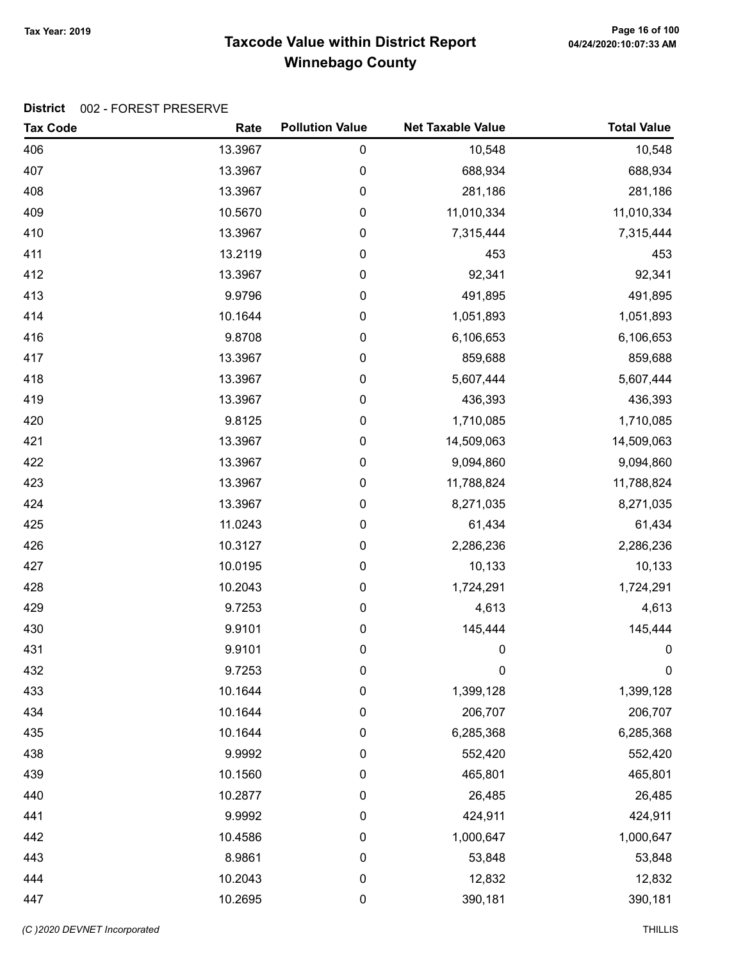# Taxcode Value within District Report Tax Year: 2019 Page 16 of 100 Winnebago County

| <b>Tax Code</b> | Rate    | <b>Pollution Value</b> | <b>Net Taxable Value</b> | <b>Total Value</b> |
|-----------------|---------|------------------------|--------------------------|--------------------|
| 406             | 13.3967 | 0                      | 10,548                   | 10,548             |
| 407             | 13.3967 | 0                      | 688,934                  | 688,934            |
| 408             | 13.3967 | 0                      | 281,186                  | 281,186            |
| 409             | 10.5670 | 0                      | 11,010,334               | 11,010,334         |
| 410             | 13.3967 | 0                      | 7,315,444                | 7,315,444          |
| 411             | 13.2119 | $\pmb{0}$              | 453                      | 453                |
| 412             | 13.3967 | $\pmb{0}$              | 92,341                   | 92,341             |
| 413             | 9.9796  | 0                      | 491,895                  | 491,895            |
| 414             | 10.1644 | 0                      | 1,051,893                | 1,051,893          |
| 416             | 9.8708  | 0                      | 6,106,653                | 6,106,653          |
| 417             | 13.3967 | 0                      | 859,688                  | 859,688            |
| 418             | 13.3967 | 0                      | 5,607,444                | 5,607,444          |
| 419             | 13.3967 | $\pmb{0}$              | 436,393                  | 436,393            |
| 420             | 9.8125  | $\pmb{0}$              | 1,710,085                | 1,710,085          |
| 421             | 13.3967 | 0                      | 14,509,063               | 14,509,063         |
| 422             | 13.3967 | 0                      | 9,094,860                | 9,094,860          |
| 423             | 13.3967 | 0                      | 11,788,824               | 11,788,824         |
| 424             | 13.3967 | 0                      | 8,271,035                | 8,271,035          |
| 425             | 11.0243 | 0                      | 61,434                   | 61,434             |
| 426             | 10.3127 | 0                      | 2,286,236                | 2,286,236          |
| 427             | 10.0195 | $\pmb{0}$              | 10,133                   | 10,133             |
| 428             | 10.2043 | $\pmb{0}$              | 1,724,291                | 1,724,291          |
| 429             | 9.7253  | $\pmb{0}$              | 4,613                    | 4,613              |
| 430             | 9.9101  | $\pmb{0}$              | 145,444                  | 145,444            |
| 431             | 9.9101  | 0                      | 0                        | 0                  |
| 432             | 9.7253  | 0                      | 0                        | $\pmb{0}$          |
| 433             | 10.1644 | 0                      | 1,399,128                | 1,399,128          |
| 434             | 10.1644 | $\pmb{0}$              | 206,707                  | 206,707            |
| 435             | 10.1644 | $\boldsymbol{0}$       | 6,285,368                | 6,285,368          |
| 438             | 9.9992  | $\boldsymbol{0}$       | 552,420                  | 552,420            |
| 439             | 10.1560 | $\boldsymbol{0}$       | 465,801                  | 465,801            |
| 440             | 10.2877 | $\pmb{0}$              | 26,485                   | 26,485             |
| 441             | 9.9992  | $\pmb{0}$              | 424,911                  | 424,911            |
| 442             | 10.4586 | 0                      | 1,000,647                | 1,000,647          |
| 443             | 8.9861  | $\boldsymbol{0}$       | 53,848                   | 53,848             |
| 444             | 10.2043 | $\pmb{0}$              | 12,832                   | 12,832             |
| 447             | 10.2695 | $\pmb{0}$              | 390,181                  | 390,181            |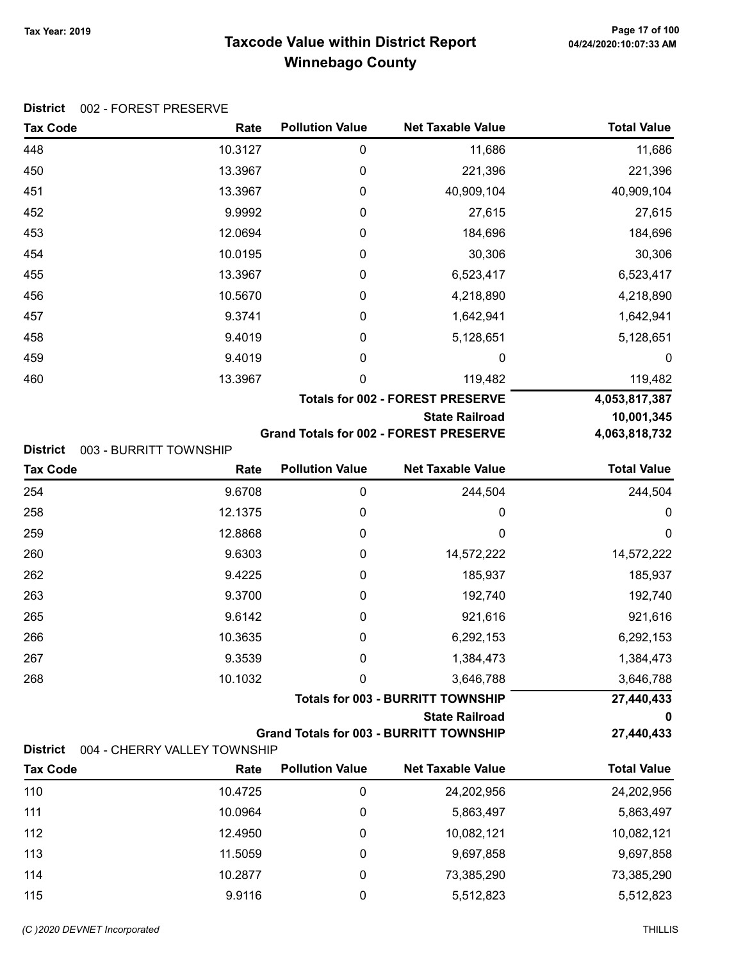# Taxcode Value within District Report Tax Year: 2019 Page 17 of 100 Winnebago County

|  | District 002 - FOREST PRESERVE |
|--|--------------------------------|
|--|--------------------------------|

| <b>Tax Code</b> | Rate                           | <b>Pollution Value</b> | <b>Net Taxable Value</b>                       | <b>Total Value</b> |
|-----------------|--------------------------------|------------------------|------------------------------------------------|--------------------|
| 448             | 10.3127                        | 0                      | 11,686                                         | 11,686             |
| 450             | 13.3967                        | 0                      | 221,396                                        | 221,396            |
| 451             | 13.3967                        | 0                      | 40,909,104                                     | 40,909,104         |
| 452             | 9.9992                         | 0                      | 27,615                                         | 27,615             |
| 453             | 12.0694                        | 0                      | 184,696                                        | 184,696            |
| 454             | 10.0195                        | 0                      | 30,306                                         | 30,306             |
| 455             | 13.3967                        | 0                      | 6,523,417                                      | 6,523,417          |
| 456             | 10.5670                        | 0                      | 4,218,890                                      | 4,218,890          |
| 457             | 9.3741                         | 0                      | 1,642,941                                      | 1,642,941          |
| 458             | 9.4019                         | 0                      | 5,128,651                                      | 5,128,651          |
| 459             | 9.4019                         | 0                      | 0                                              | 0                  |
| 460             | 13.3967                        | 0                      | 119,482                                        | 119,482            |
|                 |                                |                        | <b>Totals for 002 - FOREST PRESERVE</b>        | 4,053,817,387      |
|                 |                                |                        | <b>State Railroad</b>                          | 10,001,345         |
| <b>District</b> |                                |                        | <b>Grand Totals for 002 - FOREST PRESERVE</b>  | 4,063,818,732      |
| <b>Tax Code</b> | 003 - BURRITT TOWNSHIP<br>Rate | <b>Pollution Value</b> | <b>Net Taxable Value</b>                       | <b>Total Value</b> |
| 254             | 9.6708                         | 0                      | 244,504                                        | 244,504            |
| 258             | 12.1375                        | 0                      | 0                                              | 0                  |
| 259             | 12.8868                        | 0                      | 0                                              | 0                  |
| 260             | 9.6303                         | 0                      | 14,572,222                                     | 14,572,222         |
| 262             | 9.4225                         | 0                      | 185,937                                        | 185,937            |
| 263             | 9.3700                         | 0                      | 192,740                                        | 192,740            |
| 265             | 9.6142                         | 0                      | 921,616                                        | 921,616            |
| 266             | 10.3635                        | 0                      | 6,292,153                                      | 6,292,153          |
| 267             | 9.3539                         | 0                      | 1,384,473                                      | 1,384,473          |
| 268             | 10.1032                        | 0                      | 3,646,788                                      | 3,646,788          |
|                 |                                |                        | <b>Totals for 003 - BURRITT TOWNSHIP</b>       | 27,440,433         |
|                 |                                |                        | <b>State Railroad</b>                          | 0                  |
|                 |                                |                        | <b>Grand Totals for 003 - BURRITT TOWNSHIP</b> | 27,440,433         |
| <b>District</b> | 004 - CHERRY VALLEY TOWNSHIP   |                        |                                                |                    |
| <b>Tax Code</b> | Rate                           | <b>Pollution Value</b> | <b>Net Taxable Value</b>                       | <b>Total Value</b> |
| 110             | 10.4725                        | $\boldsymbol{0}$       | 24,202,956                                     | 24,202,956         |
| 111             | 10.0964                        | 0                      | 5,863,497                                      | 5,863,497          |
| 112             | 12.4950                        | 0                      | 10,082,121                                     | 10,082,121         |
| 113             | 11.5059                        | 0                      | 9,697,858                                      | 9,697,858          |
| 114             | 10.2877                        | 0                      | 73,385,290                                     | 73,385,290         |
| 115             | 9.9116                         | $\boldsymbol{0}$       | 5,512,823                                      | 5,512,823          |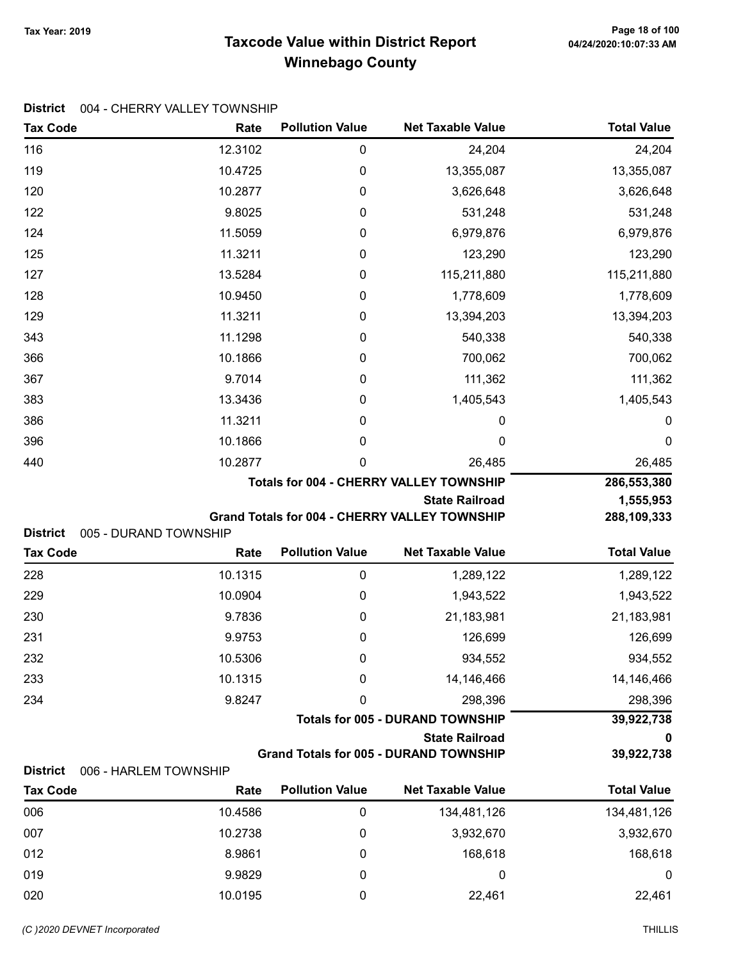# Taxcode Value within District Report Tax Year: 2019 Page 18 of 100 Winnebago County

Tax Code **Rate Pollution Value** Net Taxable Value Total Value

|  | District 004 - CHERRY VALLEY TOWNSHIP |  |  |
|--|---------------------------------------|--|--|
|--|---------------------------------------|--|--|

| 228<br>229<br>230<br>231<br>232<br>233<br>234<br><b>District</b><br><b>Tax Code</b><br>006<br>007<br>019 | 10.0904<br>9.7836<br>9.9753<br>10.5306<br>10.1315<br>9.8247<br>006 - HARLEM TOWNSHIP<br>Rate<br>10.4586<br>10.2738<br>8.9861<br>9.9829 | 0<br>0<br>0<br>0<br>0<br>0<br><b>Pollution Value</b><br>$\boldsymbol{0}$<br>0<br>0<br>0 | 1,943,522<br>21,183,981<br>126,699<br>934,552<br>14,146,466<br>298,396<br><b>Totals for 005 - DURAND TOWNSHIP</b><br><b>State Railroad</b><br><b>Grand Totals for 005 - DURAND TOWNSHIP</b><br><b>Net Taxable Value</b><br>134,481,126<br>3,932,670<br>168,618<br>0 | 1,289,122<br>1,943,522<br>21,183,981<br>126,699<br>934,552<br>14,146,466<br>298,396<br>39,922,738<br>39,922,738<br><b>Total Value</b><br>134,481,126<br>3,932,670<br>168,618<br>$\boldsymbol{0}$ |
|----------------------------------------------------------------------------------------------------------|----------------------------------------------------------------------------------------------------------------------------------------|-----------------------------------------------------------------------------------------|---------------------------------------------------------------------------------------------------------------------------------------------------------------------------------------------------------------------------------------------------------------------|--------------------------------------------------------------------------------------------------------------------------------------------------------------------------------------------------|
| 012                                                                                                      |                                                                                                                                        |                                                                                         |                                                                                                                                                                                                                                                                     |                                                                                                                                                                                                  |
|                                                                                                          |                                                                                                                                        |                                                                                         |                                                                                                                                                                                                                                                                     |                                                                                                                                                                                                  |
|                                                                                                          |                                                                                                                                        |                                                                                         |                                                                                                                                                                                                                                                                     |                                                                                                                                                                                                  |
|                                                                                                          |                                                                                                                                        |                                                                                         |                                                                                                                                                                                                                                                                     |                                                                                                                                                                                                  |
|                                                                                                          |                                                                                                                                        |                                                                                         |                                                                                                                                                                                                                                                                     |                                                                                                                                                                                                  |
|                                                                                                          |                                                                                                                                        |                                                                                         |                                                                                                                                                                                                                                                                     |                                                                                                                                                                                                  |
|                                                                                                          |                                                                                                                                        |                                                                                         |                                                                                                                                                                                                                                                                     |                                                                                                                                                                                                  |
|                                                                                                          |                                                                                                                                        |                                                                                         |                                                                                                                                                                                                                                                                     |                                                                                                                                                                                                  |
|                                                                                                          |                                                                                                                                        |                                                                                         |                                                                                                                                                                                                                                                                     |                                                                                                                                                                                                  |
|                                                                                                          |                                                                                                                                        |                                                                                         |                                                                                                                                                                                                                                                                     |                                                                                                                                                                                                  |
|                                                                                                          |                                                                                                                                        |                                                                                         |                                                                                                                                                                                                                                                                     |                                                                                                                                                                                                  |
|                                                                                                          |                                                                                                                                        |                                                                                         |                                                                                                                                                                                                                                                                     |                                                                                                                                                                                                  |
|                                                                                                          |                                                                                                                                        |                                                                                         |                                                                                                                                                                                                                                                                     |                                                                                                                                                                                                  |
|                                                                                                          | 10.1315                                                                                                                                | $\pmb{0}$                                                                               | 1,289,122                                                                                                                                                                                                                                                           |                                                                                                                                                                                                  |
| <b>Tax Code</b>                                                                                          | Rate                                                                                                                                   | <b>Pollution Value</b>                                                                  | <b>Net Taxable Value</b>                                                                                                                                                                                                                                            | <b>Total Value</b>                                                                                                                                                                               |
| <b>District</b>                                                                                          | 005 - DURAND TOWNSHIP                                                                                                                  |                                                                                         | <b>State Railroad</b><br>Grand Totals for 004 - CHERRY VALLEY TOWNSHIP                                                                                                                                                                                              | 1,555,953<br>288,109,333                                                                                                                                                                         |
|                                                                                                          |                                                                                                                                        |                                                                                         | Totals for 004 - CHERRY VALLEY TOWNSHIP                                                                                                                                                                                                                             | 286,553,380                                                                                                                                                                                      |
| 440                                                                                                      | 10.2877                                                                                                                                | 0                                                                                       | 26,485                                                                                                                                                                                                                                                              | 26,485                                                                                                                                                                                           |
| 396                                                                                                      | 10.1866                                                                                                                                | 0                                                                                       | 0                                                                                                                                                                                                                                                                   | $\mathbf 0$                                                                                                                                                                                      |
| 386                                                                                                      | 11.3211                                                                                                                                | 0                                                                                       | 0                                                                                                                                                                                                                                                                   | $\boldsymbol{0}$                                                                                                                                                                                 |
| 383                                                                                                      | 13.3436                                                                                                                                | 0                                                                                       | 1,405,543                                                                                                                                                                                                                                                           | 1,405,543                                                                                                                                                                                        |
| 367                                                                                                      | 9.7014                                                                                                                                 | 0                                                                                       | 111,362                                                                                                                                                                                                                                                             | 111,362                                                                                                                                                                                          |
| 343<br>366                                                                                               | 11.1298<br>10.1866                                                                                                                     | 0<br>0                                                                                  | 540,338<br>700,062                                                                                                                                                                                                                                                  | 540,338<br>700,062                                                                                                                                                                               |
| 129                                                                                                      | 11.3211                                                                                                                                | 0                                                                                       | 13,394,203                                                                                                                                                                                                                                                          | 13,394,203                                                                                                                                                                                       |
| 128                                                                                                      | 10.9450                                                                                                                                | 0                                                                                       | 1,778,609                                                                                                                                                                                                                                                           | 1,778,609                                                                                                                                                                                        |
| 127                                                                                                      | 13.5284                                                                                                                                | 0                                                                                       | 115,211,880                                                                                                                                                                                                                                                         | 115,211,880                                                                                                                                                                                      |
| 125                                                                                                      | 11.3211                                                                                                                                | 0                                                                                       | 123,290                                                                                                                                                                                                                                                             | 123,290                                                                                                                                                                                          |
| 124                                                                                                      | 11.5059                                                                                                                                | 0                                                                                       | 6,979,876                                                                                                                                                                                                                                                           | 6,979,876                                                                                                                                                                                        |
| 122                                                                                                      | 9.8025                                                                                                                                 | 0                                                                                       | 531,248                                                                                                                                                                                                                                                             | 531,248                                                                                                                                                                                          |
| 120                                                                                                      | 10.2877                                                                                                                                | 0                                                                                       | 3,626,648                                                                                                                                                                                                                                                           | 3,626,648                                                                                                                                                                                        |
|                                                                                                          | 10.4725                                                                                                                                | $\boldsymbol{0}$                                                                        | 13,355,087                                                                                                                                                                                                                                                          | 13,355,087                                                                                                                                                                                       |
|                                                                                                          |                                                                                                                                        | $\pmb{0}$                                                                               | 24,204                                                                                                                                                                                                                                                              | 24,204                                                                                                                                                                                           |
| 116<br>119                                                                                               | 12.3102                                                                                                                                |                                                                                         |                                                                                                                                                                                                                                                                     |                                                                                                                                                                                                  |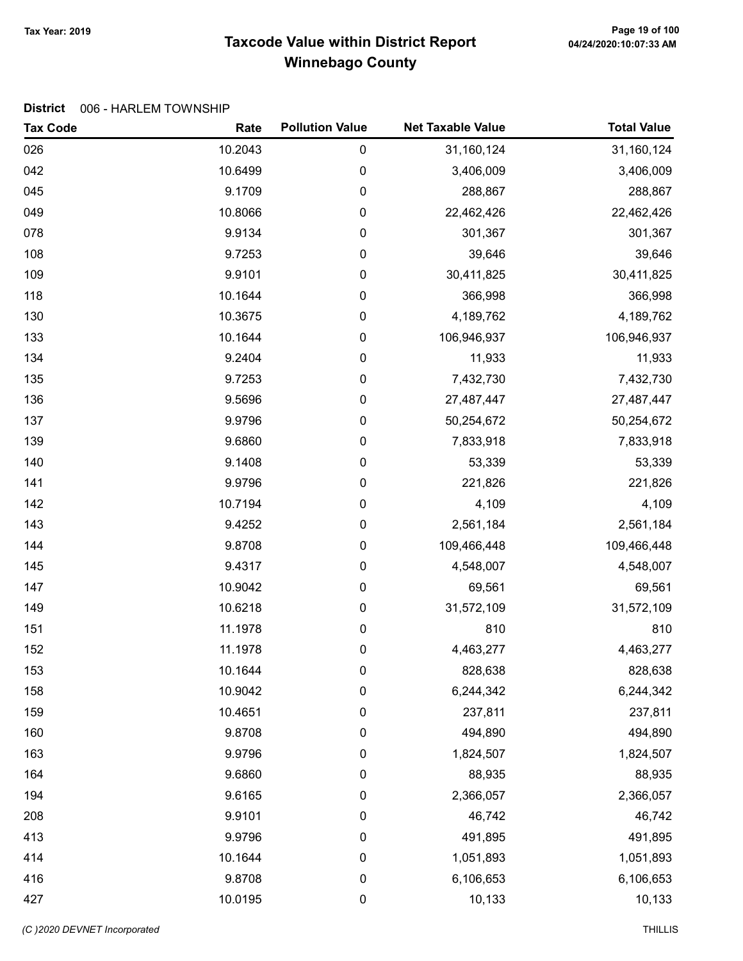# Taxcode Value within District Report Tax Year: 2019 Page 19 of 100 Winnebago County

#### District 006 - HARLEM TOWNSHIP

| <b>Tax Code</b> | Rate    | <b>Pollution Value</b> | <b>Net Taxable Value</b> | <b>Total Value</b> |
|-----------------|---------|------------------------|--------------------------|--------------------|
| 026             | 10.2043 | 0                      | 31,160,124               | 31,160,124         |
| 042             | 10.6499 | 0                      | 3,406,009                | 3,406,009          |
| 045             | 9.1709  | 0                      | 288,867                  | 288,867            |
| 049             | 10.8066 | 0                      | 22,462,426               | 22,462,426         |
| 078             | 9.9134  | 0                      | 301,367                  | 301,367            |
| 108             | 9.7253  | 0                      | 39,646                   | 39,646             |
| 109             | 9.9101  | 0                      | 30,411,825               | 30,411,825         |
| 118             | 10.1644 | 0                      | 366,998                  | 366,998            |
| 130             | 10.3675 | 0                      | 4,189,762                | 4,189,762          |
| 133             | 10.1644 | 0                      | 106,946,937              | 106,946,937        |
| 134             | 9.2404  | 0                      | 11,933                   | 11,933             |
| 135             | 9.7253  | 0                      | 7,432,730                | 7,432,730          |
| 136             | 9.5696  | 0                      | 27,487,447               | 27,487,447         |
| 137             | 9.9796  | 0                      | 50,254,672               | 50,254,672         |
| 139             | 9.6860  | 0                      | 7,833,918                | 7,833,918          |
| 140             | 9.1408  | 0                      | 53,339                   | 53,339             |
| 141             | 9.9796  | 0                      | 221,826                  | 221,826            |
| 142             | 10.7194 | 0                      | 4,109                    | 4,109              |
| 143             | 9.4252  | 0                      | 2,561,184                | 2,561,184          |
| 144             | 9.8708  | 0                      | 109,466,448              | 109,466,448        |
| 145             | 9.4317  | 0                      | 4,548,007                | 4,548,007          |
| 147             | 10.9042 | 0                      | 69,561                   | 69,561             |
| 149             | 10.6218 | 0                      | 31,572,109               | 31,572,109         |
| 151             | 11.1978 | 0                      | 810                      | 810                |
| 152             | 11.1978 | 0                      | 4,463,277                | 4,463,277          |
| 153             | 10.1644 | 0                      | 828,638                  | 828,638            |
| 158             | 10.9042 | 0                      | 6,244,342                | 6,244,342          |
| 159             | 10.4651 | 0                      | 237,811                  | 237,811            |
| 160             | 9.8708  | 0                      | 494,890                  | 494,890            |
| 163             | 9.9796  | 0                      | 1,824,507                | 1,824,507          |
| 164             | 9.6860  | 0                      | 88,935                   | 88,935             |
| 194             | 9.6165  | 0                      | 2,366,057                | 2,366,057          |
| 208             | 9.9101  | 0                      | 46,742                   | 46,742             |
| 413             | 9.9796  | 0                      | 491,895                  | 491,895            |
| 414             | 10.1644 | $\boldsymbol{0}$       | 1,051,893                | 1,051,893          |
| 416             | 9.8708  | 0                      | 6,106,653                | 6,106,653          |
| 427             | 10.0195 | 0                      | 10,133                   | 10,133             |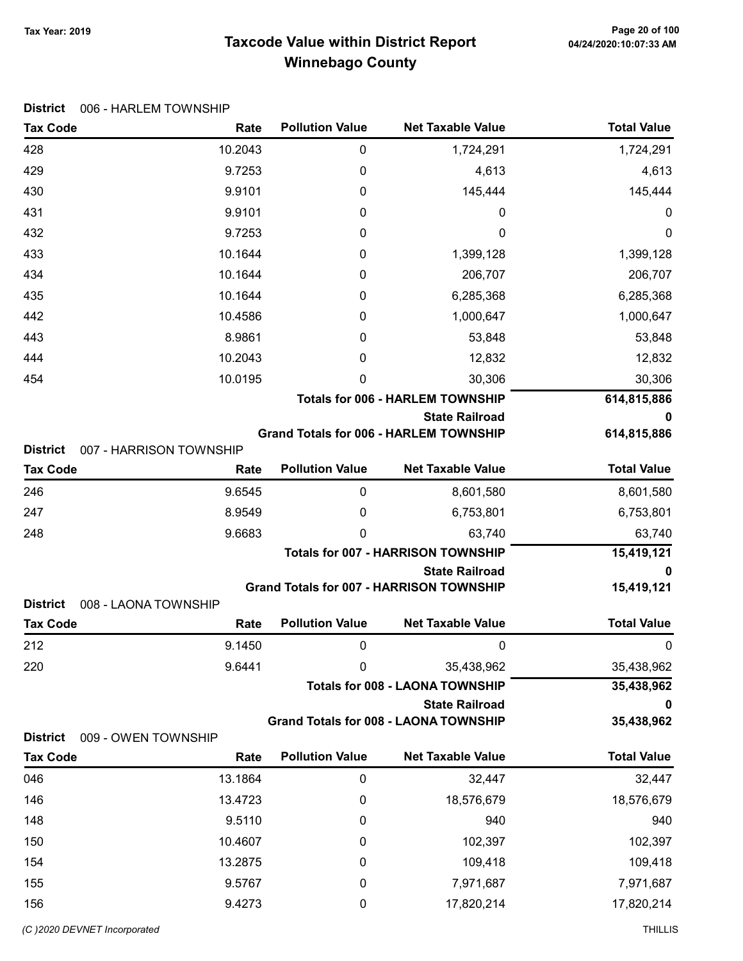# Taxcode Value within District Report Tax Year: 2019 Page 20 of 100 Winnebago County

| 10.2043<br>428<br>0<br>1,724,291<br>429<br>9.7253<br>0<br>4,613<br>9.9101<br>145,444<br>430<br>0<br>431<br>9.9101<br>0<br>0<br>9.7253<br>432<br>0<br>0 | 1,724,291<br>4,613 |
|--------------------------------------------------------------------------------------------------------------------------------------------------------|--------------------|
|                                                                                                                                                        |                    |
|                                                                                                                                                        |                    |
|                                                                                                                                                        | 145,444            |
|                                                                                                                                                        | 0                  |
|                                                                                                                                                        | 0                  |
| 10.1644<br>433<br>1,399,128<br>0                                                                                                                       | 1,399,128          |
| 434<br>10.1644<br>206,707<br>0                                                                                                                         | 206,707            |
| 435<br>10.1644<br>6,285,368<br>0                                                                                                                       | 6,285,368          |
| 442<br>10.4586<br>0<br>1,000,647                                                                                                                       | 1,000,647          |
| 443<br>8.9861<br>0<br>53,848                                                                                                                           | 53,848             |
| 10.2043<br>444<br>0<br>12,832                                                                                                                          | 12,832             |
| 10.0195<br>30,306<br>454<br>0                                                                                                                          | 30,306             |
| <b>Totals for 006 - HARLEM TOWNSHIP</b><br>614,815,886                                                                                                 |                    |
| <b>State Railroad</b>                                                                                                                                  | 0                  |
| <b>Grand Totals for 006 - HARLEM TOWNSHIP</b><br>614,815,886                                                                                           |                    |
| <b>District</b><br>007 - HARRISON TOWNSHIP<br><b>Pollution Value</b><br><b>Net Taxable Value</b><br><b>Tax Code</b><br>Rate                            | <b>Total Value</b> |
|                                                                                                                                                        |                    |
| 246<br>9.6545<br>0<br>8,601,580                                                                                                                        | 8,601,580          |
| 247<br>8.9549<br>0<br>6,753,801                                                                                                                        | 6,753,801          |
| 9.6683<br>0<br>248<br>63,740<br><b>Totals for 007 - HARRISON TOWNSHIP</b>                                                                              | 63,740             |
| <b>State Railroad</b>                                                                                                                                  | 15,419,121<br>0    |
| Grand Totals for 007 - HARRISON TOWNSHIP                                                                                                               | 15,419,121         |
| 008 - LAONA TOWNSHIP<br><b>District</b>                                                                                                                |                    |
| <b>Pollution Value</b><br><b>Tax Code</b><br><b>Net Taxable Value</b><br>Rate                                                                          | <b>Total Value</b> |
| 212<br>9.1450<br>0<br>0                                                                                                                                | 0                  |
| 9.6441<br>35,438,962<br><b>220</b><br>0                                                                                                                | 35,438,962         |
| <b>Totals for 008 - LAONA TOWNSHIP</b>                                                                                                                 | 35,438,962         |
| <b>State Railroad</b>                                                                                                                                  | 0                  |
| <b>Grand Totals for 008 - LAONA TOWNSHIP</b><br><b>District</b><br>009 - OWEN TOWNSHIP                                                                 | 35,438,962         |
| <b>Pollution Value</b><br><b>Net Taxable Value</b><br><b>Tax Code</b><br>Rate                                                                          | <b>Total Value</b> |
| 046<br>13.1864<br>32,447<br>0                                                                                                                          | 32,447             |
| 13.4723<br>18,576,679<br>146<br>0                                                                                                                      | 18,576,679         |
| 148<br>9.5110<br>940<br>0                                                                                                                              | 940                |
| 150<br>10.4607<br>102,397<br>0                                                                                                                         | 102,397            |
| 154<br>13.2875<br>109,418<br>0                                                                                                                         | 109,418            |
| 9.5767<br>7,971,687<br>155<br>0                                                                                                                        | 7,971,687          |
| 156<br>9.4273<br>17,820,214<br>0                                                                                                                       | 17,820,214         |

#### District 006 - HARLEM TOWNSHIP

(C)2020 DEVNET Incorporated THILLIS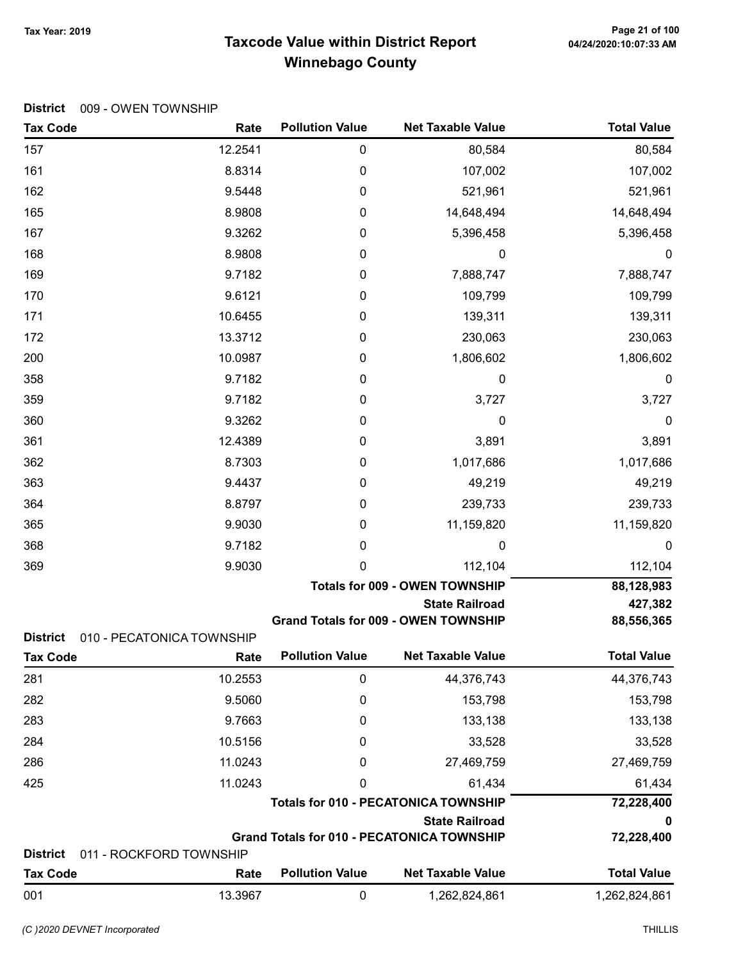# Taxcode Value within District Report Tax Year: 2019 Page 21 of 100 Winnebago County

| District |  |  | 009 - OWEN TOWNSHIP |
|----------|--|--|---------------------|
|----------|--|--|---------------------|

| <b>Tax Code</b>                    | Rate                              | <b>Pollution Value</b> | <b>Net Taxable Value</b>                              | <b>Total Value</b>   |
|------------------------------------|-----------------------------------|------------------------|-------------------------------------------------------|----------------------|
| 157                                | 12.2541                           | 0                      | 80,584                                                | 80,584               |
| 161                                | 8.8314                            | 0                      | 107,002                                               | 107,002              |
| 162                                | 9.5448                            | 0                      | 521,961                                               | 521,961              |
| 165                                | 8.9808                            | 0                      | 14,648,494                                            | 14,648,494           |
| 167                                | 9.3262                            | 0                      | 5,396,458                                             | 5,396,458            |
| 168                                | 8.9808                            | $\boldsymbol{0}$       | 0                                                     | 0                    |
| 169                                | 9.7182                            | 0                      | 7,888,747                                             | 7,888,747            |
| 170                                | 9.6121                            | 0                      | 109,799                                               | 109,799              |
| 171                                | 10.6455                           | 0                      | 139,311                                               | 139,311              |
| 172                                | 13.3712                           | 0                      | 230,063                                               | 230,063              |
| 200                                | 10.0987                           | 0                      | 1,806,602                                             | 1,806,602            |
| 358                                | 9.7182                            | 0                      | 0                                                     | 0                    |
| 359                                | 9.7182                            | $\boldsymbol{0}$       | 3,727                                                 | 3,727                |
| 360                                | 9.3262                            | 0                      | 0                                                     | 0                    |
| 361                                | 12.4389                           | 0                      | 3,891                                                 | 3,891                |
| 362                                | 8.7303                            | 0                      | 1,017,686                                             | 1,017,686            |
| 363                                | 9.4437                            | 0                      | 49,219                                                | 49,219               |
| 364                                | 8.8797                            | 0                      | 239,733                                               | 239,733              |
| 365                                | 9.9030                            | 0                      | 11,159,820                                            | 11,159,820           |
| 368                                | 9.7182                            | 0                      | 0                                                     | 0                    |
| 369                                | 9.9030                            | 0                      | 112,104                                               | 112,104              |
|                                    |                                   |                        | <b>Totals for 009 - OWEN TOWNSHIP</b>                 | 88,128,983           |
|                                    |                                   |                        | <b>State Railroad</b>                                 | 427,382              |
|                                    |                                   |                        | <b>Grand Totals for 009 - OWEN TOWNSHIP</b>           | 88,556,365           |
| <b>District</b><br><b>Tax Code</b> | 010 - PECATONICA TOWNSHIP<br>Rate | <b>Pollution Value</b> | <b>Net Taxable Value</b>                              | <b>Total Value</b>   |
| 281                                | 10.2553                           | $\pmb{0}$              | 44,376,743                                            | 44,376,743           |
| 282                                | 9.5060                            | 0                      | 153,798                                               | 153,798              |
| 283                                | 9.7663                            | 0                      | 133,138                                               | 133,138              |
| 284                                | 10.5156                           | 0                      | 33,528                                                | 33,528               |
|                                    | 11.0243                           | 0                      |                                                       |                      |
| 286                                | 11.0243                           | 0                      | 27,469,759                                            | 27,469,759           |
| 425                                |                                   |                        | 61,434<br><b>Totals for 010 - PECATONICA TOWNSHIP</b> | 61,434<br>72,228,400 |
|                                    |                                   |                        | <b>State Railroad</b>                                 | o                    |
|                                    |                                   |                        | <b>Grand Totals for 010 - PECATONICA TOWNSHIP</b>     | 72,228,400           |
| <b>District</b>                    | 011 - ROCKFORD TOWNSHIP           |                        |                                                       |                      |
| <b>Tax Code</b>                    | Rate                              | <b>Pollution Value</b> | <b>Net Taxable Value</b>                              | <b>Total Value</b>   |
| 001                                | 13.3967                           | 0                      | 1,262,824,861                                         | 1,262,824,861        |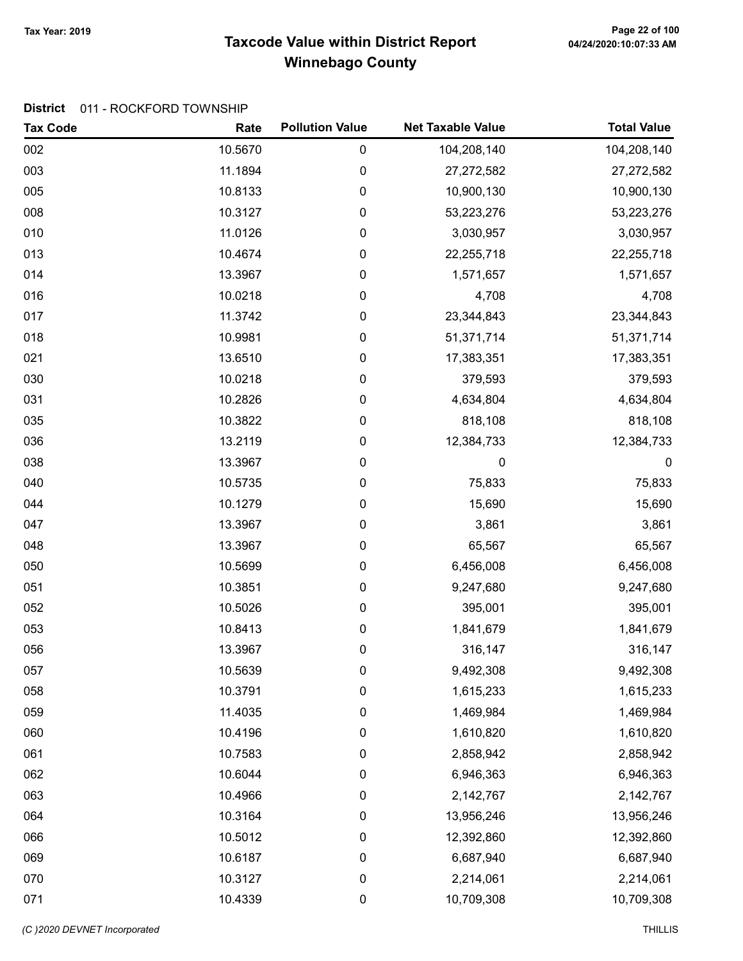# Taxcode Value within District Report Tax Year: 2019 Page 22 of 100 Winnebago County

#### District 011 - ROCKFORD TOWNSHIP

| <b>Tax Code</b> | Rate    | <b>Pollution Value</b> | <b>Net Taxable Value</b> | <b>Total Value</b> |
|-----------------|---------|------------------------|--------------------------|--------------------|
| 002             | 10.5670 | 0                      | 104,208,140              | 104,208,140        |
| 003             | 11.1894 | 0                      | 27,272,582               | 27,272,582         |
| 005             | 10.8133 | 0                      | 10,900,130               | 10,900,130         |
| 008             | 10.3127 | 0                      | 53,223,276               | 53,223,276         |
| 010             | 11.0126 | 0                      | 3,030,957                | 3,030,957          |
| 013             | 10.4674 | 0                      | 22,255,718               | 22,255,718         |
| 014             | 13.3967 | 0                      | 1,571,657                | 1,571,657          |
| 016             | 10.0218 | 0                      | 4,708                    | 4,708              |
| 017             | 11.3742 | 0                      | 23,344,843               | 23,344,843         |
| 018             | 10.9981 | 0                      | 51,371,714               | 51,371,714         |
| 021             | 13.6510 | 0                      | 17,383,351               | 17,383,351         |
| 030             | 10.0218 | 0                      | 379,593                  | 379,593            |
| 031             | 10.2826 | 0                      | 4,634,804                | 4,634,804          |
| 035             | 10.3822 | 0                      | 818,108                  | 818,108            |
| 036             | 13.2119 | 0                      | 12,384,733               | 12,384,733         |
| 038             | 13.3967 | 0                      | 0                        | $\boldsymbol{0}$   |
| 040             | 10.5735 | 0                      | 75,833                   | 75,833             |
| 044             | 10.1279 | 0                      | 15,690                   | 15,690             |
| 047             | 13.3967 | 0                      | 3,861                    | 3,861              |
| 048             | 13.3967 | 0                      | 65,567                   | 65,567             |
| 050             | 10.5699 | 0                      | 6,456,008                | 6,456,008          |
| 051             | 10.3851 | 0                      | 9,247,680                | 9,247,680          |
| 052             | 10.5026 | 0                      | 395,001                  | 395,001            |
| 053             | 10.8413 | 0                      | 1,841,679                | 1,841,679          |
| 056             | 13.3967 | 0                      | 316,147                  | 316,147            |
| 057             | 10.5639 | 0                      | 9,492,308                | 9,492,308          |
| 058             | 10.3791 | 0                      | 1,615,233                | 1,615,233          |
| 059             | 11.4035 | 0                      | 1,469,984                | 1,469,984          |
| 060             | 10.4196 | 0                      | 1,610,820                | 1,610,820          |
| 061             | 10.7583 | 0                      | 2,858,942                | 2,858,942          |
| 062             | 10.6044 | 0                      | 6,946,363                | 6,946,363          |
| 063             | 10.4966 | 0                      | 2,142,767                | 2,142,767          |
| 064             | 10.3164 | 0                      | 13,956,246               | 13,956,246         |
| 066             | 10.5012 | 0                      | 12,392,860               | 12,392,860         |
| 069             | 10.6187 | 0                      | 6,687,940                | 6,687,940          |
| 070             | 10.3127 | 0                      | 2,214,061                | 2,214,061          |
| 071             | 10.4339 | $\pmb{0}$              | 10,709,308               | 10,709,308         |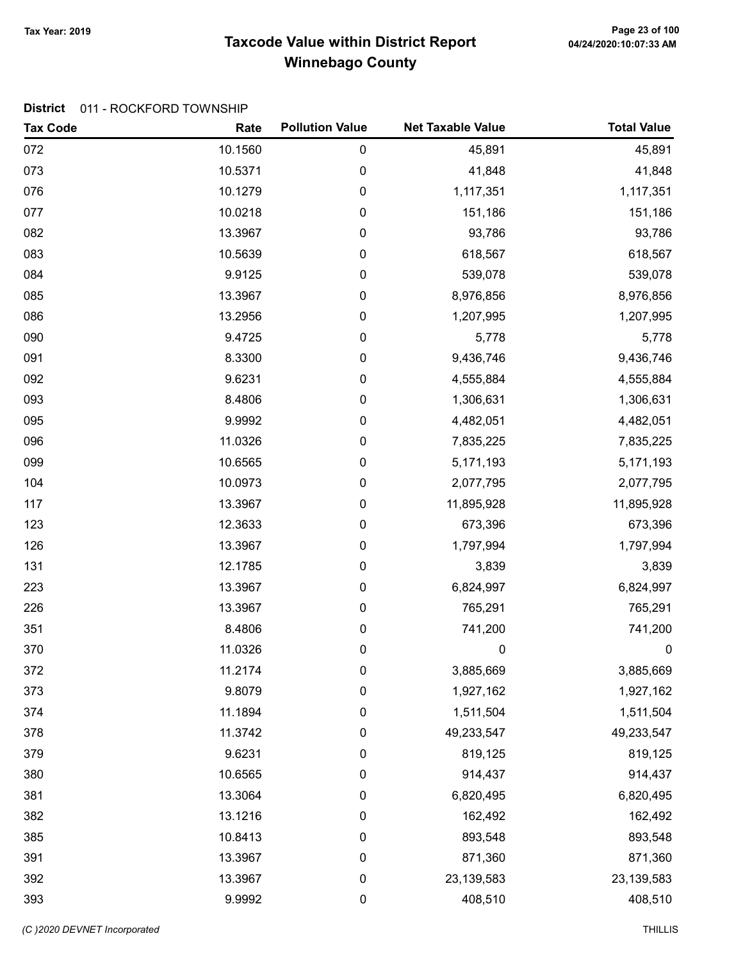# Taxcode Value within District Report Tax Year: 2019 Page 23 of 100 Winnebago County

#### District 011 - ROCKFORD TOWNSHIP

| <b>Tax Code</b> | Rate    | <b>Pollution Value</b> | <b>Net Taxable Value</b> | <b>Total Value</b> |
|-----------------|---------|------------------------|--------------------------|--------------------|
| 072             | 10.1560 | 0                      | 45,891                   | 45,891             |
| 073             | 10.5371 | 0                      | 41,848                   | 41,848             |
| 076             | 10.1279 | 0                      | 1,117,351                | 1,117,351          |
| 077             | 10.0218 | 0                      | 151,186                  | 151,186            |
| 082             | 13.3967 | 0                      | 93,786                   | 93,786             |
| 083             | 10.5639 | 0                      | 618,567                  | 618,567            |
| 084             | 9.9125  | 0                      | 539,078                  | 539,078            |
| 085             | 13.3967 | 0                      | 8,976,856                | 8,976,856          |
| 086             | 13.2956 | 0                      | 1,207,995                | 1,207,995          |
| 090             | 9.4725  | 0                      | 5,778                    | 5,778              |
| 091             | 8.3300  | 0                      | 9,436,746                | 9,436,746          |
| 092             | 9.6231  | 0                      | 4,555,884                | 4,555,884          |
| 093             | 8.4806  | 0                      | 1,306,631                | 1,306,631          |
| 095             | 9.9992  | 0                      | 4,482,051                | 4,482,051          |
| 096             | 11.0326 | 0                      | 7,835,225                | 7,835,225          |
| 099             | 10.6565 | 0                      | 5,171,193                | 5,171,193          |
| 104             | 10.0973 | 0                      | 2,077,795                | 2,077,795          |
| 117             | 13.3967 | 0                      | 11,895,928               | 11,895,928         |
| 123             | 12.3633 | 0                      | 673,396                  | 673,396            |
| 126             | 13.3967 | 0                      | 1,797,994                | 1,797,994          |
| 131             | 12.1785 | 0                      | 3,839                    | 3,839              |
| 223             | 13.3967 | 0                      | 6,824,997                | 6,824,997          |
| 226             | 13.3967 | 0                      | 765,291                  | 765,291            |
| 351             | 8.4806  | 0                      | 741,200                  | 741,200            |
| 370             | 11.0326 | 0                      | $\mathbf 0$              | 0                  |
| 372             | 11.2174 | 0                      | 3,885,669                | 3,885,669          |
| 373             | 9.8079  | 0                      | 1,927,162                | 1,927,162          |
| 374             | 11.1894 | 0                      | 1,511,504                | 1,511,504          |
| 378             | 11.3742 | 0                      | 49,233,547               | 49,233,547         |
| 379             | 9.6231  | 0                      | 819,125                  | 819,125            |
| 380             | 10.6565 | $\pmb{0}$              | 914,437                  | 914,437            |
| 381             | 13.3064 | 0                      | 6,820,495                | 6,820,495          |
| 382             | 13.1216 | 0                      | 162,492                  | 162,492            |
| 385             | 10.8413 | 0                      | 893,548                  | 893,548            |
| 391             | 13.3967 | 0                      | 871,360                  | 871,360            |
| 392             | 13.3967 | $\pmb{0}$              | 23,139,583               | 23,139,583         |
| 393             | 9.9992  | $\pmb{0}$              | 408,510                  | 408,510            |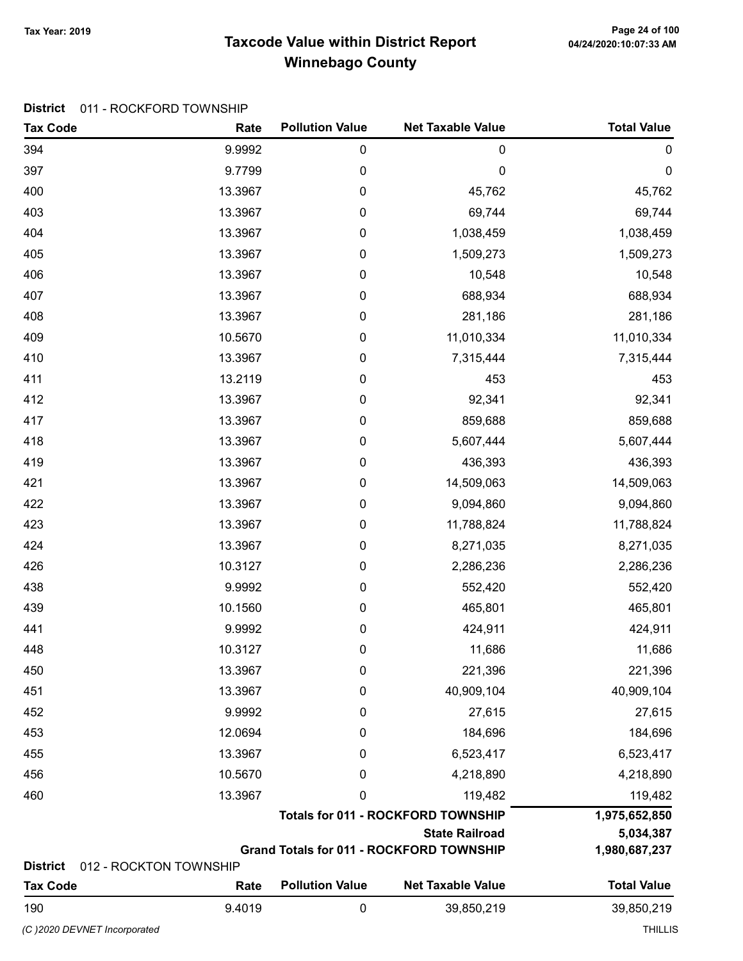# Taxcode Value within District Report Tax Year: 2019 Page 24 of 100 Winnebago County

#### District 011 - ROCKFORD TOWNSHIP

| <b>Tax Code</b>              | Rate                           | <b>Pollution Value</b> | <b>Net Taxable Value</b>                        | <b>Total Value</b> |
|------------------------------|--------------------------------|------------------------|-------------------------------------------------|--------------------|
| 394                          | 9.9992                         | 0                      | 0                                               | $\boldsymbol{0}$   |
| 397                          | 9.7799                         | $\pmb{0}$              | $\boldsymbol{0}$                                | $\mathbf 0$        |
| 400                          | 13.3967                        | 0                      | 45,762                                          | 45,762             |
| 403                          | 13.3967                        | 0                      | 69,744                                          | 69,744             |
| 404                          | 13.3967                        | 0                      | 1,038,459                                       | 1,038,459          |
| 405                          | 13.3967                        | 0                      | 1,509,273                                       | 1,509,273          |
| 406                          | 13.3967                        | 0                      | 10,548                                          | 10,548             |
| 407                          | 13.3967                        | 0                      | 688,934                                         | 688,934            |
| 408                          | 13.3967                        | 0                      | 281,186                                         | 281,186            |
| 409                          | 10.5670                        | 0                      | 11,010,334                                      | 11,010,334         |
| 410                          | 13.3967                        | 0                      | 7,315,444                                       | 7,315,444          |
| 411                          | 13.2119                        | 0                      | 453                                             | 453                |
| 412                          | 13.3967                        | 0                      | 92,341                                          | 92,341             |
| 417                          | 13.3967                        | 0                      | 859,688                                         | 859,688            |
| 418                          | 13.3967                        | 0                      | 5,607,444                                       | 5,607,444          |
| 419                          | 13.3967                        | 0                      | 436,393                                         | 436,393            |
| 421                          | 13.3967                        | 0                      | 14,509,063                                      | 14,509,063         |
| 422                          | 13.3967                        | 0                      | 9,094,860                                       | 9,094,860          |
| 423                          | 13.3967                        | 0                      | 11,788,824                                      | 11,788,824         |
| 424                          | 13.3967                        | 0                      | 8,271,035                                       | 8,271,035          |
| 426                          | 10.3127                        | 0                      | 2,286,236                                       | 2,286,236          |
| 438                          | 9.9992                         | 0                      | 552,420                                         | 552,420            |
| 439                          | 10.1560                        | 0                      | 465,801                                         | 465,801            |
| 441                          | 9.9992                         | 0                      | 424,911                                         | 424,911            |
| 448                          | 10.3127                        | 0                      | 11,686                                          | 11,686             |
| 450                          | 13.3967                        | 0                      | 221,396                                         | 221,396            |
| 451                          | 13.3967                        | 0                      | 40,909,104                                      | 40,909,104         |
| 452                          | 9.9992                         | 0                      | 27,615                                          | 27,615             |
| 453                          | 12.0694                        | 0                      | 184,696                                         | 184,696            |
| 455                          | 13.3967                        | 0                      | 6,523,417                                       | 6,523,417          |
| 456                          | 10.5670                        | 0                      | 4,218,890                                       | 4,218,890          |
| 460                          | 13.3967                        | 0                      | 119,482                                         | 119,482            |
|                              |                                |                        | <b>Totals for 011 - ROCKFORD TOWNSHIP</b>       | 1,975,652,850      |
|                              |                                |                        | <b>State Railroad</b>                           | 5,034,387          |
| <b>District</b>              |                                |                        | <b>Grand Totals for 011 - ROCKFORD TOWNSHIP</b> | 1,980,687,237      |
| <b>Tax Code</b>              | 012 - ROCKTON TOWNSHIP<br>Rate | <b>Pollution Value</b> | <b>Net Taxable Value</b>                        | <b>Total Value</b> |
| 190                          | 9.4019                         | 0                      | 39,850,219                                      | 39,850,219         |
| (C) 2020 DEVNET Incorporated |                                |                        |                                                 | <b>THILLIS</b>     |
|                              |                                |                        |                                                 |                    |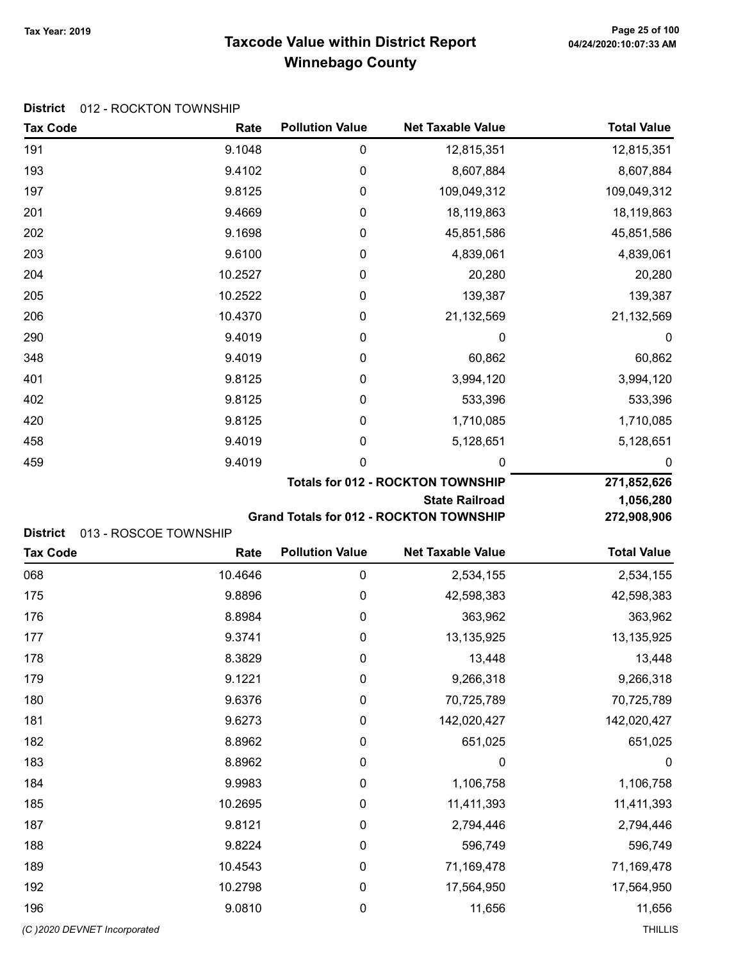# Taxcode Value within District Report Tax Year: 2019 Page 25 of 100 Winnebago County

#### District 012 - ROCKTON TOWNSHIP

| <b>Tax Code</b> | Rate    | <b>Pollution Value</b> | <b>Net Taxable Value</b>                 | <b>Total Value</b> |
|-----------------|---------|------------------------|------------------------------------------|--------------------|
| 191             | 9.1048  | $\mathbf 0$            | 12,815,351                               | 12,815,351         |
| 193             | 9.4102  | 0                      | 8,607,884                                | 8,607,884          |
| 197             | 9.8125  | 0                      | 109,049,312                              | 109,049,312        |
| 201             | 9.4669  | 0                      | 18,119,863                               | 18,119,863         |
| 202             | 9.1698  | 0                      | 45,851,586                               | 45,851,586         |
| 203             | 9.6100  | 0                      | 4,839,061                                | 4,839,061          |
| 204             | 10.2527 | 0                      | 20,280                                   | 20,280             |
| 205             | 10.2522 | 0                      | 139,387                                  | 139,387            |
| 206             | 10.4370 | 0                      | 21,132,569                               | 21,132,569         |
| 290             | 9.4019  | 0                      | $\mathbf 0$                              | $\boldsymbol{0}$   |
| 348             | 9.4019  | 0                      | 60,862                                   | 60,862             |
| 401             | 9.8125  | 0                      | 3,994,120                                | 3,994,120          |
| 402             | 9.8125  | 0                      | 533,396                                  | 533,396            |
| 420             | 9.8125  | 0                      | 1,710,085                                | 1,710,085          |
| 458             | 9.4019  | 0                      | 5,128,651                                | 5,128,651          |
| 459             | 9.4019  | 0                      | $\mathbf 0$                              | $\boldsymbol{0}$   |
|                 |         |                        | <b>Totals for 012 - ROCKTON TOWNSHIP</b> | 271,852,626        |

State Railroad 1,056,280

Grand Totals for 012 - ROCKTON TOWNSHIP 272,908,906

District 013 - ROSCOE TOWNSHIP

| <b>Tax Code</b>             | Rate    | <b>Pollution Value</b> | <b>Net Taxable Value</b> | <b>Total Value</b> |
|-----------------------------|---------|------------------------|--------------------------|--------------------|
| 068                         | 10.4646 | $\mathbf 0$            | 2,534,155                | 2,534,155          |
| 175                         | 9.8896  | $\mathbf 0$            | 42,598,383               | 42,598,383         |
| 176                         | 8.8984  | 0                      | 363,962                  | 363,962            |
| 177                         | 9.3741  | 0                      | 13,135,925               | 13,135,925         |
| 178                         | 8.3829  | $\mathbf 0$            | 13,448                   | 13,448             |
| 179                         | 9.1221  | $\mathbf 0$            | 9,266,318                | 9,266,318          |
| 180                         | 9.6376  | 0                      | 70,725,789               | 70,725,789         |
| 181                         | 9.6273  | 0                      | 142,020,427              | 142,020,427        |
| 182                         | 8.8962  | 0                      | 651,025                  | 651,025            |
| 183                         | 8.8962  | 0                      | 0                        | $\boldsymbol{0}$   |
| 184                         | 9.9983  | 0                      | 1,106,758                | 1,106,758          |
| 185                         | 10.2695 | 0                      | 11,411,393               | 11,411,393         |
| 187                         | 9.8121  | 0                      | 2,794,446                | 2,794,446          |
| 188                         | 9.8224  | 0                      | 596,749                  | 596,749            |
| 189                         | 10.4543 | 0                      | 71,169,478               | 71,169,478         |
| 192                         | 10.2798 | $\mathbf 0$            | 17,564,950               | 17,564,950         |
| 196                         | 9.0810  | 0                      | 11,656                   | 11,656             |
| (C)2020 DEVNET Incorporated |         |                        |                          | <b>THILLIS</b>     |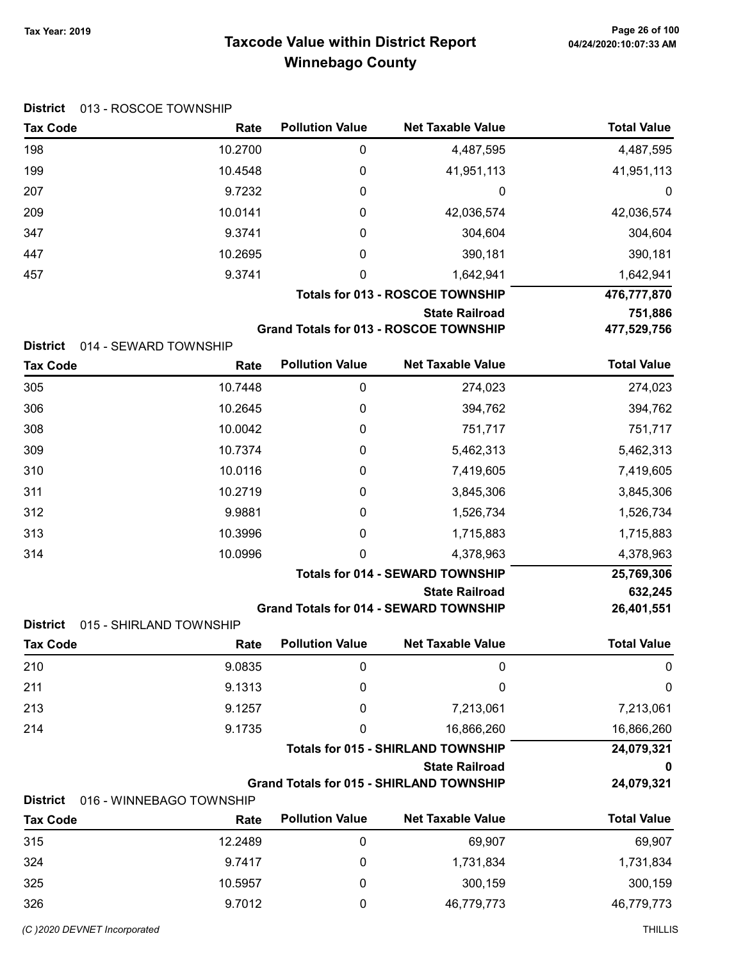Tax Code **Rate Pollution Value** Net Taxable Value Total Value

| 198             | 10.2700                  | $\boldsymbol{0}$       | 4,487,595                                       | 4,487,595          |
|-----------------|--------------------------|------------------------|-------------------------------------------------|--------------------|
| 199             | 10.4548                  | 0                      | 41,951,113                                      | 41,951,113         |
| 207             | 9.7232                   | 0                      | 0                                               | 0                  |
| 209             | 10.0141                  | 0                      | 42,036,574                                      | 42,036,574         |
| 347             | 9.3741                   | 0                      | 304,604                                         | 304,604            |
| 447             | 10.2695                  | 0                      | 390,181                                         | 390,181            |
| 457             | 9.3741                   | 0                      | 1,642,941                                       | 1,642,941          |
|                 |                          |                        | <b>Totals for 013 - ROSCOE TOWNSHIP</b>         | 476,777,870        |
|                 |                          |                        | <b>State Railroad</b>                           | 751,886            |
|                 |                          |                        | <b>Grand Totals for 013 - ROSCOE TOWNSHIP</b>   | 477,529,756        |
| <b>District</b> | 014 - SEWARD TOWNSHIP    | <b>Pollution Value</b> |                                                 | <b>Total Value</b> |
| <b>Tax Code</b> | Rate                     |                        | <b>Net Taxable Value</b>                        |                    |
| 305             | 10.7448                  | 0                      | 274,023                                         | 274,023            |
| 306             | 10.2645                  | 0                      | 394,762                                         | 394,762            |
| 308             | 10.0042                  | 0                      | 751,717                                         | 751,717            |
| 309             | 10.7374                  | 0                      | 5,462,313                                       | 5,462,313          |
| 310             | 10.0116                  | 0                      | 7,419,605                                       | 7,419,605          |
| 311             | 10.2719                  | 0                      | 3,845,306                                       | 3,845,306          |
| 312             | 9.9881                   | 0                      | 1,526,734                                       | 1,526,734          |
| 313             | 10.3996                  | 0                      | 1,715,883                                       | 1,715,883          |
| 314             | 10.0996                  | 0                      | 4,378,963                                       | 4,378,963          |
|                 |                          |                        | <b>Totals for 014 - SEWARD TOWNSHIP</b>         | 25,769,306         |
|                 |                          |                        | <b>State Railroad</b>                           | 632,245            |
| <b>District</b> | 015 - SHIRLAND TOWNSHIP  |                        | <b>Grand Totals for 014 - SEWARD TOWNSHIP</b>   | 26,401,551         |
| <b>Tax Code</b> | Rate                     | <b>Pollution Value</b> | <b>Net Taxable Value</b>                        | <b>Total Value</b> |
| 210             | 9.0835                   | $\pmb{0}$              | 0                                               | $\boldsymbol{0}$   |
| 211             | 9.1313                   | 0                      | 0                                               | $\pmb{0}$          |
| 213             | 9.1257                   | 0                      | 7,213,061                                       | 7,213,061          |
| 214             | 9.1735                   | 0                      | 16,866,260                                      | 16,866,260         |
|                 |                          |                        | <b>Totals for 015 - SHIRLAND TOWNSHIP</b>       | 24,079,321         |
|                 |                          |                        | <b>State Railroad</b>                           | 0                  |
|                 |                          |                        | <b>Grand Totals for 015 - SHIRLAND TOWNSHIP</b> | 24,079,321         |
| <b>District</b> | 016 - WINNEBAGO TOWNSHIP |                        |                                                 |                    |
| <b>Tax Code</b> | Rate                     | <b>Pollution Value</b> | <b>Net Taxable Value</b>                        | <b>Total Value</b> |
| 315             | 12.2489                  | 0                      | 69,907                                          | 69,907             |
| 324             | 9.7417                   | 0                      | 1,731,834                                       | 1,731,834          |
| 325             | 10.5957                  | 0                      | 300,159                                         | 300,159            |
| 326             | 9.7012                   | 0                      | 46,779,773                                      | 46,779,773         |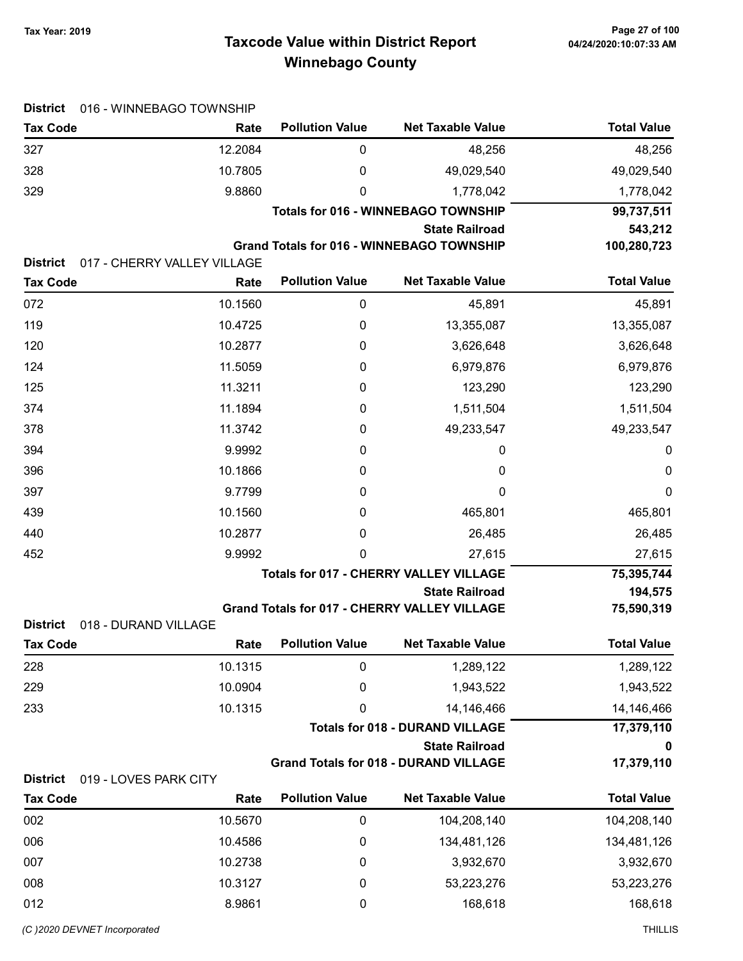# Taxcode Value within District Report Tax Year: 2019 Page 27 of 100 Winnebago County

| <b>District</b> | 016 - WINNEBAGO TOWNSHIP      |                        |                                                         |                      |
|-----------------|-------------------------------|------------------------|---------------------------------------------------------|----------------------|
| <b>Tax Code</b> | Rate                          | <b>Pollution Value</b> | <b>Net Taxable Value</b>                                | <b>Total Value</b>   |
| 327             | 12.2084                       | 0                      | 48,256                                                  | 48,256               |
| 328             | 10.7805                       | 0                      | 49,029,540                                              | 49,029,540           |
| 329             | 9.8860                        | 0                      | 1,778,042                                               | 1,778,042            |
|                 |                               |                        | <b>Totals for 016 - WINNEBAGO TOWNSHIP</b>              | 99,737,511           |
|                 |                               |                        | <b>State Railroad</b>                                   | 543,212              |
| <b>District</b> | 017 - CHERRY VALLEY VILLAGE   |                        | <b>Grand Totals for 016 - WINNEBAGO TOWNSHIP</b>        | 100,280,723          |
| <b>Tax Code</b> | Rate                          | <b>Pollution Value</b> | <b>Net Taxable Value</b>                                | <b>Total Value</b>   |
| 072             | 10.1560                       | $\mathbf 0$            | 45,891                                                  | 45,891               |
| 119             | 10.4725                       | $\boldsymbol{0}$       | 13,355,087                                              | 13,355,087           |
| 120             | 10.2877                       | 0                      | 3,626,648                                               | 3,626,648            |
| 124             | 11.5059                       | 0                      | 6,979,876                                               | 6,979,876            |
| 125             | 11.3211                       | 0                      | 123,290                                                 | 123,290              |
| 374             | 11.1894                       | 0                      | 1,511,504                                               | 1,511,504            |
| 378             | 11.3742                       | 0                      | 49,233,547                                              | 49,233,547           |
| 394             | 9.9992                        | 0                      | 0                                                       | 0                    |
| 396             | 10.1866                       | 0                      | 0                                                       | $\boldsymbol{0}$     |
| 397             | 9.7799                        | 0                      | 0                                                       | 0                    |
|                 |                               |                        |                                                         |                      |
| 439             | 10.1560                       | 0                      | 465,801                                                 | 465,801              |
| 440             | 10.2877                       | 0                      | 26,485                                                  | 26,485               |
| 452             | 9.9992                        | 0                      | 27,615<br><b>Totals for 017 - CHERRY VALLEY VILLAGE</b> | 27,615<br>75,395,744 |
|                 |                               |                        | <b>State Railroad</b>                                   | 194,575              |
|                 |                               |                        | <b>Grand Totals for 017 - CHERRY VALLEY VILLAGE</b>     | 75,590,319           |
| <b>District</b> | 018 - DURAND VILLAGE          |                        |                                                         |                      |
| <b>Tax Code</b> | Rate                          | <b>Pollution Value</b> | <b>Net Taxable Value</b>                                | <b>Total Value</b>   |
| 228             | 10.1315                       | 0                      | 1,289,122                                               | 1,289,122            |
| 229             | 10.0904                       | 0                      | 1,943,522                                               | 1,943,522            |
| 233             | 10.1315                       | 0                      | 14,146,466                                              | 14,146,466           |
|                 |                               |                        | <b>Totals for 018 - DURAND VILLAGE</b>                  | 17,379,110           |
|                 |                               |                        | <b>State Railroad</b>                                   | 0                    |
| <b>District</b> |                               |                        | <b>Grand Totals for 018 - DURAND VILLAGE</b>            | 17,379,110           |
| <b>Tax Code</b> | 019 - LOVES PARK CITY<br>Rate | <b>Pollution Value</b> | <b>Net Taxable Value</b>                                | <b>Total Value</b>   |
|                 | 10.5670                       | 0                      | 104,208,140                                             | 104,208,140          |
| 002<br>006      | 10.4586                       | 0                      | 134,481,126                                             | 134,481,126          |
|                 |                               |                        |                                                         |                      |
| 007             | 10.2738                       | 0                      | 3,932,670                                               | 3,932,670            |
| 008             | 10.3127                       | 0                      | 53,223,276                                              | 53,223,276           |
| 012             | 8.9861                        | 0                      | 168,618                                                 | 168,618              |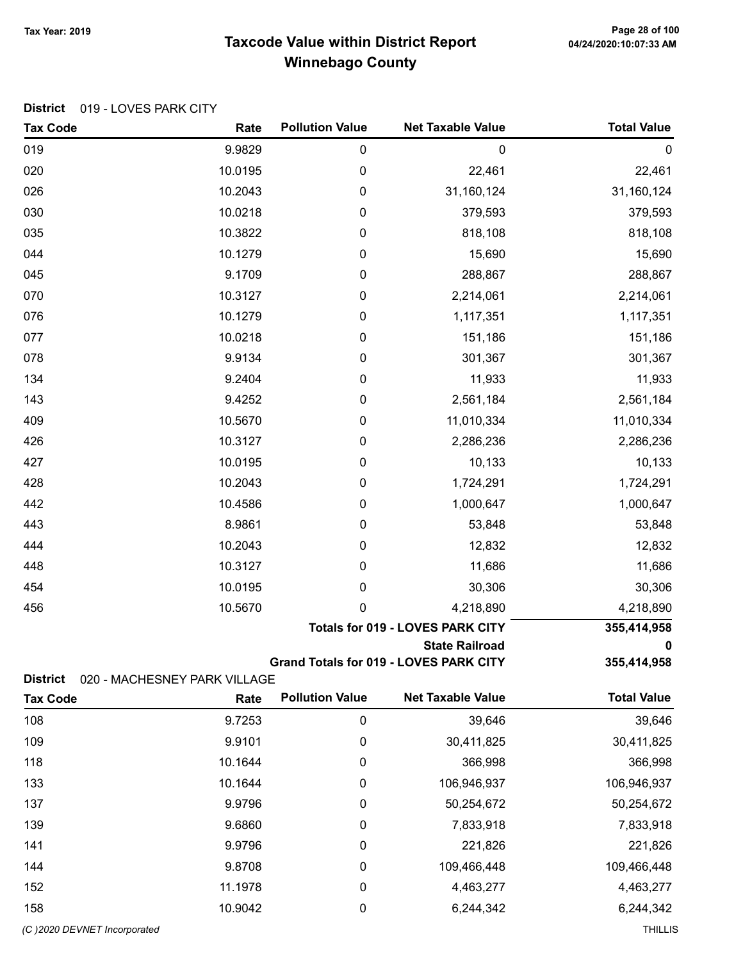# Taxcode Value within District Report Tax Year: 2019 Page 28 of 100 Winnebago County

| 019<br>$\pmb{0}$<br>$\mathbf 0$<br>9.9829                                                 | 0                  |
|-------------------------------------------------------------------------------------------|--------------------|
| 020<br>10.0195<br>0<br>22,461                                                             | 22,461             |
| 10.2043<br>026<br>31,160,124<br>0                                                         | 31,160,124         |
| 030<br>10.0218<br>379,593<br>0                                                            | 379,593            |
| 035<br>10.3822<br>818,108<br>0                                                            | 818,108            |
| 044<br>10.1279<br>15,690<br>0                                                             | 15,690             |
| 045<br>9.1709<br>0<br>288,867                                                             | 288,867            |
| 070<br>10.3127<br>0<br>2,214,061                                                          | 2,214,061          |
| 076<br>10.1279<br>0<br>1,117,351                                                          | 1,117,351          |
| 077<br>10.0218<br>0<br>151,186                                                            | 151,186            |
| 078<br>9.9134<br>301,367<br>0                                                             | 301,367            |
| 134<br>9.2404<br>11,933<br>0                                                              | 11,933             |
| 143<br>9.4252<br>2,561,184<br>0                                                           | 2,561,184          |
| 409<br>10.5670<br>0<br>11,010,334                                                         | 11,010,334         |
| 426<br>10.3127<br>0<br>2,286,236                                                          | 2,286,236          |
| 10.0195<br>427<br>0<br>10,133                                                             | 10,133             |
| 428<br>10.2043<br>0<br>1,724,291                                                          | 1,724,291          |
| 442<br>10.4586<br>1,000,647<br>0                                                          | 1,000,647          |
| 443<br>8.9861<br>0<br>53,848                                                              | 53,848             |
| 444<br>10.2043<br>12,832<br>0                                                             | 12,832             |
| 448<br>10.3127<br>11,686<br>0                                                             | 11,686             |
| 10.0195<br>0<br>30,306<br>454                                                             | 30,306             |
| 10.5670<br>456<br>0<br>4,218,890                                                          | 4,218,890          |
| <b>Totals for 019 - LOVES PARK CITY</b>                                                   | 355,414,958        |
| <b>State Railroad</b>                                                                     | 0                  |
| Grand Totals for 019 - LOVES PARK CITY<br><b>District</b><br>020 - MACHESNEY PARK VILLAGE | 355,414,958        |
| <b>Pollution Value</b><br><b>Net Taxable Value</b><br><b>Tax Code</b><br>Rate             | <b>Total Value</b> |
| 108<br>9.7253<br>0<br>39,646                                                              | 39,646             |
| 9.9101<br>109<br>0<br>30,411,825                                                          | 30,411,825         |
| 118<br>10.1644<br>0<br>366,998                                                            | 366,998            |
| 10.1644<br>133<br>0<br>106,946,937                                                        | 106,946,937        |
| 137<br>9.9796<br>0<br>50,254,672                                                          | 50,254,672         |
| 139<br>9.6860<br>0<br>7,833,918                                                           | 7,833,918          |
| 141<br>9.9796<br>221,826<br>0                                                             | 221,826            |
| 144<br>9.8708<br>109,466,448<br>0                                                         | 109,466,448        |
| 152<br>11.1978<br>0<br>4,463,277                                                          | 4,463,277          |
| 10.9042<br>158<br>6,244,342<br>0                                                          | 6,244,342          |
| (C) 2020 DEVNET Incorporated                                                              | <b>THILLIS</b>     |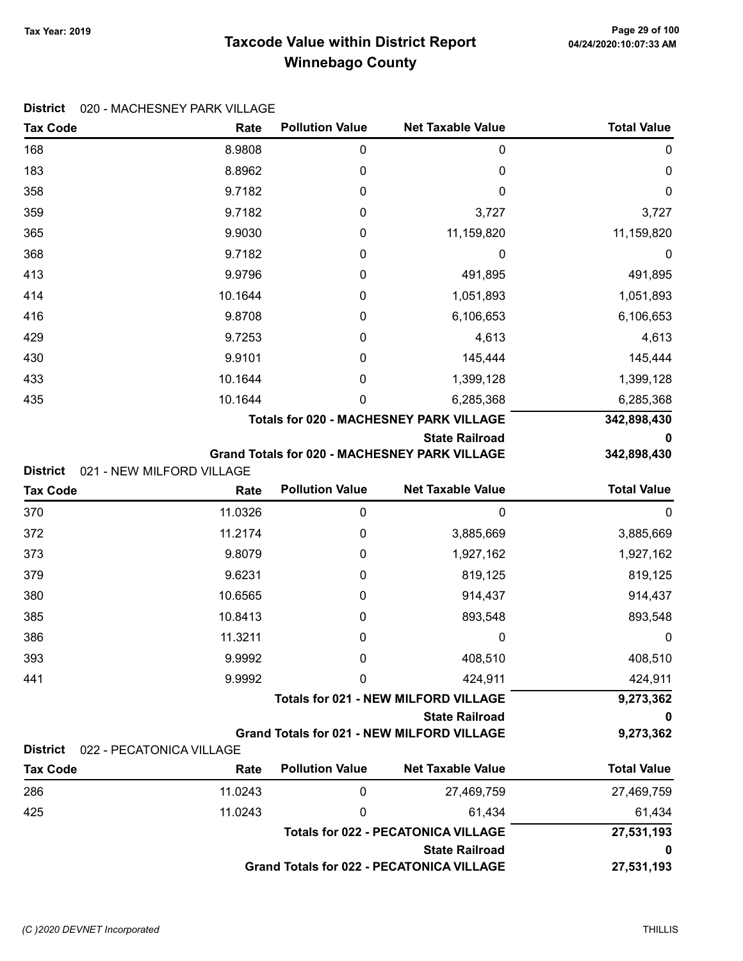District 020 - MACHESNEY PARK VILLAGE

# Taxcode Value within District Report Tax Year: 2019 Page 29 of 100 Winnebago County

| <b>Tax Code</b> | Rate                      | <b>Pollution Value</b> | <b>Net Taxable Value</b>                                                  | <b>Total Value</b> |
|-----------------|---------------------------|------------------------|---------------------------------------------------------------------------|--------------------|
| 168             | 8.9808                    | 0                      | 0                                                                         | 0                  |
| 183             | 8.8962                    | 0                      | 0                                                                         | 0                  |
| 358             | 9.7182                    | 0                      | 0                                                                         | 0                  |
| 359             | 9.7182                    | 0                      | 3,727                                                                     | 3,727              |
| 365             | 9.9030                    | 0                      | 11,159,820                                                                | 11,159,820         |
| 368             | 9.7182                    | 0                      | 0                                                                         | 0                  |
| 413             | 9.9796                    | 0                      | 491,895                                                                   | 491,895            |
| 414             | 10.1644                   | 0                      | 1,051,893                                                                 | 1,051,893          |
| 416             | 9.8708                    | 0                      | 6,106,653                                                                 | 6,106,653          |
| 429             | 9.7253                    | 0                      | 4,613                                                                     | 4,613              |
| 430             | 9.9101                    | 0                      | 145,444                                                                   | 145,444            |
| 433             | 10.1644                   | 0                      | 1,399,128                                                                 | 1,399,128          |
| 435             | 10.1644                   | 0                      | 6,285,368                                                                 | 6,285,368          |
|                 |                           |                        | <b>Totals for 020 - MACHESNEY PARK VILLAGE</b>                            | 342,898,430        |
|                 |                           |                        | <b>State Railroad</b>                                                     | 0                  |
| <b>District</b> | 021 - NEW MILFORD VILLAGE |                        | Grand Totals for 020 - MACHESNEY PARK VILLAGE                             | 342,898,430        |
| <b>Tax Code</b> | Rate                      | <b>Pollution Value</b> | <b>Net Taxable Value</b>                                                  | <b>Total Value</b> |
| 370             | 11.0326                   | $\boldsymbol{0}$       | $\mathbf 0$                                                               | $\mathbf 0$        |
| 372             | 11.2174                   | 0                      | 3,885,669                                                                 | 3,885,669          |
| 373             | 9.8079                    | 0                      | 1,927,162                                                                 | 1,927,162          |
| 379             | 9.6231                    | 0                      | 819,125                                                                   | 819,125            |
| 380             | 10.6565                   | 0                      | 914,437                                                                   | 914,437            |
| 385             | 10.8413                   | 0                      | 893,548                                                                   | 893,548            |
| 386             | 11.3211                   | 0                      | 0                                                                         | 0                  |
| 393             | 9.9992                    | 0                      | 408,510                                                                   | 408,510            |
| 441             | 9.9992                    | 0                      | 424,911                                                                   | 424,911            |
|                 |                           |                        | <b>Totals for 021 - NEW MILFORD VILLAGE</b>                               | 9,273,362          |
|                 |                           |                        | <b>State Railroad</b>                                                     | 0                  |
|                 |                           |                        | <b>Grand Totals for 021 - NEW MILFORD VILLAGE</b>                         | 9,273,362          |
| <b>District</b> | 022 - PECATONICA VILLAGE  |                        |                                                                           |                    |
| <b>Tax Code</b> | Rate                      | <b>Pollution Value</b> | <b>Net Taxable Value</b>                                                  | <b>Total Value</b> |
| 286             | 11.0243                   | 0                      | 27,469,759                                                                | 27,469,759         |
| 425             | 11.0243                   | 0                      | 61,434                                                                    | 61,434             |
|                 |                           |                        | <b>Totals for 022 - PECATONICA VILLAGE</b>                                | 27,531,193         |
|                 |                           |                        | <b>State Railroad</b><br><b>Grand Totals for 022 - PECATONICA VILLAGE</b> | 0                  |
|                 |                           |                        |                                                                           | 27,531,193         |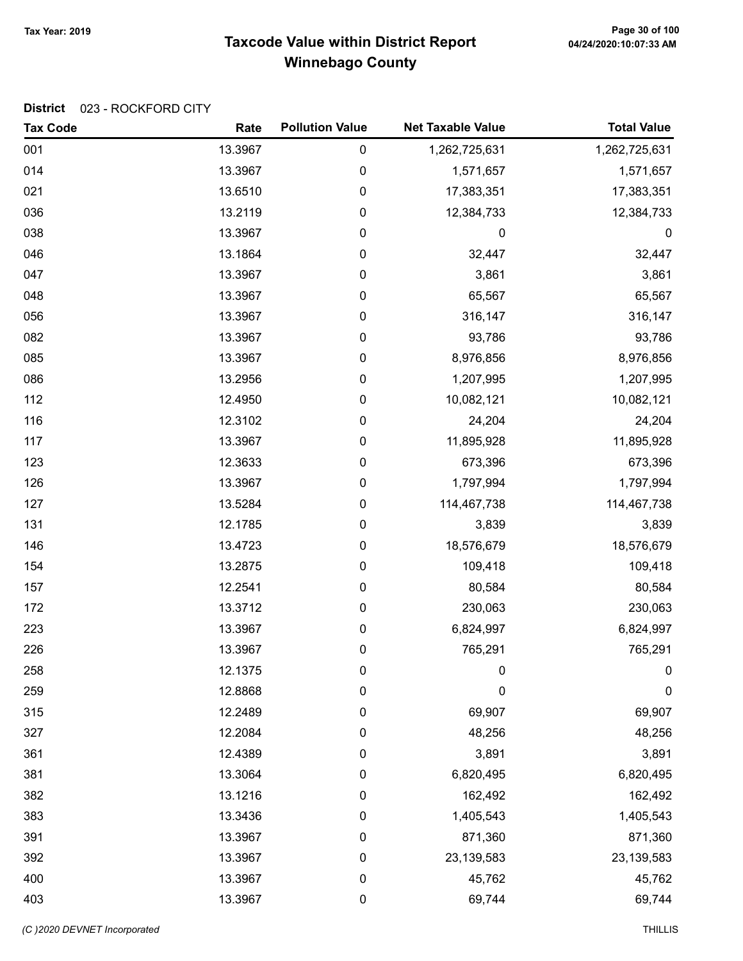# Taxcode Value within District Report Tax Year: 2019 Page 30 of 100 Winnebago County

#### District 023 - ROCKFORD CITY

| <b>Tax Code</b> | Rate    | <b>Pollution Value</b> | <b>Net Taxable Value</b> | <b>Total Value</b> |
|-----------------|---------|------------------------|--------------------------|--------------------|
| 001             | 13.3967 | 0                      | 1,262,725,631            | 1,262,725,631      |
| 014             | 13.3967 | 0                      | 1,571,657                | 1,571,657          |
| 021             | 13.6510 | 0                      | 17,383,351               | 17,383,351         |
| 036             | 13.2119 | 0                      | 12,384,733               | 12,384,733         |
| 038             | 13.3967 | 0                      | 0                        | $\boldsymbol{0}$   |
| 046             | 13.1864 | $\pmb{0}$              | 32,447                   | 32,447             |
| 047             | 13.3967 | $\pmb{0}$              | 3,861                    | 3,861              |
| 048             | 13.3967 | $\pmb{0}$              | 65,567                   | 65,567             |
| 056             | 13.3967 | 0                      | 316,147                  | 316,147            |
| 082             | 13.3967 | 0                      | 93,786                   | 93,786             |
| 085             | 13.3967 | 0                      | 8,976,856                | 8,976,856          |
| 086             | 13.2956 | 0                      | 1,207,995                | 1,207,995          |
| 112             | 12.4950 | 0                      | 10,082,121               | 10,082,121         |
| 116             | 12.3102 | 0                      | 24,204                   | 24,204             |
| 117             | 13.3967 | $\pmb{0}$              | 11,895,928               | 11,895,928         |
| 123             | 12.3633 | 0                      | 673,396                  | 673,396            |
| 126             | 13.3967 | 0                      | 1,797,994                | 1,797,994          |
| 127             | 13.5284 | 0                      | 114,467,738              | 114,467,738        |
| 131             | 12.1785 | 0                      | 3,839                    | 3,839              |
| 146             | 13.4723 | 0                      | 18,576,679               | 18,576,679         |
| 154             | 13.2875 | 0                      | 109,418                  | 109,418            |
| 157             | 12.2541 | $\pmb{0}$              | 80,584                   | 80,584             |
| 172             | 13.3712 | 0                      | 230,063                  | 230,063            |
| 223             | 13.3967 | 0                      | 6,824,997                | 6,824,997          |
| 226             | 13.3967 | 0                      | 765,291                  | 765,291            |
| 258             | 12.1375 | 0                      | 0                        | $\mathbf 0$        |
| 259             | 12.8868 | 0                      | 0                        | $\pmb{0}$          |
| 315             | 12.2489 | 0                      | 69,907                   | 69,907             |
| 327             | 12.2084 | 0                      | 48,256                   | 48,256             |
| 361             | 12.4389 | 0                      | 3,891                    | 3,891              |
| 381             | 13.3064 | 0                      | 6,820,495                | 6,820,495          |
| 382             | 13.1216 | 0                      | 162,492                  | 162,492            |
| 383             | 13.3436 | 0                      | 1,405,543                | 1,405,543          |
| 391             | 13.3967 | 0                      | 871,360                  | 871,360            |
| 392             | 13.3967 | 0                      | 23,139,583               | 23,139,583         |
| 400             | 13.3967 | 0                      | 45,762                   | 45,762             |
| 403             | 13.3967 | 0                      | 69,744                   | 69,744             |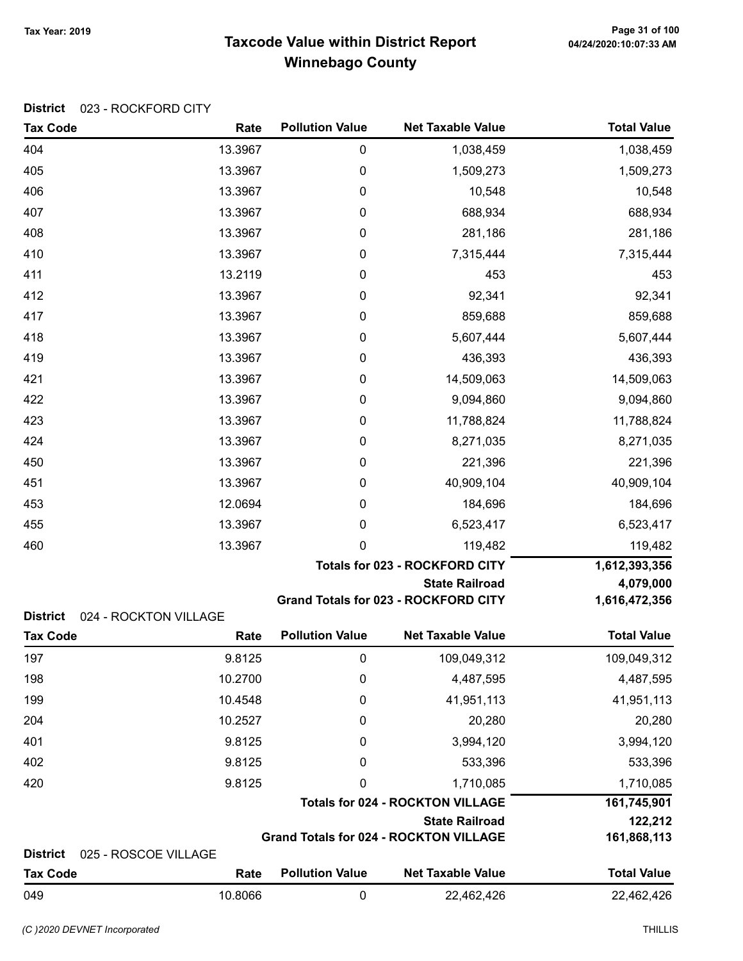#### Taxcode Value within District Report Tax Year: 2019 Page 31 of 100 Winnebago County

| <b>Tax Code</b> | Rate                  | <b>Pollution Value</b> | <b>Net Taxable Value</b>                    | <b>Total Value</b> |
|-----------------|-----------------------|------------------------|---------------------------------------------|--------------------|
| 404             | 13.3967               | $\pmb{0}$              | 1,038,459                                   | 1,038,459          |
| 405             | 13.3967               | 0                      | 1,509,273                                   | 1,509,273          |
| 406             | 13.3967               | $\pmb{0}$              | 10,548                                      | 10,548             |
| 407             | 13.3967               | $\pmb{0}$              | 688,934                                     | 688,934            |
| 408             | 13.3967               | 0                      | 281,186                                     | 281,186            |
| 410             | 13.3967               | $\pmb{0}$              | 7,315,444                                   | 7,315,444          |
| 411             | 13.2119               | $\pmb{0}$              | 453                                         | 453                |
| 412             | 13.3967               | 0                      | 92,341                                      | 92,341             |
| 417             | 13.3967               | 0                      | 859,688                                     | 859,688            |
| 418             | 13.3967               | $\pmb{0}$              | 5,607,444                                   | 5,607,444          |
| 419             | 13.3967               | $\pmb{0}$              | 436,393                                     | 436,393            |
| 421             | 13.3967               | 0                      | 14,509,063                                  | 14,509,063         |
| 422             | 13.3967               | $\pmb{0}$              | 9,094,860                                   | 9,094,860          |
| 423             | 13.3967               | $\pmb{0}$              | 11,788,824                                  | 11,788,824         |
| 424             | 13.3967               | 0                      | 8,271,035                                   | 8,271,035          |
| 450             | 13.3967               | 0                      | 221,396                                     | 221,396            |
| 451             | 13.3967               | 0                      | 40,909,104                                  | 40,909,104         |
| 453             | 12.0694               | 0                      | 184,696                                     | 184,696            |
| 455             | 13.3967               | 0                      | 6,523,417                                   | 6,523,417          |
| 460             | 13.3967               | 0                      | 119,482                                     | 119,482            |
|                 |                       |                        | <b>Totals for 023 - ROCKFORD CITY</b>       | 1,612,393,356      |
|                 |                       |                        | <b>State Railroad</b>                       | 4,079,000          |
| <b>District</b> | 024 - ROCKTON VILLAGE |                        | <b>Grand Totals for 023 - ROCKFORD CITY</b> | 1,616,472,356      |
| <b>Tax Code</b> | Rate                  | <b>Pollution Value</b> | <b>Net Taxable Value</b>                    | <b>Total Value</b> |
| 197             | 9.8125                | $\pmb{0}$              | 109,049,312                                 | 109,049,312        |
| 198             | 10.2700               | $\pmb{0}$              | 4,487,595                                   | 4,487,595          |
| 199             | 10.4548               | $\pmb{0}$              | 41,951,113                                  | 41,951,113         |
| 204             | 10.2527               | 0                      | 20,280                                      | 20,280             |
| 401             | 9.8125                | $\pmb{0}$              | 3,994,120                                   | 3,994,120          |
| 402             | 9.8125                | 0                      | 533,396                                     | 533,396            |
|                 |                       |                        |                                             |                    |

#### District 023 - ROCKFORD CITY

|                 |                       | <b>Grand Totals for 023 - ROCKFORD CITY</b> |                                               |                    |
|-----------------|-----------------------|---------------------------------------------|-----------------------------------------------|--------------------|
| <b>District</b> | 024 - ROCKTON VILLAGE |                                             |                                               |                    |
| <b>Tax Code</b> | Rate                  | <b>Pollution Value</b>                      | <b>Net Taxable Value</b>                      | <b>Total Value</b> |
| 197             | 9.8125                | 0                                           | 109,049,312                                   | 109,049,312        |
| 198             | 10.2700               | 0                                           | 4,487,595                                     | 4,487,595          |
| 199             | 10.4548               | 0                                           | 41,951,113                                    | 41,951,113         |
| 204             | 10.2527               | 0                                           | 20,280                                        | 20,280             |
| 401             | 9.8125                | 0                                           | 3,994,120                                     | 3,994,120          |
| 402             | 9.8125                | 0                                           | 533,396                                       | 533,396            |
| 420             | 9.8125                | 0                                           | 1,710,085                                     | 1,710,085          |
|                 |                       | <b>Totals for 024 - ROCKTON VILLAGE</b>     |                                               |                    |
|                 |                       |                                             | <b>State Railroad</b>                         | 122,212            |
|                 |                       |                                             | <b>Grand Totals for 024 - ROCKTON VILLAGE</b> | 161,868,113        |
| <b>District</b> | 025 - ROSCOE VILLAGE  |                                             |                                               |                    |
| <b>Tax Code</b> | Rate                  | <b>Pollution Value</b>                      | <b>Net Taxable Value</b>                      | <b>Total Value</b> |
| 049             | 10.8066               | 0                                           | 22,462,426                                    | 22,462,426         |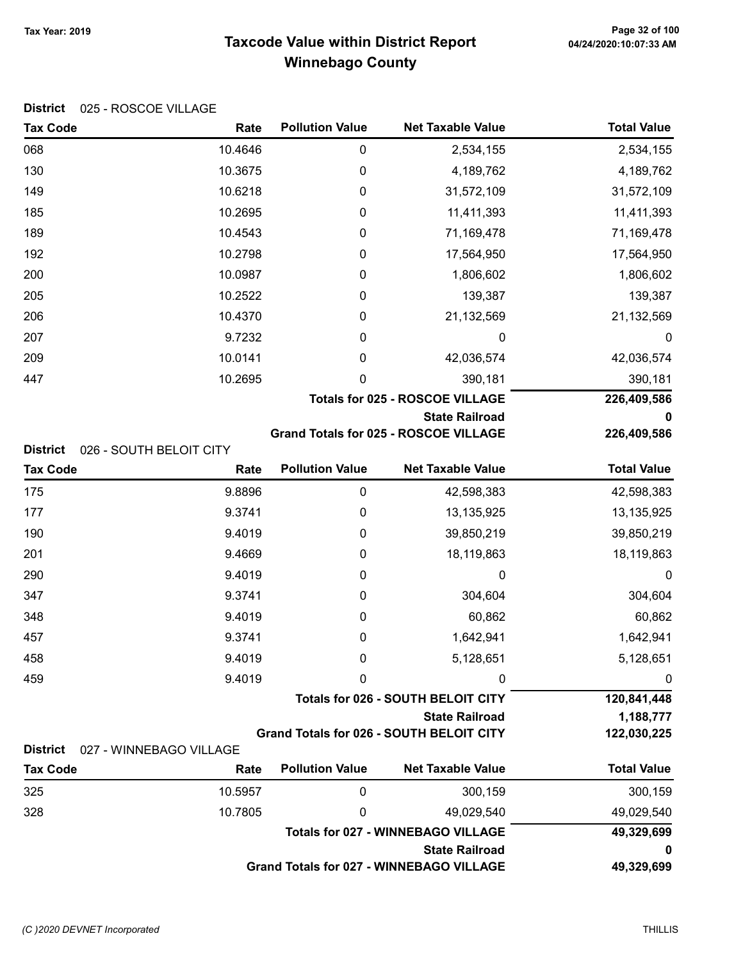# Taxcode Value within District Report Tax Year: 2019 Page 32 of 100 Winnebago County

| <b>Tax Code</b> | Rate                    | <b>Pollution Value</b> | <b>Net Taxable Value</b>                        | <b>Total Value</b> |
|-----------------|-------------------------|------------------------|-------------------------------------------------|--------------------|
| 068             | 10.4646                 | 0                      | 2,534,155                                       | 2,534,155          |
| 130             | 10.3675                 | 0                      | 4,189,762                                       | 4,189,762          |
| 149             | 10.6218                 | 0                      | 31,572,109                                      | 31,572,109         |
| 185             | 10.2695                 | 0                      | 11,411,393                                      | 11,411,393         |
| 189             | 10.4543                 | 0                      | 71,169,478                                      | 71,169,478         |
| 192             | 10.2798                 | 0                      | 17,564,950                                      | 17,564,950         |
| 200             | 10.0987                 | 0                      | 1,806,602                                       | 1,806,602          |
| 205             | 10.2522                 | 0                      | 139,387                                         | 139,387            |
| 206             | 10.4370                 | 0                      | 21,132,569                                      | 21,132,569         |
| 207             | 9.7232                  | 0                      | 0                                               | $\boldsymbol{0}$   |
| 209             | 10.0141                 | 0                      | 42,036,574                                      | 42,036,574         |
| 447             | 10.2695                 | 0                      | 390,181                                         | 390,181            |
|                 |                         |                        | <b>Totals for 025 - ROSCOE VILLAGE</b>          | 226,409,586        |
|                 |                         |                        | <b>State Railroad</b>                           | 0                  |
|                 |                         |                        | <b>Grand Totals for 025 - ROSCOE VILLAGE</b>    | 226,409,586        |
| <b>District</b> | 026 - SOUTH BELOIT CITY | <b>Pollution Value</b> | <b>Net Taxable Value</b>                        | <b>Total Value</b> |
| <b>Tax Code</b> | Rate                    |                        |                                                 |                    |
| 175             | 9.8896                  | 0                      | 42,598,383                                      | 42,598,383         |
| 177             | 9.3741                  | 0                      | 13,135,925                                      | 13,135,925         |
| 190             | 9.4019                  | 0                      | 39,850,219                                      | 39,850,219         |
| 201             | 9.4669                  | 0                      | 18,119,863                                      | 18,119,863         |
| 290             | 9.4019                  | 0                      | 0                                               | 0                  |
| 347             | 9.3741                  | 0                      | 304,604                                         | 304,604            |
| 348             | 9.4019                  | 0                      | 60,862                                          | 60,862             |
| 457             | 9.3741                  | 0                      | 1,642,941                                       | 1,642,941          |
| 458             | 9.4019                  | 0                      | 5,128,651                                       | 5,128,651          |
| 459             | 9.4019                  | 0                      | 0                                               | $\pmb{0}$          |
|                 |                         |                        | Totals for 026 - SOUTH BELOIT CITY              | 120,841,448        |
|                 |                         |                        | <b>State Railroad</b>                           | 1,188,777          |
| <b>District</b> | 027 - WINNEBAGO VILLAGE |                        | <b>Grand Totals for 026 - SOUTH BELOIT CITY</b> | 122,030,225        |
| <b>Tax Code</b> | Rate                    | <b>Pollution Value</b> | <b>Net Taxable Value</b>                        | <b>Total Value</b> |
| 325             | 10.5957                 | 0                      | 300,159                                         | 300,159            |
| 328             | 10.7805                 | 0                      | 49,029,540                                      | 49,029,540         |
|                 |                         |                        | <b>Totals for 027 - WINNEBAGO VILLAGE</b>       | 49,329,699         |
|                 |                         |                        | <b>State Railroad</b>                           | 0                  |
|                 |                         |                        | <b>Grand Totals for 027 - WINNEBAGO VILLAGE</b> | 49,329,699         |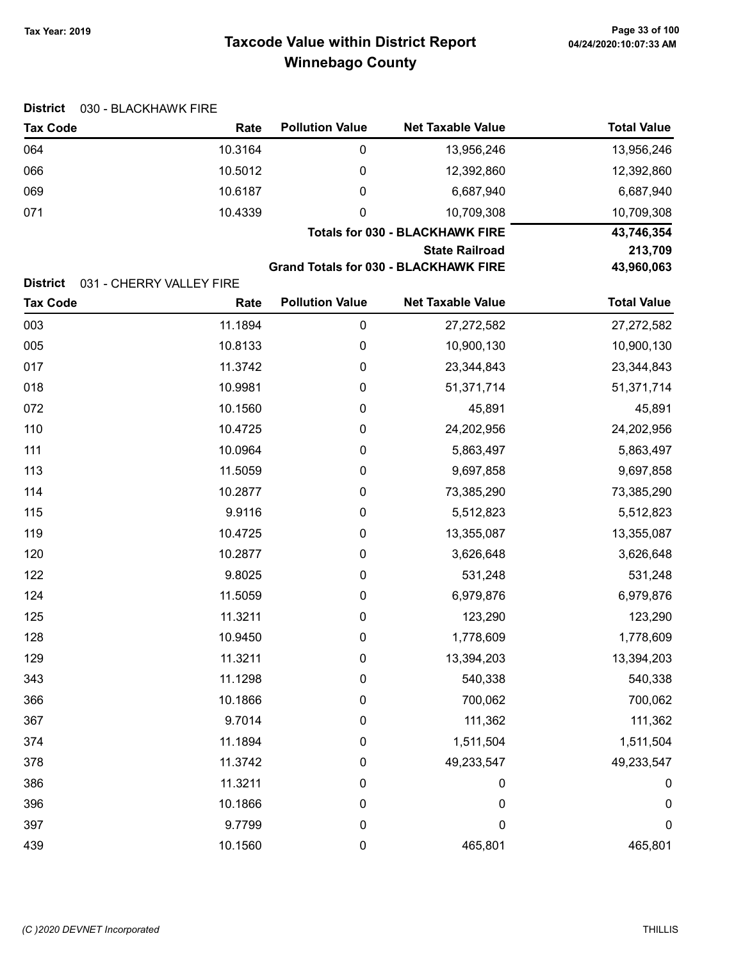District 030 - BLACKHAWK FIRE

# Taxcode Value within District Report Tax Year: 2019 Page 33 of 100 Winnebago County

| <b>Tax Code</b> | Rate                     | <b>Pollution Value</b> | <b>Net Taxable Value</b>                                                                                        | <b>Total Value</b>                  |
|-----------------|--------------------------|------------------------|-----------------------------------------------------------------------------------------------------------------|-------------------------------------|
| 064             | 10.3164                  | $\boldsymbol{0}$       | 13,956,246                                                                                                      | 13,956,246                          |
| 066             | 10.5012                  | 0                      | 12,392,860                                                                                                      | 12,392,860                          |
| 069             | 10.6187                  | 0                      | 6,687,940                                                                                                       | 6,687,940                           |
| 071             | 10.4339                  | 0                      | 10,709,308                                                                                                      | 10,709,308                          |
|                 |                          |                        | <b>Totals for 030 - BLACKHAWK FIRE</b><br><b>State Railroad</b><br><b>Grand Totals for 030 - BLACKHAWK FIRE</b> | 43,746,354<br>213,709<br>43,960,063 |
| <b>District</b> | 031 - CHERRY VALLEY FIRE |                        |                                                                                                                 |                                     |
| <b>Tax Code</b> | Rate                     | <b>Pollution Value</b> | <b>Net Taxable Value</b>                                                                                        | <b>Total Value</b>                  |
| 003             | 11.1894                  | $\boldsymbol{0}$       | 27,272,582                                                                                                      | 27,272,582                          |
| 005             | 10.8133                  | 0                      | 10,900,130                                                                                                      | 10,900,130                          |
| 017             | 11.3742                  | 0                      | 23,344,843                                                                                                      | 23,344,843                          |
| 018             | 10.9981                  | 0                      | 51,371,714                                                                                                      | 51,371,714                          |
| 072             | 10.1560                  | 0                      | 45,891                                                                                                          | 45,891                              |
| 110             | 10.4725                  | 0                      | 24,202,956                                                                                                      | 24,202,956                          |
| 111             | 10.0964                  | 0                      | 5,863,497                                                                                                       | 5,863,497                           |
| 113             | 11.5059                  | 0                      | 9,697,858                                                                                                       | 9,697,858                           |
| 114             | 10.2877                  | 0                      | 73,385,290                                                                                                      | 73,385,290                          |
| 115             | 9.9116                   | 0                      | 5,512,823                                                                                                       | 5,512,823                           |
| 119             | 10.4725                  | 0                      | 13,355,087                                                                                                      | 13,355,087                          |
| 120             | 10.2877                  | 0                      | 3,626,648                                                                                                       | 3,626,648                           |
| 122             | 9.8025                   | 0                      | 531,248                                                                                                         | 531,248                             |
| 124             | 11.5059                  | 0                      | 6,979,876                                                                                                       | 6,979,876                           |
| 125             | 11.3211                  | 0                      | 123,290                                                                                                         | 123,290                             |
| 128             | 10.9450                  | 0                      | 1,778,609                                                                                                       | 1,778,609                           |
| 129             | 11.3211                  | $\boldsymbol{0}$       | 13,394,203                                                                                                      | 13,394,203                          |
| 343             | 11.1298                  | 0                      | 540,338                                                                                                         | 540,338                             |
| 366             | 10.1866                  | 0                      | 700,062                                                                                                         | 700,062                             |
| 367             | 9.7014                   | 0                      | 111,362                                                                                                         | 111,362                             |
| 374             | 11.1894                  | 0                      | 1,511,504                                                                                                       | 1,511,504                           |
| 378             | 11.3742                  | 0                      | 49,233,547                                                                                                      | 49,233,547                          |
| 386             | 11.3211                  | 0                      | $\mathbf 0$                                                                                                     | 0                                   |
| 396             | 10.1866                  | 0                      | $\pmb{0}$                                                                                                       | $\mathbf 0$                         |
| 397             | 9.7799                   | 0                      | $\mathbf 0$                                                                                                     | 0                                   |
| 439             | 10.1560                  | 0                      | 465,801                                                                                                         | 465,801                             |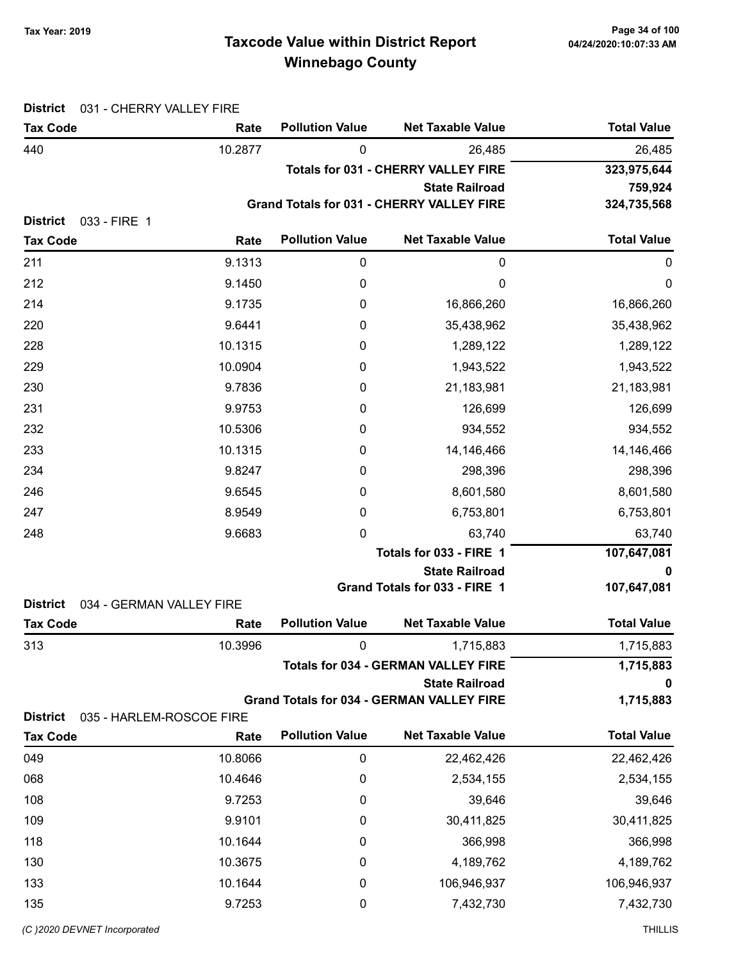# Taxcode Value within District Report Tax Year: 2019 Page 34 of 100 Winnebago County

| 031 - CHERRY VALLEY FIRE<br><b>District</b>                    |         |                        |                                                                           |                    |
|----------------------------------------------------------------|---------|------------------------|---------------------------------------------------------------------------|--------------------|
| <b>Tax Code</b>                                                | Rate    | <b>Pollution Value</b> | <b>Net Taxable Value</b>                                                  | <b>Total Value</b> |
| 440                                                            | 10.2877 | 0                      | 26,485                                                                    | 26,485             |
|                                                                |         |                        | <b>Totals for 031 - CHERRY VALLEY FIRE</b>                                | 323,975,644        |
|                                                                |         |                        | <b>State Railroad</b><br><b>Grand Totals for 031 - CHERRY VALLEY FIRE</b> | 759,924            |
| <b>District</b><br>033 - FIRE 1                                |         | 324,735,568            |                                                                           |                    |
| <b>Tax Code</b>                                                | Rate    | <b>Pollution Value</b> | <b>Net Taxable Value</b>                                                  | <b>Total Value</b> |
| 211                                                            | 9.1313  | $\pmb{0}$              | 0                                                                         | 0                  |
| 212                                                            | 9.1450  | 0                      | 0                                                                         | 0                  |
| 214                                                            | 9.1735  | 0                      | 16,866,260                                                                | 16,866,260         |
| 220                                                            | 9.6441  | 0                      | 35,438,962                                                                | 35,438,962         |
| 228                                                            | 10.1315 | 0                      | 1,289,122                                                                 | 1,289,122          |
| 229                                                            | 10.0904 | 0                      | 1,943,522                                                                 | 1,943,522          |
| 230                                                            | 9.7836  | 0                      | 21,183,981                                                                | 21,183,981         |
| 231                                                            | 9.9753  | 0                      | 126,699                                                                   | 126,699            |
| 232                                                            | 10.5306 | 0                      | 934,552                                                                   | 934,552            |
| 233                                                            | 10.1315 | 0                      | 14,146,466                                                                | 14,146,466         |
| 234                                                            | 9.8247  | 0                      | 298,396                                                                   | 298,396            |
| 246                                                            | 9.6545  | 0                      | 8,601,580                                                                 | 8,601,580          |
| 247                                                            | 8.9549  | 0                      | 6,753,801                                                                 | 6,753,801          |
| 248                                                            | 9.6683  | 0                      | 63,740                                                                    | 63,740             |
|                                                                |         |                        | Totals for 033 - FIRE 1                                                   | 107,647,081        |
|                                                                |         |                        | <b>State Railroad</b>                                                     | 0                  |
|                                                                |         |                        | Grand Totals for 033 - FIRE 1                                             | 107,647,081        |
| <b>District</b><br>034 - GERMAN VALLEY FIRE<br><b>Tax Code</b> | Rate    | <b>Pollution Value</b> | <b>Net Taxable Value</b>                                                  | <b>Total Value</b> |
| 313                                                            | 10.3996 | 0                      | 1,715,883                                                                 | 1,715,883          |
|                                                                |         |                        | <b>Totals for 034 - GERMAN VALLEY FIRE</b>                                | 1,715,883          |
|                                                                |         |                        | <b>State Railroad</b>                                                     | 0                  |
|                                                                |         |                        | <b>Grand Totals for 034 - GERMAN VALLEY FIRE</b>                          | 1,715,883          |
| <b>District</b><br>035 - HARLEM-ROSCOE FIRE                    |         |                        |                                                                           |                    |
| <b>Tax Code</b>                                                | Rate    | <b>Pollution Value</b> | <b>Net Taxable Value</b>                                                  | <b>Total Value</b> |
| 049                                                            | 10.8066 | $\pmb{0}$              | 22,462,426                                                                | 22,462,426         |
| 068                                                            | 10.4646 | 0                      | 2,534,155                                                                 | 2,534,155          |
| 108                                                            | 9.7253  | 0                      | 39,646                                                                    | 39,646             |
| 109                                                            | 9.9101  | 0                      | 30,411,825                                                                | 30,411,825         |
| 118                                                            | 10.1644 | 0                      | 366,998                                                                   | 366,998            |
| 130                                                            | 10.3675 | 0                      | 4,189,762                                                                 | 4,189,762          |
| 133                                                            | 10.1644 | 0                      | 106,946,937                                                               | 106,946,937        |
| 135                                                            | 9.7253  | 0                      | 7,432,730                                                                 | 7,432,730          |

(C)2020 DEVNET incorporated THILLIS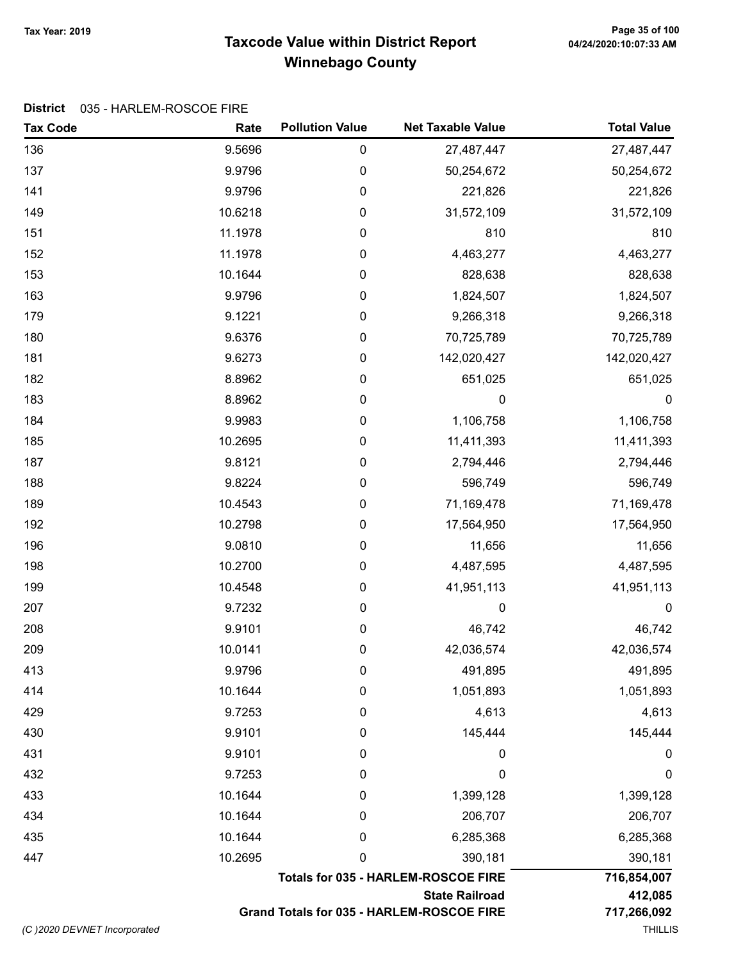# Taxcode Value within District Report Tax Year: 2019 Page 35 of 100 Winnebago County

#### District 035 - HARLEM-ROSCOE FIRE

| <b>Tax Code</b>              | Rate                  | <b>Pollution Value</b> | <b>Net Taxable Value</b>                   | <b>Total Value</b> |
|------------------------------|-----------------------|------------------------|--------------------------------------------|--------------------|
| 136                          | 9.5696                | $\pmb{0}$              | 27,487,447                                 | 27,487,447         |
| 137                          | 9.9796                | $\pmb{0}$              | 50,254,672                                 | 50,254,672         |
| 141                          | 9.9796                | $\pmb{0}$              | 221,826                                    | 221,826            |
| 149                          | 10.6218               | $\boldsymbol{0}$       | 31,572,109                                 | 31,572,109         |
| 151                          | 11.1978               | 0                      | 810                                        | 810                |
| 152                          | 11.1978               | $\boldsymbol{0}$       | 4,463,277                                  | 4,463,277          |
| 153                          | 10.1644               | $\boldsymbol{0}$       | 828,638                                    | 828,638            |
| 163                          | 9.9796                | $\boldsymbol{0}$       | 1,824,507                                  | 1,824,507          |
| 179                          | 9.1221                | $\boldsymbol{0}$       | 9,266,318                                  | 9,266,318          |
| 180                          | 9.6376                | $\pmb{0}$              | 70,725,789                                 | 70,725,789         |
| 181                          | 9.6273                | $\pmb{0}$              | 142,020,427                                | 142,020,427        |
| 182                          | 8.8962                | 0                      | 651,025                                    | 651,025            |
| 183                          | 8.8962                | $\boldsymbol{0}$       | 0                                          | $\boldsymbol{0}$   |
| 184                          | 9.9983                | $\boldsymbol{0}$       | 1,106,758                                  | 1,106,758          |
| 185                          | 10.2695               | $\pmb{0}$              | 11,411,393                                 | 11,411,393         |
| 187                          | 9.8121                | 0                      | 2,794,446                                  | 2,794,446          |
| 188                          | 9.8224                | $\pmb{0}$              | 596,749                                    | 596,749            |
| 189                          | 10.4543               | $\boldsymbol{0}$       | 71,169,478                                 | 71,169,478         |
| 192                          | 10.2798               | $\boldsymbol{0}$       | 17,564,950                                 | 17,564,950         |
| 196                          | 9.0810                | $\boldsymbol{0}$       | 11,656                                     | 11,656             |
| 198                          | 10.2700               | $\boldsymbol{0}$       | 4,487,595                                  | 4,487,595          |
| 199                          | 10.4548               | $\boldsymbol{0}$       | 41,951,113                                 | 41,951,113         |
| 207                          | 9.7232                | $\boldsymbol{0}$       | 0                                          | $\boldsymbol{0}$   |
| 208                          | 9.9101                | $\pmb{0}$              | 46,742                                     | 46,742             |
| 209                          | 10.0141               | $\pmb{0}$              | 42,036,574                                 | 42,036,574         |
| 413                          | 9.9796                | 0                      | 491,895                                    | 491,895            |
| 414                          | 10.1644               | 0                      | 1,051,893                                  | 1,051,893          |
| 429                          | 9.7253                | 0                      | 4,613                                      | 4,613              |
| 430                          | 9.9101                | 0                      | 145,444                                    | 145,444            |
| 431                          | 9.9101                | 0                      | 0                                          | 0                  |
| 432                          | 9.7253                | 0                      | $\mathbf 0$                                | 0                  |
| 433                          | 10.1644               | 0                      | 1,399,128                                  | 1,399,128          |
| 434                          | 10.1644               | 0                      | 206,707                                    | 206,707            |
| 435                          | 10.1644               | 0                      | 6,285,368                                  | 6,285,368          |
| 447                          | 10.2695               | 0                      | 390,181                                    | 390,181            |
|                              |                       |                        | <b>Totals for 035 - HARLEM-ROSCOE FIRE</b> | 716,854,007        |
|                              | <b>State Railroad</b> |                        |                                            | 412,085            |
|                              |                       |                        | Grand Totals for 035 - HARLEM-ROSCOE FIRE  | 717,266,092        |
| (C) 2020 DEVNET Incorporated |                       |                        |                                            | <b>THILLIS</b>     |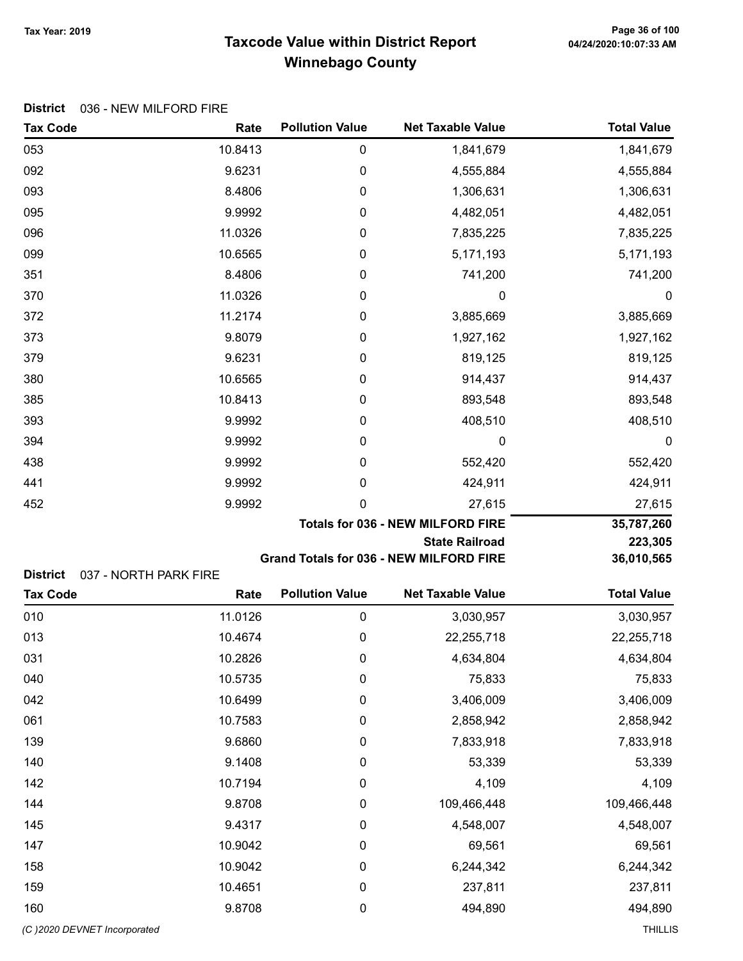# Taxcode Value within District Report Tax Year: 2019 Page 36 of 100 Winnebago County

#### District 036 - NEW MILFORD FIRE

| <b>Tax Code</b>                          | Rate    | <b>Pollution Value</b> | <b>Net Taxable Value</b>                       | <b>Total Value</b> |
|------------------------------------------|---------|------------------------|------------------------------------------------|--------------------|
| 053                                      | 10.8413 | 0                      | 1,841,679                                      | 1,841,679          |
| 092                                      | 9.6231  | 0                      | 4,555,884                                      | 4,555,884          |
| 093                                      | 8.4806  | 0                      | 1,306,631                                      | 1,306,631          |
| 095                                      | 9.9992  | 0                      | 4,482,051                                      | 4,482,051          |
| 096                                      | 11.0326 | 0                      | 7,835,225                                      | 7,835,225          |
| 099                                      | 10.6565 | 0                      | 5,171,193                                      | 5,171,193          |
| 351                                      | 8.4806  | 0                      | 741,200                                        | 741,200            |
| 370                                      | 11.0326 | 0                      | 0                                              | $\boldsymbol{0}$   |
| 372                                      | 11.2174 | 0                      | 3,885,669                                      | 3,885,669          |
| 373                                      | 9.8079  | 0                      | 1,927,162                                      | 1,927,162          |
| 379                                      | 9.6231  | 0                      | 819,125                                        | 819,125            |
| 380                                      | 10.6565 | 0                      | 914,437                                        | 914,437            |
| 385                                      | 10.8413 | 0                      | 893,548                                        | 893,548            |
| 393                                      | 9.9992  | 0                      | 408,510                                        | 408,510            |
| 394                                      | 9.9992  | 0                      | 0                                              | $\boldsymbol{0}$   |
| 438                                      | 9.9992  | 0                      | 552,420                                        | 552,420            |
| 441                                      | 9.9992  | 0                      | 424,911                                        | 424,911            |
| 452                                      | 9.9992  | 0                      | 27,615                                         | 27,615             |
|                                          |         |                        | <b>Totals for 036 - NEW MILFORD FIRE</b>       | 35,787,260         |
|                                          |         |                        | <b>State Railroad</b>                          | 223,305            |
| <b>District</b><br>037 - NORTH PARK FIRE |         |                        | <b>Grand Totals for 036 - NEW MILFORD FIRE</b> | 36,010,565         |
| <b>Tax Code</b>                          | Rate    | <b>Pollution Value</b> | <b>Net Taxable Value</b>                       | <b>Total Value</b> |
| 010                                      | 11.0126 | 0                      | 3,030,957                                      | 3,030,957          |
| 013                                      | 10.4674 | 0                      | 22,255,718                                     | 22,255,718         |
| 031                                      | 10.2826 | 0                      | 4,634,804                                      | 4,634,804          |
| 040                                      | 10.5735 | 0                      | 75,833                                         | 75,833             |
| 042                                      | 10.6499 | 0                      | 3,406,009                                      | 3,406,009          |
| 061                                      | 10.7583 | $\boldsymbol{0}$       | 2,858,942                                      | 2,858,942          |
| 139                                      | 9.6860  | $\boldsymbol{0}$       | 7,833,918                                      | 7,833,918          |
| 140                                      | 9.1408  | $\boldsymbol{0}$       | 53,339                                         | 53,339             |
| 142                                      | 10.7194 | $\mathbf 0$            | 4,109                                          | 4,109              |
| 144                                      | 9.8708  | $\pmb{0}$              | 109,466,448                                    | 109,466,448        |
| 145                                      | 9.4317  | $\pmb{0}$              | 4,548,007                                      | 4,548,007          |
| 147                                      | 10.9042 | $\pmb{0}$              | 69,561                                         | 69,561             |
| 158                                      | 10.9042 | 0                      | 6,244,342                                      | 6,244,342          |
| 159                                      | 10.4651 | $\boldsymbol{0}$       | 237,811                                        | 237,811            |
| 160                                      | 9.8708  | $\boldsymbol{0}$       | 494,890                                        | 494,890            |
| (C) 2020 DEVNET Incorporated             |         |                        |                                                | <b>THILLIS</b>     |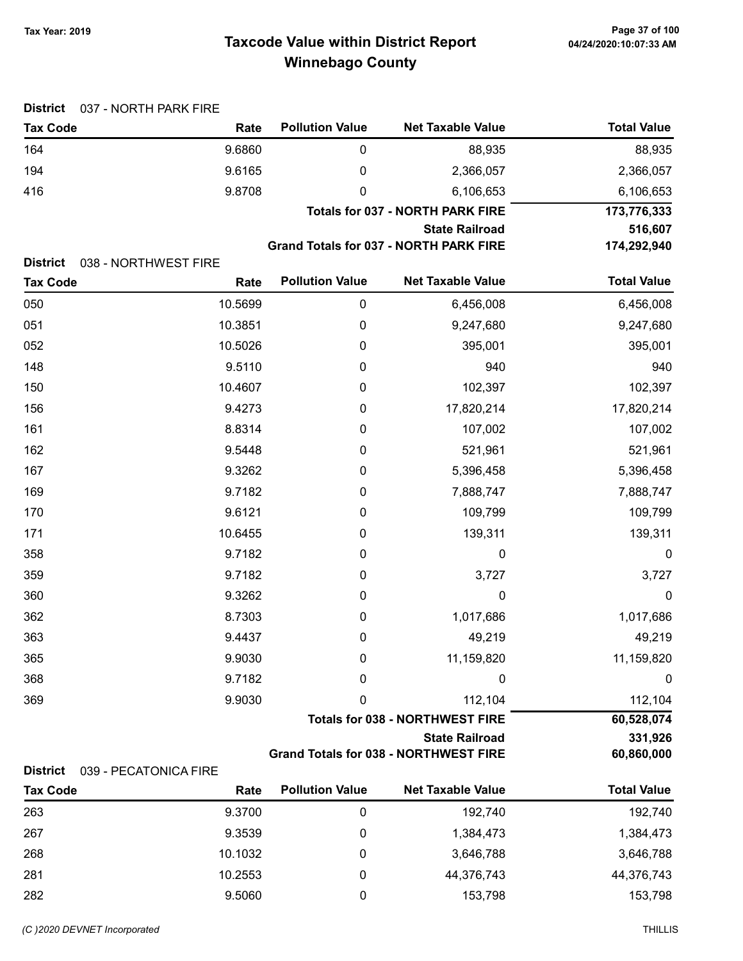# Taxcode Value within District Report Tax Year: 2019 Page 37 of 100 Winnebago County

| <b>District</b> | 037 - NORTH PARK FIRE |                        |                                              |                    |
|-----------------|-----------------------|------------------------|----------------------------------------------|--------------------|
| <b>Tax Code</b> | Rate                  | <b>Pollution Value</b> | <b>Net Taxable Value</b>                     | <b>Total Value</b> |
| 164             | 9.6860                | 0                      | 88,935                                       | 88,935             |
| 194             | 9.6165                | 0                      | 2,366,057                                    | 2,366,057          |
| 416             | 9.8708                | 0                      | 6,106,653                                    | 6,106,653          |
|                 |                       |                        | <b>Totals for 037 - NORTH PARK FIRE</b>      | 173,776,333        |
|                 |                       |                        | <b>State Railroad</b>                        | 516,607            |
|                 |                       |                        | Grand Totals for 037 - NORTH PARK FIRE       | 174,292,940        |
| <b>District</b> | 038 - NORTHWEST FIRE  | <b>Pollution Value</b> | <b>Net Taxable Value</b>                     | <b>Total Value</b> |
| <b>Tax Code</b> | Rate                  |                        |                                              |                    |
| 050             | 10.5699               | $\pmb{0}$              | 6,456,008                                    | 6,456,008          |
| 051             | 10.3851               | 0                      | 9,247,680                                    | 9,247,680          |
| 052             | 10.5026               | 0                      | 395,001                                      | 395,001            |
| 148             | 9.5110                | 0                      | 940                                          | 940                |
| 150             | 10.4607               | 0                      | 102,397                                      | 102,397            |
| 156             | 9.4273                | 0                      | 17,820,214                                   | 17,820,214         |
| 161             | 8.8314                | 0                      | 107,002                                      | 107,002            |
| 162             | 9.5448                | 0                      | 521,961                                      | 521,961            |
| 167             | 9.3262                | 0                      | 5,396,458                                    | 5,396,458          |
| 169             | 9.7182                | 0                      | 7,888,747                                    | 7,888,747          |
| 170             | 9.6121                | 0                      | 109,799                                      | 109,799            |
| 171             | 10.6455               | 0                      | 139,311                                      | 139,311            |
| 358             | 9.7182                | 0                      | 0                                            | $\boldsymbol{0}$   |
| 359             | 9.7182                | 0                      | 3,727                                        | 3,727              |
| 360             | 9.3262                | 0                      | 0                                            | $\boldsymbol{0}$   |
| 362             | 8.7303                | 0                      | 1,017,686                                    | 1,017,686          |
| 363             | 9.4437                | 0                      | 49,219                                       | 49,219             |
| 365             | 9.9030                | 0                      | 11,159,820                                   | 11,159,820         |
| 368             | 9.7182                | 0                      | $\mathbf 0$                                  | $\boldsymbol{0}$   |
| 369             | 9.9030                | 0                      | 112,104                                      | 112,104            |
|                 |                       |                        | <b>Totals for 038 - NORTHWEST FIRE</b>       | 60,528,074         |
|                 |                       |                        | <b>State Railroad</b>                        | 331,926            |
|                 |                       |                        | <b>Grand Totals for 038 - NORTHWEST FIRE</b> | 60,860,000         |

| <b>District</b><br>039 - PECATONICA FIRE |         |                        |                          |                    |
|------------------------------------------|---------|------------------------|--------------------------|--------------------|
| <b>Tax Code</b>                          | Rate    | <b>Pollution Value</b> | <b>Net Taxable Value</b> | <b>Total Value</b> |
| 263                                      | 9.3700  | 0                      | 192.740                  | 192,740            |
| 267                                      | 9.3539  | 0                      | 1,384,473                | 1,384,473          |
| 268                                      | 10.1032 | 0                      | 3,646,788                | 3,646,788          |
| 281                                      | 10.2553 | 0                      | 44,376,743               | 44,376,743         |
| 282                                      | 9.5060  | 0                      | 153,798                  | 153,798            |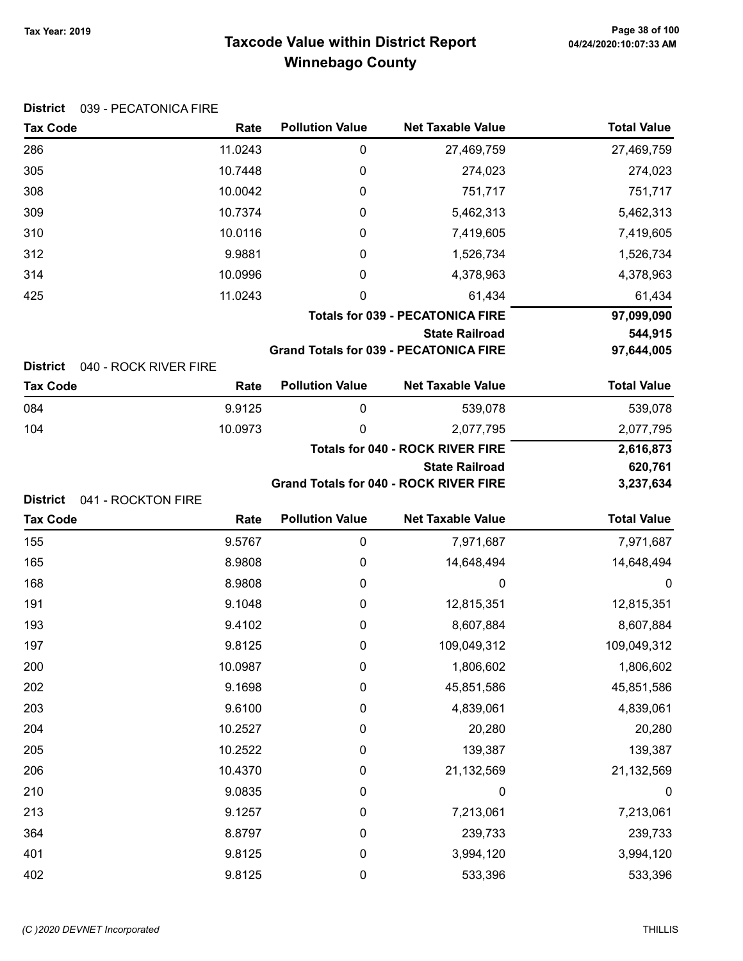# Taxcode Value within District Report Tax Year: 2019 Page 38 of 100 Winnebago County

| <b>District</b>                          | 039 - PECATONICA FIRE |                        |                                               |                    |
|------------------------------------------|-----------------------|------------------------|-----------------------------------------------|--------------------|
| <b>Tax Code</b>                          | Rate                  | <b>Pollution Value</b> | <b>Net Taxable Value</b>                      | <b>Total Value</b> |
| 286                                      | 11.0243               | 0                      | 27,469,759                                    | 27,469,759         |
| 305                                      | 10.7448               | 0                      | 274,023                                       | 274,023            |
| 308                                      | 10.0042               | 0                      | 751,717                                       | 751,717            |
| 309                                      | 10.7374               | 0                      | 5,462,313                                     | 5,462,313          |
| 310                                      | 10.0116               | 0                      | 7,419,605                                     | 7,419,605          |
| 312                                      | 9.9881                | 0                      | 1,526,734                                     | 1,526,734          |
| 314                                      | 10.0996               | 0                      | 4,378,963                                     | 4,378,963          |
| 425                                      | 11.0243               | 0                      | 61,434                                        | 61,434             |
|                                          |                       |                        | <b>Totals for 039 - PECATONICA FIRE</b>       | 97,099,090         |
|                                          |                       |                        | <b>State Railroad</b>                         | 544,915            |
| <b>District</b>                          |                       |                        | <b>Grand Totals for 039 - PECATONICA FIRE</b> | 97,644,005         |
| 040 - ROCK RIVER FIRE<br><b>Tax Code</b> | Rate                  | <b>Pollution Value</b> | <b>Net Taxable Value</b>                      | <b>Total Value</b> |
| 084                                      | 9.9125                | 0                      | 539,078                                       | 539,078            |
| 104                                      | 10.0973               | 0                      | 2,077,795                                     | 2,077,795          |
|                                          |                       |                        | <b>Totals for 040 - ROCK RIVER FIRE</b>       | 2,616,873          |
|                                          |                       |                        | <b>State Railroad</b>                         | 620,761            |
|                                          |                       |                        | <b>Grand Totals for 040 - ROCK RIVER FIRE</b> | 3,237,634          |
| <b>District</b><br>041 - ROCKTON FIRE    |                       |                        |                                               |                    |
| <b>Tax Code</b>                          | Rate                  | <b>Pollution Value</b> | <b>Net Taxable Value</b>                      | <b>Total Value</b> |
| 155                                      | 9.5767                | $\mathbf 0$            | 7,971,687                                     | 7,971,687          |
| 165                                      | 8.9808                | 0                      | 14,648,494                                    | 14,648,494         |
| 168                                      | 8.9808                | 0                      | 0                                             | 0                  |
| 191                                      | 9.1048                | 0                      | 12,815,351                                    | 12,815,351         |
| 193                                      | 9.4102                | 0                      | 8,607,884                                     | 8,607,884          |
| 197                                      | 9.8125                | 0                      | 109,049,312                                   | 109,049,312        |
| 200                                      | 10.0987               | 0                      | 1,806,602                                     | 1,806,602          |
| 202                                      | 9.1698                | 0                      | 45,851,586                                    | 45,851,586         |
| 203                                      | 9.6100                | 0                      | 4,839,061                                     | 4,839,061          |
| 204                                      | 10.2527               | 0                      | 20,280                                        | 20,280             |
| 205                                      | 10.2522               | 0                      | 139,387                                       | 139,387            |
| 206                                      | 10.4370               | 0                      | 21,132,569                                    | 21,132,569         |
| 210                                      | 9.0835                | $\boldsymbol{0}$       | 0                                             | $\boldsymbol{0}$   |
| 213                                      | 9.1257                | 0                      | 7,213,061                                     | 7,213,061          |
| 364                                      | 8.8797                | 0                      | 239,733                                       | 239,733            |
| 401                                      | 9.8125                | $\mathbf 0$            | 3,994,120                                     | 3,994,120          |
| 402                                      | 9.8125                | $\pmb{0}$              | 533,396                                       | 533,396            |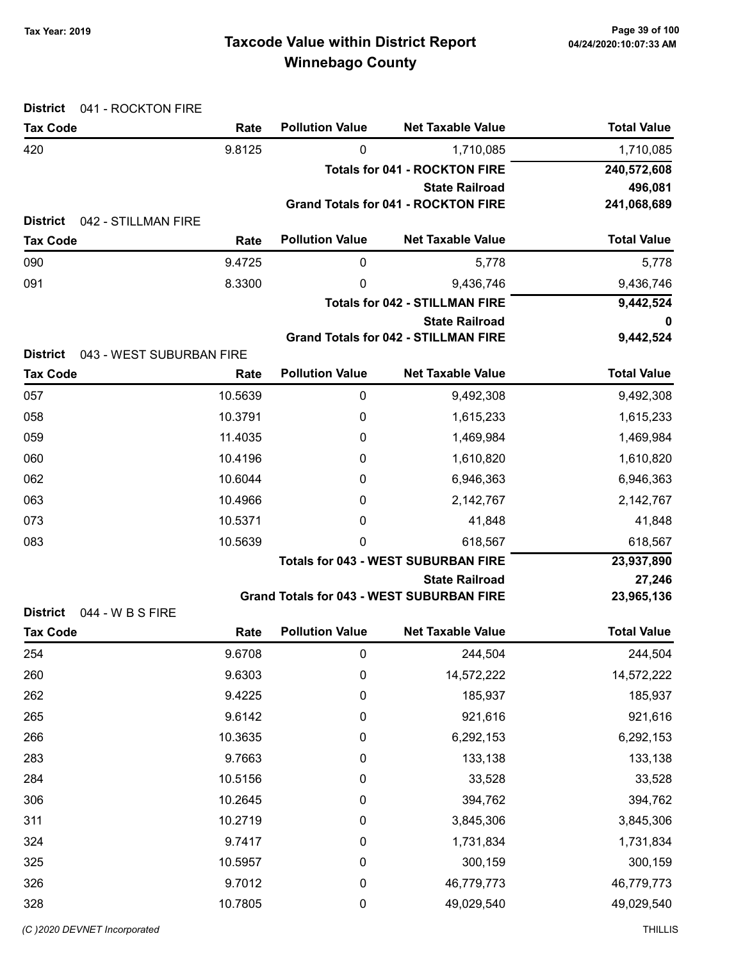# Taxcode Value within District Report Tax Year: 2019 Page 39 of 100 Winnebago County

| <b>District</b><br>041 - ROCKTON FIRE                     |         |                                      |                                                  |                    |
|-----------------------------------------------------------|---------|--------------------------------------|--------------------------------------------------|--------------------|
| <b>Tax Code</b>                                           | Rate    | <b>Pollution Value</b>               | <b>Net Taxable Value</b>                         | <b>Total Value</b> |
| 420                                                       | 9.8125  | 0                                    | 1,710,085                                        | 1,710,085          |
|                                                           |         | <b>Totals for 041 - ROCKTON FIRE</b> | 240,572,608                                      |                    |
|                                                           |         |                                      | <b>State Railroad</b>                            | 496,081            |
|                                                           |         |                                      | <b>Grand Totals for 041 - ROCKTON FIRE</b>       | 241,068,689        |
| <b>District</b><br>042 - STILLMAN FIRE<br><b>Tax Code</b> | Rate    | <b>Pollution Value</b>               | <b>Net Taxable Value</b>                         | <b>Total Value</b> |
| 090                                                       | 9.4725  | 0                                    | 5,778                                            | 5,778              |
| 091                                                       | 8.3300  | 0                                    | 9,436,746                                        | 9,436,746          |
|                                                           |         |                                      | <b>Totals for 042 - STILLMAN FIRE</b>            | 9,442,524          |
|                                                           |         |                                      | <b>State Railroad</b>                            | 0                  |
|                                                           |         |                                      | <b>Grand Totals for 042 - STILLMAN FIRE</b>      | 9,442,524          |
| <b>District</b><br>043 - WEST SUBURBAN FIRE               |         |                                      |                                                  |                    |
| <b>Tax Code</b>                                           | Rate    | <b>Pollution Value</b>               | <b>Net Taxable Value</b>                         | <b>Total Value</b> |
| 057                                                       | 10.5639 | 0                                    | 9,492,308                                        | 9,492,308          |
| 058                                                       | 10.3791 | 0                                    | 1,615,233                                        | 1,615,233          |
| 059                                                       | 11.4035 | 0                                    | 1,469,984                                        | 1,469,984          |
| 060                                                       | 10.4196 | 0                                    | 1,610,820                                        | 1,610,820          |
| 062                                                       | 10.6044 | 0                                    | 6,946,363                                        | 6,946,363          |
| 063                                                       | 10.4966 | 0                                    | 2,142,767                                        | 2,142,767          |
| 073                                                       | 10.5371 | 0                                    | 41,848                                           | 41,848             |
| 083                                                       | 10.5639 | 0                                    | 618,567                                          | 618,567            |
|                                                           |         |                                      | <b>Totals for 043 - WEST SUBURBAN FIRE</b>       | 23,937,890         |
|                                                           |         |                                      | <b>State Railroad</b>                            | 27,246             |
| <b>District</b><br>044 - W B S FIRE                       |         |                                      | <b>Grand Totals for 043 - WEST SUBURBAN FIRE</b> | 23,965,136         |
| <b>Tax Code</b>                                           | Rate    | <b>Pollution Value</b>               | <b>Net Taxable Value</b>                         | <b>Total Value</b> |
| 254                                                       | 9.6708  | 0                                    | 244,504                                          | 244,504            |
| 260                                                       | 9.6303  | $\pmb{0}$                            | 14,572,222                                       | 14,572,222         |
| 262                                                       | 9.4225  | 0                                    | 185,937                                          | 185,937            |
| 265                                                       | 9.6142  | 0                                    | 921,616                                          | 921,616            |
| 266                                                       | 10.3635 | $\boldsymbol{0}$                     | 6,292,153                                        | 6,292,153          |
| 283                                                       | 9.7663  | $\boldsymbol{0}$                     | 133,138                                          | 133,138            |
| 284                                                       | 10.5156 | $\pmb{0}$                            | 33,528                                           | 33,528             |
| 306                                                       | 10.2645 | 0                                    | 394,762                                          | 394,762            |
| 311                                                       | 10.2719 | 0                                    | 3,845,306                                        | 3,845,306          |
| 324                                                       | 9.7417  | 0                                    | 1,731,834                                        | 1,731,834          |
| 325                                                       | 10.5957 | 0                                    | 300,159                                          | 300,159            |
| 326                                                       | 9.7012  | $\boldsymbol{0}$                     | 46,779,773                                       | 46,779,773         |
| 328                                                       | 10.7805 | 0                                    | 49,029,540                                       | 49,029,540         |
|                                                           |         |                                      |                                                  |                    |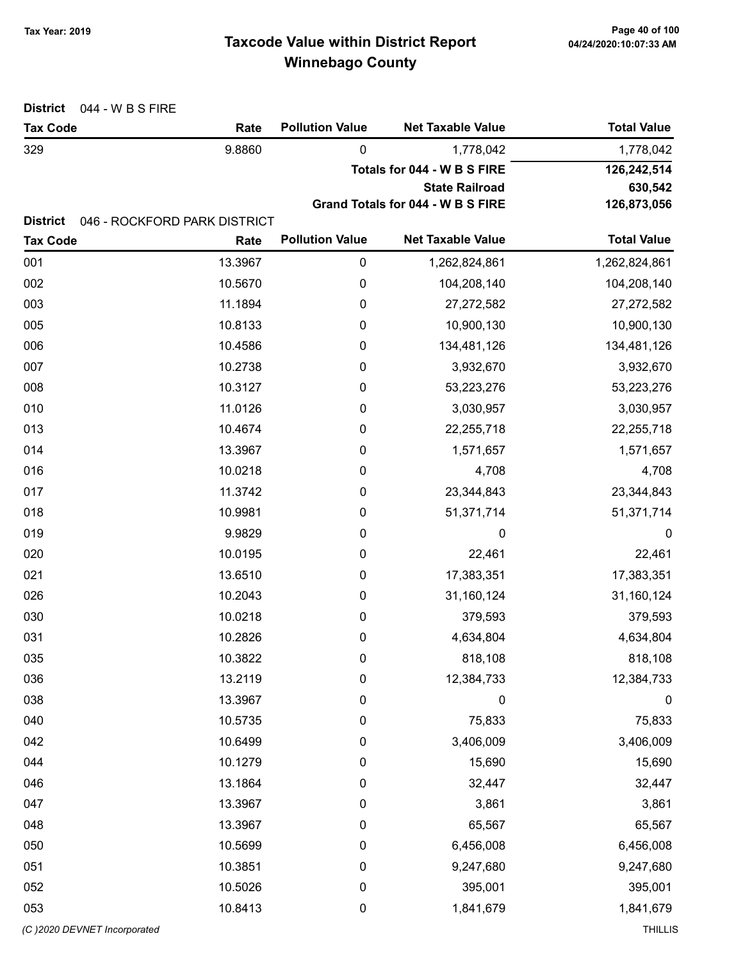# Taxcode Value within District Report Tax Year: 2019 Page 40 of 100 Winnebago County

| <b>District</b><br>044 - W B S FIRE |                              |                        |                                   |                    |
|-------------------------------------|------------------------------|------------------------|-----------------------------------|--------------------|
| <b>Tax Code</b>                     | Rate                         | <b>Pollution Value</b> | <b>Net Taxable Value</b>          | <b>Total Value</b> |
| 329                                 | 9.8860                       | 0                      | 1,778,042                         | 1,778,042          |
|                                     |                              |                        | Totals for 044 - W B S FIRE       | 126,242,514        |
|                                     |                              |                        | <b>State Railroad</b>             | 630,542            |
| <b>District</b>                     | 046 - ROCKFORD PARK DISTRICT |                        | Grand Totals for 044 - W B S FIRE | 126,873,056        |
| <b>Tax Code</b>                     | Rate                         | <b>Pollution Value</b> | <b>Net Taxable Value</b>          | <b>Total Value</b> |
| 001                                 | 13.3967                      | $\boldsymbol{0}$       | 1,262,824,861                     | 1,262,824,861      |
| 002                                 | 10.5670                      | $\mathbf 0$            | 104,208,140                       | 104,208,140        |
| 003                                 | 11.1894                      | 0                      | 27,272,582                        | 27,272,582         |
| 005                                 | 10.8133                      | 0                      | 10,900,130                        | 10,900,130         |
| 006                                 | 10.4586                      | 0                      | 134,481,126                       | 134,481,126        |
| 007                                 | 10.2738                      | 0                      | 3,932,670                         | 3,932,670          |
| 008                                 | 10.3127                      | $\boldsymbol{0}$       | 53,223,276                        | 53,223,276         |
| 010                                 | 11.0126                      | 0                      | 3,030,957                         | 3,030,957          |
| 013                                 | 10.4674                      | 0                      | 22,255,718                        | 22,255,718         |
| 014                                 | 13.3967                      | 0                      | 1,571,657                         | 1,571,657          |
| 016                                 | 10.0218                      | 0                      | 4,708                             | 4,708              |
| 017                                 | 11.3742                      | 0                      | 23,344,843                        | 23,344,843         |
| 018                                 | 10.9981                      | 0                      | 51,371,714                        | 51,371,714         |
| 019                                 | 9.9829                       | 0                      | 0                                 | $\boldsymbol{0}$   |
| 020                                 | 10.0195                      | 0                      | 22,461                            | 22,461             |
| 021                                 | 13.6510                      | 0                      | 17,383,351                        | 17,383,351         |
| 026                                 | 10.2043                      | 0                      | 31,160,124                        | 31,160,124         |
| 030                                 | 10.0218                      | 0                      | 379,593                           | 379,593            |
| 031                                 | 10.2826                      | 0                      | 4,634,804                         | 4,634,804          |
| 035                                 | 10.3822                      | $\mathbf 0$            | 818,108                           | 818,108            |
| 036                                 | 13.2119                      | $\mathbf 0$            | 12,384,733                        | 12,384,733         |
| 038                                 | 13.3967                      | 0                      | $\boldsymbol{0}$                  | $\boldsymbol{0}$   |
| 040                                 | 10.5735                      | 0                      | 75,833                            | 75,833             |
| 042                                 | 10.6499                      | 0                      | 3,406,009                         | 3,406,009          |
| 044                                 | 10.1279                      | 0                      | 15,690                            | 15,690             |
| 046                                 | 13.1864                      | 0                      | 32,447                            | 32,447             |
| 047                                 | 13.3967                      | 0                      | 3,861                             | 3,861              |
| 048                                 | 13.3967                      | 0                      | 65,567                            | 65,567             |
| 050                                 | 10.5699                      | $\mathbf 0$            | 6,456,008                         | 6,456,008          |
| 051                                 | 10.3851                      | 0                      | 9,247,680                         | 9,247,680          |
| 052                                 | 10.5026                      | 0                      | 395,001                           | 395,001            |
| 053                                 | 10.8413                      | 0                      | 1,841,679                         | 1,841,679          |
| (C) 2020 DEVNET Incorporated        |                              |                        |                                   | <b>THILLIS</b>     |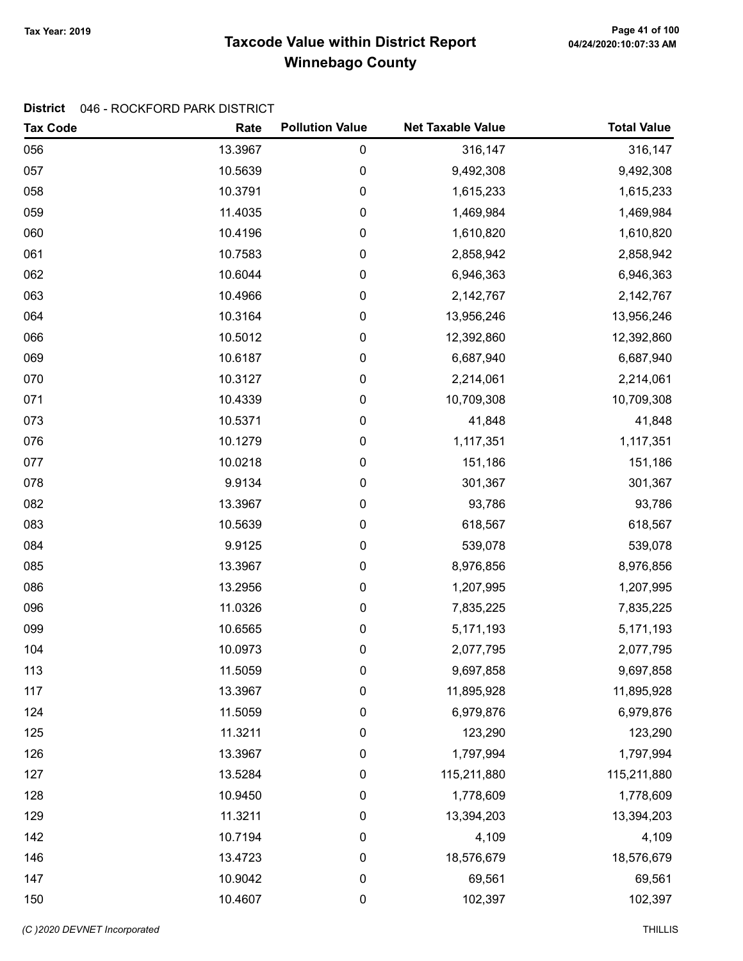# Taxcode Value within District Report Tax Year: 2019 Page 41 of 100 Winnebago County

### District 046 - ROCKFORD PARK DISTRICT

| <b>Tax Code</b> | Rate    | <b>Pollution Value</b> | <b>Net Taxable Value</b> | <b>Total Value</b> |
|-----------------|---------|------------------------|--------------------------|--------------------|
| 056             | 13.3967 | 0                      | 316,147                  | 316,147            |
| 057             | 10.5639 | 0                      | 9,492,308                | 9,492,308          |
| 058             | 10.3791 | 0                      | 1,615,233                | 1,615,233          |
| 059             | 11.4035 | 0                      | 1,469,984                | 1,469,984          |
| 060             | 10.4196 | 0                      | 1,610,820                | 1,610,820          |
| 061             | 10.7583 | 0                      | 2,858,942                | 2,858,942          |
| 062             | 10.6044 | 0                      | 6,946,363                | 6,946,363          |
| 063             | 10.4966 | 0                      | 2,142,767                | 2,142,767          |
| 064             | 10.3164 | 0                      | 13,956,246               | 13,956,246         |
| 066             | 10.5012 | 0                      | 12,392,860               | 12,392,860         |
| 069             | 10.6187 | 0                      | 6,687,940                | 6,687,940          |
| 070             | 10.3127 | 0                      | 2,214,061                | 2,214,061          |
| 071             | 10.4339 | 0                      | 10,709,308               | 10,709,308         |
| 073             | 10.5371 | 0                      | 41,848                   | 41,848             |
| 076             | 10.1279 | 0                      | 1,117,351                | 1,117,351          |
| 077             | 10.0218 | 0                      | 151,186                  | 151,186            |
| 078             | 9.9134  | 0                      | 301,367                  | 301,367            |
| 082             | 13.3967 | 0                      | 93,786                   | 93,786             |
| 083             | 10.5639 | 0                      | 618,567                  | 618,567            |
| 084             | 9.9125  | 0                      | 539,078                  | 539,078            |
| 085             | 13.3967 | 0                      | 8,976,856                | 8,976,856          |
| 086             | 13.2956 | 0                      | 1,207,995                | 1,207,995          |
| 096             | 11.0326 | 0                      | 7,835,225                | 7,835,225          |
| 099             | 10.6565 | 0                      | 5,171,193                | 5,171,193          |
| 104             | 10.0973 | 0                      | 2,077,795                | 2,077,795          |
| 113             | 11.5059 | 0                      | 9,697,858                | 9,697,858          |
| 117             | 13.3967 | 0                      | 11,895,928               | 11,895,928         |
| 124             | 11.5059 | 0                      | 6,979,876                | 6,979,876          |
| 125             | 11.3211 | 0                      | 123,290                  | 123,290            |
| 126             | 13.3967 | 0                      | 1,797,994                | 1,797,994          |
| 127             | 13.5284 | 0                      | 115,211,880              | 115,211,880        |
| 128             | 10.9450 | 0                      | 1,778,609                | 1,778,609          |
| 129             | 11.3211 | 0                      | 13,394,203               | 13,394,203         |
| 142             | 10.7194 | 0                      | 4,109                    | 4,109              |
| 146             | 13.4723 | 0                      | 18,576,679               | 18,576,679         |
| 147             | 10.9042 | 0                      | 69,561                   | 69,561             |
| 150             | 10.4607 | 0                      | 102,397                  | 102,397            |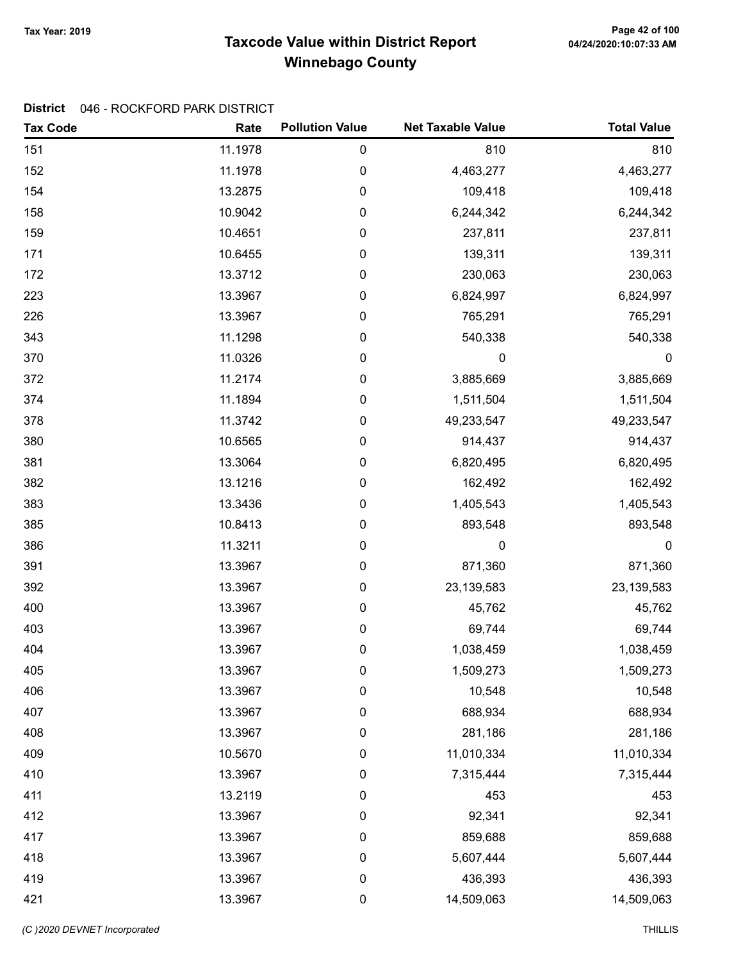# Taxcode Value within District Report Tax Year: 2019 Page 42 of 100 Winnebago County

### District 046 - ROCKFORD PARK DISTRICT

| <b>Tax Code</b> | Rate    | <b>Pollution Value</b> | <b>Net Taxable Value</b> | <b>Total Value</b> |
|-----------------|---------|------------------------|--------------------------|--------------------|
| 151             | 11.1978 | 0                      | 810                      | 810                |
| 152             | 11.1978 | 0                      | 4,463,277                | 4,463,277          |
| 154             | 13.2875 | 0                      | 109,418                  | 109,418            |
| 158             | 10.9042 | 0                      | 6,244,342                | 6,244,342          |
| 159             | 10.4651 | 0                      | 237,811                  | 237,811            |
| 171             | 10.6455 | $\pmb{0}$              | 139,311                  | 139,311            |
| 172             | 13.3712 | 0                      | 230,063                  | 230,063            |
| 223             | 13.3967 | 0                      | 6,824,997                | 6,824,997          |
| 226             | 13.3967 | 0                      | 765,291                  | 765,291            |
| 343             | 11.1298 | 0                      | 540,338                  | 540,338            |
| 370             | 11.0326 | 0                      | 0                        | 0                  |
| 372             | 11.2174 | 0                      | 3,885,669                | 3,885,669          |
| 374             | 11.1894 | 0                      | 1,511,504                | 1,511,504          |
| 378             | 11.3742 | 0                      | 49,233,547               | 49,233,547         |
| 380             | 10.6565 | 0                      | 914,437                  | 914,437            |
| 381             | 13.3064 | 0                      | 6,820,495                | 6,820,495          |
| 382             | 13.1216 | 0                      | 162,492                  | 162,492            |
| 383             | 13.3436 | 0                      | 1,405,543                | 1,405,543          |
| 385             | 10.8413 | 0                      | 893,548                  | 893,548            |
| 386             | 11.3211 | 0                      | 0                        | $\mathbf 0$        |
| 391             | 13.3967 | $\pmb{0}$              | 871,360                  | 871,360            |
| 392             | 13.3967 | 0                      | 23,139,583               | 23,139,583         |
| 400             | 13.3967 | 0                      | 45,762                   | 45,762             |
| 403             | 13.3967 | 0                      | 69,744                   | 69,744             |
| 404             | 13.3967 | 0                      | 1,038,459                | 1,038,459          |
| 405             | 13.3967 | 0                      | 1,509,273                | 1,509,273          |
| 406             | 13.3967 | 0                      | 10,548                   | 10,548             |
| 407             | 13.3967 | 0                      | 688,934                  | 688,934            |
| 408             | 13.3967 | 0                      | 281,186                  | 281,186            |
| 409             | 10.5670 | 0                      | 11,010,334               | 11,010,334         |
| 410             | 13.3967 | $\pmb{0}$              | 7,315,444                | 7,315,444          |
| 411             | 13.2119 | $\pmb{0}$              | 453                      | 453                |
| 412             | 13.3967 | 0                      | 92,341                   | 92,341             |
| 417             | 13.3967 | 0                      | 859,688                  | 859,688            |
| 418             | 13.3967 | $\pmb{0}$              | 5,607,444                | 5,607,444          |
| 419             | 13.3967 | $\pmb{0}$              | 436,393                  | 436,393            |
| 421             | 13.3967 | $\pmb{0}$              | 14,509,063               | 14,509,063         |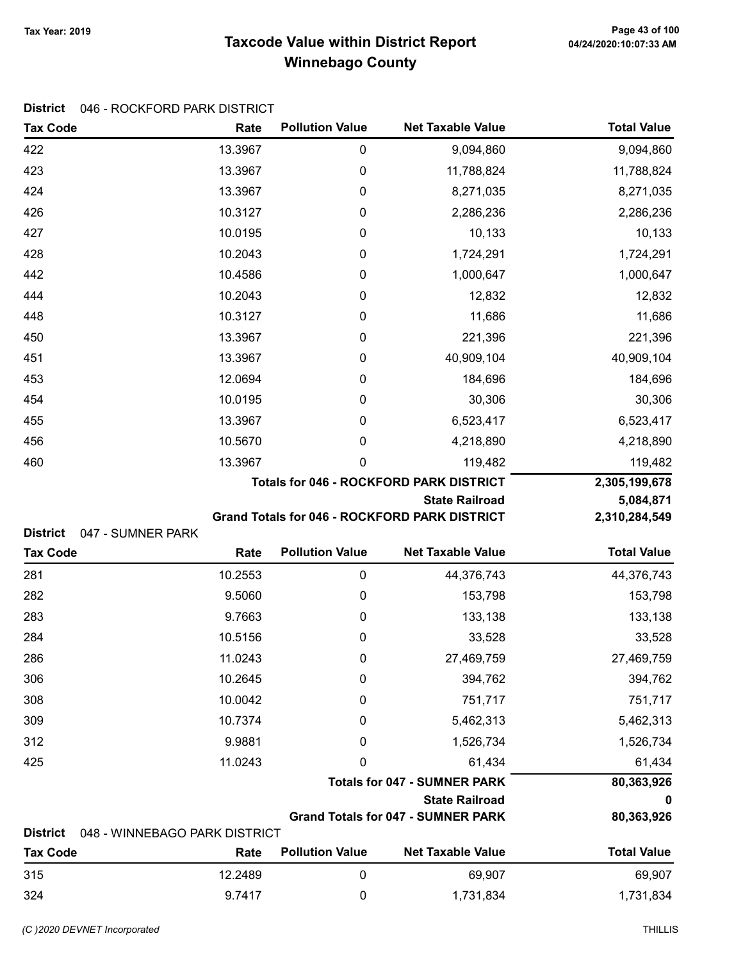# Taxcode Value within District Report Tax Year: 2019 Page 43 of 100 Winnebago County

|  | District 046 - ROCKFORD PARK DISTRICT |
|--|---------------------------------------|
|--|---------------------------------------|

| <b>Tax Code</b>                      | Rate                          | <b>Pollution Value</b> | <b>Net Taxable Value</b>                       | <b>Total Value</b> |
|--------------------------------------|-------------------------------|------------------------|------------------------------------------------|--------------------|
| 422                                  | 13.3967                       | 0                      | 9,094,860                                      | 9,094,860          |
| 423                                  | 13.3967                       | 0                      | 11,788,824                                     | 11,788,824         |
| 424                                  | 13.3967                       | 0                      | 8,271,035                                      | 8,271,035          |
| 426                                  | 10.3127                       | 0                      | 2,286,236                                      | 2,286,236          |
| 427                                  | 10.0195                       | 0                      | 10,133                                         | 10,133             |
| 428                                  | 10.2043                       | 0                      | 1,724,291                                      | 1,724,291          |
| 442                                  | 10.4586                       | 0                      | 1,000,647                                      | 1,000,647          |
| 444                                  | 10.2043                       | 0                      | 12,832                                         | 12,832             |
| 448                                  | 10.3127                       | 0                      | 11,686                                         | 11,686             |
| 450                                  | 13.3967                       | 0                      | 221,396                                        | 221,396            |
| 451                                  | 13.3967                       | 0                      | 40,909,104                                     | 40,909,104         |
| 453                                  | 12.0694                       | 0                      | 184,696                                        | 184,696            |
| 454                                  | 10.0195                       | 0                      | 30,306                                         | 30,306             |
| 455                                  | 13.3967                       | 0                      | 6,523,417                                      | 6,523,417          |
| 456                                  | 10.5670                       | 0                      | 4,218,890                                      | 4,218,890          |
| 460                                  | 13.3967                       | 0                      | 119,482                                        | 119,482            |
|                                      |                               |                        | <b>Totals for 046 - ROCKFORD PARK DISTRICT</b> | 2,305,199,678      |
|                                      |                               |                        | <b>State Railroad</b>                          | 5,084,871          |
| <b>District</b><br>047 - SUMNER PARK |                               |                        | Grand Totals for 046 - ROCKFORD PARK DISTRICT  | 2,310,284,549      |
| <b>Tax Code</b>                      | Rate                          | <b>Pollution Value</b> | <b>Net Taxable Value</b>                       | <b>Total Value</b> |
| 281                                  | 10.2553                       | $\pmb{0}$              | 44,376,743                                     | 44,376,743         |
| 282                                  | 9.5060                        | 0                      | 153,798                                        | 153,798            |
| 283                                  | 9.7663                        | $\boldsymbol{0}$       | 133,138                                        | 133,138            |
| 284                                  | 10.5156                       | 0                      | 33,528                                         | 33,528             |
| 286                                  | 11.0243                       | 0                      | 27,469,759                                     | 27,469,759         |
| 306                                  | 10.2645                       | 0                      | 394,762                                        | 394,762            |
| 308                                  | 10.0042                       | 0                      | 751,717                                        | 751,717            |
| 309                                  | 10.7374                       | 0                      | 5,462,313                                      | 5,462,313          |
| 312                                  | 9.9881                        | 0                      | 1,526,734                                      | 1,526,734          |
| 425                                  | 11.0243                       | 0                      | 61,434                                         | 61,434             |
|                                      |                               |                        | <b>Totals for 047 - SUMNER PARK</b>            | 80,363,926         |
|                                      |                               |                        | <b>State Railroad</b>                          | 0                  |
|                                      |                               |                        | <b>Grand Totals for 047 - SUMNER PARK</b>      | 80,363,926         |
| <b>District</b>                      | 048 - WINNEBAGO PARK DISTRICT |                        |                                                |                    |
| <b>Tax Code</b>                      | Rate                          | <b>Pollution Value</b> | <b>Net Taxable Value</b>                       | <b>Total Value</b> |
| 315                                  | 12.2489                       | $\mathbf 0$            | 69,907                                         | 69,907             |
| 324                                  | 9.7417                        | 0                      | 1,731,834                                      | 1,731,834          |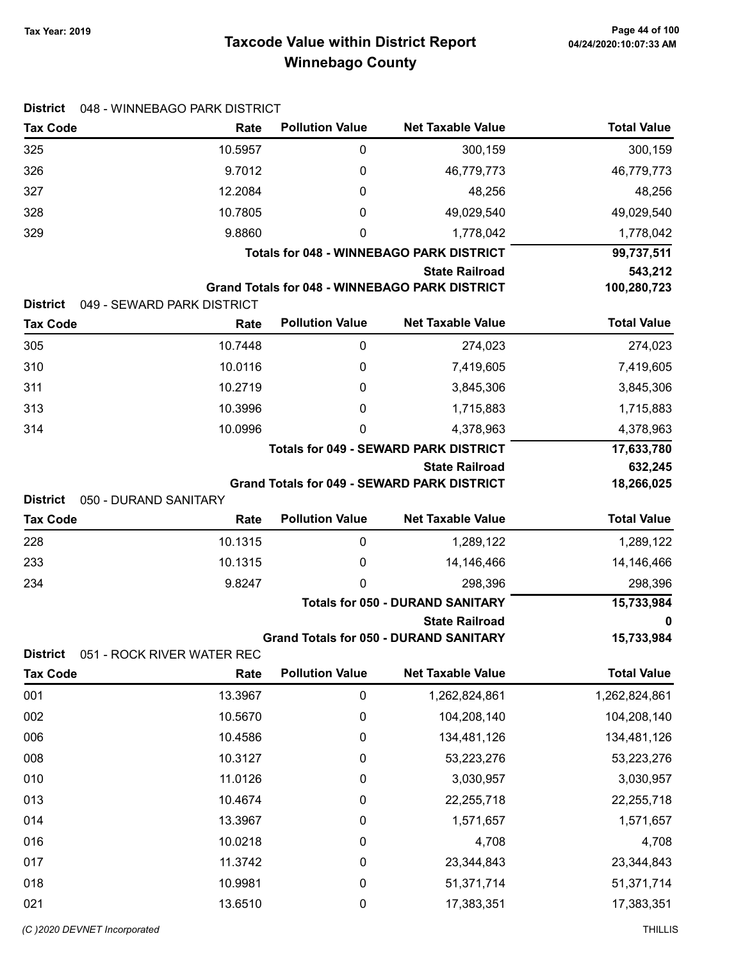# Taxcode Value within District Report Tax Year: 2019 Page 44 of 100 Winnebago County

| <b>District</b>                    | 048 - WINNEBAGO PARK DISTRICT      |                        |                                                       |                    |
|------------------------------------|------------------------------------|------------------------|-------------------------------------------------------|--------------------|
| <b>Tax Code</b>                    | Rate                               | <b>Pollution Value</b> | <b>Net Taxable Value</b>                              | <b>Total Value</b> |
| 325                                | 10.5957                            | 0                      | 300,159                                               | 300,159            |
| 326                                | 9.7012                             | 0                      | 46,779,773                                            | 46,779,773         |
| 327                                | 12.2084                            | 0                      | 48,256                                                | 48,256             |
| 328                                | 10.7805                            | 0                      | 49,029,540                                            | 49,029,540         |
| 329                                | 9.8860                             | 0                      | 1,778,042                                             | 1,778,042          |
|                                    |                                    |                        | <b>Totals for 048 - WINNEBAGO PARK DISTRICT</b>       | 99,737,511         |
|                                    |                                    |                        | <b>State Railroad</b>                                 | 543,212            |
|                                    |                                    |                        | <b>Grand Totals for 048 - WINNEBAGO PARK DISTRICT</b> | 100,280,723        |
| <b>District</b><br><b>Tax Code</b> | 049 - SEWARD PARK DISTRICT<br>Rate | <b>Pollution Value</b> | <b>Net Taxable Value</b>                              | <b>Total Value</b> |
| 305                                | 10.7448                            | 0                      | 274,023                                               | 274,023            |
| 310                                | 10.0116                            | 0                      | 7,419,605                                             | 7,419,605          |
| 311                                | 10.2719                            | 0                      | 3,845,306                                             | 3,845,306          |
| 313                                | 10.3996                            | 0                      | 1,715,883                                             | 1,715,883          |
| 314                                | 10.0996                            | 0                      | 4,378,963                                             | 4,378,963          |
|                                    |                                    |                        | <b>Totals for 049 - SEWARD PARK DISTRICT</b>          | 17,633,780         |
|                                    |                                    |                        | <b>State Railroad</b>                                 | 632,245            |
|                                    |                                    |                        | <b>Grand Totals for 049 - SEWARD PARK DISTRICT</b>    | 18,266,025         |
| <b>District</b>                    | 050 - DURAND SANITARY              |                        |                                                       |                    |
| <b>Tax Code</b>                    | Rate                               | <b>Pollution Value</b> | <b>Net Taxable Value</b>                              | <b>Total Value</b> |
| 228                                | 10.1315                            | $\pmb{0}$              | 1,289,122                                             | 1,289,122          |
| 233                                | 10.1315                            | 0                      | 14,146,466                                            | 14,146,466         |
| 234                                | 9.8247                             | $\mathbf{0}$           | 298,396                                               | 298,396            |
|                                    |                                    |                        | <b>Totals for 050 - DURAND SANITARY</b>               | 15,733,984         |
|                                    |                                    |                        | <b>State Railroad</b>                                 | 0                  |
| <b>District</b>                    | 051 - ROCK RIVER WATER REC         |                        | <b>Grand Totals for 050 - DURAND SANITARY</b>         | 15,733,984         |
| <b>Tax Code</b>                    | Rate                               | <b>Pollution Value</b> | <b>Net Taxable Value</b>                              | <b>Total Value</b> |
| 001                                | 13.3967                            | $\pmb{0}$              | 1,262,824,861                                         | 1,262,824,861      |
| 002                                | 10.5670                            | $\boldsymbol{0}$       | 104,208,140                                           | 104,208,140        |
| 006                                | 10.4586                            | 0                      | 134,481,126                                           | 134,481,126        |
| 008                                | 10.3127                            | 0                      | 53,223,276                                            | 53,223,276         |
| 010                                | 11.0126                            | 0                      | 3,030,957                                             | 3,030,957          |
| 013                                | 10.4674                            | 0                      | 22,255,718                                            | 22,255,718         |
| 014                                | 13.3967                            | $\boldsymbol{0}$       | 1,571,657                                             | 1,571,657          |
| 016                                | 10.0218                            | 0                      | 4,708                                                 | 4,708              |
| 017                                | 11.3742                            | 0                      | 23,344,843                                            | 23,344,843         |
| 018                                | 10.9981                            | $\boldsymbol{0}$       | 51,371,714                                            | 51,371,714         |
| 021                                | 13.6510                            | $\pmb{0}$              | 17,383,351                                            | 17,383,351         |

(C )2020 DEVNET Incorporated THILLIS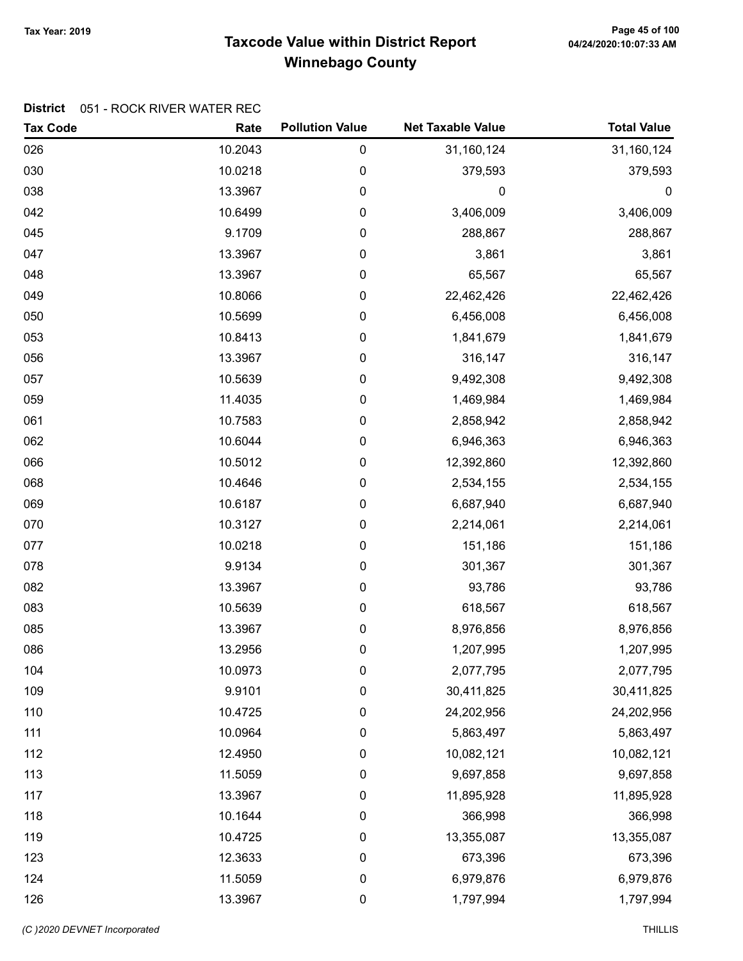# Taxcode Value within District Report Tax Year: 2019 Page 45 of 100 Winnebago County

### District 051 - ROCK RIVER WATER REC

| <b>Tax Code</b> | Rate    | <b>Pollution Value</b> | <b>Net Taxable Value</b> | <b>Total Value</b> |
|-----------------|---------|------------------------|--------------------------|--------------------|
| 026             | 10.2043 | $\pmb{0}$              | 31,160,124               | 31,160,124         |
| 030             | 10.0218 | 0                      | 379,593                  | 379,593            |
| 038             | 13.3967 | $\pmb{0}$              | 0                        | $\boldsymbol{0}$   |
| 042             | 10.6499 | 0                      | 3,406,009                | 3,406,009          |
| 045             | 9.1709  | 0                      | 288,867                  | 288,867            |
| 047             | 13.3967 | $\boldsymbol{0}$       | 3,861                    | 3,861              |
| 048             | 13.3967 | 0                      | 65,567                   | 65,567             |
| 049             | 10.8066 | 0                      | 22,462,426               | 22,462,426         |
| 050             | 10.5699 | 0                      | 6,456,008                | 6,456,008          |
| 053             | 10.8413 | $\pmb{0}$              | 1,841,679                | 1,841,679          |
| 056             | 13.3967 | 0                      | 316,147                  | 316,147            |
| 057             | 10.5639 | 0                      | 9,492,308                | 9,492,308          |
| 059             | 11.4035 | 0                      | 1,469,984                | 1,469,984          |
| 061             | 10.7583 | 0                      | 2,858,942                | 2,858,942          |
| 062             | 10.6044 | 0                      | 6,946,363                | 6,946,363          |
| 066             | 10.5012 | 0                      | 12,392,860               | 12,392,860         |
| 068             | 10.4646 | $\pmb{0}$              | 2,534,155                | 2,534,155          |
| 069             | 10.6187 | 0                      | 6,687,940                | 6,687,940          |
| 070             | 10.3127 | 0                      | 2,214,061                | 2,214,061          |
| 077             | 10.0218 | 0                      | 151,186                  | 151,186            |
| 078             | 9.9134  | 0                      | 301,367                  | 301,367            |
| 082             | 13.3967 | $\pmb{0}$              | 93,786                   | 93,786             |
| 083             | 10.5639 | 0                      | 618,567                  | 618,567            |
| 085             | 13.3967 | 0                      | 8,976,856                | 8,976,856          |
| 086             | 13.2956 | 0                      | 1,207,995                | 1,207,995          |
| 104             | 10.0973 | 0                      | 2,077,795                | 2,077,795          |
| 109             | 9.9101  | 0                      | 30,411,825               | 30,411,825         |
| 110             | 10.4725 | $\pmb{0}$              | 24,202,956               | 24,202,956         |
| 111             | 10.0964 | 0                      | 5,863,497                | 5,863,497          |
| 112             | 12.4950 | $\mathbf 0$            | 10,082,121               | 10,082,121         |
| 113             | 11.5059 | $\boldsymbol{0}$       | 9,697,858                | 9,697,858          |
| 117             | 13.3967 | $\pmb{0}$              | 11,895,928               | 11,895,928         |
| 118             | 10.1644 | $\pmb{0}$              | 366,998                  | 366,998            |
| 119             | 10.4725 | 0                      | 13,355,087               | 13,355,087         |
| 123             | 12.3633 | $\boldsymbol{0}$       | 673,396                  | 673,396            |
| 124             | 11.5059 | $\pmb{0}$              | 6,979,876                | 6,979,876          |
| 126             | 13.3967 | $\pmb{0}$              | 1,797,994                | 1,797,994          |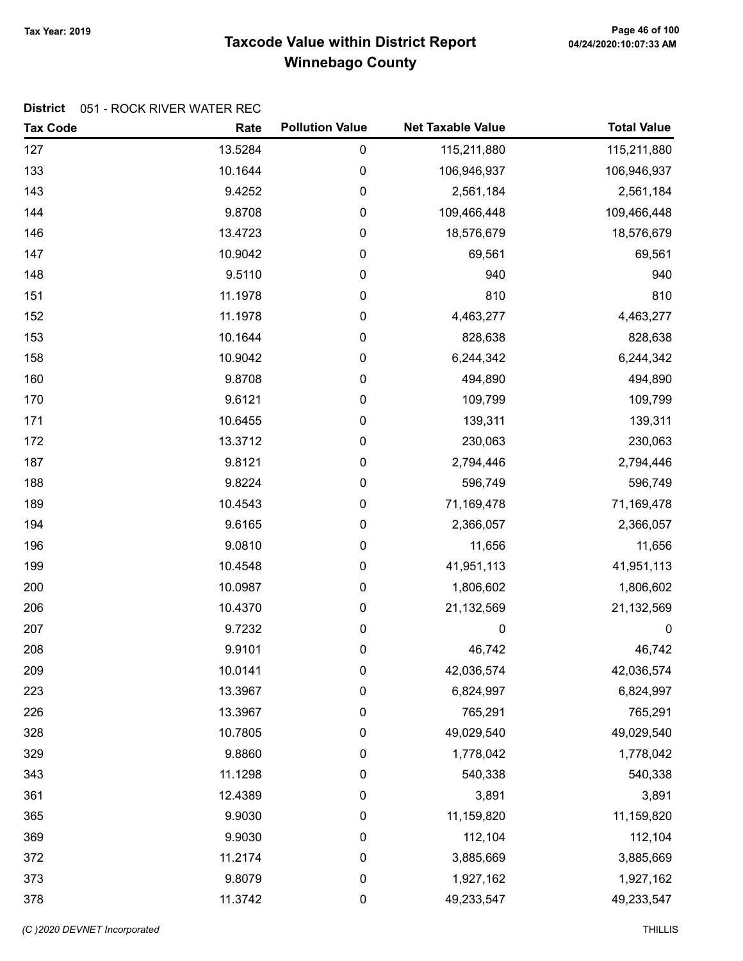# Taxcode Value within District Report Tax Year: 2019 Page 46 of 100 Winnebago County

### District 051 - ROCK RIVER WATER REC

| <b>Tax Code</b> | Rate    | <b>Pollution Value</b> | <b>Net Taxable Value</b> | <b>Total Value</b> |
|-----------------|---------|------------------------|--------------------------|--------------------|
| 127             | 13.5284 | $\pmb{0}$              | 115,211,880              | 115,211,880        |
| 133             | 10.1644 | $\boldsymbol{0}$       | 106,946,937              | 106,946,937        |
| 143             | 9.4252  | $\pmb{0}$              | 2,561,184                | 2,561,184          |
| 144             | 9.8708  | $\pmb{0}$              | 109,466,448              | 109,466,448        |
| 146             | 13.4723 | 0                      | 18,576,679               | 18,576,679         |
| 147             | 10.9042 | $\pmb{0}$              | 69,561                   | 69,561             |
| 148             | 9.5110  | $\pmb{0}$              | 940                      | 940                |
| 151             | 11.1978 | $\pmb{0}$              | 810                      | 810                |
| 152             | 11.1978 | $\pmb{0}$              | 4,463,277                | 4,463,277          |
| 153             | 10.1644 | $\pmb{0}$              | 828,638                  | 828,638            |
| 158             | 10.9042 | $\pmb{0}$              | 6,244,342                | 6,244,342          |
| 160             | 9.8708  | 0                      | 494,890                  | 494,890            |
| 170             | 9.6121  | $\pmb{0}$              | 109,799                  | 109,799            |
| 171             | 10.6455 | $\pmb{0}$              | 139,311                  | 139,311            |
| 172             | 13.3712 | $\pmb{0}$              | 230,063                  | 230,063            |
| 187             | 9.8121  | $\pmb{0}$              | 2,794,446                | 2,794,446          |
| 188             | 9.8224  | $\pmb{0}$              | 596,749                  | 596,749            |
| 189             | 10.4543 | $\pmb{0}$              | 71,169,478               | 71,169,478         |
| 194             | 9.6165  | $\pmb{0}$              | 2,366,057                | 2,366,057          |
| 196             | 9.0810  | $\pmb{0}$              | 11,656                   | 11,656             |
| 199             | 10.4548 | $\pmb{0}$              | 41,951,113               | 41,951,113         |
| 200             | 10.0987 | $\pmb{0}$              | 1,806,602                | 1,806,602          |
| 206             | 10.4370 | $\pmb{0}$              | 21,132,569               | 21,132,569         |
| 207             | 9.7232  | $\pmb{0}$              | $\mathbf 0$              | $\pmb{0}$          |
| 208             | 9.9101  | $\pmb{0}$              | 46,742                   | 46,742             |
| 209             | 10.0141 | 0                      | 42,036,574               | 42,036,574         |
| 223             | 13.3967 | $\mathbf 0$            | 6,824,997                | 6,824,997          |
| 226             | 13.3967 | $\pmb{0}$              | 765,291                  | 765,291            |
| 328             | 10.7805 | $\boldsymbol{0}$       | 49,029,540               | 49,029,540         |
| 329             | 9.8860  | $\mathbf 0$            | 1,778,042                | 1,778,042          |
| 343             | 11.1298 | $\boldsymbol{0}$       | 540,338                  | 540,338            |
| 361             | 12.4389 | $\pmb{0}$              | 3,891                    | 3,891              |
| 365             | 9.9030  | $\pmb{0}$              | 11,159,820               | 11,159,820         |
| 369             | 9.9030  | $\boldsymbol{0}$       | 112,104                  | 112,104            |
| 372             | 11.2174 | $\boldsymbol{0}$       | 3,885,669                | 3,885,669          |
| 373             | 9.8079  | $\boldsymbol{0}$       | 1,927,162                | 1,927,162          |
| 378             | 11.3742 | $\pmb{0}$              | 49,233,547               | 49,233,547         |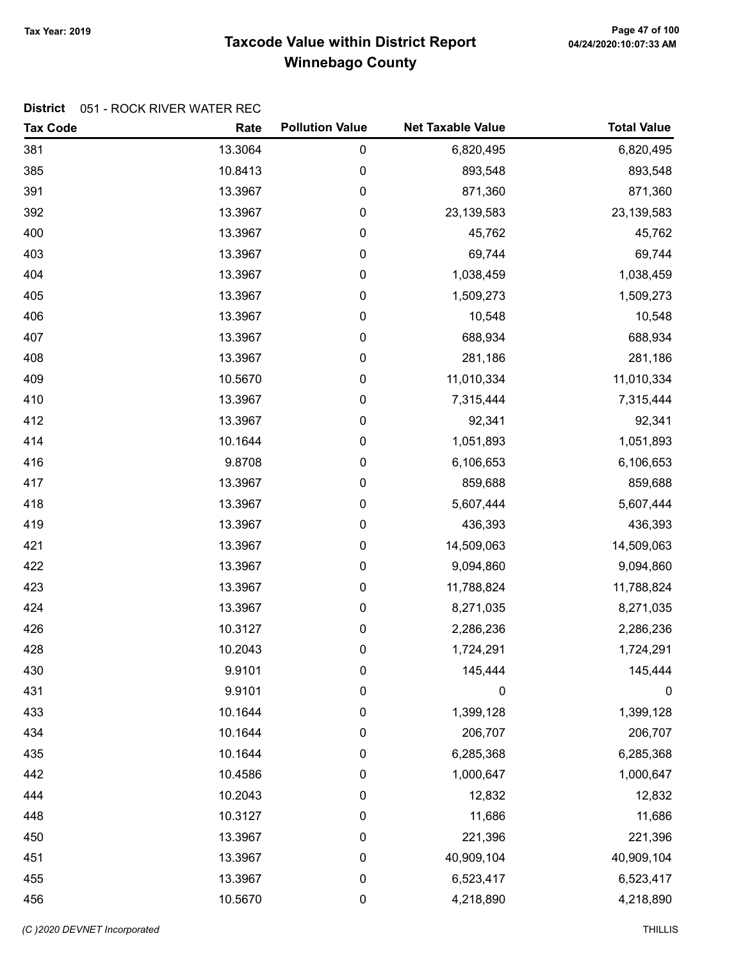# Taxcode Value within District Report Tax Year: 2019 Page 47 of 100 Winnebago County

### District 051 - ROCK RIVER WATER REC

| <b>Tax Code</b> | Rate    | <b>Pollution Value</b> | <b>Net Taxable Value</b> | <b>Total Value</b> |
|-----------------|---------|------------------------|--------------------------|--------------------|
| 381             | 13.3064 | 0                      | 6,820,495                | 6,820,495          |
| 385             | 10.8413 | 0                      | 893,548                  | 893,548            |
| 391             | 13.3967 | 0                      | 871,360                  | 871,360            |
| 392             | 13.3967 | 0                      | 23,139,583               | 23,139,583         |
| 400             | 13.3967 | 0                      | 45,762                   | 45,762             |
| 403             | 13.3967 | 0                      | 69,744                   | 69,744             |
| 404             | 13.3967 | 0                      | 1,038,459                | 1,038,459          |
| 405             | 13.3967 | 0                      | 1,509,273                | 1,509,273          |
| 406             | 13.3967 | 0                      | 10,548                   | 10,548             |
| 407             | 13.3967 | 0                      | 688,934                  | 688,934            |
| 408             | 13.3967 | 0                      | 281,186                  | 281,186            |
| 409             | 10.5670 | 0                      | 11,010,334               | 11,010,334         |
| 410             | 13.3967 | 0                      | 7,315,444                | 7,315,444          |
| 412             | 13.3967 | 0                      | 92,341                   | 92,341             |
| 414             | 10.1644 | 0                      | 1,051,893                | 1,051,893          |
| 416             | 9.8708  | 0                      | 6,106,653                | 6,106,653          |
| 417             | 13.3967 | 0                      | 859,688                  | 859,688            |
| 418             | 13.3967 | 0                      | 5,607,444                | 5,607,444          |
| 419             | 13.3967 | 0                      | 436,393                  | 436,393            |
| 421             | 13.3967 | 0                      | 14,509,063               | 14,509,063         |
| 422             | 13.3967 | 0                      | 9,094,860                | 9,094,860          |
| 423             | 13.3967 | 0                      | 11,788,824               | 11,788,824         |
| 424             | 13.3967 | 0                      | 8,271,035                | 8,271,035          |
| 426             | 10.3127 | 0                      | 2,286,236                | 2,286,236          |
| 428             | 10.2043 | 0                      | 1,724,291                | 1,724,291          |
| 430             | 9.9101  | 0                      | 145,444                  | 145,444            |
| 431             | 9.9101  | 0                      | 0                        | 0                  |
| 433             | 10.1644 | 0                      | 1,399,128                | 1,399,128          |
| 434             | 10.1644 | 0                      | 206,707                  | 206,707            |
| 435             | 10.1644 | 0                      | 6,285,368                | 6,285,368          |
| 442             | 10.4586 | 0                      | 1,000,647                | 1,000,647          |
| 444             | 10.2043 | 0                      | 12,832                   | 12,832             |
| 448             | 10.3127 | 0                      | 11,686                   | 11,686             |
| 450             | 13.3967 | 0                      | 221,396                  | 221,396            |
| 451             | 13.3967 | 0                      | 40,909,104               | 40,909,104         |
| 455             | 13.3967 | 0                      | 6,523,417                | 6,523,417          |
| 456             | 10.5670 | 0                      | 4,218,890                | 4,218,890          |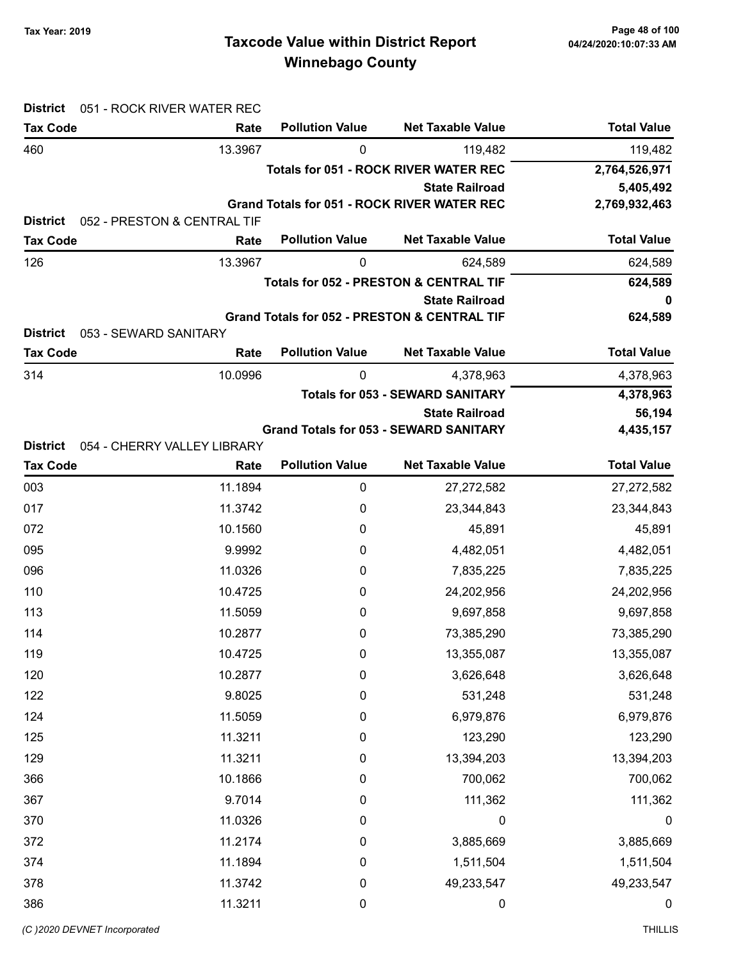# Taxcode Value within District Report Tax Year: 2019 Page 48 of 100 Winnebago County

| <b>Pollution Value</b><br><b>Net Taxable Value</b><br><b>Total Value</b><br><b>Tax Code</b><br>Rate<br>0<br>13.3967<br>460<br>119,482<br>119,482<br>2,764,526,971<br><b>Totals for 051 - ROCK RIVER WATER REC</b><br><b>State Railroad</b><br>5,405,492<br><b>Grand Totals for 051 - ROCK RIVER WATER REC</b><br>2,769,932,463<br><b>District</b><br>052 - PRESTON & CENTRAL TIF<br><b>Pollution Value</b><br><b>Net Taxable Value</b><br><b>Total Value</b><br><b>Tax Code</b><br>Rate<br>126<br>13.3967<br>0<br>624,589<br>624,589<br><b>Totals for 052 - PRESTON &amp; CENTRAL TIF</b><br>624,589<br><b>State Railroad</b><br>0<br><b>Grand Totals for 052 - PRESTON &amp; CENTRAL TIF</b><br>624,589<br><b>District</b><br>053 - SEWARD SANITARY<br><b>Pollution Value</b><br><b>Total Value</b><br><b>Net Taxable Value</b><br><b>Tax Code</b><br>Rate<br>10.0996<br>$\mathbf 0$<br>314<br>4,378,963<br>4,378,963<br><b>Totals for 053 - SEWARD SANITARY</b><br>4,378,963<br>56,194<br><b>State Railroad</b><br><b>Grand Totals for 053 - SEWARD SANITARY</b><br>4,435,157<br><b>District</b><br>054 - CHERRY VALLEY LIBRARY<br><b>Pollution Value</b><br><b>Total Value</b><br><b>Net Taxable Value</b><br><b>Tax Code</b><br>Rate<br>11.1894<br>003<br>0<br>27,272,582<br>27,272,582<br>017<br>11.3742<br>0<br>23,344,843<br>23,344,843<br>10.1560<br>072<br>0<br>45,891<br>45,891<br>095<br>9.9992<br>0<br>4,482,051<br>4,482,051<br>11.0326<br>096<br>7,835,225<br>7,835,225<br>0<br>110<br>10.4725<br>0<br>24,202,956<br>24,202,956<br>113<br>11.5059<br>9,697,858<br>9,697,858<br>0<br>73,385,290<br>114<br>10.2877<br>0<br>73,385,290<br>119<br>10.4725<br>$\boldsymbol{0}$<br>13,355,087<br>13,355,087<br>120<br>10.2877<br>$\mathbf 0$<br>3,626,648<br>3,626,648<br>122<br>9.8025<br>$\mathbf 0$<br>531,248<br>531,248<br>124<br>11.5059<br>6,979,876<br>0<br>6,979,876<br>125<br>11.3211<br>0<br>123,290<br>123,290<br>129<br>11.3211<br>13,394,203<br>0<br>13,394,203<br>366<br>10.1866<br>700,062<br>700,062<br>0<br>9.7014<br>111,362<br>111,362<br>367<br>0<br>11.0326<br>$\mathbf 0$<br>370<br>0<br>$\boldsymbol{0}$<br>11.2174<br>372<br>0<br>3,885,669<br>3,885,669<br>374<br>11.1894<br>1,511,504<br>0<br>1,511,504<br>378<br>11.3742<br>49,233,547<br>0<br>49,233,547<br>386<br>11.3211<br>$\boldsymbol{0}$<br>$\boldsymbol{0}$<br>0 | <b>District</b><br>051 - ROCK RIVER WATER REC |  |  |  |
|--------------------------------------------------------------------------------------------------------------------------------------------------------------------------------------------------------------------------------------------------------------------------------------------------------------------------------------------------------------------------------------------------------------------------------------------------------------------------------------------------------------------------------------------------------------------------------------------------------------------------------------------------------------------------------------------------------------------------------------------------------------------------------------------------------------------------------------------------------------------------------------------------------------------------------------------------------------------------------------------------------------------------------------------------------------------------------------------------------------------------------------------------------------------------------------------------------------------------------------------------------------------------------------------------------------------------------------------------------------------------------------------------------------------------------------------------------------------------------------------------------------------------------------------------------------------------------------------------------------------------------------------------------------------------------------------------------------------------------------------------------------------------------------------------------------------------------------------------------------------------------------------------------------------------------------------------------------------------------------------------------------------------------------------------------------------------------------------------------------------------------------------------------------------------------------------------------------------------------------------------------------------------------------------------------------------------------------------------------------|-----------------------------------------------|--|--|--|
|                                                                                                                                                                                                                                                                                                                                                                                                                                                                                                                                                                                                                                                                                                                                                                                                                                                                                                                                                                                                                                                                                                                                                                                                                                                                                                                                                                                                                                                                                                                                                                                                                                                                                                                                                                                                                                                                                                                                                                                                                                                                                                                                                                                                                                                                                                                                                              |                                               |  |  |  |
|                                                                                                                                                                                                                                                                                                                                                                                                                                                                                                                                                                                                                                                                                                                                                                                                                                                                                                                                                                                                                                                                                                                                                                                                                                                                                                                                                                                                                                                                                                                                                                                                                                                                                                                                                                                                                                                                                                                                                                                                                                                                                                                                                                                                                                                                                                                                                              |                                               |  |  |  |
|                                                                                                                                                                                                                                                                                                                                                                                                                                                                                                                                                                                                                                                                                                                                                                                                                                                                                                                                                                                                                                                                                                                                                                                                                                                                                                                                                                                                                                                                                                                                                                                                                                                                                                                                                                                                                                                                                                                                                                                                                                                                                                                                                                                                                                                                                                                                                              |                                               |  |  |  |
|                                                                                                                                                                                                                                                                                                                                                                                                                                                                                                                                                                                                                                                                                                                                                                                                                                                                                                                                                                                                                                                                                                                                                                                                                                                                                                                                                                                                                                                                                                                                                                                                                                                                                                                                                                                                                                                                                                                                                                                                                                                                                                                                                                                                                                                                                                                                                              |                                               |  |  |  |
|                                                                                                                                                                                                                                                                                                                                                                                                                                                                                                                                                                                                                                                                                                                                                                                                                                                                                                                                                                                                                                                                                                                                                                                                                                                                                                                                                                                                                                                                                                                                                                                                                                                                                                                                                                                                                                                                                                                                                                                                                                                                                                                                                                                                                                                                                                                                                              |                                               |  |  |  |
|                                                                                                                                                                                                                                                                                                                                                                                                                                                                                                                                                                                                                                                                                                                                                                                                                                                                                                                                                                                                                                                                                                                                                                                                                                                                                                                                                                                                                                                                                                                                                                                                                                                                                                                                                                                                                                                                                                                                                                                                                                                                                                                                                                                                                                                                                                                                                              |                                               |  |  |  |
|                                                                                                                                                                                                                                                                                                                                                                                                                                                                                                                                                                                                                                                                                                                                                                                                                                                                                                                                                                                                                                                                                                                                                                                                                                                                                                                                                                                                                                                                                                                                                                                                                                                                                                                                                                                                                                                                                                                                                                                                                                                                                                                                                                                                                                                                                                                                                              |                                               |  |  |  |
|                                                                                                                                                                                                                                                                                                                                                                                                                                                                                                                                                                                                                                                                                                                                                                                                                                                                                                                                                                                                                                                                                                                                                                                                                                                                                                                                                                                                                                                                                                                                                                                                                                                                                                                                                                                                                                                                                                                                                                                                                                                                                                                                                                                                                                                                                                                                                              |                                               |  |  |  |
|                                                                                                                                                                                                                                                                                                                                                                                                                                                                                                                                                                                                                                                                                                                                                                                                                                                                                                                                                                                                                                                                                                                                                                                                                                                                                                                                                                                                                                                                                                                                                                                                                                                                                                                                                                                                                                                                                                                                                                                                                                                                                                                                                                                                                                                                                                                                                              |                                               |  |  |  |
|                                                                                                                                                                                                                                                                                                                                                                                                                                                                                                                                                                                                                                                                                                                                                                                                                                                                                                                                                                                                                                                                                                                                                                                                                                                                                                                                                                                                                                                                                                                                                                                                                                                                                                                                                                                                                                                                                                                                                                                                                                                                                                                                                                                                                                                                                                                                                              |                                               |  |  |  |
|                                                                                                                                                                                                                                                                                                                                                                                                                                                                                                                                                                                                                                                                                                                                                                                                                                                                                                                                                                                                                                                                                                                                                                                                                                                                                                                                                                                                                                                                                                                                                                                                                                                                                                                                                                                                                                                                                                                                                                                                                                                                                                                                                                                                                                                                                                                                                              |                                               |  |  |  |
|                                                                                                                                                                                                                                                                                                                                                                                                                                                                                                                                                                                                                                                                                                                                                                                                                                                                                                                                                                                                                                                                                                                                                                                                                                                                                                                                                                                                                                                                                                                                                                                                                                                                                                                                                                                                                                                                                                                                                                                                                                                                                                                                                                                                                                                                                                                                                              |                                               |  |  |  |
|                                                                                                                                                                                                                                                                                                                                                                                                                                                                                                                                                                                                                                                                                                                                                                                                                                                                                                                                                                                                                                                                                                                                                                                                                                                                                                                                                                                                                                                                                                                                                                                                                                                                                                                                                                                                                                                                                                                                                                                                                                                                                                                                                                                                                                                                                                                                                              |                                               |  |  |  |
|                                                                                                                                                                                                                                                                                                                                                                                                                                                                                                                                                                                                                                                                                                                                                                                                                                                                                                                                                                                                                                                                                                                                                                                                                                                                                                                                                                                                                                                                                                                                                                                                                                                                                                                                                                                                                                                                                                                                                                                                                                                                                                                                                                                                                                                                                                                                                              |                                               |  |  |  |
|                                                                                                                                                                                                                                                                                                                                                                                                                                                                                                                                                                                                                                                                                                                                                                                                                                                                                                                                                                                                                                                                                                                                                                                                                                                                                                                                                                                                                                                                                                                                                                                                                                                                                                                                                                                                                                                                                                                                                                                                                                                                                                                                                                                                                                                                                                                                                              |                                               |  |  |  |
|                                                                                                                                                                                                                                                                                                                                                                                                                                                                                                                                                                                                                                                                                                                                                                                                                                                                                                                                                                                                                                                                                                                                                                                                                                                                                                                                                                                                                                                                                                                                                                                                                                                                                                                                                                                                                                                                                                                                                                                                                                                                                                                                                                                                                                                                                                                                                              |                                               |  |  |  |
|                                                                                                                                                                                                                                                                                                                                                                                                                                                                                                                                                                                                                                                                                                                                                                                                                                                                                                                                                                                                                                                                                                                                                                                                                                                                                                                                                                                                                                                                                                                                                                                                                                                                                                                                                                                                                                                                                                                                                                                                                                                                                                                                                                                                                                                                                                                                                              |                                               |  |  |  |
|                                                                                                                                                                                                                                                                                                                                                                                                                                                                                                                                                                                                                                                                                                                                                                                                                                                                                                                                                                                                                                                                                                                                                                                                                                                                                                                                                                                                                                                                                                                                                                                                                                                                                                                                                                                                                                                                                                                                                                                                                                                                                                                                                                                                                                                                                                                                                              |                                               |  |  |  |
|                                                                                                                                                                                                                                                                                                                                                                                                                                                                                                                                                                                                                                                                                                                                                                                                                                                                                                                                                                                                                                                                                                                                                                                                                                                                                                                                                                                                                                                                                                                                                                                                                                                                                                                                                                                                                                                                                                                                                                                                                                                                                                                                                                                                                                                                                                                                                              |                                               |  |  |  |
|                                                                                                                                                                                                                                                                                                                                                                                                                                                                                                                                                                                                                                                                                                                                                                                                                                                                                                                                                                                                                                                                                                                                                                                                                                                                                                                                                                                                                                                                                                                                                                                                                                                                                                                                                                                                                                                                                                                                                                                                                                                                                                                                                                                                                                                                                                                                                              |                                               |  |  |  |
|                                                                                                                                                                                                                                                                                                                                                                                                                                                                                                                                                                                                                                                                                                                                                                                                                                                                                                                                                                                                                                                                                                                                                                                                                                                                                                                                                                                                                                                                                                                                                                                                                                                                                                                                                                                                                                                                                                                                                                                                                                                                                                                                                                                                                                                                                                                                                              |                                               |  |  |  |
|                                                                                                                                                                                                                                                                                                                                                                                                                                                                                                                                                                                                                                                                                                                                                                                                                                                                                                                                                                                                                                                                                                                                                                                                                                                                                                                                                                                                                                                                                                                                                                                                                                                                                                                                                                                                                                                                                                                                                                                                                                                                                                                                                                                                                                                                                                                                                              |                                               |  |  |  |
|                                                                                                                                                                                                                                                                                                                                                                                                                                                                                                                                                                                                                                                                                                                                                                                                                                                                                                                                                                                                                                                                                                                                                                                                                                                                                                                                                                                                                                                                                                                                                                                                                                                                                                                                                                                                                                                                                                                                                                                                                                                                                                                                                                                                                                                                                                                                                              |                                               |  |  |  |
|                                                                                                                                                                                                                                                                                                                                                                                                                                                                                                                                                                                                                                                                                                                                                                                                                                                                                                                                                                                                                                                                                                                                                                                                                                                                                                                                                                                                                                                                                                                                                                                                                                                                                                                                                                                                                                                                                                                                                                                                                                                                                                                                                                                                                                                                                                                                                              |                                               |  |  |  |
|                                                                                                                                                                                                                                                                                                                                                                                                                                                                                                                                                                                                                                                                                                                                                                                                                                                                                                                                                                                                                                                                                                                                                                                                                                                                                                                                                                                                                                                                                                                                                                                                                                                                                                                                                                                                                                                                                                                                                                                                                                                                                                                                                                                                                                                                                                                                                              |                                               |  |  |  |
|                                                                                                                                                                                                                                                                                                                                                                                                                                                                                                                                                                                                                                                                                                                                                                                                                                                                                                                                                                                                                                                                                                                                                                                                                                                                                                                                                                                                                                                                                                                                                                                                                                                                                                                                                                                                                                                                                                                                                                                                                                                                                                                                                                                                                                                                                                                                                              |                                               |  |  |  |
|                                                                                                                                                                                                                                                                                                                                                                                                                                                                                                                                                                                                                                                                                                                                                                                                                                                                                                                                                                                                                                                                                                                                                                                                                                                                                                                                                                                                                                                                                                                                                                                                                                                                                                                                                                                                                                                                                                                                                                                                                                                                                                                                                                                                                                                                                                                                                              |                                               |  |  |  |
|                                                                                                                                                                                                                                                                                                                                                                                                                                                                                                                                                                                                                                                                                                                                                                                                                                                                                                                                                                                                                                                                                                                                                                                                                                                                                                                                                                                                                                                                                                                                                                                                                                                                                                                                                                                                                                                                                                                                                                                                                                                                                                                                                                                                                                                                                                                                                              |                                               |  |  |  |
|                                                                                                                                                                                                                                                                                                                                                                                                                                                                                                                                                                                                                                                                                                                                                                                                                                                                                                                                                                                                                                                                                                                                                                                                                                                                                                                                                                                                                                                                                                                                                                                                                                                                                                                                                                                                                                                                                                                                                                                                                                                                                                                                                                                                                                                                                                                                                              |                                               |  |  |  |
|                                                                                                                                                                                                                                                                                                                                                                                                                                                                                                                                                                                                                                                                                                                                                                                                                                                                                                                                                                                                                                                                                                                                                                                                                                                                                                                                                                                                                                                                                                                                                                                                                                                                                                                                                                                                                                                                                                                                                                                                                                                                                                                                                                                                                                                                                                                                                              |                                               |  |  |  |
|                                                                                                                                                                                                                                                                                                                                                                                                                                                                                                                                                                                                                                                                                                                                                                                                                                                                                                                                                                                                                                                                                                                                                                                                                                                                                                                                                                                                                                                                                                                                                                                                                                                                                                                                                                                                                                                                                                                                                                                                                                                                                                                                                                                                                                                                                                                                                              |                                               |  |  |  |
|                                                                                                                                                                                                                                                                                                                                                                                                                                                                                                                                                                                                                                                                                                                                                                                                                                                                                                                                                                                                                                                                                                                                                                                                                                                                                                                                                                                                                                                                                                                                                                                                                                                                                                                                                                                                                                                                                                                                                                                                                                                                                                                                                                                                                                                                                                                                                              |                                               |  |  |  |
|                                                                                                                                                                                                                                                                                                                                                                                                                                                                                                                                                                                                                                                                                                                                                                                                                                                                                                                                                                                                                                                                                                                                                                                                                                                                                                                                                                                                                                                                                                                                                                                                                                                                                                                                                                                                                                                                                                                                                                                                                                                                                                                                                                                                                                                                                                                                                              |                                               |  |  |  |
|                                                                                                                                                                                                                                                                                                                                                                                                                                                                                                                                                                                                                                                                                                                                                                                                                                                                                                                                                                                                                                                                                                                                                                                                                                                                                                                                                                                                                                                                                                                                                                                                                                                                                                                                                                                                                                                                                                                                                                                                                                                                                                                                                                                                                                                                                                                                                              |                                               |  |  |  |
|                                                                                                                                                                                                                                                                                                                                                                                                                                                                                                                                                                                                                                                                                                                                                                                                                                                                                                                                                                                                                                                                                                                                                                                                                                                                                                                                                                                                                                                                                                                                                                                                                                                                                                                                                                                                                                                                                                                                                                                                                                                                                                                                                                                                                                                                                                                                                              |                                               |  |  |  |
|                                                                                                                                                                                                                                                                                                                                                                                                                                                                                                                                                                                                                                                                                                                                                                                                                                                                                                                                                                                                                                                                                                                                                                                                                                                                                                                                                                                                                                                                                                                                                                                                                                                                                                                                                                                                                                                                                                                                                                                                                                                                                                                                                                                                                                                                                                                                                              |                                               |  |  |  |
|                                                                                                                                                                                                                                                                                                                                                                                                                                                                                                                                                                                                                                                                                                                                                                                                                                                                                                                                                                                                                                                                                                                                                                                                                                                                                                                                                                                                                                                                                                                                                                                                                                                                                                                                                                                                                                                                                                                                                                                                                                                                                                                                                                                                                                                                                                                                                              |                                               |  |  |  |
|                                                                                                                                                                                                                                                                                                                                                                                                                                                                                                                                                                                                                                                                                                                                                                                                                                                                                                                                                                                                                                                                                                                                                                                                                                                                                                                                                                                                                                                                                                                                                                                                                                                                                                                                                                                                                                                                                                                                                                                                                                                                                                                                                                                                                                                                                                                                                              |                                               |  |  |  |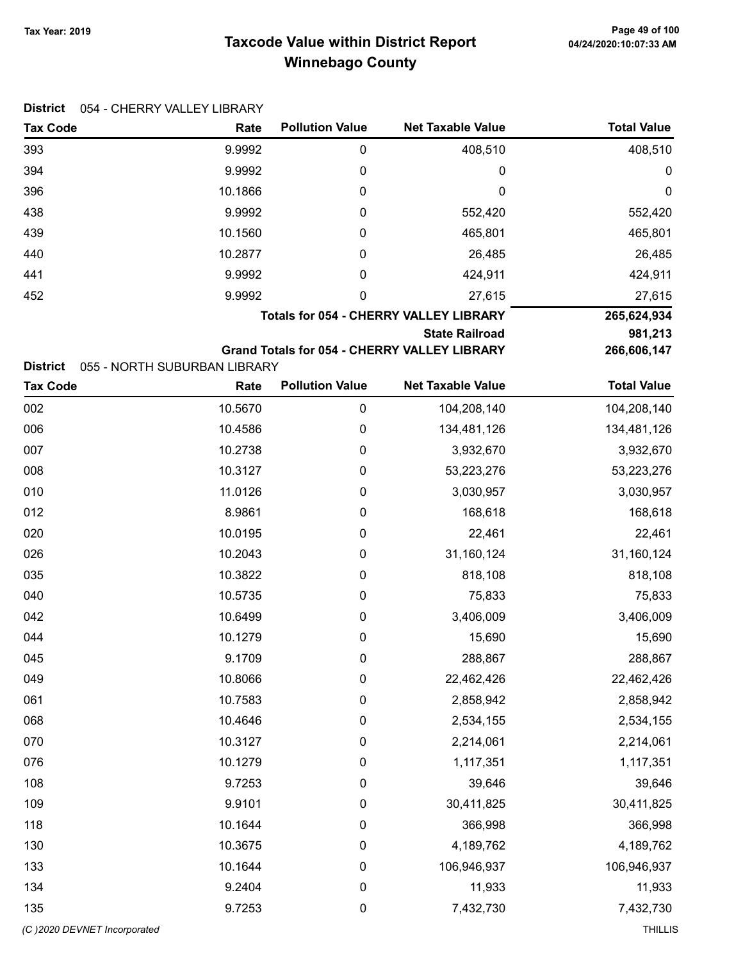# Taxcode Value within District Report Tax Year: 2019 Page 49 of 100 Winnebago County

| <b>District</b> | 054 - CHERRY VALLEY LIBRARY |                        |                                               |                    |
|-----------------|-----------------------------|------------------------|-----------------------------------------------|--------------------|
| <b>Tax Code</b> | Rate                        | <b>Pollution Value</b> | <b>Net Taxable Value</b>                      | <b>Total Value</b> |
| 393             | 9.9992                      | 0                      | 408,510                                       | 408,510            |
| 394             | 9.9992                      | 0                      | 0                                             | 0                  |
| 396             | 10.1866                     | 0                      | 0                                             | 0                  |
| 438             | 9.9992                      | 0                      | 552,420                                       | 552,420            |
| 439             | 10.1560                     | 0                      | 465,801                                       | 465,801            |
| 440             | 10.2877                     | 0                      | 26,485                                        | 26,485             |
| 441             | 9.9992                      | 0                      | 424,911                                       | 424,911            |
| 452             | 9.9992                      | 0                      | 27,615                                        | 27,615             |
|                 |                             |                        | <b>Totals for 054 - CHERRY VALLEY LIBRARY</b> | 265,624,934        |
|                 |                             |                        | <b>State Railroad</b>                         | 981,213            |

Grand Totals for 054 - CHERRY VALLEY LIBRARY 266,606,147

District 055 - NORTH SUBURBAN LIBRARY

| <b>Tax Code</b>             | Rate    | <b>Pollution Value</b> | <b>Net Taxable Value</b> | <b>Total Value</b> |
|-----------------------------|---------|------------------------|--------------------------|--------------------|
| 002                         | 10.5670 | $\pmb{0}$              | 104,208,140              | 104,208,140        |
| 006                         | 10.4586 | $\pmb{0}$              | 134,481,126              | 134,481,126        |
| 007                         | 10.2738 | $\pmb{0}$              | 3,932,670                | 3,932,670          |
| 008                         | 10.3127 | $\mathbf 0$            | 53,223,276               | 53,223,276         |
| 010                         | 11.0126 | $\pmb{0}$              | 3,030,957                | 3,030,957          |
| 012                         | 8.9861  | $\mathbf 0$            | 168,618                  | 168,618            |
| 020                         | 10.0195 | $\mathbf 0$            | 22,461                   | 22,461             |
| 026                         | 10.2043 | $\mathbf 0$            | 31,160,124               | 31,160,124         |
| 035                         | 10.3822 | $\mathbf 0$            | 818,108                  | 818,108            |
| 040                         | 10.5735 | $\mathbf 0$            | 75,833                   | 75,833             |
| 042                         | 10.6499 | $\mathbf 0$            | 3,406,009                | 3,406,009          |
| 044                         | 10.1279 | $\mathbf 0$            | 15,690                   | 15,690             |
| 045                         | 9.1709  | $\pmb{0}$              | 288,867                  | 288,867            |
| 049                         | 10.8066 | $\boldsymbol{0}$       | 22,462,426               | 22,462,426         |
| 061                         | 10.7583 | $\mathbf 0$            | 2,858,942                | 2,858,942          |
| 068                         | 10.4646 | $\mathbf 0$            | 2,534,155                | 2,534,155          |
| 070                         | 10.3127 | $\mathbf 0$            | 2,214,061                | 2,214,061          |
| 076                         | 10.1279 | $\pmb{0}$              | 1,117,351                | 1,117,351          |
| 108                         | 9.7253  | $\mathbf 0$            | 39,646                   | 39,646             |
| 109                         | 9.9101  | $\mathbf 0$            | 30,411,825               | 30,411,825         |
| 118                         | 10.1644 | $\mathbf 0$            | 366,998                  | 366,998            |
| 130                         | 10.3675 | $\pmb{0}$              | 4,189,762                | 4,189,762          |
| 133                         | 10.1644 | $\pmb{0}$              | 106,946,937              | 106,946,937        |
| 134                         | 9.2404  | $\boldsymbol{0}$       | 11,933                   | 11,933             |
| 135                         | 9.7253  | $\mathbf 0$            | 7,432,730                | 7,432,730          |
| (C)2020 DEVNET Incorporated |         |                        |                          | <b>THILLIS</b>     |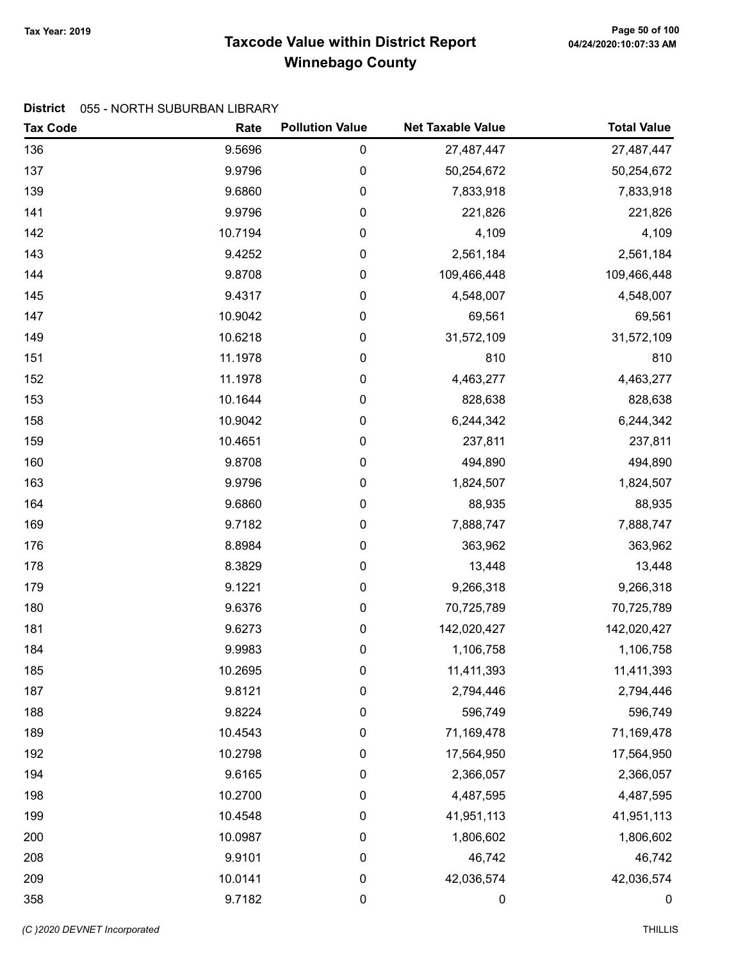# Taxcode Value within District Report Tax Year: 2019 Page 50 of 100 Winnebago County

#### District 055 - NORTH SUBURBAN LIBRARY

| <b>Tax Code</b> | Rate    | <b>Pollution Value</b> | <b>Net Taxable Value</b> | <b>Total Value</b> |
|-----------------|---------|------------------------|--------------------------|--------------------|
| 136             | 9.5696  | $\pmb{0}$              | 27,487,447               | 27,487,447         |
| 137             | 9.9796  | $\boldsymbol{0}$       | 50,254,672               | 50,254,672         |
| 139             | 9.6860  | $\pmb{0}$              | 7,833,918                | 7,833,918          |
| 141             | 9.9796  | $\pmb{0}$              | 221,826                  | 221,826            |
| 142             | 10.7194 | $\pmb{0}$              | 4,109                    | 4,109              |
| 143             | 9.4252  | $\pmb{0}$              | 2,561,184                | 2,561,184          |
| 144             | 9.8708  | $\pmb{0}$              | 109,466,448              | 109,466,448        |
| 145             | 9.4317  | $\pmb{0}$              | 4,548,007                | 4,548,007          |
| 147             | 10.9042 | $\pmb{0}$              | 69,561                   | 69,561             |
| 149             | 10.6218 | $\pmb{0}$              | 31,572,109               | 31,572,109         |
| 151             | 11.1978 | $\pmb{0}$              | 810                      | 810                |
| 152             | 11.1978 | $\pmb{0}$              | 4,463,277                | 4,463,277          |
| 153             | 10.1644 | $\boldsymbol{0}$       | 828,638                  | 828,638            |
| 158             | 10.9042 | $\pmb{0}$              | 6,244,342                | 6,244,342          |
| 159             | 10.4651 | $\boldsymbol{0}$       | 237,811                  | 237,811            |
| 160             | 9.8708  | $\pmb{0}$              | 494,890                  | 494,890            |
| 163             | 9.9796  | $\pmb{0}$              | 1,824,507                | 1,824,507          |
| 164             | 9.6860  | $\pmb{0}$              | 88,935                   | 88,935             |
| 169             | 9.7182  | $\pmb{0}$              | 7,888,747                | 7,888,747          |
| 176             | 8.8984  | $\pmb{0}$              | 363,962                  | 363,962            |
| 178             | 8.3829  | $\pmb{0}$              | 13,448                   | 13,448             |
| 179             | 9.1221  | $\boldsymbol{0}$       | 9,266,318                | 9,266,318          |
| 180             | 9.6376  | $\pmb{0}$              | 70,725,789               | 70,725,789         |
| 181             | 9.6273  | $\pmb{0}$              | 142,020,427              | 142,020,427        |
| 184             | 9.9983  | $\pmb{0}$              | 1,106,758                | 1,106,758          |
| 185             | 10.2695 | 0                      | 11,411,393               | 11,411,393         |
| 187             | 9.8121  | $\boldsymbol{0}$       | 2,794,446                | 2,794,446          |
| 188             | 9.8224  | $\pmb{0}$              | 596,749                  | 596,749            |
| 189             | 10.4543 | $\boldsymbol{0}$       | 71,169,478               | 71,169,478         |
| 192             | 10.2798 | $\pmb{0}$              | 17,564,950               | 17,564,950         |
| 194             | 9.6165  | 0                      | 2,366,057                | 2,366,057          |
| 198             | 10.2700 | $\pmb{0}$              | 4,487,595                | 4,487,595          |
| 199             | 10.4548 | $\boldsymbol{0}$       | 41,951,113               | 41,951,113         |
| 200             | 10.0987 | $\boldsymbol{0}$       | 1,806,602                | 1,806,602          |
| 208             | 9.9101  | $\boldsymbol{0}$       | 46,742                   | 46,742             |
| 209             | 10.0141 | $\pmb{0}$              | 42,036,574               | 42,036,574         |
| 358             | 9.7182  | $\pmb{0}$              | $\boldsymbol{0}$         | $\pmb{0}$          |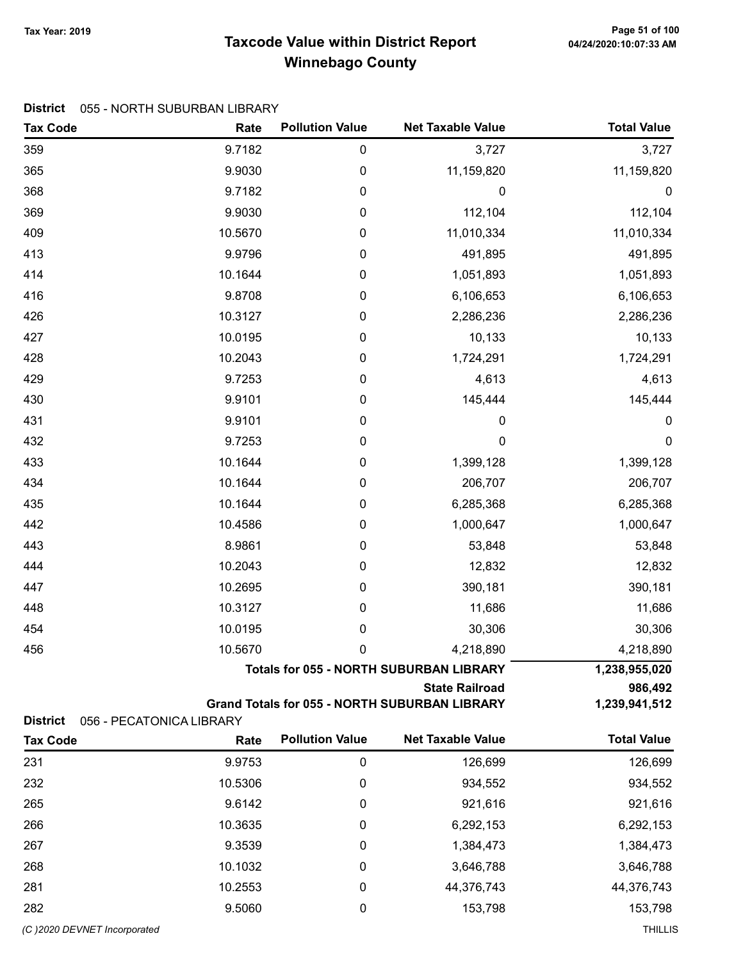# Taxcode Value within District Report Tax Year: 2019 Page 51 of 100 Winnebago County

#### District 055 - NORTH SUBURBAN LIBRARY

| <b>Tax Code</b>                             | Rate    | <b>Pollution Value</b> | <b>Net Taxable Value</b>                             | <b>Total Value</b> |
|---------------------------------------------|---------|------------------------|------------------------------------------------------|--------------------|
| 359                                         | 9.7182  | $\pmb{0}$              | 3,727                                                | 3,727              |
| 365                                         | 9.9030  | 0                      | 11,159,820                                           | 11,159,820         |
| 368                                         | 9.7182  | 0                      | 0                                                    | $\boldsymbol{0}$   |
| 369                                         | 9.9030  | 0                      | 112,104                                              | 112,104            |
| 409                                         | 10.5670 | 0                      | 11,010,334                                           | 11,010,334         |
| 413                                         | 9.9796  | 0                      | 491,895                                              | 491,895            |
| 414                                         | 10.1644 | 0                      | 1,051,893                                            | 1,051,893          |
| 416                                         | 9.8708  | 0                      | 6,106,653                                            | 6,106,653          |
| 426                                         | 10.3127 | 0                      | 2,286,236                                            | 2,286,236          |
| 427                                         | 10.0195 | $\boldsymbol{0}$       | 10,133                                               | 10,133             |
| 428                                         | 10.2043 | $\pmb{0}$              | 1,724,291                                            | 1,724,291          |
| 429                                         | 9.7253  | $\pmb{0}$              | 4,613                                                | 4,613              |
| 430                                         | 9.9101  | 0                      | 145,444                                              | 145,444            |
| 431                                         | 9.9101  | $\pmb{0}$              | 0                                                    | 0                  |
| 432                                         | 9.7253  | $\boldsymbol{0}$       | 0                                                    | 0                  |
| 433                                         | 10.1644 | 0                      | 1,399,128                                            | 1,399,128          |
| 434                                         | 10.1644 | 0                      | 206,707                                              | 206,707            |
| 435                                         | 10.1644 | $\pmb{0}$              | 6,285,368                                            | 6,285,368          |
| 442                                         | 10.4586 | 0                      | 1,000,647                                            | 1,000,647          |
| 443                                         | 8.9861  | 0                      | 53,848                                               | 53,848             |
| 444                                         | 10.2043 | 0                      | 12,832                                               | 12,832             |
| 447                                         | 10.2695 | $\boldsymbol{0}$       | 390,181                                              | 390,181            |
| 448                                         | 10.3127 | $\boldsymbol{0}$       | 11,686                                               | 11,686             |
| 454                                         | 10.0195 | $\boldsymbol{0}$       | 30,306                                               | 30,306             |
| 456                                         | 10.5670 | 0                      | 4,218,890                                            | 4,218,890          |
|                                             |         |                        | <b>Totals for 055 - NORTH SUBURBAN LIBRARY</b>       | 1,238,955,020      |
|                                             |         |                        | <b>State Railroad</b>                                | 986,492            |
| <b>District</b><br>056 - PECATONICA LIBRARY |         |                        | <b>Grand Totals for 055 - NORTH SUBURBAN LIBRARY</b> | 1,239,941,512      |
| <b>Tax Code</b>                             | Rate    | <b>Pollution Value</b> | <b>Net Taxable Value</b>                             | <b>Total Value</b> |
| 231                                         | 9.9753  | $\pmb{0}$              | 126,699                                              | 126,699            |
| 232                                         | 10.5306 | 0                      | 934,552                                              | 934,552            |
| 265                                         | 9.6142  | 0                      | 921,616                                              | 921,616            |
| 266                                         | 10.3635 | 0                      | 6,292,153                                            | 6,292,153          |
| 267                                         | 9.3539  | 0                      | 1,384,473                                            | 1,384,473          |
| 268                                         | 10.1032 | 0                      | 3,646,788                                            | 3,646,788          |
| 281                                         | 10.2553 | 0                      | 44,376,743                                           | 44,376,743         |

282 9.5060 0 153,798 153,798

(C )2020 DEVNET Incorporated THILLIS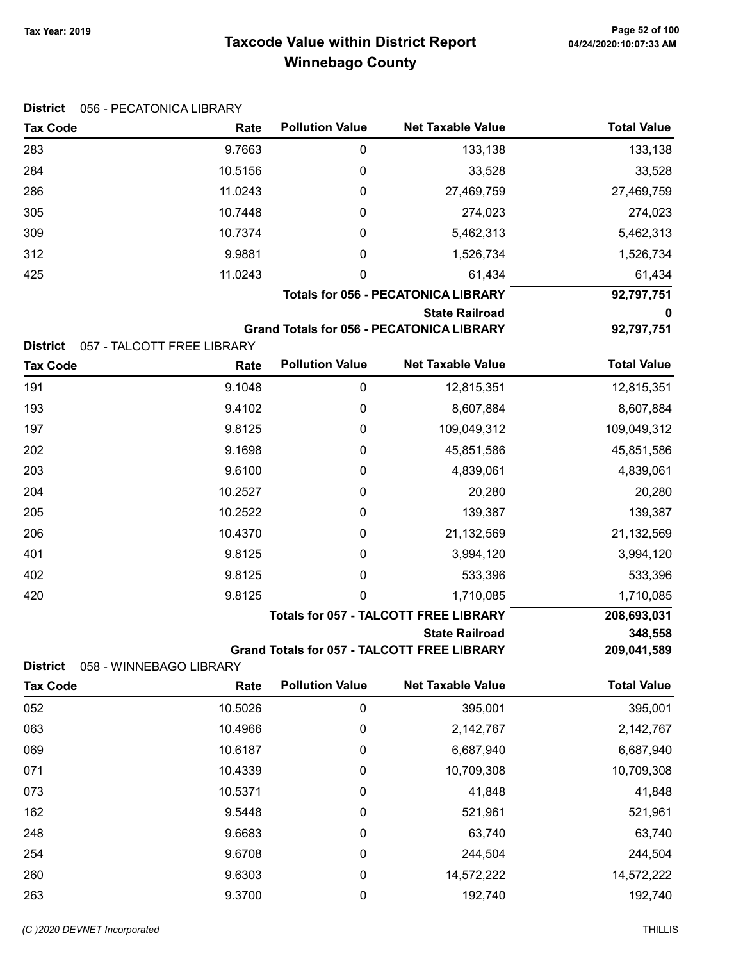# Taxcode Value within District Report Tax Year: 2019 Page 52 of 100 Winnebago County

| <b>Tax Code</b> | Rate    | <b>Pollution Value</b> | <b>Net Taxable Value</b>                   | <b>Total Value</b> |
|-----------------|---------|------------------------|--------------------------------------------|--------------------|
| 283             | 9.7663  | 0                      | 133,138                                    | 133,138            |
| 284             | 10.5156 | 0                      | 33,528                                     | 33,528             |
| 286             | 11.0243 | 0                      | 27,469,759                                 | 27,469,759         |
| 305             | 10.7448 | 0                      | 274,023                                    | 274,023            |
| 309             | 10.7374 | 0                      | 5,462,313                                  | 5,462,313          |
| 312             | 9.9881  | 0                      | 1,526,734                                  | 1,526,734          |
| 425             | 11.0243 | 0                      | 61,434                                     | 61,434             |
|                 |         |                        | <b>Totals for 056 - PECATONICA LIBRARY</b> | 92,797,751         |
|                 |         |                        | <b>State Railroad</b>                      | 0                  |

Grand Totals for 056 - PECATONICA LIBRARY 92,797,751

District 057 - TALCOTT FREE LIBRARY

| <b>Tax Code</b> | Rate    | <b>Pollution Value</b> | <b>Net Taxable Value</b>                     | <b>Total Value</b> |
|-----------------|---------|------------------------|----------------------------------------------|--------------------|
| 191             | 9.1048  | 0                      | 12,815,351                                   | 12,815,351         |
| 193             | 9.4102  | 0                      | 8,607,884                                    | 8,607,884          |
| 197             | 9.8125  | 0                      | 109,049,312                                  | 109,049,312        |
| 202             | 9.1698  | 0                      | 45,851,586                                   | 45,851,586         |
| 203             | 9.6100  | 0                      | 4,839,061                                    | 4,839,061          |
| 204             | 10.2527 | 0                      | 20,280                                       | 20,280             |
| 205             | 10.2522 | 0                      | 139,387                                      | 139,387            |
| 206             | 10.4370 | 0                      | 21,132,569                                   | 21,132,569         |
| 401             | 9.8125  | 0                      | 3,994,120                                    | 3,994,120          |
| 402             | 9.8125  | 0                      | 533,396                                      | 533,396            |
| 420             | 9.8125  | 0                      | 1,710,085                                    | 1,710,085          |
|                 |         |                        | <b>Totals for 057 - TALCOTT FREE LIBRARY</b> | 208,693,031        |

State Railroad 348,558

Grand Totals for 057 - TALCOTT FREE LIBRARY 209,041,589

#### District 058 - WINNEBAGO LIBRARY

| <b>Tax Code</b> | Rate    | <b>Pollution Value</b> | <b>Net Taxable Value</b> | <b>Total Value</b> |
|-----------------|---------|------------------------|--------------------------|--------------------|
| 052             | 10.5026 | 0                      | 395,001                  | 395,001            |
| 063             | 10.4966 | 0                      | 2,142,767                | 2,142,767          |
| 069             | 10.6187 | 0                      | 6,687,940                | 6,687,940          |
| 071             | 10.4339 | 0                      | 10,709,308               | 10,709,308         |
| 073             | 10.5371 | 0                      | 41,848                   | 41,848             |
| 162             | 9.5448  | 0                      | 521,961                  | 521,961            |
| 248             | 9.6683  | 0                      | 63,740                   | 63,740             |
| 254             | 9.6708  | 0                      | 244,504                  | 244,504            |
| 260             | 9.6303  | 0                      | 14,572,222               | 14,572,222         |
| 263             | 9.3700  | 0                      | 192,740                  | 192,740            |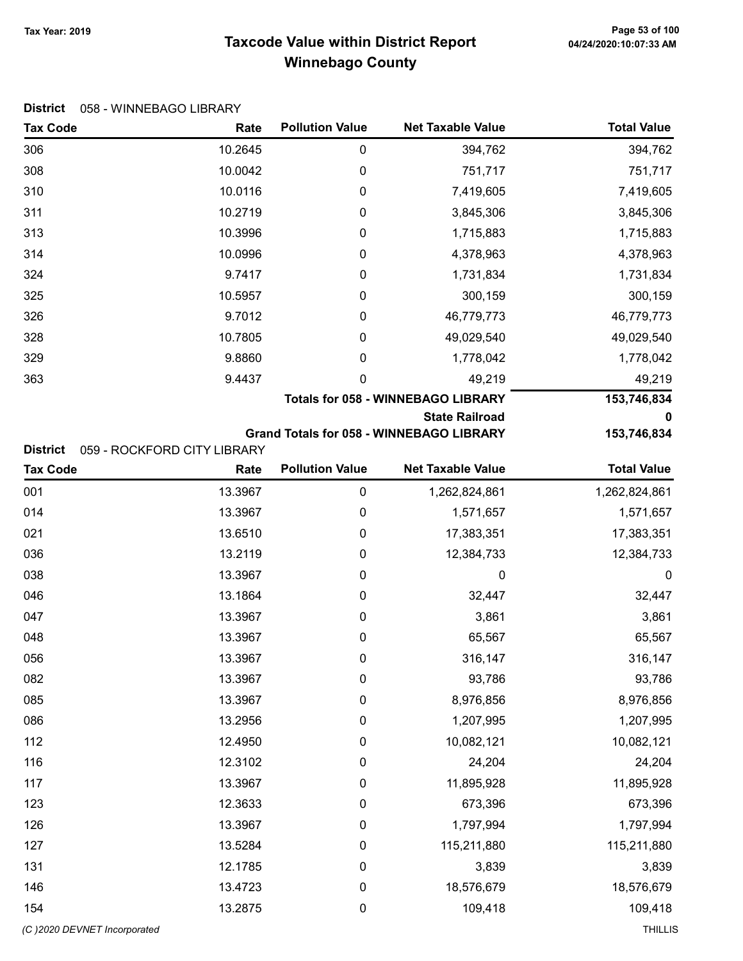# Taxcode Value within District Report Tax Year: 2019 Page 53 of 100 Winnebago County

| <b>Tax Code</b>              | Rate                        | <b>Pollution Value</b> | <b>Net Taxable Value</b>                        | <b>Total Value</b> |
|------------------------------|-----------------------------|------------------------|-------------------------------------------------|--------------------|
| 306                          | 10.2645                     | 0                      | 394,762                                         | 394,762            |
| 308                          | 10.0042                     | 0                      | 751,717                                         | 751,717            |
| 310                          | 10.0116                     | 0                      | 7,419,605                                       | 7,419,605          |
| 311                          | 10.2719                     | 0                      | 3,845,306                                       | 3,845,306          |
| 313                          | 10.3996                     | 0                      | 1,715,883                                       | 1,715,883          |
| 314                          | 10.0996                     | 0                      | 4,378,963                                       | 4,378,963          |
| 324                          | 9.7417                      | 0                      | 1,731,834                                       | 1,731,834          |
| 325                          | 10.5957                     | 0                      | 300,159                                         | 300,159            |
| 326                          | 9.7012                      | 0                      | 46,779,773                                      | 46,779,773         |
| 328                          | 10.7805                     | 0                      | 49,029,540                                      | 49,029,540         |
| 329                          | 9.8860                      | 0                      | 1,778,042                                       | 1,778,042          |
| 363                          | 9.4437                      | 0                      | 49,219                                          | 49,219             |
|                              |                             |                        | <b>Totals for 058 - WINNEBAGO LIBRARY</b>       | 153,746,834        |
|                              |                             |                        | <b>State Railroad</b>                           | 0                  |
| <b>District</b>              | 059 - ROCKFORD CITY LIBRARY |                        | <b>Grand Totals for 058 - WINNEBAGO LIBRARY</b> | 153,746,834        |
| <b>Tax Code</b>              | Rate                        | <b>Pollution Value</b> | <b>Net Taxable Value</b>                        | <b>Total Value</b> |
| 001                          | 13.3967                     | 0                      | 1,262,824,861                                   | 1,262,824,861      |
| 014                          | 13.3967                     | 0                      | 1,571,657                                       | 1,571,657          |
| 021                          | 13.6510                     | 0                      | 17,383,351                                      | 17,383,351         |
| 036                          | 13.2119                     | 0                      | 12,384,733                                      | 12,384,733         |
| 038                          | 13.3967                     | 0                      | 0                                               | $\mathbf 0$        |
| 046                          | 13.1864                     | 0                      | 32,447                                          | 32,447             |
| 047                          | 13.3967                     | 0                      | 3,861                                           | 3,861              |
| 048                          | 13.3967                     | 0                      | 65,567                                          | 65,567             |
| 056                          | 13.3967                     | 0                      | 316,147                                         | 316,147            |
| 082                          | 13.3967                     | 0                      | 93,786                                          | 93,786             |
| 085                          | 13.3967                     | 0                      | 8,976,856                                       | 8,976,856          |
| 086                          | 13.2956                     | 0                      | 1,207,995                                       | 1,207,995          |
| 112                          | 12.4950                     | 0                      | 10,082,121                                      | 10,082,121         |
| 116                          | 12.3102                     | 0                      | 24,204                                          | 24,204             |
| 117                          | 13.3967                     | 0                      | 11,895,928                                      | 11,895,928         |
| 123                          | 12.3633                     | 0                      | 673,396                                         | 673,396            |
| 126                          | 13.3967                     | 0                      | 1,797,994                                       | 1,797,994          |
| 127                          | 13.5284                     | 0                      | 115,211,880                                     | 115,211,880        |
| 131                          | 12.1785                     | 0                      | 3,839                                           | 3,839              |
| 146                          | 13.4723                     | $\boldsymbol{0}$       | 18,576,679                                      | 18,576,679         |
| 154                          | 13.2875                     | 0                      | 109,418                                         | 109,418            |
| (C) 2020 DEVNET Incorporated |                             |                        |                                                 | <b>THILLIS</b>     |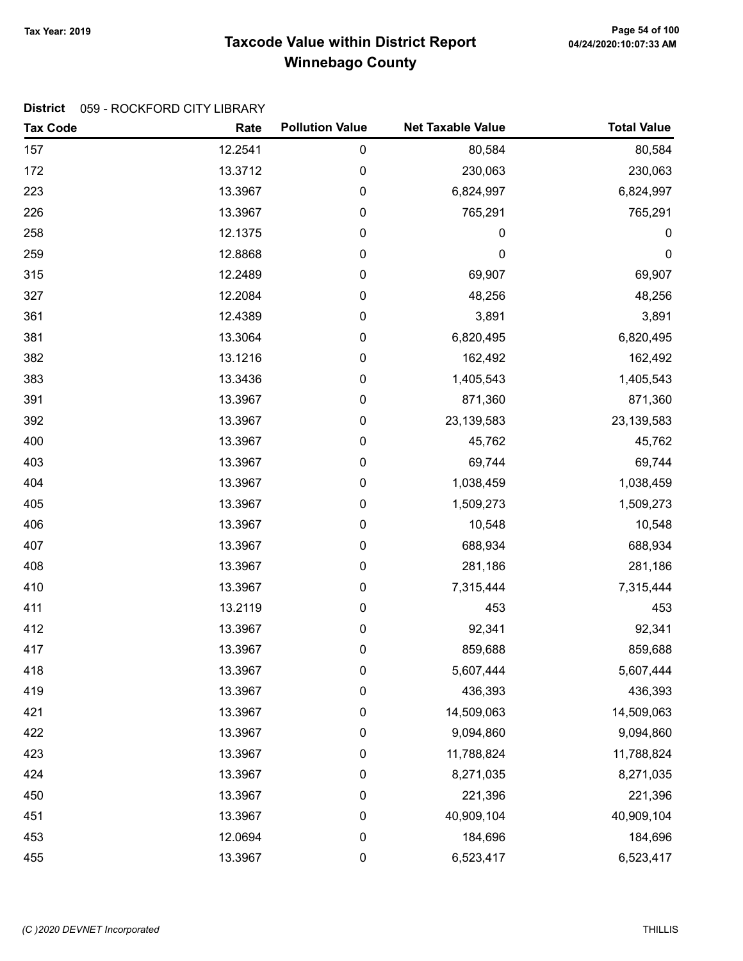# Taxcode Value within District Report Tax Year: 2019 Page 54 of 100 Winnebago County

### District 059 - ROCKFORD CITY LIBRARY

| <b>Tax Code</b> | Rate    | <b>Pollution Value</b> | <b>Net Taxable Value</b> | <b>Total Value</b> |
|-----------------|---------|------------------------|--------------------------|--------------------|
| 157             | 12.2541 | 0                      | 80,584                   | 80,584             |
| 172             | 13.3712 | 0                      | 230,063                  | 230,063            |
| 223             | 13.3967 | 0                      | 6,824,997                | 6,824,997          |
| 226             | 13.3967 | 0                      | 765,291                  | 765,291            |
| 258             | 12.1375 | 0                      | 0                        | 0                  |
| 259             | 12.8868 | $\pmb{0}$              | $\mathbf 0$              | $\mathbf 0$        |
| 315             | 12.2489 | 0                      | 69,907                   | 69,907             |
| 327             | 12.2084 | 0                      | 48,256                   | 48,256             |
| 361             | 12.4389 | 0                      | 3,891                    | 3,891              |
| 381             | 13.3064 | 0                      | 6,820,495                | 6,820,495          |
| 382             | 13.1216 | 0                      | 162,492                  | 162,492            |
| 383             | 13.3436 | 0                      | 1,405,543                | 1,405,543          |
| 391             | 13.3967 | 0                      | 871,360                  | 871,360            |
| 392             | 13.3967 | 0                      | 23,139,583               | 23,139,583         |
| 400             | 13.3967 | 0                      | 45,762                   | 45,762             |
| 403             | 13.3967 | 0                      | 69,744                   | 69,744             |
| 404             | 13.3967 | 0                      | 1,038,459                | 1,038,459          |
| 405             | 13.3967 | 0                      | 1,509,273                | 1,509,273          |
| 406             | 13.3967 | 0                      | 10,548                   | 10,548             |
| 407             | 13.3967 | 0                      | 688,934                  | 688,934            |
| 408             | 13.3967 | 0                      | 281,186                  | 281,186            |
| 410             | 13.3967 | 0                      | 7,315,444                | 7,315,444          |
| 411             | 13.2119 | 0                      | 453                      | 453                |
| 412             | 13.3967 | 0                      | 92,341                   | 92,341             |
| 417             | 13.3967 | 0                      | 859,688                  | 859,688            |
| 418             | 13.3967 | 0                      | 5,607,444                | 5,607,444          |
| 419             | 13.3967 | 0                      | 436,393                  | 436,393            |
| 421             | 13.3967 | 0                      | 14,509,063               | 14,509,063         |
| 422             | 13.3967 | 0                      | 9,094,860                | 9,094,860          |
| 423             | 13.3967 | 0                      | 11,788,824               | 11,788,824         |
| 424             | 13.3967 | 0                      | 8,271,035                | 8,271,035          |
| 450             | 13.3967 | 0                      | 221,396                  | 221,396            |
| 451             | 13.3967 | 0                      | 40,909,104               | 40,909,104         |
| 453             | 12.0694 | 0                      | 184,696                  | 184,696            |
| 455             | 13.3967 | $\pmb{0}$              | 6,523,417                | 6,523,417          |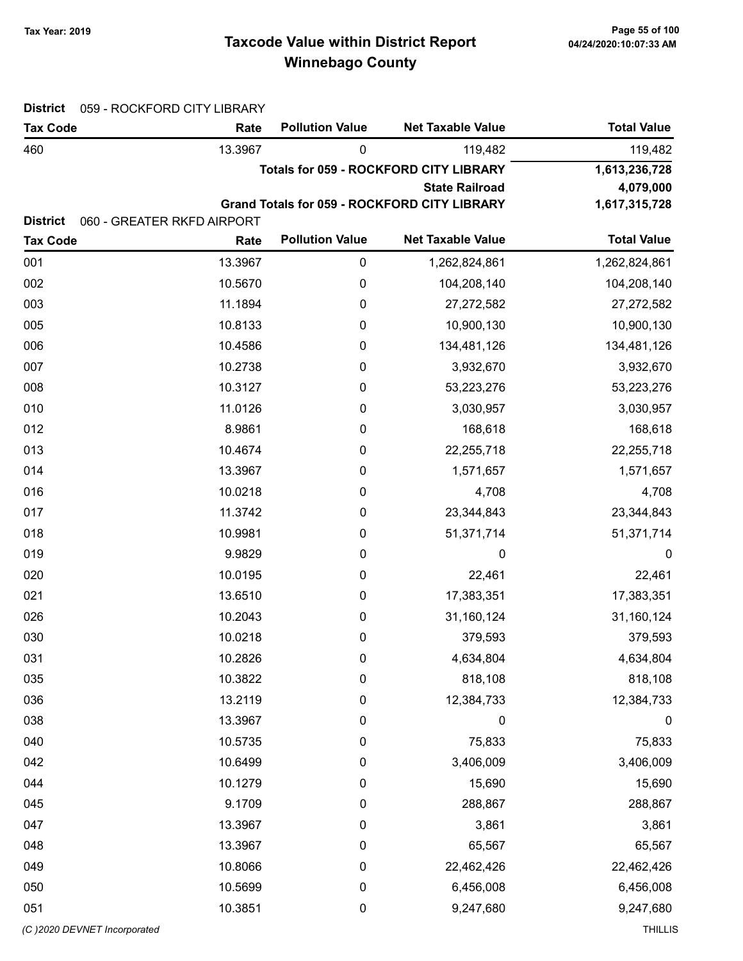# Taxcode Value within District Report Tax Year: 2019 Page 55 of 100 Winnebago County

| <b>District</b><br>059 - ROCKFORD CITY LIBRARY |                            |                        |                                                     |                    |  |
|------------------------------------------------|----------------------------|------------------------|-----------------------------------------------------|--------------------|--|
| <b>Tax Code</b>                                | Rate                       | <b>Pollution Value</b> | <b>Net Taxable Value</b>                            | <b>Total Value</b> |  |
| 460                                            | 13.3967                    | 0                      | 119,482                                             | 119,482            |  |
|                                                |                            |                        | <b>Totals for 059 - ROCKFORD CITY LIBRARY</b>       | 1,613,236,728      |  |
|                                                |                            |                        | <b>State Railroad</b>                               | 4,079,000          |  |
|                                                |                            |                        | <b>Grand Totals for 059 - ROCKFORD CITY LIBRARY</b> | 1,617,315,728      |  |
| <b>District</b>                                | 060 - GREATER RKFD AIRPORT |                        |                                                     |                    |  |
| <b>Tax Code</b>                                | Rate                       | <b>Pollution Value</b> | <b>Net Taxable Value</b>                            | <b>Total Value</b> |  |
| 001                                            | 13.3967                    | $\pmb{0}$              | 1,262,824,861                                       | 1,262,824,861      |  |
| 002                                            | 10.5670                    | $\mathbf 0$            | 104,208,140                                         | 104,208,140        |  |
| 003                                            | 11.1894                    | $\mathbf 0$            | 27,272,582                                          | 27,272,582         |  |
| 005                                            | 10.8133                    | $\mathbf 0$            | 10,900,130                                          | 10,900,130         |  |
| 006                                            | 10.4586                    | 0                      | 134,481,126                                         | 134,481,126        |  |
| 007                                            | 10.2738                    | 0                      | 3,932,670                                           | 3,932,670          |  |
| 008                                            | 10.3127                    | 0                      | 53,223,276                                          | 53,223,276         |  |
| 010                                            | 11.0126                    | 0                      | 3,030,957                                           | 3,030,957          |  |
| 012                                            | 8.9861                     | 0                      | 168,618                                             | 168,618            |  |
| 013                                            | 10.4674                    | $\mathbf 0$            | 22,255,718                                          | 22,255,718         |  |
| 014                                            | 13.3967                    | 0                      | 1,571,657                                           | 1,571,657          |  |
| 016                                            | 10.0218                    | $\mathbf 0$            | 4,708                                               | 4,708              |  |
| 017                                            | 11.3742                    | 0                      | 23,344,843                                          | 23,344,843         |  |
| 018                                            | 10.9981                    | 0                      | 51,371,714                                          | 51,371,714         |  |
| 019                                            | 9.9829                     | 0                      | 0                                                   | 0                  |  |
| 020                                            | 10.0195                    | 0                      | 22,461                                              | 22,461             |  |
| 021                                            | 13.6510                    | 0                      | 17,383,351                                          | 17,383,351         |  |
| 026                                            | 10.2043                    | 0                      | 31,160,124                                          | 31,160,124         |  |
| 030                                            | 10.0218                    | 0                      | 379,593                                             | 379,593            |  |
| 031                                            | 10.2826                    | $\boldsymbol{0}$       | 4,634,804                                           | 4,634,804          |  |
| 035                                            | 10.3822                    | $\mathbf 0$            | 818,108                                             | 818,108            |  |
| 036                                            | 13.2119                    | 0                      | 12,384,733                                          | 12,384,733         |  |
| 038                                            | 13.3967                    | 0                      | 0                                                   | $\boldsymbol{0}$   |  |
| 040                                            | 10.5735                    | 0                      | 75,833                                              | 75,833             |  |
| 042                                            | 10.6499                    | $\mathbf 0$            | 3,406,009                                           | 3,406,009          |  |
| 044                                            | 10.1279                    | 0                      | 15,690                                              | 15,690             |  |
| 045                                            | 9.1709                     | 0                      | 288,867                                             | 288,867            |  |
| 047                                            | 13.3967                    | 0                      | 3,861                                               | 3,861              |  |
| 048                                            | 13.3967                    | 0                      | 65,567                                              | 65,567             |  |
| 049                                            | 10.8066                    | 0                      | 22,462,426                                          | 22,462,426         |  |
| 050                                            | 10.5699                    | 0                      | 6,456,008                                           | 6,456,008          |  |
| 051                                            | 10.3851                    | 0                      | 9,247,680                                           | 9,247,680          |  |
| (C) 2020 DEVNET Incorporated                   |                            |                        |                                                     | <b>THILLIS</b>     |  |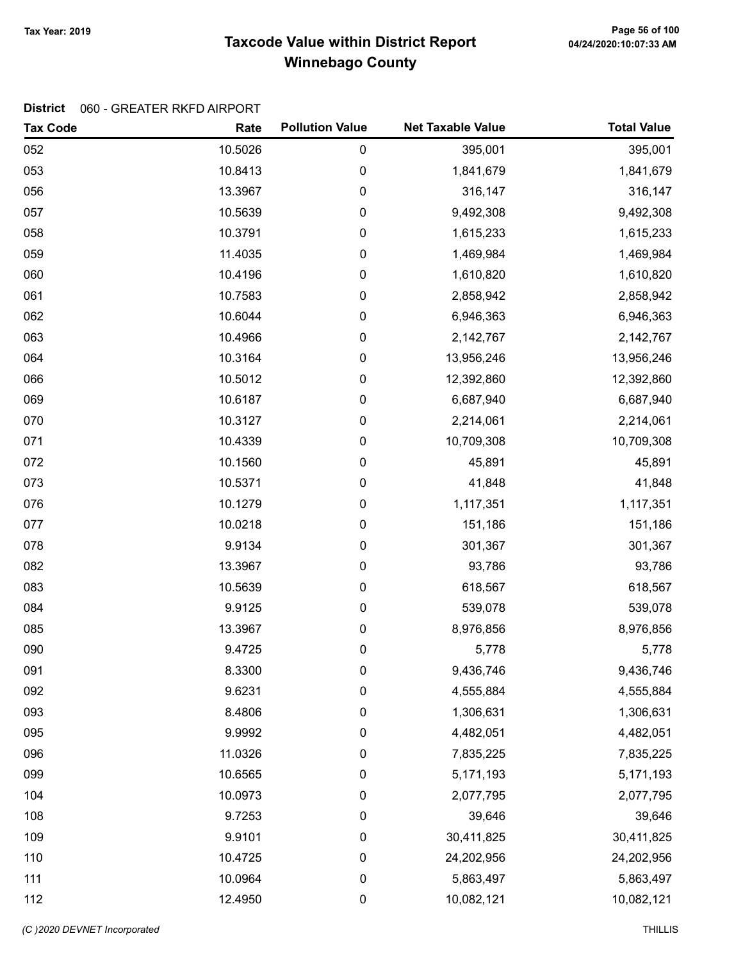# Taxcode Value within District Report Tax Year: 2019 Page 56 of 100 Winnebago County

| <b>Tax Code</b> | Rate    | <b>Pollution Value</b> | <b>Net Taxable Value</b> | <b>Total Value</b> |
|-----------------|---------|------------------------|--------------------------|--------------------|
| 052             | 10.5026 | 0                      | 395,001                  | 395,001            |
| 053             | 10.8413 | 0                      | 1,841,679                | 1,841,679          |
| 056             | 13.3967 | 0                      | 316,147                  | 316,147            |
| 057             | 10.5639 | 0                      | 9,492,308                | 9,492,308          |
| 058             | 10.3791 | 0                      | 1,615,233                | 1,615,233          |
| 059             | 11.4035 | 0                      | 1,469,984                | 1,469,984          |
| 060             | 10.4196 | 0                      | 1,610,820                | 1,610,820          |
| 061             | 10.7583 | 0                      | 2,858,942                | 2,858,942          |
| 062             | 10.6044 | 0                      | 6,946,363                | 6,946,363          |
| 063             | 10.4966 | 0                      | 2,142,767                | 2,142,767          |
| 064             | 10.3164 | 0                      | 13,956,246               | 13,956,246         |
| 066             | 10.5012 | 0                      | 12,392,860               | 12,392,860         |
| 069             | 10.6187 | 0                      | 6,687,940                | 6,687,940          |
| 070             | 10.3127 | 0                      | 2,214,061                | 2,214,061          |
| 071             | 10.4339 | 0                      | 10,709,308               | 10,709,308         |
| 072             | 10.1560 | 0                      | 45,891                   | 45,891             |
| 073             | 10.5371 | 0                      | 41,848                   | 41,848             |
| 076             | 10.1279 | 0                      | 1,117,351                | 1,117,351          |
| 077             | 10.0218 | 0                      | 151,186                  | 151,186            |
| 078             | 9.9134  | 0                      | 301,367                  | 301,367            |
| 082             | 13.3967 | 0                      | 93,786                   | 93,786             |
| 083             | 10.5639 | 0                      | 618,567                  | 618,567            |
| 084             | 9.9125  | 0                      | 539,078                  | 539,078            |
| 085             | 13.3967 | 0                      | 8,976,856                | 8,976,856          |
| 090             | 9.4725  | 0                      | 5,778                    | 5,778              |
| 091             | 8.3300  | 0                      | 9,436,746                | 9,436,746          |
| 092             | 9.6231  | 0                      | 4,555,884                | 4,555,884          |
| 093             | 8.4806  | 0                      | 1,306,631                | 1,306,631          |
| 095             | 9.9992  | 0                      | 4,482,051                | 4,482,051          |
| 096             | 11.0326 | 0                      | 7,835,225                | 7,835,225          |
| 099             | 10.6565 | 0                      | 5,171,193                | 5,171,193          |
| 104             | 10.0973 | 0                      | 2,077,795                | 2,077,795          |
| 108             | 9.7253  | 0                      | 39,646                   | 39,646             |
| 109             | 9.9101  | 0                      | 30,411,825               | 30,411,825         |
| 110             | 10.4725 | 0                      | 24,202,956               | 24,202,956         |
| 111             | 10.0964 | 0                      | 5,863,497                | 5,863,497          |
| 112             | 12.4950 | 0                      | 10,082,121               | 10,082,121         |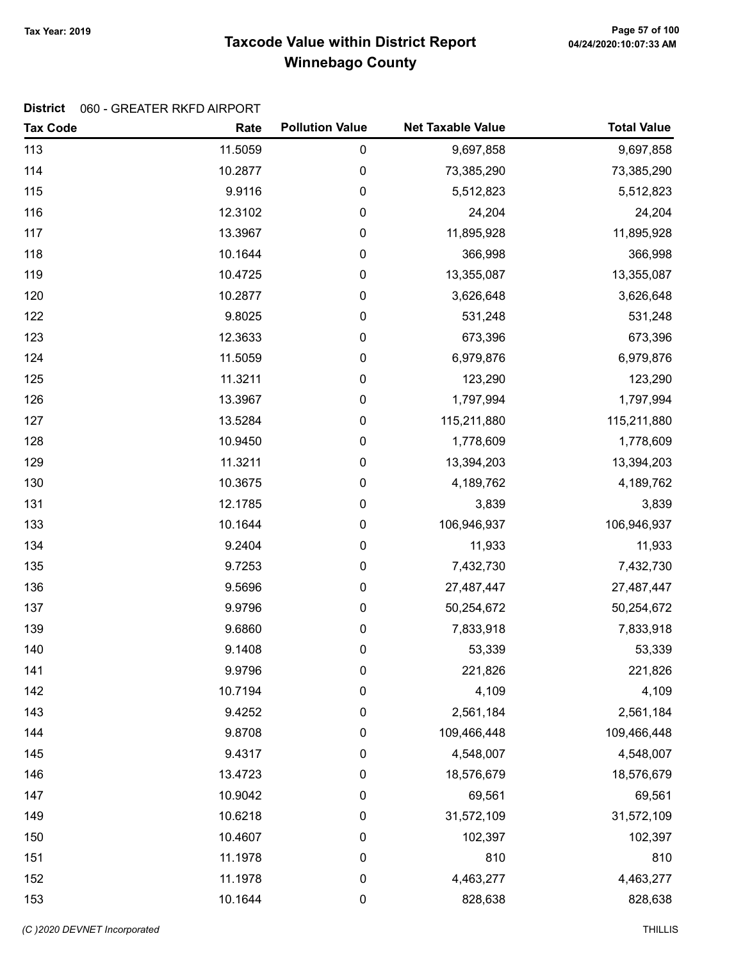# Taxcode Value within District Report Tax Year: 2019 Page 57 of 100 Winnebago County

| <b>Tax Code</b> | Rate    | <b>Pollution Value</b> | <b>Net Taxable Value</b> | <b>Total Value</b> |
|-----------------|---------|------------------------|--------------------------|--------------------|
| 113             | 11.5059 | $\pmb{0}$              | 9,697,858                | 9,697,858          |
| 114             | 10.2877 | 0                      | 73,385,290               | 73,385,290         |
| 115             | 9.9116  | $\pmb{0}$              | 5,512,823                | 5,512,823          |
| 116             | 12.3102 | 0                      | 24,204                   | 24,204             |
| 117             | 13.3967 | $\pmb{0}$              | 11,895,928               | 11,895,928         |
| 118             | 10.1644 | 0                      | 366,998                  | 366,998            |
| 119             | 10.4725 | 0                      | 13,355,087               | 13,355,087         |
| 120             | 10.2877 | 0                      | 3,626,648                | 3,626,648          |
| 122             | 9.8025  | 0                      | 531,248                  | 531,248            |
| 123             | 12.3633 | 0                      | 673,396                  | 673,396            |
| 124             | 11.5059 | 0                      | 6,979,876                | 6,979,876          |
| 125             | 11.3211 | 0                      | 123,290                  | 123,290            |
| 126             | 13.3967 | 0                      | 1,797,994                | 1,797,994          |
| 127             | 13.5284 | 0                      | 115,211,880              | 115,211,880        |
| 128             | 10.9450 | 0                      | 1,778,609                | 1,778,609          |
| 129             | 11.3211 | 0                      | 13,394,203               | 13,394,203         |
| 130             | 10.3675 | 0                      | 4,189,762                | 4,189,762          |
| 131             | 12.1785 | $\pmb{0}$              | 3,839                    | 3,839              |
| 133             | 10.1644 | 0                      | 106,946,937              | 106,946,937        |
| 134             | 9.2404  | $\pmb{0}$              | 11,933                   | 11,933             |
| 135             | 9.7253  | 0                      | 7,432,730                | 7,432,730          |
| 136             | 9.5696  | 0                      | 27,487,447               | 27,487,447         |
| 137             | 9.9796  | 0                      | 50,254,672               | 50,254,672         |
| 139             | 9.6860  | 0                      | 7,833,918                | 7,833,918          |
| 140             | 9.1408  | 0                      | 53,339                   | 53,339             |
| 141             | 9.9796  | 0                      | 221,826                  | 221,826            |
| 142             | 10.7194 | 0                      | 4,109                    | 4,109              |
| 143             | 9.4252  | 0                      | 2,561,184                | 2,561,184          |
| 144             | 9.8708  | 0                      | 109,466,448              | 109,466,448        |
| 145             | 9.4317  | 0                      | 4,548,007                | 4,548,007          |
| 146             | 13.4723 | 0                      | 18,576,679               | 18,576,679         |
| 147             | 10.9042 | $\pmb{0}$              | 69,561                   | 69,561             |
| 149             | 10.6218 | 0                      | 31,572,109               | 31,572,109         |
| 150             | 10.4607 | 0                      | 102,397                  | 102,397            |
| 151             | 11.1978 | 0                      | 810                      | 810                |
| 152             | 11.1978 | 0                      | 4,463,277                | 4,463,277          |
| 153             | 10.1644 | $\pmb{0}$              | 828,638                  | 828,638            |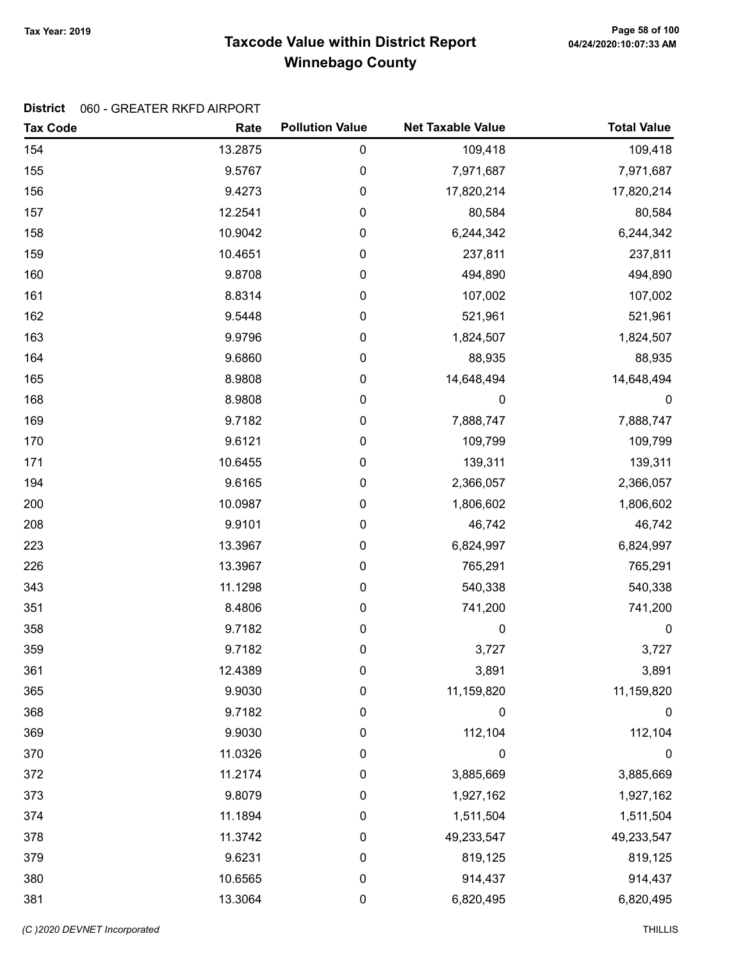# Taxcode Value within District Report Tax Year: 2019 Page 58 of 100 Winnebago County

| <b>Tax Code</b> | Rate    | <b>Pollution Value</b> | <b>Net Taxable Value</b> | <b>Total Value</b> |
|-----------------|---------|------------------------|--------------------------|--------------------|
| 154             | 13.2875 | 0                      | 109,418                  | 109,418            |
| 155             | 9.5767  | 0                      | 7,971,687                | 7,971,687          |
| 156             | 9.4273  | 0                      | 17,820,214               | 17,820,214         |
| 157             | 12.2541 | 0                      | 80,584                   | 80,584             |
| 158             | 10.9042 | 0                      | 6,244,342                | 6,244,342          |
| 159             | 10.4651 | 0                      | 237,811                  | 237,811            |
| 160             | 9.8708  | 0                      | 494,890                  | 494,890            |
| 161             | 8.8314  | 0                      | 107,002                  | 107,002            |
| 162             | 9.5448  | 0                      | 521,961                  | 521,961            |
| 163             | 9.9796  | 0                      | 1,824,507                | 1,824,507          |
| 164             | 9.6860  | 0                      | 88,935                   | 88,935             |
| 165             | 8.9808  | 0                      | 14,648,494               | 14,648,494         |
| 168             | 8.9808  | $\pmb{0}$              | 0                        | $\boldsymbol{0}$   |
| 169             | 9.7182  | 0                      | 7,888,747                | 7,888,747          |
| 170             | 9.6121  | 0                      | 109,799                  | 109,799            |
| 171             | 10.6455 | 0                      | 139,311                  | 139,311            |
| 194             | 9.6165  | 0                      | 2,366,057                | 2,366,057          |
| 200             | 10.0987 | 0                      | 1,806,602                | 1,806,602          |
| 208             | 9.9101  | 0                      | 46,742                   | 46,742             |
| 223             | 13.3967 | 0                      | 6,824,997                | 6,824,997          |
| 226             | 13.3967 | 0                      | 765,291                  | 765,291            |
| 343             | 11.1298 | $\pmb{0}$              | 540,338                  | 540,338            |
| 351             | 8.4806  | 0                      | 741,200                  | 741,200            |
| 358             | 9.7182  | $\pmb{0}$              | $\mathbf 0$              | $\pmb{0}$          |
| 359             | 9.7182  | 0                      | 3,727                    | 3,727              |
| 361             | 12.4389 | 0                      | 3,891                    | 3,891              |
| 365             | 9.9030  | 0                      | 11,159,820               | 11,159,820         |
| 368             | 9.7182  | 0                      | 0                        | $\boldsymbol{0}$   |
| 369             | 9.9030  | 0                      | 112,104                  | 112,104            |
| 370             | 11.0326 | 0                      | 0                        | $\boldsymbol{0}$   |
| 372             | 11.2174 | $\pmb{0}$              | 3,885,669                | 3,885,669          |
| 373             | 9.8079  | 0                      | 1,927,162                | 1,927,162          |
| 374             | 11.1894 | 0                      | 1,511,504                | 1,511,504          |
| 378             | 11.3742 | 0                      | 49,233,547               | 49,233,547         |
| 379             | 9.6231  | 0                      | 819,125                  | 819,125            |
| 380             | 10.6565 | $\pmb{0}$              | 914,437                  | 914,437            |
| 381             | 13.3064 | $\pmb{0}$              | 6,820,495                | 6,820,495          |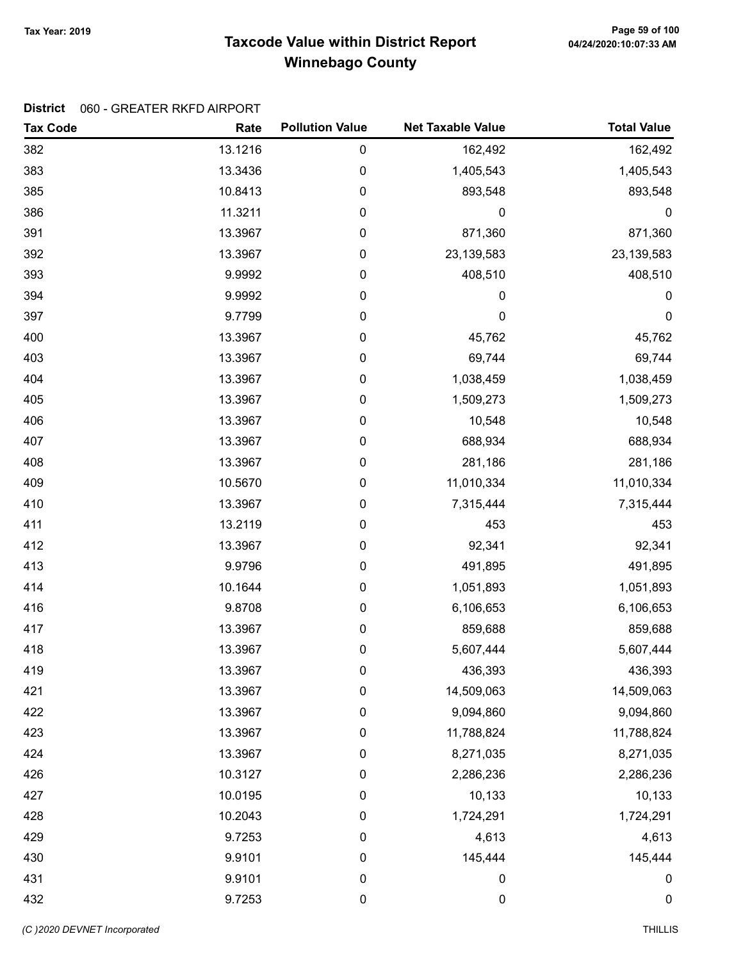# Taxcode Value within District Report Tax Year: 2019 Page 59 of 100 Winnebago County

| <b>Tax Code</b> | Rate    | <b>Pollution Value</b> | <b>Net Taxable Value</b> | <b>Total Value</b> |
|-----------------|---------|------------------------|--------------------------|--------------------|
| 382             | 13.1216 | 0                      | 162,492                  | 162,492            |
| 383             | 13.3436 | 0                      | 1,405,543                | 1,405,543          |
| 385             | 10.8413 | 0                      | 893,548                  | 893,548            |
| 386             | 11.3211 | 0                      | 0                        | $\mathbf 0$        |
| 391             | 13.3967 | 0                      | 871,360                  | 871,360            |
| 392             | 13.3967 | 0                      | 23,139,583               | 23,139,583         |
| 393             | 9.9992  | 0                      | 408,510                  | 408,510            |
| 394             | 9.9992  | 0                      | 0                        | 0                  |
| 397             | 9.7799  | 0                      | 0                        | 0                  |
| 400             | 13.3967 | 0                      | 45,762                   | 45,762             |
| 403             | 13.3967 | 0                      | 69,744                   | 69,744             |
| 404             | 13.3967 | 0                      | 1,038,459                | 1,038,459          |
| 405             | 13.3967 | 0                      | 1,509,273                | 1,509,273          |
| 406             | 13.3967 | 0                      | 10,548                   | 10,548             |
| 407             | 13.3967 | 0                      | 688,934                  | 688,934            |
| 408             | 13.3967 | 0                      | 281,186                  | 281,186            |
| 409             | 10.5670 | 0                      | 11,010,334               | 11,010,334         |
| 410             | 13.3967 | 0                      | 7,315,444                | 7,315,444          |
| 411             | 13.2119 | 0                      | 453                      | 453                |
| 412             | 13.3967 | 0                      | 92,341                   | 92,341             |
| 413             | 9.9796  | 0                      | 491,895                  | 491,895            |
| 414             | 10.1644 | 0                      | 1,051,893                | 1,051,893          |
| 416             | 9.8708  | 0                      | 6,106,653                | 6,106,653          |
| 417             | 13.3967 | 0                      | 859,688                  | 859,688            |
| 418             | 13.3967 | 0                      | 5,607,444                | 5,607,444          |
| 419             | 13.3967 | 0                      | 436,393                  | 436,393            |
| 421             | 13.3967 | 0                      | 14,509,063               | 14,509,063         |
| 422             | 13.3967 | 0                      | 9,094,860                | 9,094,860          |
| 423             | 13.3967 | 0                      | 11,788,824               | 11,788,824         |
| 424             | 13.3967 | 0                      | 8,271,035                | 8,271,035          |
| 426             | 10.3127 | 0                      | 2,286,236                | 2,286,236          |
| 427             | 10.0195 | 0                      | 10,133                   | 10,133             |
| 428             | 10.2043 | 0                      | 1,724,291                | 1,724,291          |
| 429             | 9.7253  | 0                      | 4,613                    | 4,613              |
| 430             | 9.9101  | 0                      | 145,444                  | 145,444            |
| 431             | 9.9101  | $\pmb{0}$              | 0                        | 0                  |
| 432             | 9.7253  | 0                      | $\mathbf 0$              | $\pmb{0}$          |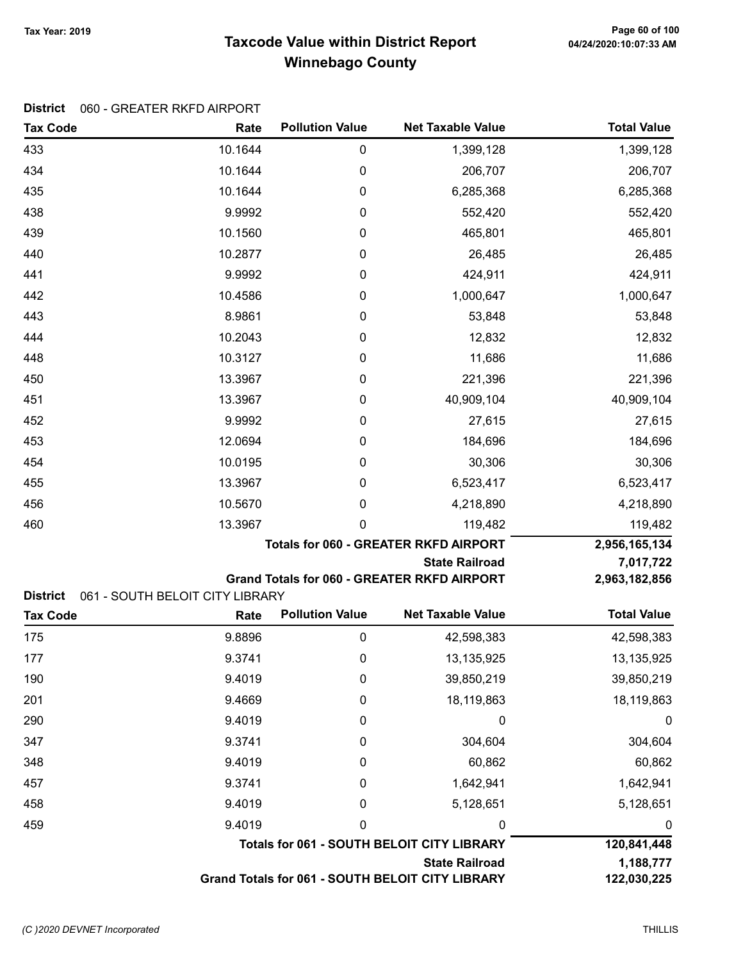# Taxcode Value within District Report Tax Year: 2019 Page 60 of 100 Winnebago County

|  | District 060 - GREATER RKFD AIRPORT |
|--|-------------------------------------|
|--|-------------------------------------|

| <b>Tax Code</b> | Rate                            | <b>Pollution Value</b>                       | <b>Net Taxable Value</b>                           | <b>Total Value</b> |
|-----------------|---------------------------------|----------------------------------------------|----------------------------------------------------|--------------------|
| 433             | 10.1644                         | 0                                            | 1,399,128                                          | 1,399,128          |
| 434             | 10.1644                         | 0                                            | 206,707                                            | 206,707            |
| 435             | 10.1644                         | 0                                            | 6,285,368                                          | 6,285,368          |
| 438             | 9.9992                          | 0                                            | 552,420                                            | 552,420            |
| 439             | 10.1560                         | 0                                            | 465,801                                            | 465,801            |
| 440             | 10.2877                         | 0                                            | 26,485                                             | 26,485             |
| 441             | 9.9992                          | 0                                            | 424,911                                            | 424,911            |
| 442             | 10.4586                         | 0                                            | 1,000,647                                          | 1,000,647          |
| 443             | 8.9861                          | 0                                            | 53,848                                             | 53,848             |
| 444             | 10.2043                         | 0                                            | 12,832                                             | 12,832             |
| 448             | 10.3127                         | 0                                            | 11,686                                             | 11,686             |
| 450             | 13.3967                         | 0                                            | 221,396                                            | 221,396            |
| 451             | 13.3967                         | 0                                            | 40,909,104                                         | 40,909,104         |
| 452             | 9.9992                          | 0                                            | 27,615                                             | 27,615             |
| 453             | 12.0694                         | 0                                            | 184,696                                            | 184,696            |
| 454             | 10.0195                         | 0                                            | 30,306                                             | 30,306             |
| 455             | 13.3967                         | 0                                            | 6,523,417                                          | 6,523,417          |
| 456             | 10.5670                         | 0                                            | 4,218,890                                          | 4,218,890          |
| 460             | 13.3967                         | 0                                            | 119,482                                            | 119,482            |
|                 |                                 | <b>Totals for 060 - GREATER RKFD AIRPORT</b> | 2,956,165,134                                      |                    |
|                 |                                 |                                              | <b>State Railroad</b>                              | 7,017,722          |
| <b>District</b> | 061 - SOUTH BELOIT CITY LIBRARY |                                              | <b>Grand Totals for 060 - GREATER RKFD AIRPORT</b> | 2,963,182,856      |
| <b>Tax Code</b> | Rate                            | <b>Pollution Value</b>                       | <b>Net Taxable Value</b>                           | <b>Total Value</b> |
| 175             | 9.8896                          | $\boldsymbol{0}$                             | 42,598,383                                         | 42,598,383         |
| 177             | 9.3741                          | 0                                            | 13,135,925                                         | 13,135,925         |
| 190             | 9.4019                          | 0                                            | 39,850,219                                         | 39,850,219         |
| 201             | 9.4669                          | 0                                            | 18,119,863                                         | 18,119,863         |
| 290             | 9.4019                          | 0                                            | 0                                                  | 0                  |
| 347             | 9.3741                          | 0                                            | 304,604                                            | 304,604            |
| 348             | 9.4019                          | 0                                            | 60,862                                             | 60,862             |
| 457             | 9.3741                          | 0                                            | 1,642,941                                          | 1,642,941          |
| 458             | 9.4019                          | 0                                            | 5,128,651                                          | 5,128,651          |
| 459             | 9.4019                          | 0                                            | 0                                                  | $\boldsymbol{0}$   |
|                 |                                 |                                              | <b>Totals for 061 - SOUTH BELOIT CITY LIBRARY</b>  | 120,841,448        |
|                 |                                 |                                              | <b>State Railroad</b>                              | 1,188,777          |
|                 | 122,030,225                     |                                              |                                                    |                    |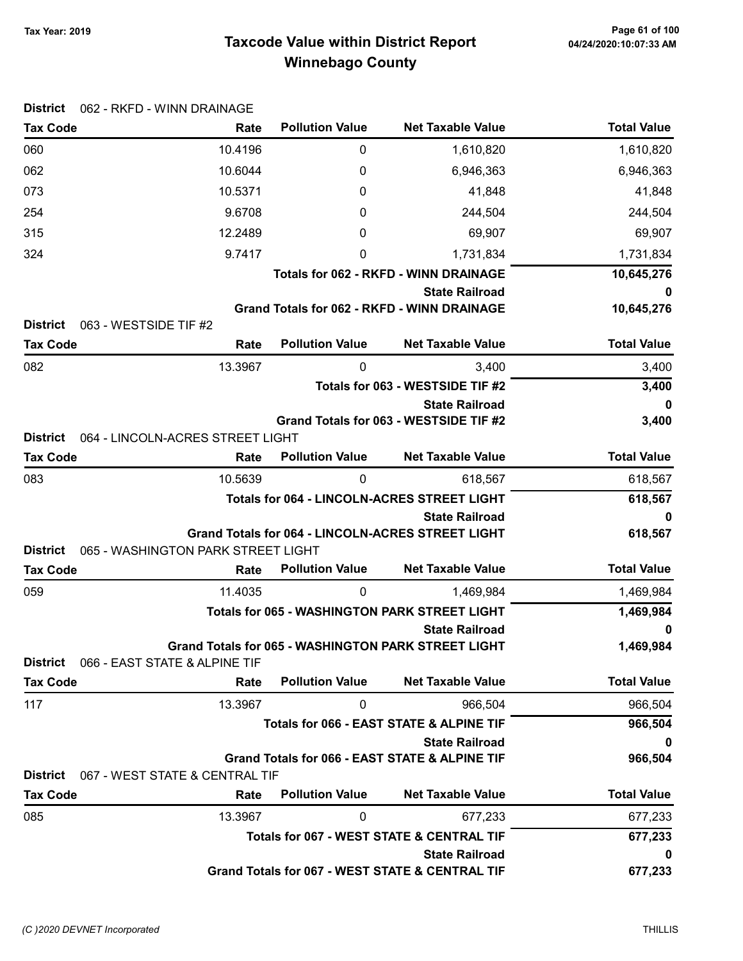| 062 - RKFD - WINN DRAINAGE                                                                                     |                                                                                                                                    |                                                                                                                                                                                                                                 |                                                                                                                                                                                                                                                                                                                                                                                                                                                                                                                                                                                                                                                                                                                                                                                                                                                                 |
|----------------------------------------------------------------------------------------------------------------|------------------------------------------------------------------------------------------------------------------------------------|---------------------------------------------------------------------------------------------------------------------------------------------------------------------------------------------------------------------------------|-----------------------------------------------------------------------------------------------------------------------------------------------------------------------------------------------------------------------------------------------------------------------------------------------------------------------------------------------------------------------------------------------------------------------------------------------------------------------------------------------------------------------------------------------------------------------------------------------------------------------------------------------------------------------------------------------------------------------------------------------------------------------------------------------------------------------------------------------------------------|
| Rate                                                                                                           | <b>Pollution Value</b>                                                                                                             | <b>Net Taxable Value</b>                                                                                                                                                                                                        | <b>Total Value</b>                                                                                                                                                                                                                                                                                                                                                                                                                                                                                                                                                                                                                                                                                                                                                                                                                                              |
| 10.4196                                                                                                        | 0                                                                                                                                  | 1,610,820                                                                                                                                                                                                                       | 1,610,820                                                                                                                                                                                                                                                                                                                                                                                                                                                                                                                                                                                                                                                                                                                                                                                                                                                       |
| 10.6044                                                                                                        | 0                                                                                                                                  | 6,946,363                                                                                                                                                                                                                       | 6,946,363                                                                                                                                                                                                                                                                                                                                                                                                                                                                                                                                                                                                                                                                                                                                                                                                                                                       |
| 10.5371                                                                                                        | 0                                                                                                                                  | 41,848                                                                                                                                                                                                                          | 41,848                                                                                                                                                                                                                                                                                                                                                                                                                                                                                                                                                                                                                                                                                                                                                                                                                                                          |
| 9.6708                                                                                                         | 0                                                                                                                                  | 244,504                                                                                                                                                                                                                         | 244,504                                                                                                                                                                                                                                                                                                                                                                                                                                                                                                                                                                                                                                                                                                                                                                                                                                                         |
| 12.2489                                                                                                        | 0                                                                                                                                  | 69,907                                                                                                                                                                                                                          | 69,907                                                                                                                                                                                                                                                                                                                                                                                                                                                                                                                                                                                                                                                                                                                                                                                                                                                          |
| 9.7417                                                                                                         | 0                                                                                                                                  | 1,731,834                                                                                                                                                                                                                       | 1,731,834                                                                                                                                                                                                                                                                                                                                                                                                                                                                                                                                                                                                                                                                                                                                                                                                                                                       |
|                                                                                                                |                                                                                                                                    |                                                                                                                                                                                                                                 | 10,645,276                                                                                                                                                                                                                                                                                                                                                                                                                                                                                                                                                                                                                                                                                                                                                                                                                                                      |
|                                                                                                                |                                                                                                                                    | <b>State Railroad</b>                                                                                                                                                                                                           | 0                                                                                                                                                                                                                                                                                                                                                                                                                                                                                                                                                                                                                                                                                                                                                                                                                                                               |
|                                                                                                                |                                                                                                                                    |                                                                                                                                                                                                                                 | 10,645,276                                                                                                                                                                                                                                                                                                                                                                                                                                                                                                                                                                                                                                                                                                                                                                                                                                                      |
|                                                                                                                |                                                                                                                                    |                                                                                                                                                                                                                                 |                                                                                                                                                                                                                                                                                                                                                                                                                                                                                                                                                                                                                                                                                                                                                                                                                                                                 |
|                                                                                                                |                                                                                                                                    |                                                                                                                                                                                                                                 | <b>Total Value</b>                                                                                                                                                                                                                                                                                                                                                                                                                                                                                                                                                                                                                                                                                                                                                                                                                                              |
|                                                                                                                |                                                                                                                                    |                                                                                                                                                                                                                                 | 3,400                                                                                                                                                                                                                                                                                                                                                                                                                                                                                                                                                                                                                                                                                                                                                                                                                                                           |
|                                                                                                                |                                                                                                                                    |                                                                                                                                                                                                                                 | 3,400                                                                                                                                                                                                                                                                                                                                                                                                                                                                                                                                                                                                                                                                                                                                                                                                                                                           |
|                                                                                                                |                                                                                                                                    |                                                                                                                                                                                                                                 | 0                                                                                                                                                                                                                                                                                                                                                                                                                                                                                                                                                                                                                                                                                                                                                                                                                                                               |
|                                                                                                                |                                                                                                                                    |                                                                                                                                                                                                                                 | 3,400                                                                                                                                                                                                                                                                                                                                                                                                                                                                                                                                                                                                                                                                                                                                                                                                                                                           |
|                                                                                                                |                                                                                                                                    |                                                                                                                                                                                                                                 | <b>Total Value</b>                                                                                                                                                                                                                                                                                                                                                                                                                                                                                                                                                                                                                                                                                                                                                                                                                                              |
|                                                                                                                |                                                                                                                                    |                                                                                                                                                                                                                                 | 618,567                                                                                                                                                                                                                                                                                                                                                                                                                                                                                                                                                                                                                                                                                                                                                                                                                                                         |
|                                                                                                                |                                                                                                                                    |                                                                                                                                                                                                                                 | 618,567                                                                                                                                                                                                                                                                                                                                                                                                                                                                                                                                                                                                                                                                                                                                                                                                                                                         |
|                                                                                                                |                                                                                                                                    |                                                                                                                                                                                                                                 | 0                                                                                                                                                                                                                                                                                                                                                                                                                                                                                                                                                                                                                                                                                                                                                                                                                                                               |
|                                                                                                                |                                                                                                                                    |                                                                                                                                                                                                                                 | 618,567                                                                                                                                                                                                                                                                                                                                                                                                                                                                                                                                                                                                                                                                                                                                                                                                                                                         |
| Rate                                                                                                           | <b>Pollution Value</b>                                                                                                             | <b>Net Taxable Value</b>                                                                                                                                                                                                        | <b>Total Value</b>                                                                                                                                                                                                                                                                                                                                                                                                                                                                                                                                                                                                                                                                                                                                                                                                                                              |
| 11.4035                                                                                                        | 0                                                                                                                                  | 1,469,984                                                                                                                                                                                                                       | 1,469,984                                                                                                                                                                                                                                                                                                                                                                                                                                                                                                                                                                                                                                                                                                                                                                                                                                                       |
|                                                                                                                |                                                                                                                                    |                                                                                                                                                                                                                                 | 1,469,984                                                                                                                                                                                                                                                                                                                                                                                                                                                                                                                                                                                                                                                                                                                                                                                                                                                       |
|                                                                                                                |                                                                                                                                    | <b>State Railroad</b>                                                                                                                                                                                                           | 0                                                                                                                                                                                                                                                                                                                                                                                                                                                                                                                                                                                                                                                                                                                                                                                                                                                               |
|                                                                                                                |                                                                                                                                    |                                                                                                                                                                                                                                 | 1,469,984                                                                                                                                                                                                                                                                                                                                                                                                                                                                                                                                                                                                                                                                                                                                                                                                                                                       |
|                                                                                                                |                                                                                                                                    |                                                                                                                                                                                                                                 |                                                                                                                                                                                                                                                                                                                                                                                                                                                                                                                                                                                                                                                                                                                                                                                                                                                                 |
|                                                                                                                |                                                                                                                                    |                                                                                                                                                                                                                                 | <b>Total Value</b>                                                                                                                                                                                                                                                                                                                                                                                                                                                                                                                                                                                                                                                                                                                                                                                                                                              |
|                                                                                                                | 0                                                                                                                                  |                                                                                                                                                                                                                                 | 966,504                                                                                                                                                                                                                                                                                                                                                                                                                                                                                                                                                                                                                                                                                                                                                                                                                                                         |
|                                                                                                                |                                                                                                                                    |                                                                                                                                                                                                                                 | 966,504                                                                                                                                                                                                                                                                                                                                                                                                                                                                                                                                                                                                                                                                                                                                                                                                                                                         |
|                                                                                                                |                                                                                                                                    |                                                                                                                                                                                                                                 | 0                                                                                                                                                                                                                                                                                                                                                                                                                                                                                                                                                                                                                                                                                                                                                                                                                                                               |
|                                                                                                                |                                                                                                                                    |                                                                                                                                                                                                                                 | 966,504                                                                                                                                                                                                                                                                                                                                                                                                                                                                                                                                                                                                                                                                                                                                                                                                                                                         |
|                                                                                                                |                                                                                                                                    |                                                                                                                                                                                                                                 | <b>Total Value</b>                                                                                                                                                                                                                                                                                                                                                                                                                                                                                                                                                                                                                                                                                                                                                                                                                                              |
|                                                                                                                |                                                                                                                                    |                                                                                                                                                                                                                                 | 677,233                                                                                                                                                                                                                                                                                                                                                                                                                                                                                                                                                                                                                                                                                                                                                                                                                                                         |
|                                                                                                                |                                                                                                                                    |                                                                                                                                                                                                                                 | 677,233                                                                                                                                                                                                                                                                                                                                                                                                                                                                                                                                                                                                                                                                                                                                                                                                                                                         |
|                                                                                                                |                                                                                                                                    | <b>State Railroad</b>                                                                                                                                                                                                           | 0                                                                                                                                                                                                                                                                                                                                                                                                                                                                                                                                                                                                                                                                                                                                                                                                                                                               |
|                                                                                                                |                                                                                                                                    |                                                                                                                                                                                                                                 | 677,233                                                                                                                                                                                                                                                                                                                                                                                                                                                                                                                                                                                                                                                                                                                                                                                                                                                         |
| <b>Tax Code</b><br><b>Tax Code</b><br><b>Tax Code</b><br><b>Tax Code</b><br><b>Tax Code</b><br><b>Tax Code</b> | 063 - WESTSIDE TIF #2<br>Rate<br>13.3967<br>Rate<br>10.5639<br>066 - EAST STATE & ALPINE TIF<br>Rate<br>13.3967<br>Rate<br>13.3967 | <b>Pollution Value</b><br>0<br>064 - LINCOLN-ACRES STREET LIGHT<br><b>Pollution Value</b><br>0<br>065 - WASHINGTON PARK STREET LIGHT<br><b>Pollution Value</b><br>067 - WEST STATE & CENTRAL TIF<br><b>Pollution Value</b><br>0 | <b>Totals for 062 - RKFD - WINN DRAINAGE</b><br><b>Grand Totals for 062 - RKFD - WINN DRAINAGE</b><br><b>Net Taxable Value</b><br>3,400<br>Totals for 063 - WESTSIDE TIF #2<br><b>State Railroad</b><br>Grand Totals for 063 - WESTSIDE TIF #2<br><b>Net Taxable Value</b><br>618,567<br><b>Totals for 064 - LINCOLN-ACRES STREET LIGHT</b><br><b>State Railroad</b><br><b>Grand Totals for 064 - LINCOLN-ACRES STREET LIGHT</b><br><b>Totals for 065 - WASHINGTON PARK STREET LIGHT</b><br>Grand Totals for 065 - WASHINGTON PARK STREET LIGHT<br><b>Net Taxable Value</b><br>966,504<br><b>Totals for 066 - EAST STATE &amp; ALPINE TIF</b><br><b>State Railroad</b><br>Grand Totals for 066 - EAST STATE & ALPINE TIF<br><b>Net Taxable Value</b><br>677,233<br>Totals for 067 - WEST STATE & CENTRAL TIF<br>Grand Totals for 067 - WEST STATE & CENTRAL TIF |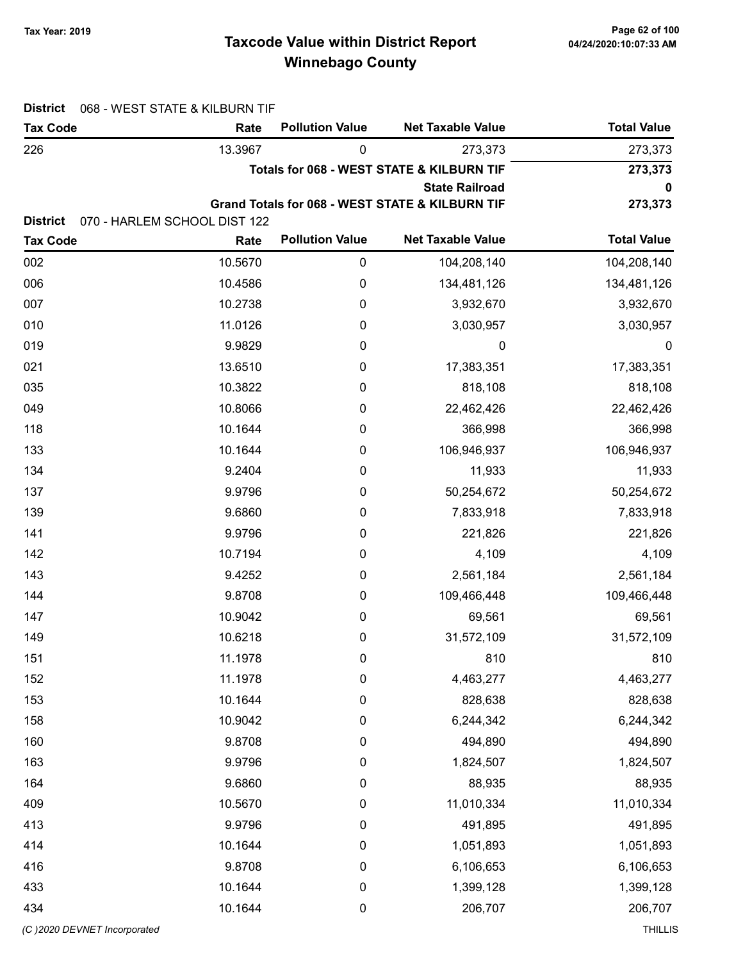# Taxcode Value within District Report Tax Year: 2019 Page 62 of 100 Winnebago County

| <b>District</b>              | 068 - WEST STATE & KILBURN TIF |                        |                                                 |                    |  |  |
|------------------------------|--------------------------------|------------------------|-------------------------------------------------|--------------------|--|--|
| <b>Tax Code</b>              | Rate                           | <b>Pollution Value</b> | <b>Net Taxable Value</b>                        | <b>Total Value</b> |  |  |
| 226                          | 13.3967                        | 0                      | 273,373                                         | 273,373            |  |  |
|                              |                                |                        | Totals for 068 - WEST STATE & KILBURN TIF       | 273,373            |  |  |
|                              |                                |                        | <b>State Railroad</b>                           | 0                  |  |  |
| <b>District</b>              | 070 - HARLEM SCHOOL DIST 122   |                        | Grand Totals for 068 - WEST STATE & KILBURN TIF | 273,373            |  |  |
| <b>Tax Code</b>              | Rate                           | <b>Pollution Value</b> | <b>Net Taxable Value</b>                        | <b>Total Value</b> |  |  |
| 002                          | 10.5670                        | $\boldsymbol{0}$       | 104,208,140                                     | 104,208,140        |  |  |
| 006                          | 10.4586                        | $\mathbf 0$            | 134,481,126                                     | 134,481,126        |  |  |
| 007                          | 10.2738                        | $\mathbf 0$            | 3,932,670                                       | 3,932,670          |  |  |
| 010                          | 11.0126                        | 0                      | 3,030,957                                       | 3,030,957          |  |  |
| 019                          | 9.9829                         | $\mathbf 0$            | $\mathbf 0$                                     | $\boldsymbol{0}$   |  |  |
| 021                          | 13.6510                        | 0                      | 17,383,351                                      | 17,383,351         |  |  |
| 035                          | 10.3822                        | 0                      | 818,108                                         | 818,108            |  |  |
| 049                          | 10.8066                        | 0                      | 22,462,426                                      | 22,462,426         |  |  |
| 118                          | 10.1644                        | 0                      | 366,998                                         | 366,998            |  |  |
| 133                          | 10.1644                        | 0                      | 106,946,937                                     | 106,946,937        |  |  |
| 134                          | 9.2404                         | 0                      | 11,933                                          | 11,933             |  |  |
| 137                          | 9.9796                         | $\mathbf 0$            | 50,254,672                                      | 50,254,672         |  |  |
| 139                          | 9.6860                         | 0                      | 7,833,918                                       | 7,833,918          |  |  |
| 141                          | 9.9796                         | 0                      | 221,826                                         | 221,826            |  |  |
| 142                          | 10.7194                        | 0                      | 4,109                                           | 4,109              |  |  |
| 143                          | 9.4252                         | 0                      | 2,561,184                                       | 2,561,184          |  |  |
| 144                          | 9.8708                         | 0                      | 109,466,448                                     | 109,466,448        |  |  |
| 147                          | 10.9042                        | 0                      | 69,561                                          | 69,561             |  |  |
| 149                          | 10.6218                        | 0                      | 31,572,109                                      | 31,572,109         |  |  |
| 151                          | 11.1978                        | $\boldsymbol{0}$       | 810                                             | 810                |  |  |
| 152                          | 11.1978                        | $\mathbf 0$            | 4,463,277                                       | 4,463,277          |  |  |
| 153                          | 10.1644                        | 0                      | 828,638                                         | 828,638            |  |  |
| 158                          | 10.9042                        | $\boldsymbol{0}$       | 6,244,342                                       | 6,244,342          |  |  |
| 160                          | 9.8708                         | $\mathbf 0$            | 494,890                                         | 494,890            |  |  |
| 163                          | 9.9796                         | $\mathbf 0$            | 1,824,507                                       | 1,824,507          |  |  |
| 164                          | 9.6860                         | $\mathbf 0$            | 88,935                                          | 88,935             |  |  |
| 409                          | 10.5670                        | 0                      | 11,010,334                                      | 11,010,334         |  |  |
| 413                          | 9.9796                         | 0                      | 491,895                                         | 491,895            |  |  |
| 414                          | 10.1644                        | 0                      | 1,051,893                                       | 1,051,893          |  |  |
| 416                          | 9.8708                         | $\mathbf 0$            | 6,106,653                                       | 6,106,653          |  |  |
| 433                          | 10.1644                        | $\mathbf 0$            | 1,399,128                                       | 1,399,128          |  |  |
| 434                          | 10.1644                        | 0                      | 206,707                                         | 206,707            |  |  |
| (C) 2020 DEVNET Incorporated |                                |                        |                                                 | <b>THILLIS</b>     |  |  |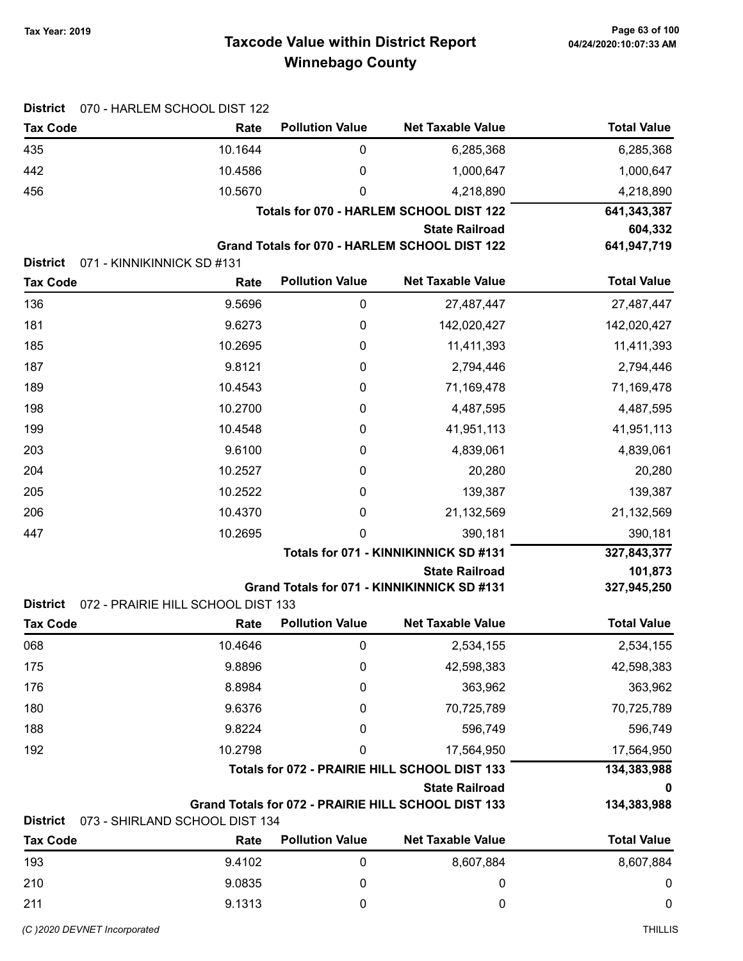# Taxcode Value within District Report Tax Year: 2019 Page 63 of 100 Winnebago County

| <b>District</b>                    | 070 - HARLEM SCHOOL DIST 122               |                        |                                                     |                    |
|------------------------------------|--------------------------------------------|------------------------|-----------------------------------------------------|--------------------|
| <b>Tax Code</b>                    | Rate                                       | <b>Pollution Value</b> | <b>Net Taxable Value</b>                            | <b>Total Value</b> |
| 435                                | 10.1644                                    | 0                      | 6,285,368                                           | 6,285,368          |
| 442                                | 10.4586                                    | 0                      | 1,000,647                                           | 1,000,647          |
| 456                                | 10.5670                                    | 0                      | 4,218,890                                           | 4,218,890          |
|                                    |                                            |                        | Totals for 070 - HARLEM SCHOOL DIST 122             | 641,343,387        |
|                                    |                                            |                        | <b>State Railroad</b>                               | 604,332            |
| <b>District</b>                    | 071 - KINNIKINNICK SD #131                 |                        | Grand Totals for 070 - HARLEM SCHOOL DIST 122       | 641,947,719        |
| <b>Tax Code</b>                    | Rate                                       | <b>Pollution Value</b> | <b>Net Taxable Value</b>                            | <b>Total Value</b> |
| 136                                | 9.5696                                     | $\boldsymbol{0}$       | 27,487,447                                          | 27,487,447         |
| 181                                | 9.6273                                     | 0                      | 142,020,427                                         | 142,020,427        |
| 185                                | 10.2695                                    | 0                      | 11,411,393                                          | 11,411,393         |
| 187                                | 9.8121                                     | 0                      | 2,794,446                                           | 2,794,446          |
| 189                                | 10.4543                                    | 0                      | 71,169,478                                          | 71,169,478         |
| 198                                | 10.2700                                    | 0                      | 4,487,595                                           | 4,487,595          |
| 199                                | 10.4548                                    | 0                      | 41,951,113                                          | 41,951,113         |
| 203                                | 9.6100                                     | 0                      | 4,839,061                                           | 4,839,061          |
| 204                                | 10.2527                                    | 0                      | 20,280                                              | 20,280             |
| 205                                | 10.2522                                    | 0                      | 139,387                                             | 139,387            |
| 206                                | 10.4370                                    | 0                      | 21,132,569                                          | 21,132,569         |
| 447                                | 10.2695                                    | 0                      | 390,181                                             | 390,181            |
|                                    |                                            |                        | Totals for 071 - KINNIKINNICK SD #131               | 327,843,377        |
|                                    |                                            |                        | <b>State Railroad</b>                               | 101,873            |
|                                    |                                            |                        | Grand Totals for 071 - KINNIKINNICK SD #131         | 327,945,250        |
| <b>District</b><br><b>Tax Code</b> | 072 - PRAIRIE HILL SCHOOL DIST 133<br>Rate | <b>Pollution Value</b> | <b>Net Taxable Value</b>                            | <b>Total Value</b> |
| 068                                | 10.4646                                    | 0                      | 2,534,155                                           | 2,534,155          |
| 175                                | 9.8896                                     | 0                      | 42,598,383                                          | 42,598,383         |
| 176                                | 8.8984                                     | 0                      | 363,962                                             | 363,962            |
| 180                                | 9.6376                                     | 0                      | 70,725,789                                          | 70,725,789         |
| 188                                | 9.8224                                     | 0                      | 596,749                                             | 596,749            |
| 192                                | 10.2798                                    | 0                      | 17,564,950                                          | 17,564,950         |
|                                    |                                            |                        | Totals for 072 - PRAIRIE HILL SCHOOL DIST 133       | 134,383,988        |
|                                    |                                            |                        | <b>State Railroad</b>                               |                    |
|                                    |                                            |                        | Grand Totals for 072 - PRAIRIE HILL SCHOOL DIST 133 | 134,383,988        |
| <b>District</b>                    | 073 - SHIRLAND SCHOOL DIST 134             |                        |                                                     |                    |
| <b>Tax Code</b>                    | Rate                                       | <b>Pollution Value</b> | <b>Net Taxable Value</b>                            | <b>Total Value</b> |
| 193                                | 9.4102                                     | 0                      | 8,607,884                                           | 8,607,884          |
| 210                                | 9.0835                                     | 0                      | 0                                                   | 0                  |
| 211                                | 9.1313                                     | 0                      | 0                                                   | $\mathbf 0$        |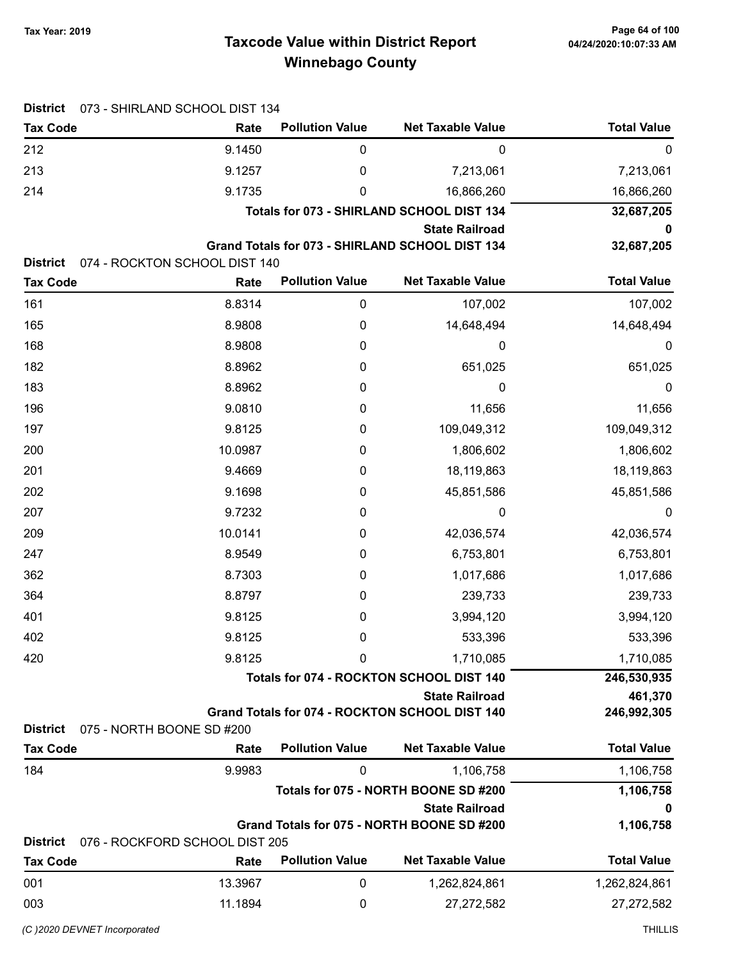# Taxcode Value within District Report Tax Year: 2019 Page 64 of 100 Winnebago County

| <b>District</b> | 073 - SHIRLAND SCHOOL DIST 134 |                        |                                                               |                    |
|-----------------|--------------------------------|------------------------|---------------------------------------------------------------|--------------------|
| <b>Tax Code</b> | Rate                           | <b>Pollution Value</b> | <b>Net Taxable Value</b>                                      | <b>Total Value</b> |
| 212             | 9.1450                         | 0                      | 0                                                             | 0                  |
| 213             | 9.1257                         | 0                      | 7,213,061                                                     | 7,213,061          |
| 214             | 9.1735                         | 0                      | 16,866,260                                                    | 16,866,260         |
|                 |                                |                        | Totals for 073 - SHIRLAND SCHOOL DIST 134                     | 32,687,205         |
|                 |                                |                        | <b>State Railroad</b>                                         | 0                  |
| <b>District</b> | 074 - ROCKTON SCHOOL DIST 140  |                        | Grand Totals for 073 - SHIRLAND SCHOOL DIST 134               | 32,687,205         |
| <b>Tax Code</b> | Rate                           | <b>Pollution Value</b> | <b>Net Taxable Value</b>                                      | <b>Total Value</b> |
| 161             | 8.8314                         | $\pmb{0}$              | 107,002                                                       | 107,002            |
| 165             | 8.9808                         | 0                      | 14,648,494                                                    | 14,648,494         |
| 168             | 8.9808                         | 0                      | 0                                                             | 0                  |
| 182             | 8.8962                         | 0                      | 651,025                                                       | 651,025            |
| 183             | 8.8962                         | 0                      | 0                                                             | 0                  |
| 196             | 9.0810                         | 0                      | 11,656                                                        | 11,656             |
| 197             | 9.8125                         | 0                      | 109,049,312                                                   | 109,049,312        |
| 200             | 10.0987                        | 0                      | 1,806,602                                                     | 1,806,602          |
| 201             | 9.4669                         | 0                      | 18,119,863                                                    | 18,119,863         |
| 202             | 9.1698                         | 0                      | 45,851,586                                                    | 45,851,586         |
| 207             | 9.7232                         | 0                      | 0                                                             | 0                  |
| 209             | 10.0141                        | 0                      | 42,036,574                                                    | 42,036,574         |
| 247             | 8.9549                         | 0                      | 6,753,801                                                     | 6,753,801          |
| 362             | 8.7303                         | 0                      | 1,017,686                                                     | 1,017,686          |
| 364             | 8.8797                         | 0                      | 239,733                                                       | 239,733            |
| 401             | 9.8125                         | 0                      | 3,994,120                                                     | 3,994,120          |
| 402             | 9.8125                         | 0                      | 533,396                                                       | 533,396            |
| 420             | 9.8125                         | 0                      | 1,710,085                                                     | 1,710,085          |
|                 |                                |                        | Totals for 074 - ROCKTON SCHOOL DIST 140                      | 246,530,935        |
|                 |                                |                        | <b>State Railroad</b>                                         | 461,370            |
|                 |                                |                        | Grand Totals for 074 - ROCKTON SCHOOL DIST 140                | 246,992,305        |
| <b>District</b> | 075 - NORTH BOONE SD #200      | <b>Pollution Value</b> | <b>Net Taxable Value</b>                                      |                    |
| <b>Tax Code</b> | Rate                           |                        |                                                               | <b>Total Value</b> |
| 184             | 9.9983                         | 0                      | 1,106,758                                                     | 1,106,758          |
|                 |                                |                        | Totals for 075 - NORTH BOONE SD #200<br><b>State Railroad</b> | 1,106,758<br>0     |
|                 |                                |                        | Grand Totals for 075 - NORTH BOONE SD #200                    | 1,106,758          |
| <b>District</b> | 076 - ROCKFORD SCHOOL DIST 205 |                        |                                                               |                    |
| <b>Tax Code</b> | Rate                           | <b>Pollution Value</b> | <b>Net Taxable Value</b>                                      | <b>Total Value</b> |
| 001             | 13.3967                        | 0                      | 1,262,824,861                                                 | 1,262,824,861      |
| 003             | 11.1894                        | 0                      | 27,272,582                                                    | 27,272,582         |
|                 |                                |                        |                                                               |                    |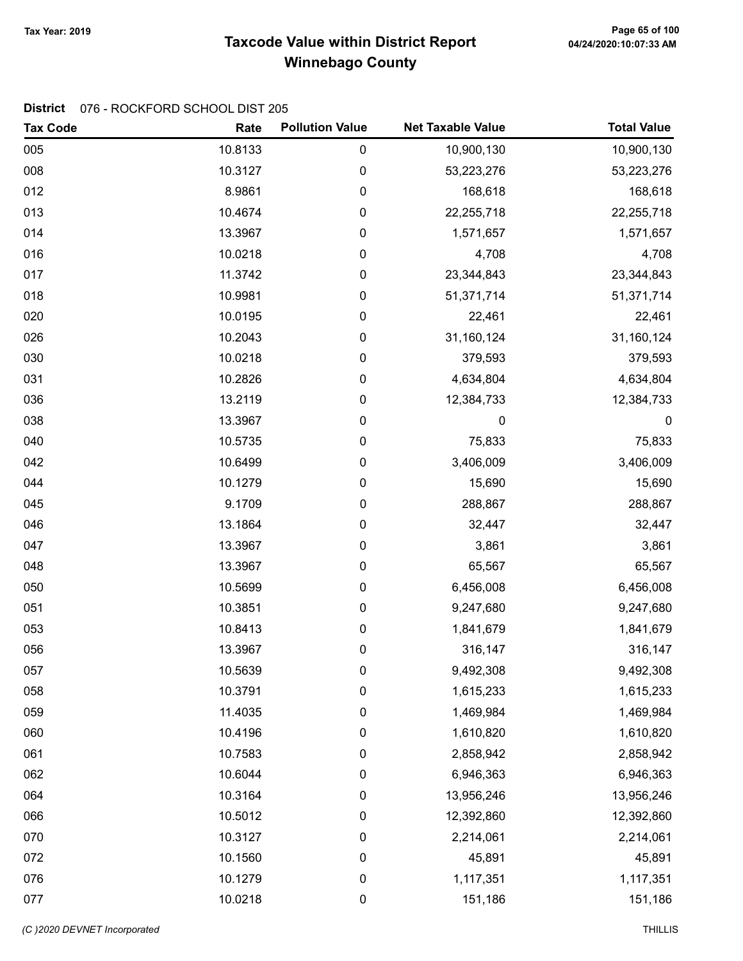# Taxcode Value within District Report Tax Year: 2019 Page 65 of 100 Winnebago County

| <b>Tax Code</b> | Rate    | <b>Pollution Value</b> | <b>Net Taxable Value</b> | <b>Total Value</b> |
|-----------------|---------|------------------------|--------------------------|--------------------|
| 005             | 10.8133 | $\pmb{0}$              | 10,900,130               | 10,900,130         |
| 008             | 10.3127 | 0                      | 53,223,276               | 53,223,276         |
| 012             | 8.9861  | $\pmb{0}$              | 168,618                  | 168,618            |
| 013             | 10.4674 | 0                      | 22,255,718               | 22,255,718         |
| 014             | 13.3967 | 0                      | 1,571,657                | 1,571,657          |
| 016             | 10.0218 | $\pmb{0}$              | 4,708                    | 4,708              |
| 017             | 11.3742 | $\pmb{0}$              | 23,344,843               | 23,344,843         |
| 018             | 10.9981 | $\pmb{0}$              | 51,371,714               | 51,371,714         |
| 020             | 10.0195 | 0                      | 22,461                   | 22,461             |
| 026             | 10.2043 | $\pmb{0}$              | 31,160,124               | 31,160,124         |
| 030             | 10.0218 | 0                      | 379,593                  | 379,593            |
| 031             | 10.2826 | 0                      | 4,634,804                | 4,634,804          |
| 036             | 13.2119 | $\boldsymbol{0}$       | 12,384,733               | 12,384,733         |
| 038             | 13.3967 | $\pmb{0}$              | 0                        | $\boldsymbol{0}$   |
| 040             | 10.5735 | $\pmb{0}$              | 75,833                   | 75,833             |
| 042             | 10.6499 | 0                      | 3,406,009                | 3,406,009          |
| 044             | 10.1279 | $\pmb{0}$              | 15,690                   | 15,690             |
| 045             | 9.1709  | $\pmb{0}$              | 288,867                  | 288,867            |
| 046             | 13.1864 | 0                      | 32,447                   | 32,447             |
| 047             | 13.3967 | $\pmb{0}$              | 3,861                    | 3,861              |
| 048             | 13.3967 | $\boldsymbol{0}$       | 65,567                   | 65,567             |
| 050             | 10.5699 | $\pmb{0}$              | 6,456,008                | 6,456,008          |
| 051             | 10.3851 | 0                      | 9,247,680                | 9,247,680          |
| 053             | 10.8413 | $\pmb{0}$              | 1,841,679                | 1,841,679          |
| 056             | 13.3967 | 0                      | 316,147                  | 316,147            |
| 057             | 10.5639 | 0                      | 9,492,308                | 9,492,308          |
| 058             | 10.3791 | 0                      | 1,615,233                | 1,615,233          |
| 059             | 11.4035 | 0                      | 1,469,984                | 1,469,984          |
| 060             | 10.4196 | 0                      | 1,610,820                | 1,610,820          |
| 061             | 10.7583 | 0                      | 2,858,942                | 2,858,942          |
| 062             | 10.6044 | 0                      | 6,946,363                | 6,946,363          |
| 064             | 10.3164 | 0                      | 13,956,246               | 13,956,246         |
| 066             | 10.5012 | 0                      | 12,392,860               | 12,392,860         |
| 070             | 10.3127 | 0                      | 2,214,061                | 2,214,061          |
| 072             | 10.1560 | 0                      | 45,891                   | 45,891             |
| 076             | 10.1279 | $\pmb{0}$              | 1,117,351                | 1,117,351          |
| 077             | 10.0218 | $\pmb{0}$              | 151,186                  | 151,186            |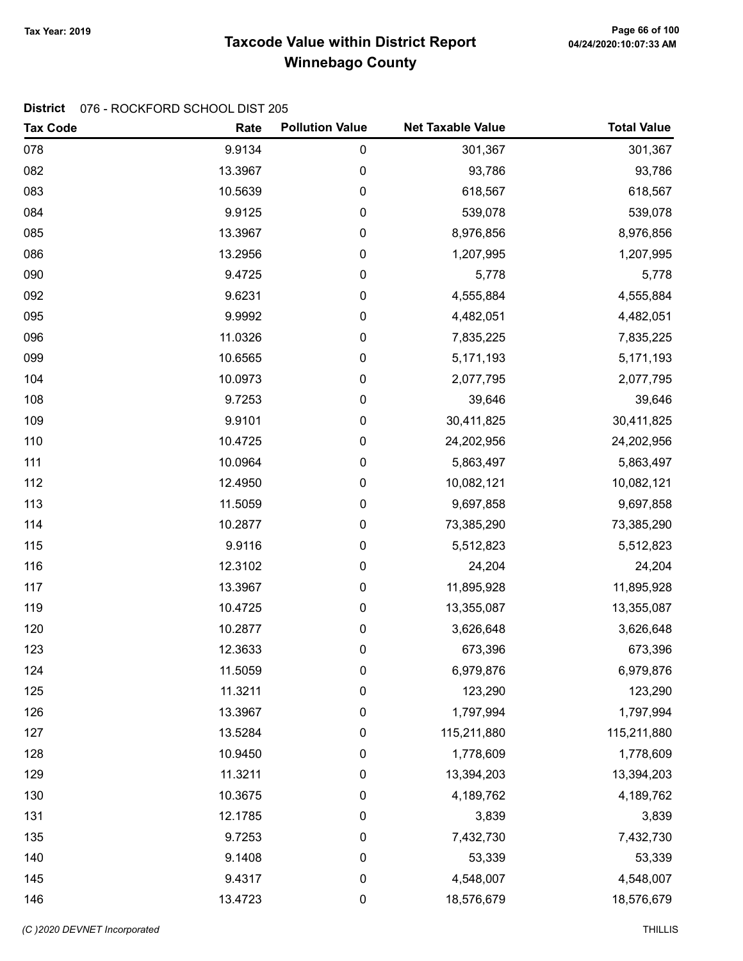# Taxcode Value within District Report Tax Year: 2019 Page 66 of 100 Winnebago County

| <b>Tax Code</b> | Rate    | <b>Pollution Value</b> | <b>Net Taxable Value</b> | <b>Total Value</b> |
|-----------------|---------|------------------------|--------------------------|--------------------|
| 078             | 9.9134  | 0                      | 301,367                  | 301,367            |
| 082             | 13.3967 | 0                      | 93,786                   | 93,786             |
| 083             | 10.5639 | 0                      | 618,567                  | 618,567            |
| 084             | 9.9125  | 0                      | 539,078                  | 539,078            |
| 085             | 13.3967 | 0                      | 8,976,856                | 8,976,856          |
| 086             | 13.2956 | 0                      | 1,207,995                | 1,207,995          |
| 090             | 9.4725  | 0                      | 5,778                    | 5,778              |
| 092             | 9.6231  | 0                      | 4,555,884                | 4,555,884          |
| 095             | 9.9992  | 0                      | 4,482,051                | 4,482,051          |
| 096             | 11.0326 | 0                      | 7,835,225                | 7,835,225          |
| 099             | 10.6565 | 0                      | 5,171,193                | 5,171,193          |
| 104             | 10.0973 | 0                      | 2,077,795                | 2,077,795          |
| 108             | 9.7253  | 0                      | 39,646                   | 39,646             |
| 109             | 9.9101  | 0                      | 30,411,825               | 30,411,825         |
| 110             | 10.4725 | 0                      | 24,202,956               | 24,202,956         |
| 111             | 10.0964 | 0                      | 5,863,497                | 5,863,497          |
| 112             | 12.4950 | 0                      | 10,082,121               | 10,082,121         |
| 113             | 11.5059 | 0                      | 9,697,858                | 9,697,858          |
| 114             | 10.2877 | 0                      | 73,385,290               | 73,385,290         |
| 115             | 9.9116  | 0                      | 5,512,823                | 5,512,823          |
| 116             | 12.3102 | 0                      | 24,204                   | 24,204             |
| 117             | 13.3967 | 0                      | 11,895,928               | 11,895,928         |
| 119             | 10.4725 | 0                      | 13,355,087               | 13,355,087         |
| 120             | 10.2877 | 0                      | 3,626,648                | 3,626,648          |
| 123             | 12.3633 | 0                      | 673,396                  | 673,396            |
| 124             | 11.5059 | 0                      | 6,979,876                | 6,979,876          |
| 125             | 11.3211 | 0                      | 123,290                  | 123,290            |
| 126             | 13.3967 | $\boldsymbol{0}$       | 1,797,994                | 1,797,994          |
| 127             | 13.5284 | 0                      | 115,211,880              | 115,211,880        |
| 128             | 10.9450 | 0                      | 1,778,609                | 1,778,609          |
| 129             | 11.3211 | $\boldsymbol{0}$       | 13,394,203               | 13,394,203         |
| 130             | 10.3675 | $\pmb{0}$              | 4,189,762                | 4,189,762          |
| 131             | 12.1785 | $\pmb{0}$              | 3,839                    | 3,839              |
| 135             | 9.7253  | 0                      | 7,432,730                | 7,432,730          |
| 140             | 9.1408  | 0                      | 53,339                   | 53,339             |
| 145             | 9.4317  | $\pmb{0}$              | 4,548,007                | 4,548,007          |
| 146             | 13.4723 | $\boldsymbol{0}$       | 18,576,679               | 18,576,679         |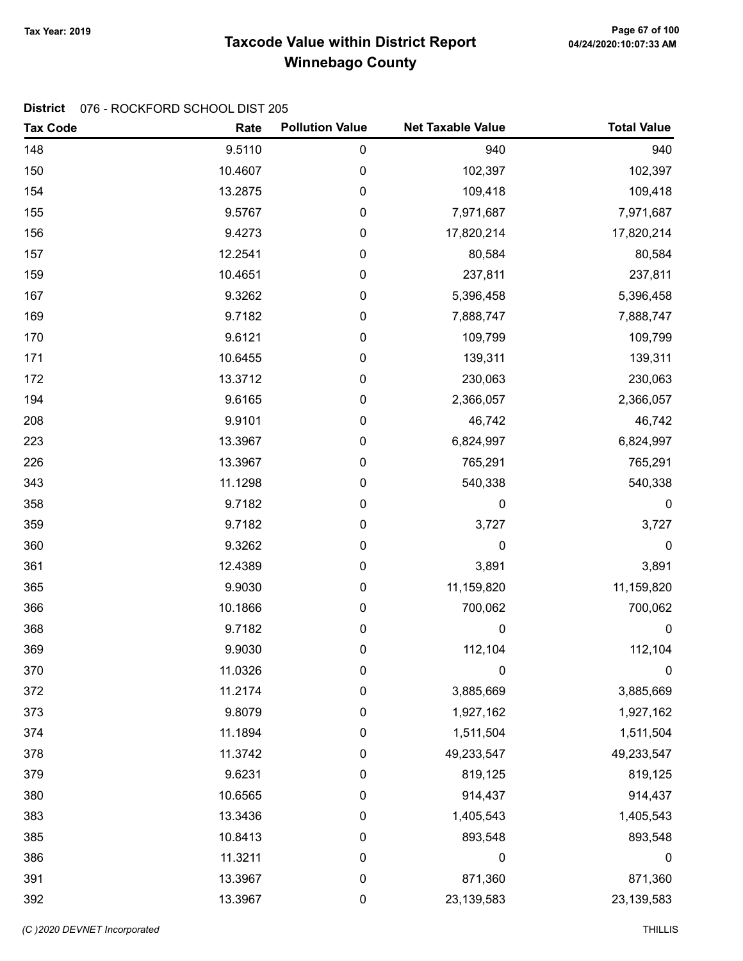# Taxcode Value within District Report Tax Year: 2019 Page 67 of 100 Winnebago County

| <b>Tax Code</b> | Rate    | <b>Pollution Value</b> | <b>Net Taxable Value</b> | <b>Total Value</b> |
|-----------------|---------|------------------------|--------------------------|--------------------|
| 148             | 9.5110  | $\pmb{0}$              | 940                      | 940                |
| 150             | 10.4607 | 0                      | 102,397                  | 102,397            |
| 154             | 13.2875 | $\pmb{0}$              | 109,418                  | 109,418            |
| 155             | 9.5767  | 0                      | 7,971,687                | 7,971,687          |
| 156             | 9.4273  | 0                      | 17,820,214               | 17,820,214         |
| 157             | 12.2541 | 0                      | 80,584                   | 80,584             |
| 159             | 10.4651 | 0                      | 237,811                  | 237,811            |
| 167             | 9.3262  | 0                      | 5,396,458                | 5,396,458          |
| 169             | 9.7182  | 0                      | 7,888,747                | 7,888,747          |
| 170             | 9.6121  | $\pmb{0}$              | 109,799                  | 109,799            |
| 171             | 10.6455 | 0                      | 139,311                  | 139,311            |
| 172             | 13.3712 | 0                      | 230,063                  | 230,063            |
| 194             | 9.6165  | 0                      | 2,366,057                | 2,366,057          |
| 208             | 9.9101  | 0                      | 46,742                   | 46,742             |
| 223             | 13.3967 | $\boldsymbol{0}$       | 6,824,997                | 6,824,997          |
| 226             | 13.3967 | 0                      | 765,291                  | 765,291            |
| 343             | 11.1298 | 0                      | 540,338                  | 540,338            |
| 358             | 9.7182  | $\mathbf 0$            | 0                        | 0                  |
| 359             | 9.7182  | 0                      | 3,727                    | 3,727              |
| 360             | 9.3262  | 0                      | 0                        | $\boldsymbol{0}$   |
| 361             | 12.4389 | 0                      | 3,891                    | 3,891              |
| 365             | 9.9030  | $\boldsymbol{0}$       | 11,159,820               | 11,159,820         |
| 366             | 10.1866 | 0                      | 700,062                  | 700,062            |
| 368             | 9.7182  | 0                      | $\mathbf 0$              | $\pmb{0}$          |
| 369             | 9.9030  | 0                      | 112,104                  | 112,104            |
| 370             | 11.0326 | 0                      | 0                        | $\pmb{0}$          |
| 372             | 11.2174 | 0                      | 3,885,669                | 3,885,669          |
| 373             | 9.8079  | 0                      | 1,927,162                | 1,927,162          |
| 374             | 11.1894 | 0                      | 1,511,504                | 1,511,504          |
| 378             | 11.3742 | 0                      | 49,233,547               | 49,233,547         |
| 379             | 9.6231  | 0                      | 819,125                  | 819,125            |
| 380             | 10.6565 | 0                      | 914,437                  | 914,437            |
| 383             | 13.3436 | 0                      | 1,405,543                | 1,405,543          |
| 385             | 10.8413 | 0                      | 893,548                  | 893,548            |
| 386             | 11.3211 | 0                      | 0                        | $\boldsymbol{0}$   |
| 391             | 13.3967 | $\boldsymbol{0}$       | 871,360                  | 871,360            |
| 392             | 13.3967 | $\pmb{0}$              | 23,139,583               | 23,139,583         |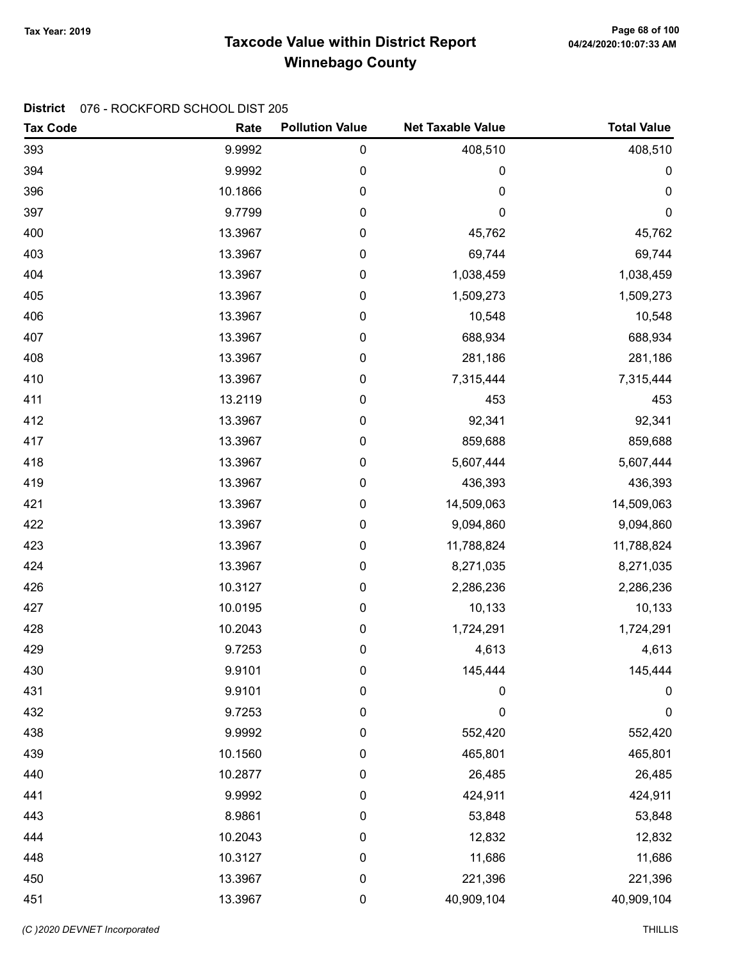# Taxcode Value within District Report Tax Year: 2019 Page 68 of 100 Winnebago County

| <b>Tax Code</b> | Rate    | <b>Pollution Value</b> | <b>Net Taxable Value</b> | <b>Total Value</b> |
|-----------------|---------|------------------------|--------------------------|--------------------|
| 393             | 9.9992  | 0                      | 408,510                  | 408,510            |
| 394             | 9.9992  | 0                      | 0                        | 0                  |
| 396             | 10.1866 | $\pmb{0}$              | $\pmb{0}$                | $\pmb{0}$          |
| 397             | 9.7799  | 0                      | 0                        | $\mathbf 0$        |
| 400             | 13.3967 | 0                      | 45,762                   | 45,762             |
| 403             | 13.3967 | $\pmb{0}$              | 69,744                   | 69,744             |
| 404             | 13.3967 | $\pmb{0}$              | 1,038,459                | 1,038,459          |
| 405             | 13.3967 | 0                      | 1,509,273                | 1,509,273          |
| 406             | 13.3967 | 0                      | 10,548                   | 10,548             |
| 407             | 13.3967 | 0                      | 688,934                  | 688,934            |
| 408             | 13.3967 | 0                      | 281,186                  | 281,186            |
| 410             | 13.3967 | 0                      | 7,315,444                | 7,315,444          |
| 411             | 13.2119 | 0                      | 453                      | 453                |
| 412             | 13.3967 | 0                      | 92,341                   | 92,341             |
| 417             | 13.3967 | 0                      | 859,688                  | 859,688            |
| 418             | 13.3967 | 0                      | 5,607,444                | 5,607,444          |
| 419             | 13.3967 | 0                      | 436,393                  | 436,393            |
| 421             | 13.3967 | 0                      | 14,509,063               | 14,509,063         |
| 422             | 13.3967 | 0                      | 9,094,860                | 9,094,860          |
| 423             | 13.3967 | 0                      | 11,788,824               | 11,788,824         |
| 424             | 13.3967 | 0                      | 8,271,035                | 8,271,035          |
| 426             | 10.3127 | $\pmb{0}$              | 2,286,236                | 2,286,236          |
| 427             | 10.0195 | 0                      | 10,133                   | 10,133             |
| 428             | 10.2043 | 0                      | 1,724,291                | 1,724,291          |
| 429             | 9.7253  | 0                      | 4,613                    | 4,613              |
| 430             | 9.9101  | 0                      | 145,444                  | 145,444            |
| 431             | 9.9101  | 0                      | 0                        | $\pmb{0}$          |
| 432             | 9.7253  | 0                      | $\mathbf 0$              | 0                  |
| 438             | 9.9992  | 0                      | 552,420                  | 552,420            |
| 439             | 10.1560 | 0                      | 465,801                  | 465,801            |
| 440             | 10.2877 | 0                      | 26,485                   | 26,485             |
| 441             | 9.9992  | 0                      | 424,911                  | 424,911            |
| 443             | 8.9861  | 0                      | 53,848                   | 53,848             |
| 444             | 10.2043 | 0                      | 12,832                   | 12,832             |
| 448             | 10.3127 | 0                      | 11,686                   | 11,686             |
| 450             | 13.3967 | 0                      | 221,396                  | 221,396            |
| 451             | 13.3967 | 0                      | 40,909,104               | 40,909,104         |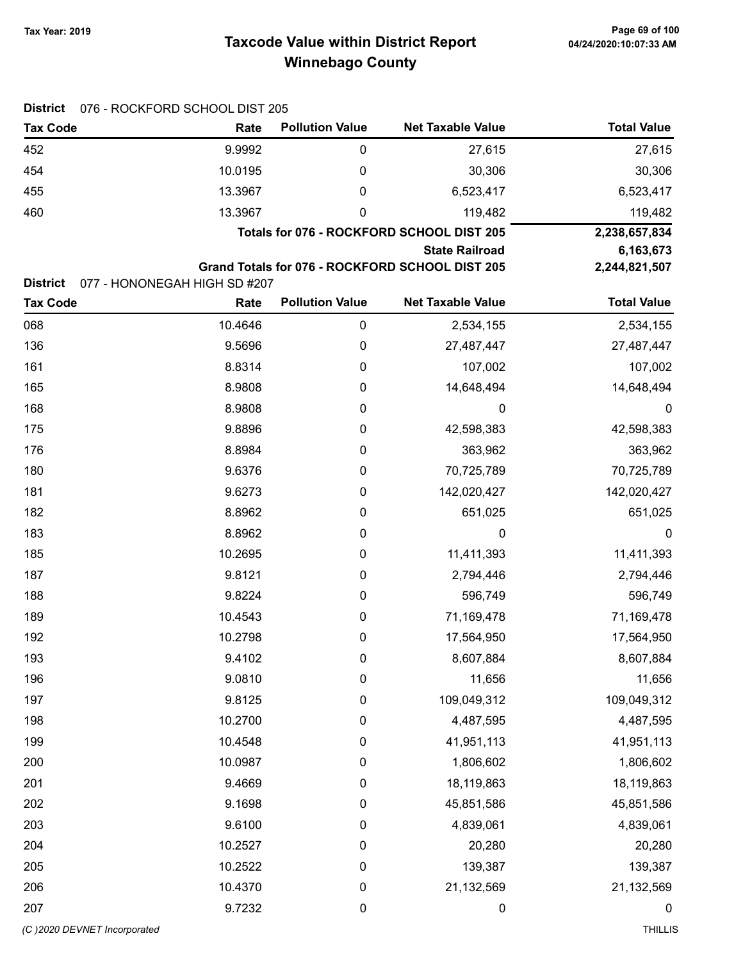District 076 - ROCKFORD SCHOOL DIST 205

# Taxcode Value within District Report Tax Year: 2019 Page 69 of 100 Winnebago County

| <b>Tax Code</b>                                 | Rate    | <b>Pollution Value</b>                    | <b>Net Taxable Value</b>                        | <b>Total Value</b> |
|-------------------------------------------------|---------|-------------------------------------------|-------------------------------------------------|--------------------|
| 452                                             | 9.9992  | $\boldsymbol{0}$                          | 27,615                                          | 27,615             |
| 454                                             | 10.0195 | 0                                         | 30,306                                          | 30,306             |
| 455                                             | 13.3967 | 0                                         | 6,523,417                                       | 6,523,417          |
| 460                                             | 13.3967 | 0                                         | 119,482                                         | 119,482            |
|                                                 |         | Totals for 076 - ROCKFORD SCHOOL DIST 205 | 2,238,657,834                                   |                    |
|                                                 |         |                                           | <b>State Railroad</b>                           | 6,163,673          |
| 077 - HONONEGAH HIGH SD #207<br><b>District</b> |         |                                           | Grand Totals for 076 - ROCKFORD SCHOOL DIST 205 | 2,244,821,507      |
| <b>Tax Code</b>                                 | Rate    | <b>Pollution Value</b>                    | <b>Net Taxable Value</b>                        | <b>Total Value</b> |
| 068                                             | 10.4646 | $\mathbf 0$                               | 2,534,155                                       | 2,534,155          |
| 136                                             | 9.5696  | $\mathbf 0$                               | 27,487,447                                      | 27,487,447         |
| 161                                             | 8.8314  | 0                                         | 107,002                                         | 107,002            |
| 165                                             | 8.9808  | 0                                         | 14,648,494                                      | 14,648,494         |
| 168                                             | 8.9808  | 0                                         | 0                                               | 0                  |
| 175                                             | 9.8896  | 0                                         | 42,598,383                                      | 42,598,383         |
| 176                                             | 8.8984  | 0                                         | 363,962                                         | 363,962            |
| 180                                             | 9.6376  | 0                                         | 70,725,789                                      | 70,725,789         |
| 181                                             | 9.6273  | 0                                         | 142,020,427                                     | 142,020,427        |
| 182                                             | 8.8962  | $\mathbf 0$                               | 651,025                                         | 651,025            |
| 183                                             | 8.8962  | 0                                         | 0                                               | 0                  |
| 185                                             | 10.2695 | 0                                         | 11,411,393                                      | 11,411,393         |
| 187                                             | 9.8121  | 0                                         | 2,794,446                                       | 2,794,446          |
| 188                                             | 9.8224  | 0                                         | 596,749                                         | 596,749            |
| 189                                             | 10.4543 | 0                                         | 71,169,478                                      | 71,169,478         |
| 192                                             | 10.2798 | 0                                         | 17,564,950                                      | 17,564,950         |
| 193                                             | 9.4102  | 0                                         | 8,607,884                                       | 8,607,884          |
| 196                                             | 9.0810  | $\mathbf 0$                               | 11,656                                          | 11,656             |
| 197                                             | 9.8125  | $\boldsymbol{0}$                          | 109,049,312                                     | 109,049,312        |
| 198                                             | 10.2700 | 0                                         | 4,487,595                                       | 4,487,595          |
| 199                                             | 10.4548 | 0                                         | 41,951,113                                      | 41,951,113         |
| 200                                             | 10.0987 | 0                                         | 1,806,602                                       | 1,806,602          |
| 201                                             | 9.4669  | 0                                         | 18,119,863                                      | 18,119,863         |
| 202                                             | 9.1698  | 0                                         | 45,851,586                                      | 45,851,586         |
| 203                                             | 9.6100  | $\mathbf 0$                               | 4,839,061                                       | 4,839,061          |
| 204                                             | 10.2527 | 0                                         | 20,280                                          | 20,280             |
| 205                                             | 10.2522 | 0                                         | 139,387                                         | 139,387            |
| 206                                             | 10.4370 | $\boldsymbol{0}$                          | 21,132,569                                      | 21,132,569         |
| 207                                             | 9.7232  | 0                                         | $\boldsymbol{0}$                                | 0                  |
| (C) 2020 DEVNET Incorporated                    |         |                                           |                                                 | <b>THILLIS</b>     |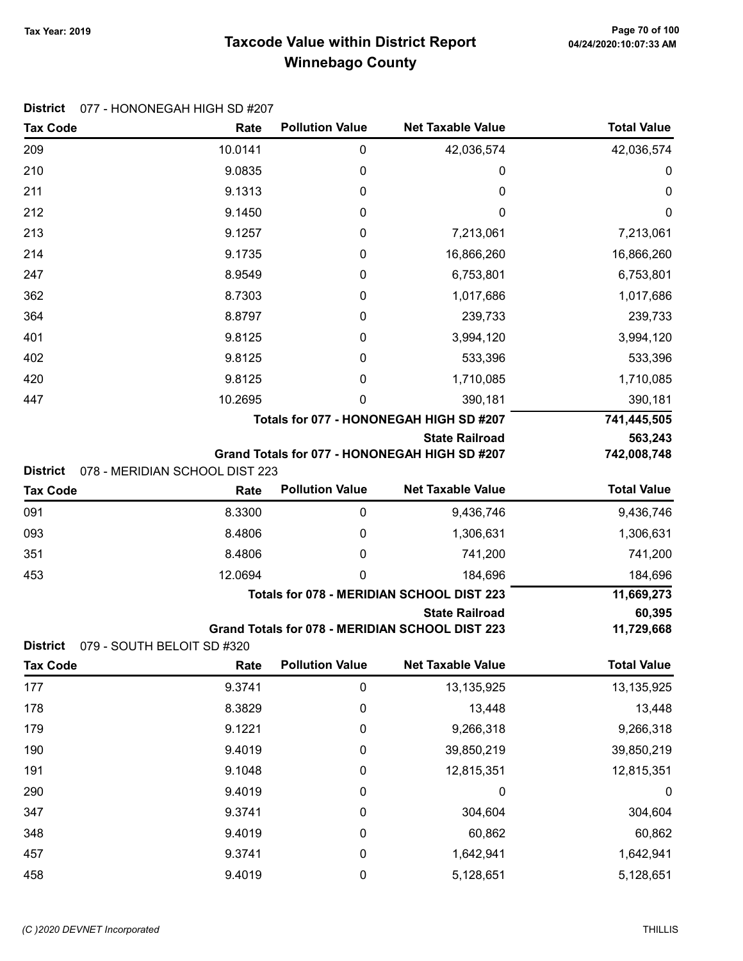# Taxcode Value within District Report Tax Year: 2019 Page 70 of 100 Winnebago County

| <b>Tax Code</b>                    | Rate                                   | <b>Pollution Value</b> | <b>Net Taxable Value</b>                             | <b>Total Value</b>   |
|------------------------------------|----------------------------------------|------------------------|------------------------------------------------------|----------------------|
| 209                                | 10.0141                                | 0                      | 42,036,574                                           | 42,036,574           |
| 210                                | 9.0835                                 | 0                      | 0                                                    | 0                    |
| 211                                | 9.1313                                 | 0                      | 0                                                    | 0                    |
| 212                                | 9.1450                                 | 0                      | 0                                                    | 0                    |
| 213                                | 9.1257                                 | 0                      | 7,213,061                                            | 7,213,061            |
| 214                                | 9.1735                                 | 0                      | 16,866,260                                           | 16,866,260           |
| 247                                | 8.9549                                 | 0                      | 6,753,801                                            | 6,753,801            |
| 362                                | 8.7303                                 | 0                      | 1,017,686                                            | 1,017,686            |
| 364                                | 8.8797                                 | 0                      | 239,733                                              | 239,733              |
| 401                                | 9.8125                                 | 0                      | 3,994,120                                            | 3,994,120            |
| 402                                | 9.8125                                 | 0                      | 533,396                                              | 533,396              |
| 420                                | 9.8125                                 | 0                      | 1,710,085                                            | 1,710,085            |
| 447                                | 10.2695                                | 0                      | 390,181                                              | 390,181              |
|                                    |                                        |                        | Totals for 077 - HONONEGAH HIGH SD #207              | 741,445,505          |
|                                    |                                        |                        | <b>State Railroad</b>                                | 563,243              |
|                                    |                                        |                        | Grand Totals for 077 - HONONEGAH HIGH SD #207        | 742,008,748          |
| <b>District</b><br><b>Tax Code</b> | 078 - MERIDIAN SCHOOL DIST 223<br>Rate | <b>Pollution Value</b> | <b>Net Taxable Value</b>                             | <b>Total Value</b>   |
|                                    |                                        |                        |                                                      |                      |
| 091                                | 8.3300                                 | 0                      | 9,436,746                                            | 9,436,746            |
| 093                                | 8.4806                                 | 0                      | 1,306,631                                            | 1,306,631            |
| 351                                | 8.4806                                 | 0                      | 741,200                                              | 741,200              |
| 453                                | 12.0694                                | 0                      | 184,696<br>Totals for 078 - MERIDIAN SCHOOL DIST 223 | 184,696              |
|                                    |                                        |                        | <b>State Railroad</b>                                | 11,669,273<br>60,395 |
|                                    |                                        |                        | Grand Totals for 078 - MERIDIAN SCHOOL DIST 223      | 11,729,668           |
| <b>District</b>                    | 079 - SOUTH BELOIT SD #320             |                        |                                                      |                      |
| <b>Tax Code</b>                    | Rate                                   | <b>Pollution Value</b> | <b>Net Taxable Value</b>                             | <b>Total Value</b>   |
| 177                                | 9.3741                                 | $\boldsymbol{0}$       | 13,135,925                                           | 13,135,925           |
| 178                                | 8.3829                                 | 0                      | 13,448                                               | 13,448               |
| 179                                | 9.1221                                 | 0                      | 9,266,318                                            | 9,266,318            |
| 190                                | 9.4019                                 | 0                      | 39,850,219                                           | 39,850,219           |
| 191                                | 9.1048                                 | 0                      | 12,815,351                                           | 12,815,351           |
| 290                                | 9.4019                                 | 0                      | $\mathbf 0$                                          | $\boldsymbol{0}$     |
| 347                                | 9.3741                                 | 0                      | 304,604                                              | 304,604              |
| 348                                | 9.4019                                 | 0                      | 60,862                                               | 60,862               |
| 457                                | 9.3741                                 | 0                      | 1,642,941                                            | 1,642,941            |
| 458                                | 9.4019                                 | $\boldsymbol{0}$       | 5,128,651                                            | 5,128,651            |

#### District 077 - HONONEGAH HIGH SD #207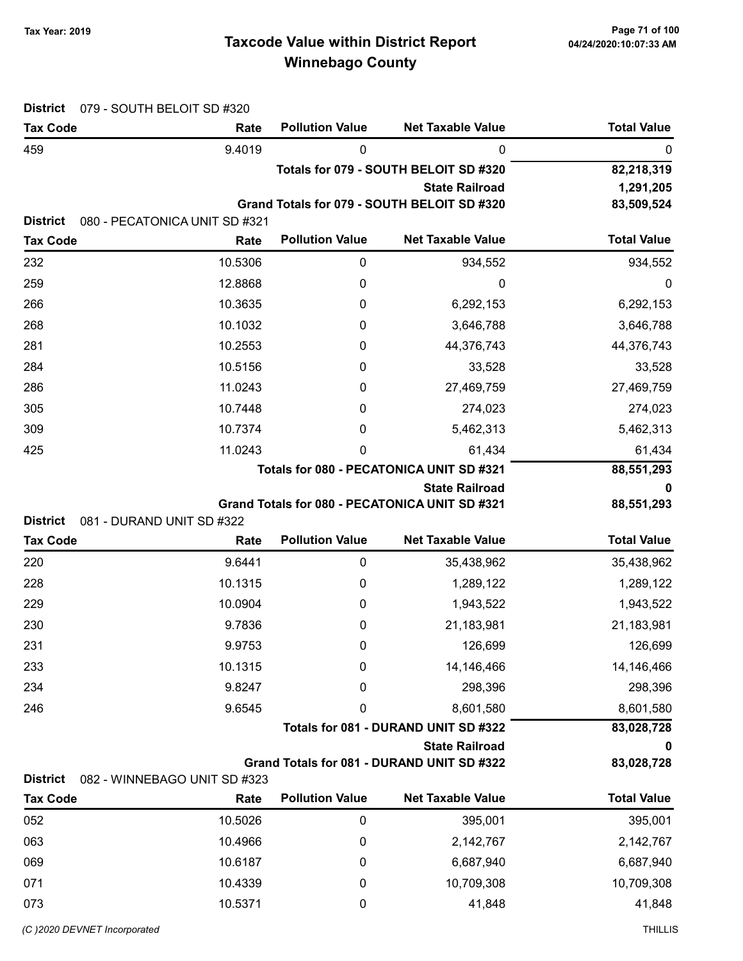# Taxcode Value within District Report Tax Year: 2019 Page 71 of 100 Winnebago County

| <b>District</b>                    | 079 - SOUTH BELOIT SD #320            |                        |                                                                         |                    |
|------------------------------------|---------------------------------------|------------------------|-------------------------------------------------------------------------|--------------------|
| <b>Tax Code</b>                    | Rate                                  | <b>Pollution Value</b> | <b>Net Taxable Value</b>                                                | <b>Total Value</b> |
| 459                                | 9.4019                                | 0                      | 0                                                                       | 0                  |
|                                    |                                       |                        | Totals for 079 - SOUTH BELOIT SD #320                                   | 82,218,319         |
|                                    |                                       |                        | <b>State Railroad</b>                                                   | 1,291,205          |
|                                    |                                       |                        | Grand Totals for 079 - SOUTH BELOIT SD #320                             | 83,509,524         |
| <b>District</b><br><b>Tax Code</b> | 080 - PECATONICA UNIT SD #321<br>Rate | <b>Pollution Value</b> | <b>Net Taxable Value</b>                                                | <b>Total Value</b> |
|                                    |                                       |                        |                                                                         |                    |
| 232                                | 10.5306                               | 0                      | 934,552                                                                 | 934,552            |
| 259                                | 12.8868                               | 0                      | 0                                                                       | 0                  |
| 266                                | 10.3635                               | 0                      | 6,292,153                                                               | 6,292,153          |
| 268                                | 10.1032                               | 0                      | 3,646,788                                                               | 3,646,788          |
| 281                                | 10.2553                               | 0                      | 44,376,743                                                              | 44,376,743         |
| 284                                | 10.5156                               | 0                      | 33,528                                                                  | 33,528             |
| 286                                | 11.0243                               | 0                      | 27,469,759                                                              | 27,469,759         |
| 305                                | 10.7448                               | 0                      | 274,023                                                                 | 274,023            |
| 309                                | 10.7374                               | 0                      | 5,462,313                                                               | 5,462,313          |
| 425                                | 11.0243                               | 0                      | 61,434                                                                  | 61,434             |
|                                    |                                       |                        | Totals for 080 - PECATONICA UNIT SD #321                                | 88,551,293         |
| <b>District</b>                    | 081 - DURAND UNIT SD #322             |                        | <b>State Railroad</b><br>Grand Totals for 080 - PECATONICA UNIT SD #321 | 0<br>88,551,293    |
| <b>Tax Code</b>                    | Rate                                  | <b>Pollution Value</b> | <b>Net Taxable Value</b>                                                | <b>Total Value</b> |
| 220                                | 9.6441                                | $\mathbf 0$            | 35,438,962                                                              | 35,438,962         |
| 228                                | 10.1315                               | 0                      | 1,289,122                                                               | 1,289,122          |
| 229                                | 10.0904                               | 0                      | 1,943,522                                                               | 1,943,522          |
| 230                                | 9.7836                                | 0                      | 21,183,981                                                              | 21,183,981         |
| 231                                | 9.9753                                | 0                      | 126,699                                                                 | 126,699            |
| 233                                | 10.1315                               | 0                      | 14,146,466                                                              | 14,146,466         |
| 234                                | 9.8247                                | 0                      | 298,396                                                                 | 298,396            |
| 246                                | 9.6545                                | 0                      | 8,601,580                                                               | 8,601,580          |
|                                    |                                       |                        | Totals for 081 - DURAND UNIT SD #322                                    | 83,028,728         |
|                                    |                                       |                        | <b>State Railroad</b>                                                   | 0                  |
|                                    |                                       |                        | Grand Totals for 081 - DURAND UNIT SD #322                              | 83,028,728         |
| <b>District</b>                    | 082 - WINNEBAGO UNIT SD #323          |                        |                                                                         |                    |
| <b>Tax Code</b>                    | Rate                                  | <b>Pollution Value</b> | <b>Net Taxable Value</b>                                                | <b>Total Value</b> |
| 052                                | 10.5026                               | 0                      | 395,001                                                                 | 395,001            |
| 063                                | 10.4966                               | 0                      | 2,142,767                                                               | 2,142,767          |
| 069                                | 10.6187                               | 0                      | 6,687,940                                                               | 6,687,940          |
| 071                                | 10.4339                               | 0                      | 10,709,308                                                              | 10,709,308         |
| 073                                | 10.5371                               | 0                      | 41,848                                                                  | 41,848             |

(C)2020 DEVNET Incorporated THILLIS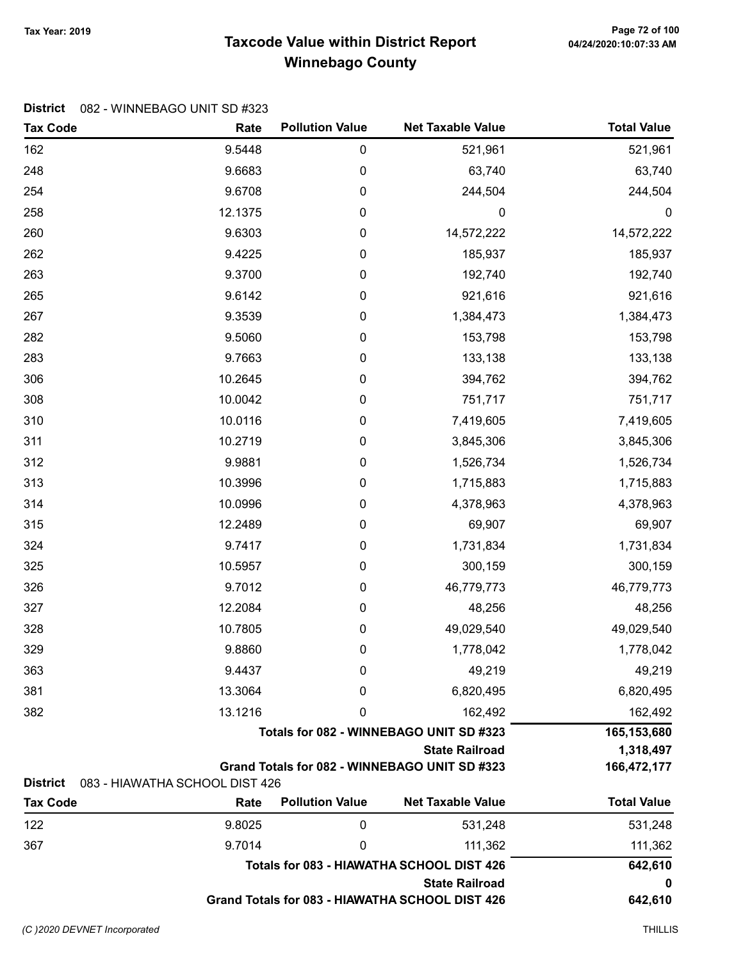# Taxcode Value within District Report Tax Year: 2019 Page 72 of 100 Winnebago County

### District 082 - WINNEBAGO UNIT SD #323

| <b>Tax Code</b> | Rate                                      | <b>Pollution Value</b> | <b>Net Taxable Value</b>                        | <b>Total Value</b> |  |  |
|-----------------|-------------------------------------------|------------------------|-------------------------------------------------|--------------------|--|--|
| 162             | 9.5448                                    | 0                      | 521,961                                         | 521,961            |  |  |
| 248             | 9.6683                                    | 0                      | 63,740                                          | 63,740             |  |  |
| 254             | 9.6708                                    | 0                      | 244,504                                         | 244,504            |  |  |
| 258             | 12.1375                                   | 0                      | 0                                               | $\mathbf 0$        |  |  |
| 260             | 9.6303                                    | 0                      | 14,572,222                                      | 14,572,222         |  |  |
| 262             | 9.4225                                    | 0                      | 185,937                                         | 185,937            |  |  |
| 263             | 9.3700                                    | 0                      | 192,740                                         | 192,740            |  |  |
| 265             | 9.6142                                    | 0                      | 921,616                                         | 921,616            |  |  |
| 267             | 9.3539                                    | 0                      | 1,384,473                                       | 1,384,473          |  |  |
| 282             | 9.5060                                    | 0                      | 153,798                                         | 153,798            |  |  |
| 283             | 9.7663                                    | 0                      | 133,138                                         | 133,138            |  |  |
| 306             | 10.2645                                   | 0                      | 394,762                                         | 394,762            |  |  |
| 308             | 10.0042                                   | 0                      | 751,717                                         | 751,717            |  |  |
| 310             | 10.0116                                   | 0                      | 7,419,605                                       | 7,419,605          |  |  |
| 311             | 10.2719                                   | 0                      | 3,845,306                                       | 3,845,306          |  |  |
| 312             | 9.9881                                    | 0                      | 1,526,734                                       | 1,526,734          |  |  |
| 313             | 10.3996                                   | 0                      | 1,715,883                                       | 1,715,883          |  |  |
| 314             | 10.0996                                   | 0                      | 4,378,963                                       | 4,378,963          |  |  |
| 315             | 12.2489                                   | 0                      | 69,907                                          | 69,907             |  |  |
| 324             | 9.7417                                    | 0                      | 1,731,834                                       | 1,731,834          |  |  |
| 325             | 10.5957                                   | 0                      | 300,159                                         | 300,159            |  |  |
| 326             | 9.7012                                    | 0                      | 46,779,773                                      | 46,779,773         |  |  |
| 327             | 12.2084                                   | 0                      | 48,256                                          | 48,256             |  |  |
| 328             | 10.7805                                   | 0                      | 49,029,540                                      | 49,029,540         |  |  |
| 329             | 9.8860                                    | 0                      | 1,778,042                                       | 1,778,042          |  |  |
| 363             | 9.4437                                    | 0                      | 49,219                                          | 49,219             |  |  |
| 381             | 13.3064                                   | 0                      | 6,820,495                                       | 6,820,495          |  |  |
| 382             | 13.1216                                   | 0                      | 162,492                                         | 162,492            |  |  |
|                 |                                           |                        | Totals for 082 - WINNEBAGO UNIT SD #323         | 165,153,680        |  |  |
|                 |                                           |                        | <b>State Railroad</b>                           | 1,318,497          |  |  |
| <b>District</b> | 083 - HIAWATHA SCHOOL DIST 426            |                        | Grand Totals for 082 - WINNEBAGO UNIT SD #323   | 166,472,177        |  |  |
| <b>Tax Code</b> | Rate                                      | <b>Pollution Value</b> | <b>Net Taxable Value</b>                        | <b>Total Value</b> |  |  |
| 122             | 9.8025                                    | $\mathbf 0$            | 531,248                                         | 531,248            |  |  |
| 367             | 9.7014                                    | 0                      | 111,362                                         | 111,362            |  |  |
|                 | Totals for 083 - HIAWATHA SCHOOL DIST 426 |                        |                                                 | 642,610            |  |  |
|                 |                                           | <b>State Railroad</b>  |                                                 |                    |  |  |
|                 |                                           |                        | Grand Totals for 083 - HIAWATHA SCHOOL DIST 426 | 642,610            |  |  |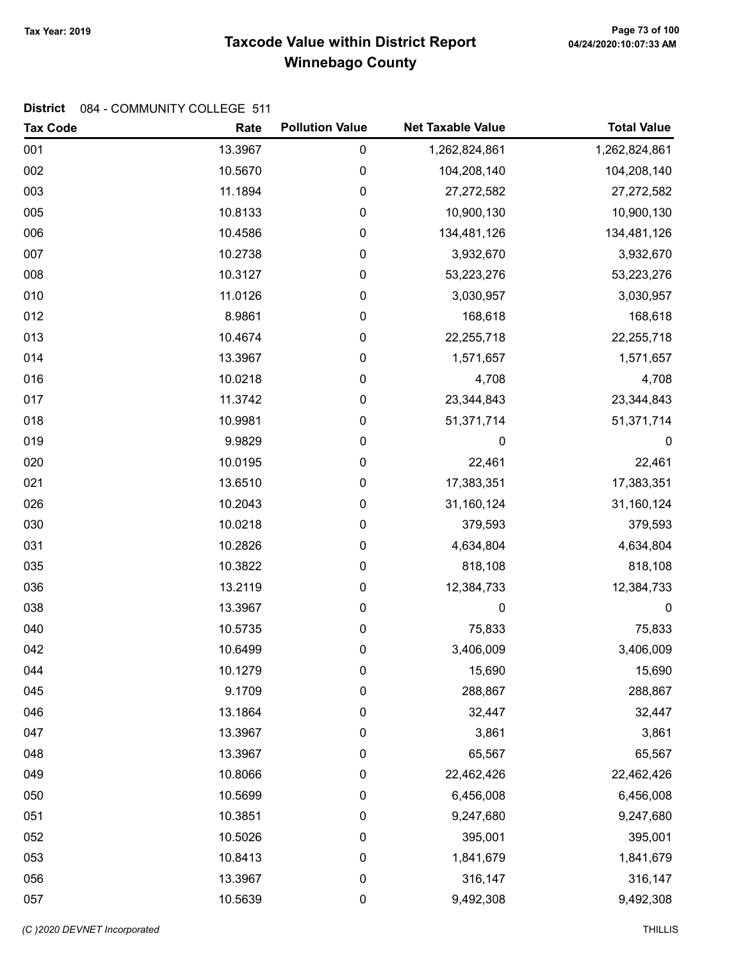## Taxcode Value within District Report Tax Year: 2019 Page 73 of 100 Winnebago County

| <b>Tax Code</b> | Rate    | <b>Pollution Value</b> | <b>Net Taxable Value</b> | <b>Total Value</b> |
|-----------------|---------|------------------------|--------------------------|--------------------|
| 001             | 13.3967 | $\pmb{0}$              | 1,262,824,861            | 1,262,824,861      |
| 002             | 10.5670 | $\pmb{0}$              | 104,208,140              | 104,208,140        |
| 003             | 11.1894 | $\pmb{0}$              | 27,272,582               | 27,272,582         |
| 005             | 10.8133 | $\mathbf 0$            | 10,900,130               | 10,900,130         |
| 006             | 10.4586 | $\boldsymbol{0}$       | 134,481,126              | 134,481,126        |
| 007             | 10.2738 | $\pmb{0}$              | 3,932,670                | 3,932,670          |
| 008             | 10.3127 | $\mathbf 0$            | 53,223,276               | 53,223,276         |
| 010             | 11.0126 | $\mathbf 0$            | 3,030,957                | 3,030,957          |
| 012             | 8.9861  | $\mathbf 0$            | 168,618                  | 168,618            |
| 013             | 10.4674 | $\boldsymbol{0}$       | 22,255,718               | 22,255,718         |
| 014             | 13.3967 | $\boldsymbol{0}$       | 1,571,657                | 1,571,657          |
| 016             | 10.0218 | $\boldsymbol{0}$       | 4,708                    | 4,708              |
| 017             | 11.3742 | $\boldsymbol{0}$       | 23,344,843               | 23,344,843         |
| 018             | 10.9981 | $\mathbf 0$            | 51,371,714               | 51,371,714         |
| 019             | 9.9829  | $\mathbf 0$            | $\boldsymbol{0}$         | $\boldsymbol{0}$   |
| 020             | 10.0195 | $\mathbf 0$            | 22,461                   | 22,461             |
| 021             | 13.6510 | $\boldsymbol{0}$       | 17,383,351               | 17,383,351         |
| 026             | 10.2043 | $\boldsymbol{0}$       | 31,160,124               | 31,160,124         |
| 030             | 10.0218 | $\mathbf 0$            | 379,593                  | 379,593            |
| 031             | 10.2826 | 0                      | 4,634,804                | 4,634,804          |
| 035             | 10.3822 | $\mathbf 0$            | 818,108                  | 818,108            |
| 036             | 13.2119 | $\mathbf 0$            | 12,384,733               | 12,384,733         |
| 038             | 13.3967 | $\mathbf 0$            | 0                        | $\boldsymbol{0}$   |
| 040             | 10.5735 | $\boldsymbol{0}$       | 75,833                   | 75,833             |
| 042             | 10.6499 | $\boldsymbol{0}$       | 3,406,009                | 3,406,009          |
| 044             | 10.1279 | $\boldsymbol{0}$       | 15,690                   | 15,690             |
| 045             | 9.1709  | $\boldsymbol{0}$       | 288,867                  | 288,867            |
| 046             | 13.1864 | $\mathbf 0$            | 32,447                   | 32,447             |
| 047             | 13.3967 | 0                      | 3,861                    | 3,861              |
| 048             | 13.3967 | $\boldsymbol{0}$       | 65,567                   | 65,567             |
| 049             | 10.8066 | $\mathbf 0$            | 22,462,426               | 22,462,426         |
| 050             | 10.5699 | $\mathbf 0$            | 6,456,008                | 6,456,008          |
| 051             | 10.3851 | $\mathbf 0$            | 9,247,680                | 9,247,680          |
| 052             | 10.5026 | 0                      | 395,001                  | 395,001            |
| 053             | 10.8413 | 0                      | 1,841,679                | 1,841,679          |
| 056             | 13.3967 | 0                      | 316,147                  | 316,147            |
| 057             | 10.5639 | $\boldsymbol{0}$       | 9,492,308                | 9,492,308          |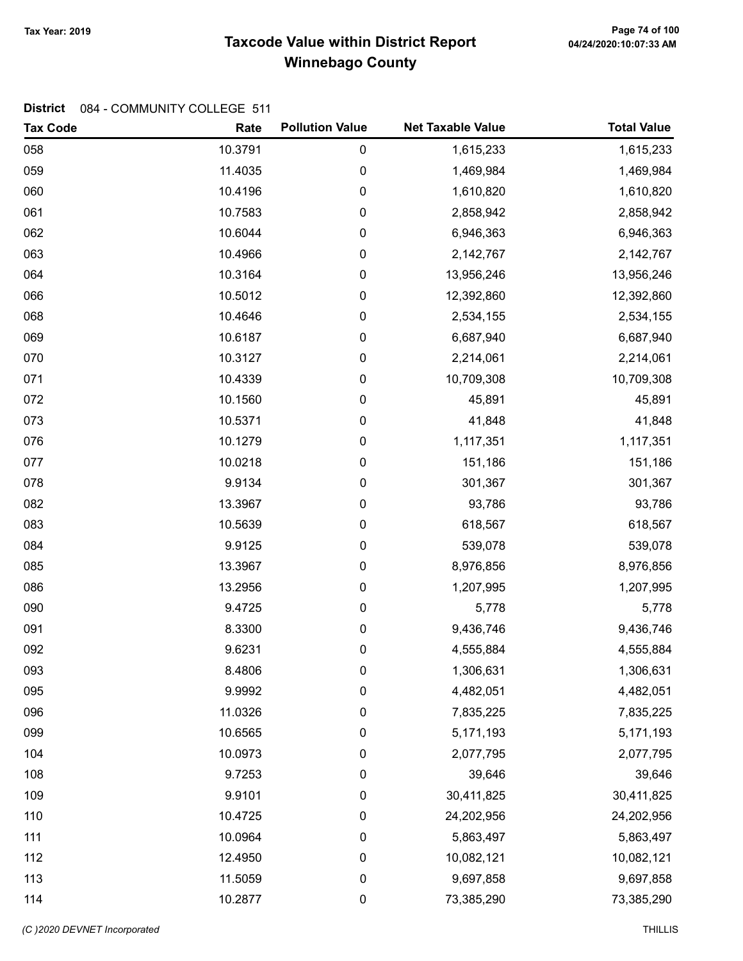## Taxcode Value within District Report Tax Year: 2019 Page 74 of 100 Winnebago County

| <b>Tax Code</b> | Rate    | <b>Pollution Value</b> | <b>Net Taxable Value</b> | <b>Total Value</b> |
|-----------------|---------|------------------------|--------------------------|--------------------|
| 058             | 10.3791 | 0                      | 1,615,233                | 1,615,233          |
| 059             | 11.4035 | 0                      | 1,469,984                | 1,469,984          |
| 060             | 10.4196 | 0                      | 1,610,820                | 1,610,820          |
| 061             | 10.7583 | 0                      | 2,858,942                | 2,858,942          |
| 062             | 10.6044 | 0                      | 6,946,363                | 6,946,363          |
| 063             | 10.4966 | 0                      | 2,142,767                | 2,142,767          |
| 064             | 10.3164 | 0                      | 13,956,246               | 13,956,246         |
| 066             | 10.5012 | 0                      | 12,392,860               | 12,392,860         |
| 068             | 10.4646 | 0                      | 2,534,155                | 2,534,155          |
| 069             | 10.6187 | 0                      | 6,687,940                | 6,687,940          |
| 070             | 10.3127 | 0                      | 2,214,061                | 2,214,061          |
| 071             | 10.4339 | 0                      | 10,709,308               | 10,709,308         |
| 072             | 10.1560 | 0                      | 45,891                   | 45,891             |
| 073             | 10.5371 | 0                      | 41,848                   | 41,848             |
| 076             | 10.1279 | 0                      | 1,117,351                | 1,117,351          |
| 077             | 10.0218 | 0                      | 151,186                  | 151,186            |
| 078             | 9.9134  | 0                      | 301,367                  | 301,367            |
| 082             | 13.3967 | 0                      | 93,786                   | 93,786             |
| 083             | 10.5639 | 0                      | 618,567                  | 618,567            |
| 084             | 9.9125  | 0                      | 539,078                  | 539,078            |
| 085             | 13.3967 | 0                      | 8,976,856                | 8,976,856          |
| 086             | 13.2956 | 0                      | 1,207,995                | 1,207,995          |
| 090             | 9.4725  | 0                      | 5,778                    | 5,778              |
| 091             | 8.3300  | 0                      | 9,436,746                | 9,436,746          |
| 092             | 9.6231  | 0                      | 4,555,884                | 4,555,884          |
| 093             | 8.4806  | 0                      | 1,306,631                | 1,306,631          |
| 095             | 9.9992  | 0                      | 4,482,051                | 4,482,051          |
| 096             | 11.0326 | 0                      | 7,835,225                | 7,835,225          |
| 099             | 10.6565 | 0                      | 5,171,193                | 5,171,193          |
| 104             | 10.0973 | 0                      | 2,077,795                | 2,077,795          |
| 108             | 9.7253  | 0                      | 39,646                   | 39,646             |
| 109             | 9.9101  | 0                      | 30,411,825               | 30,411,825         |
| 110             | 10.4725 | 0                      | 24,202,956               | 24,202,956         |
| 111             | 10.0964 | 0                      | 5,863,497                | 5,863,497          |
| 112             | 12.4950 | 0                      | 10,082,121               | 10,082,121         |
| 113             | 11.5059 | 0                      | 9,697,858                | 9,697,858          |
| 114             | 10.2877 | 0                      | 73,385,290               | 73,385,290         |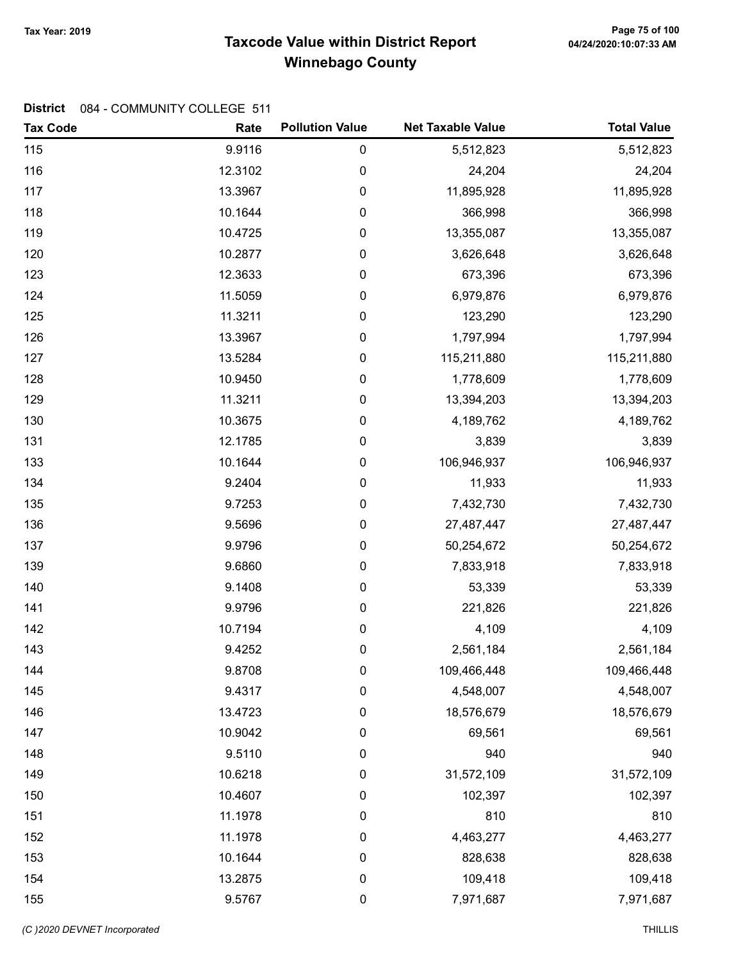## Taxcode Value within District Report Tax Year: 2019 Page 75 of 100 Winnebago County

| <b>Tax Code</b> | Rate    | <b>Pollution Value</b> | <b>Net Taxable Value</b> | <b>Total Value</b> |
|-----------------|---------|------------------------|--------------------------|--------------------|
| 115             | 9.9116  | 0                      | 5,512,823                | 5,512,823          |
| 116             | 12.3102 | 0                      | 24,204                   | 24,204             |
| 117             | 13.3967 | 0                      | 11,895,928               | 11,895,928         |
| 118             | 10.1644 | 0                      | 366,998                  | 366,998            |
| 119             | 10.4725 | 0                      | 13,355,087               | 13,355,087         |
| 120             | 10.2877 | 0                      | 3,626,648                | 3,626,648          |
| 123             | 12.3633 | 0                      | 673,396                  | 673,396            |
| 124             | 11.5059 | $\boldsymbol{0}$       | 6,979,876                | 6,979,876          |
| 125             | 11.3211 | 0                      | 123,290                  | 123,290            |
| 126             | 13.3967 | 0                      | 1,797,994                | 1,797,994          |
| 127             | 13.5284 | 0                      | 115,211,880              | 115,211,880        |
| 128             | 10.9450 | 0                      | 1,778,609                | 1,778,609          |
| 129             | 11.3211 | 0                      | 13,394,203               | 13,394,203         |
| 130             | 10.3675 | 0                      | 4,189,762                | 4,189,762          |
| 131             | 12.1785 | $\boldsymbol{0}$       | 3,839                    | 3,839              |
| 133             | 10.1644 | 0                      | 106,946,937              | 106,946,937        |
| 134             | 9.2404  | 0                      | 11,933                   | 11,933             |
| 135             | 9.7253  | 0                      | 7,432,730                | 7,432,730          |
| 136             | 9.5696  | 0                      | 27,487,447               | 27,487,447         |
| 137             | 9.9796  | 0                      | 50,254,672               | 50,254,672         |
| 139             | 9.6860  | 0                      | 7,833,918                | 7,833,918          |
| 140             | 9.1408  | $\boldsymbol{0}$       | 53,339                   | 53,339             |
| 141             | 9.9796  | 0                      | 221,826                  | 221,826            |
| 142             | 10.7194 | $\boldsymbol{0}$       | 4,109                    | 4,109              |
| 143             | 9.4252  | 0                      | 2,561,184                | 2,561,184          |
| 144             | 9.8708  | 0                      | 109,466,448              | 109,466,448        |
| 145             | 9.4317  | 0                      | 4,548,007                | 4,548,007          |
| 146             | 13.4723 | 0                      | 18,576,679               | 18,576,679         |
| 147             | 10.9042 | 0                      | 69,561                   | 69,561             |
| 148             | 9.5110  | 0                      | 940                      | 940                |
| 149             | 10.6218 | 0                      | 31,572,109               | 31,572,109         |
| 150             | 10.4607 | 0                      | 102,397                  | 102,397            |
| 151             | 11.1978 | 0                      | 810                      | 810                |
| 152             | 11.1978 | 0                      | 4,463,277                | 4,463,277          |
| 153             | 10.1644 | 0                      | 828,638                  | 828,638            |
| 154             | 13.2875 | 0                      | 109,418                  | 109,418            |
| 155             | 9.5767  | $\pmb{0}$              | 7,971,687                | 7,971,687          |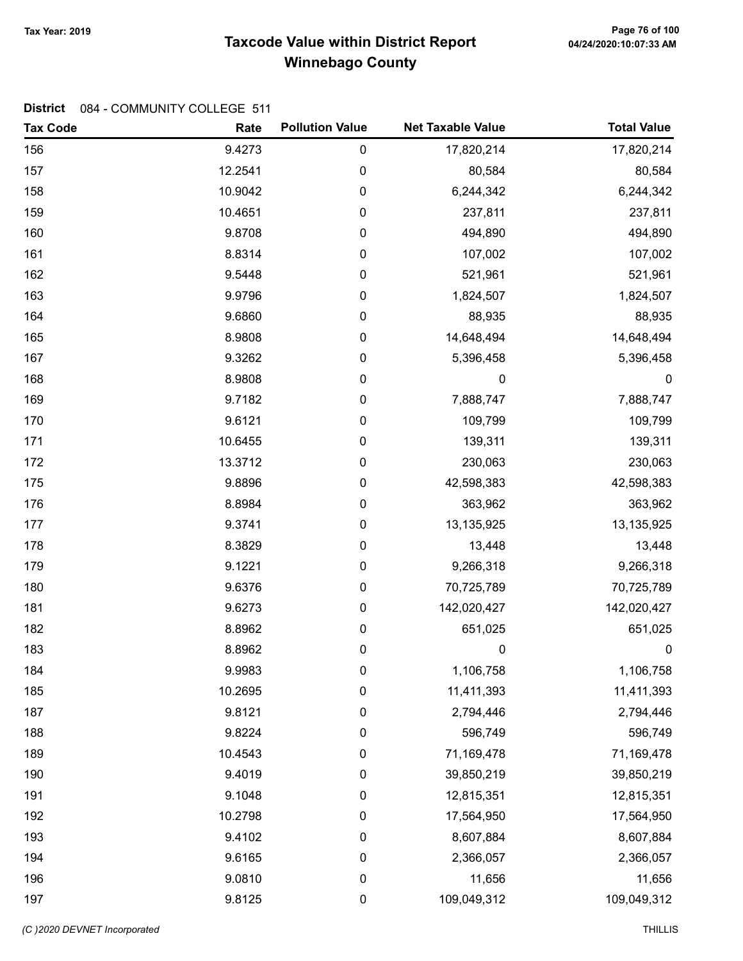## Taxcode Value within District Report Tax Year: 2019 Page 76 of 100 Winnebago County

| <b>Tax Code</b> | Rate    | <b>Pollution Value</b> | <b>Net Taxable Value</b> | <b>Total Value</b> |
|-----------------|---------|------------------------|--------------------------|--------------------|
| 156             | 9.4273  | 0                      | 17,820,214               | 17,820,214         |
| 157             | 12.2541 | 0                      | 80,584                   | 80,584             |
| 158             | 10.9042 | $\pmb{0}$              | 6,244,342                | 6,244,342          |
| 159             | 10.4651 | 0                      | 237,811                  | 237,811            |
| 160             | 9.8708  | 0                      | 494,890                  | 494,890            |
| 161             | 8.8314  | 0                      | 107,002                  | 107,002            |
| 162             | 9.5448  | 0                      | 521,961                  | 521,961            |
| 163             | 9.9796  | 0                      | 1,824,507                | 1,824,507          |
| 164             | 9.6860  | 0                      | 88,935                   | 88,935             |
| 165             | 8.9808  | $\pmb{0}$              | 14,648,494               | 14,648,494         |
| 167             | 9.3262  | 0                      | 5,396,458                | 5,396,458          |
| 168             | 8.9808  | 0                      | $\boldsymbol{0}$         | $\boldsymbol{0}$   |
| 169             | 9.7182  | 0                      | 7,888,747                | 7,888,747          |
| 170             | 9.6121  | 0                      | 109,799                  | 109,799            |
| 171             | 10.6455 | $\boldsymbol{0}$       | 139,311                  | 139,311            |
| 172             | 13.3712 | 0                      | 230,063                  | 230,063            |
| 175             | 9.8896  | $\pmb{0}$              | 42,598,383               | 42,598,383         |
| 176             | 8.8984  | 0                      | 363,962                  | 363,962            |
| 177             | 9.3741  | 0                      | 13,135,925               | 13,135,925         |
| 178             | 8.3829  | 0                      | 13,448                   | 13,448             |
| 179             | 9.1221  | 0                      | 9,266,318                | 9,266,318          |
| 180             | 9.6376  | $\mathbf 0$            | 70,725,789               | 70,725,789         |
| 181             | 9.6273  | 0                      | 142,020,427              | 142,020,427        |
| 182             | 8.8962  | 0                      | 651,025                  | 651,025            |
| 183             | 8.8962  | 0                      | $\mathbf 0$              | 0                  |
| 184             | 9.9983  | 0                      | 1,106,758                | 1,106,758          |
| 185             | 10.2695 | 0                      | 11,411,393               | 11,411,393         |
| 187             | 9.8121  | 0                      | 2,794,446                | 2,794,446          |
| 188             | 9.8224  | 0                      | 596,749                  | 596,749            |
| 189             | 10.4543 | 0                      | 71,169,478               | 71,169,478         |
| 190             | 9.4019  | 0                      | 39,850,219               | 39,850,219         |
| 191             | 9.1048  | 0                      | 12,815,351               | 12,815,351         |
| 192             | 10.2798 | 0                      | 17,564,950               | 17,564,950         |
| 193             | 9.4102  | 0                      | 8,607,884                | 8,607,884          |
| 194             | 9.6165  | $\boldsymbol{0}$       | 2,366,057                | 2,366,057          |
| 196             | 9.0810  | $\boldsymbol{0}$       | 11,656                   | 11,656             |
| 197             | 9.8125  | $\pmb{0}$              | 109,049,312              | 109,049,312        |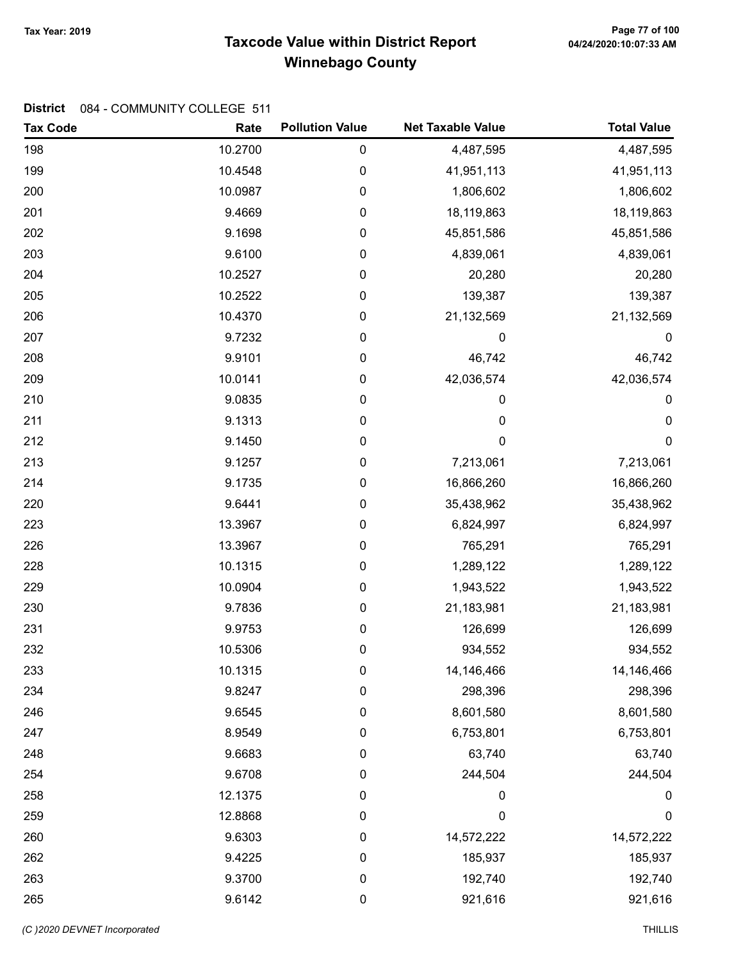## Taxcode Value within District Report Tax Year: 2019 Page 77 of 100 Winnebago County

| <b>Tax Code</b> | Rate    | <b>Pollution Value</b> | <b>Net Taxable Value</b> | <b>Total Value</b> |
|-----------------|---------|------------------------|--------------------------|--------------------|
| 198             | 10.2700 | 0                      | 4,487,595                | 4,487,595          |
| 199             | 10.4548 | 0                      | 41,951,113               | 41,951,113         |
| 200             | 10.0987 | 0                      | 1,806,602                | 1,806,602          |
| 201             | 9.4669  | 0                      | 18,119,863               | 18,119,863         |
| 202             | 9.1698  | 0                      | 45,851,586               | 45,851,586         |
| 203             | 9.6100  | 0                      | 4,839,061                | 4,839,061          |
| 204             | 10.2527 | 0                      | 20,280                   | 20,280             |
| 205             | 10.2522 | 0                      | 139,387                  | 139,387            |
| 206             | 10.4370 | 0                      | 21,132,569               | 21,132,569         |
| 207             | 9.7232  | 0                      | 0                        | $\boldsymbol{0}$   |
| 208             | 9.9101  | 0                      | 46,742                   | 46,742             |
| 209             | 10.0141 | 0                      | 42,036,574               | 42,036,574         |
| 210             | 9.0835  | 0                      | 0                        | $\pmb{0}$          |
| 211             | 9.1313  | 0                      | 0                        | 0                  |
| 212             | 9.1450  | $\pmb{0}$              | $\mathbf 0$              | $\pmb{0}$          |
| 213             | 9.1257  | 0                      | 7,213,061                | 7,213,061          |
| 214             | 9.1735  | 0                      | 16,866,260               | 16,866,260         |
| 220             | 9.6441  | 0                      | 35,438,962               | 35,438,962         |
| 223             | 13.3967 | 0                      | 6,824,997                | 6,824,997          |
| 226             | 13.3967 | 0                      | 765,291                  | 765,291            |
| 228             | 10.1315 | 0                      | 1,289,122                | 1,289,122          |
| 229             | 10.0904 | 0                      | 1,943,522                | 1,943,522          |
| 230             | 9.7836  | 0                      | 21,183,981               | 21,183,981         |
| 231             | 9.9753  | 0                      | 126,699                  | 126,699            |
| 232             | 10.5306 | 0                      | 934,552                  | 934,552            |
| 233             | 10.1315 | 0                      | 14,146,466               | 14,146,466         |
| 234             | 9.8247  | 0                      | 298,396                  | 298,396            |
| 246             | 9.6545  | 0                      | 8,601,580                | 8,601,580          |
| 247             | 8.9549  | 0                      | 6,753,801                | 6,753,801          |
| 248             | 9.6683  | 0                      | 63,740                   | 63,740             |
| 254             | 9.6708  | 0                      | 244,504                  | 244,504            |
| 258             | 12.1375 | 0                      | 0                        | 0                  |
| 259             | 12.8868 | 0                      | $\mathbf 0$              | 0                  |
| 260             | 9.6303  | 0                      | 14,572,222               | 14,572,222         |
| 262             | 9.4225  | 0                      | 185,937                  | 185,937            |
| 263             | 9.3700  | 0                      | 192,740                  | 192,740            |
| 265             | 9.6142  | $\pmb{0}$              | 921,616                  | 921,616            |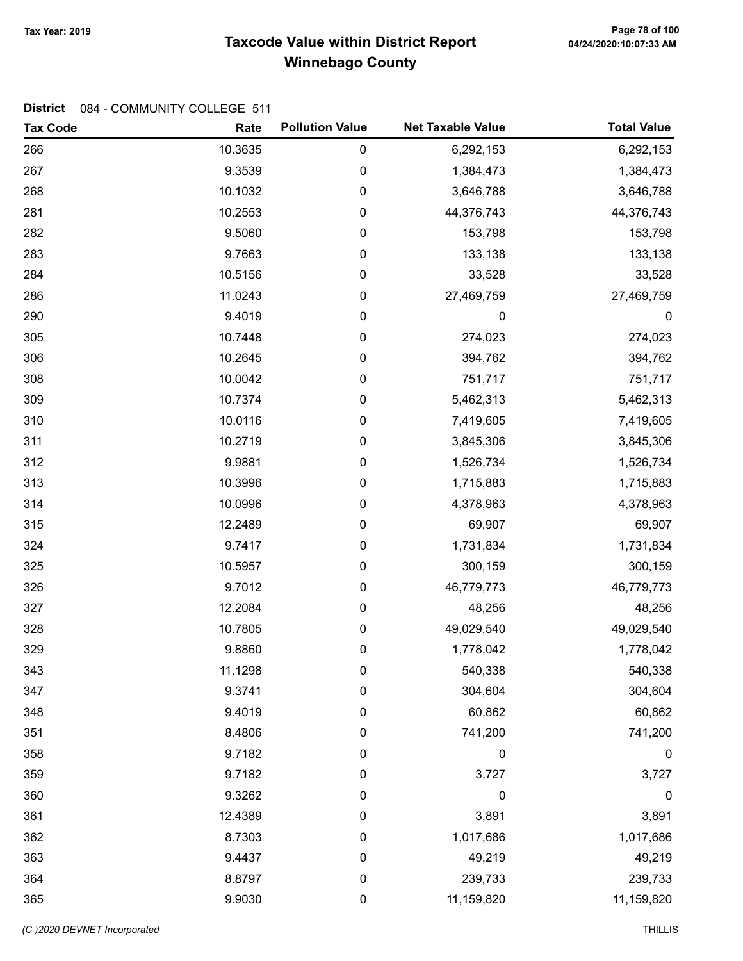## Taxcode Value within District Report Tax Year: 2019 Page 78 of 100 Winnebago County

| <b>Tax Code</b> | Rate    | <b>Pollution Value</b> | <b>Net Taxable Value</b> | <b>Total Value</b> |
|-----------------|---------|------------------------|--------------------------|--------------------|
| 266             | 10.3635 | $\pmb{0}$              | 6,292,153                | 6,292,153          |
| 267             | 9.3539  | 0                      | 1,384,473                | 1,384,473          |
| 268             | 10.1032 | 0                      | 3,646,788                | 3,646,788          |
| 281             | 10.2553 | 0                      | 44,376,743               | 44,376,743         |
| 282             | 9.5060  | 0                      | 153,798                  | 153,798            |
| 283             | 9.7663  | 0                      | 133,138                  | 133,138            |
| 284             | 10.5156 | $\pmb{0}$              | 33,528                   | 33,528             |
| 286             | 11.0243 | 0                      | 27,469,759               | 27,469,759         |
| 290             | 9.4019  | 0                      | 0                        | 0                  |
| 305             | 10.7448 | 0                      | 274,023                  | 274,023            |
| 306             | 10.2645 | 0                      | 394,762                  | 394,762            |
| 308             | 10.0042 | 0                      | 751,717                  | 751,717            |
| 309             | 10.7374 | 0                      | 5,462,313                | 5,462,313          |
| 310             | 10.0116 | $\pmb{0}$              | 7,419,605                | 7,419,605          |
| 311             | 10.2719 | 0                      | 3,845,306                | 3,845,306          |
| 312             | 9.9881  | 0                      | 1,526,734                | 1,526,734          |
| 313             | 10.3996 | 0                      | 1,715,883                | 1,715,883          |
| 314             | 10.0996 | 0                      | 4,378,963                | 4,378,963          |
| 315             | 12.2489 | 0                      | 69,907                   | 69,907             |
| 324             | 9.7417  | 0                      | 1,731,834                | 1,731,834          |
| 325             | 10.5957 | $\pmb{0}$              | 300,159                  | 300,159            |
| 326             | 9.7012  | 0                      | 46,779,773               | 46,779,773         |
| 327             | 12.2084 | 0                      | 48,256                   | 48,256             |
| 328             | 10.7805 | 0                      | 49,029,540               | 49,029,540         |
| 329             | 9.8860  | 0                      | 1,778,042                | 1,778,042          |
| 343             | 11.1298 | 0                      | 540,338                  | 540,338            |
| 347             | 9.3741  | 0                      | 304,604                  | 304,604            |
| 348             | 9.4019  | 0                      | 60,862                   | 60,862             |
| 351             | 8.4806  | $\boldsymbol{0}$       | 741,200                  | 741,200            |
| 358             | 9.7182  | $\boldsymbol{0}$       | 0                        | $\boldsymbol{0}$   |
| 359             | 9.7182  | $\boldsymbol{0}$       | 3,727                    | 3,727              |
| 360             | 9.3262  | $\pmb{0}$              | 0                        | $\boldsymbol{0}$   |
| 361             | 12.4389 | $\pmb{0}$              | 3,891                    | 3,891              |
| 362             | 8.7303  | 0                      | 1,017,686                | 1,017,686          |
| 363             | 9.4437  | 0                      | 49,219                   | 49,219             |
| 364             | 8.8797  | 0                      | 239,733                  | 239,733            |
| 365             | 9.9030  | $\pmb{0}$              | 11,159,820               | 11,159,820         |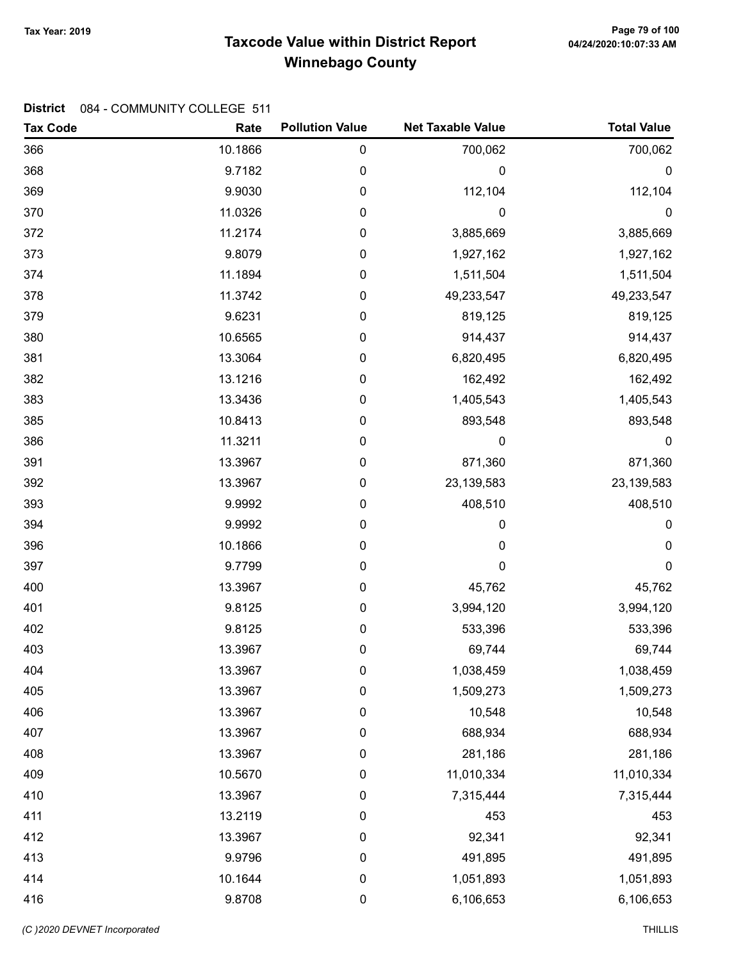## Taxcode Value within District Report Tax Year: 2019 Page 79 of 100 Winnebago County

| <b>Tax Code</b> | Rate    | <b>Pollution Value</b> | <b>Net Taxable Value</b> | <b>Total Value</b> |
|-----------------|---------|------------------------|--------------------------|--------------------|
| 366             | 10.1866 | $\pmb{0}$              | 700,062                  | 700,062            |
| 368             | 9.7182  | $\mathbf 0$            | 0                        | 0                  |
| 369             | 9.9030  | 0                      | 112,104                  | 112,104            |
| 370             | 11.0326 | 0                      | 0                        | 0                  |
| 372             | 11.2174 | 0                      | 3,885,669                | 3,885,669          |
| 373             | 9.8079  | 0                      | 1,927,162                | 1,927,162          |
| 374             | 11.1894 | 0                      | 1,511,504                | 1,511,504          |
| 378             | 11.3742 | 0                      | 49,233,547               | 49,233,547         |
| 379             | 9.6231  | 0                      | 819,125                  | 819,125            |
| 380             | 10.6565 | 0                      | 914,437                  | 914,437            |
| 381             | 13.3064 | 0                      | 6,820,495                | 6,820,495          |
| 382             | 13.1216 | 0                      | 162,492                  | 162,492            |
| 383             | 13.3436 | 0                      | 1,405,543                | 1,405,543          |
| 385             | 10.8413 | 0                      | 893,548                  | 893,548            |
| 386             | 11.3211 | 0                      | 0                        | $\boldsymbol{0}$   |
| 391             | 13.3967 | 0                      | 871,360                  | 871,360            |
| 392             | 13.3967 | 0                      | 23,139,583               | 23,139,583         |
| 393             | 9.9992  | 0                      | 408,510                  | 408,510            |
| 394             | 9.9992  | 0                      | 0                        | 0                  |
| 396             | 10.1866 | 0                      | 0                        | $\mathbf 0$        |
| 397             | 9.7799  | $\pmb{0}$              | 0                        | $\pmb{0}$          |
| 400             | 13.3967 | 0                      | 45,762                   | 45,762             |
| 401             | 9.8125  | 0                      | 3,994,120                | 3,994,120          |
| 402             | 9.8125  | 0                      | 533,396                  | 533,396            |
| 403             | 13.3967 | 0                      | 69,744                   | 69,744             |
| 404             | 13.3967 | 0                      | 1,038,459                | 1,038,459          |
| 405             | 13.3967 | $\boldsymbol{0}$       | 1,509,273                | 1,509,273          |
| 406             | 13.3967 | $\pmb{0}$              | 10,548                   | 10,548             |
| 407             | 13.3967 | $\boldsymbol{0}$       | 688,934                  | 688,934            |
| 408             | 13.3967 | $\boldsymbol{0}$       | 281,186                  | 281,186            |
| 409             | 10.5670 | $\pmb{0}$              | 11,010,334               | 11,010,334         |
| 410             | 13.3967 | 0                      | 7,315,444                | 7,315,444          |
| 411             | 13.2119 | $\pmb{0}$              | 453                      | 453                |
| 412             | 13.3967 | 0                      | 92,341                   | 92,341             |
| 413             | 9.9796  | $\pmb{0}$              | 491,895                  | 491,895            |
| 414             | 10.1644 | $\pmb{0}$              | 1,051,893                | 1,051,893          |
| 416             | 9.8708  | $\pmb{0}$              | 6,106,653                | 6,106,653          |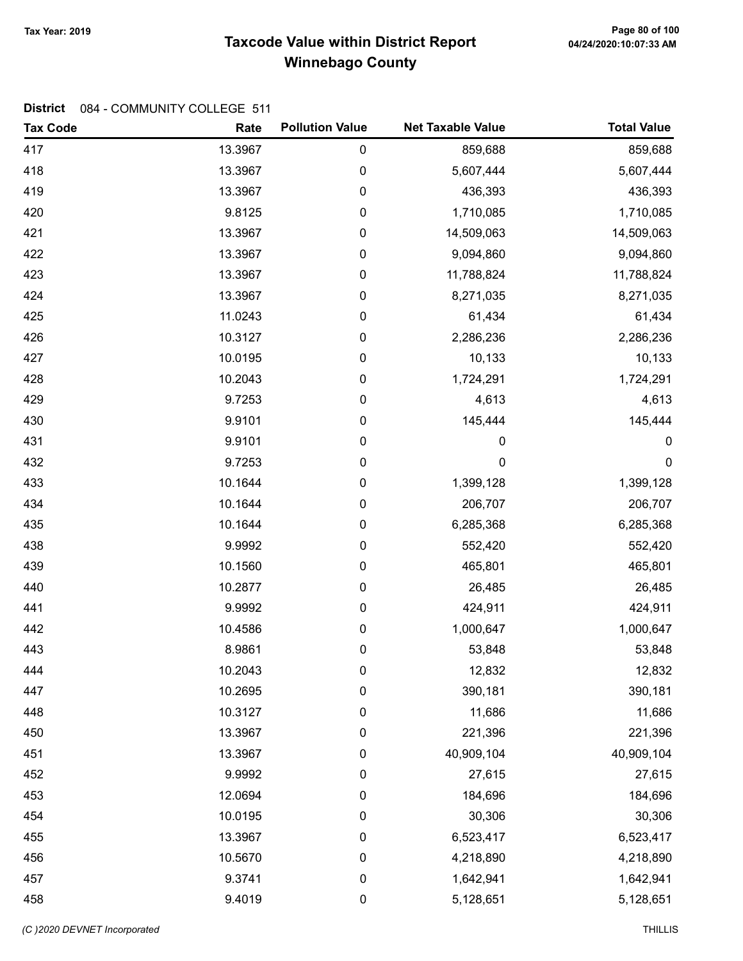## Taxcode Value within District Report Tax Year: 2019 Page 80 of 100 Winnebago County

| <b>Tax Code</b> | Rate    | <b>Pollution Value</b> | <b>Net Taxable Value</b> | <b>Total Value</b> |
|-----------------|---------|------------------------|--------------------------|--------------------|
| 417             | 13.3967 | $\pmb{0}$              | 859,688                  | 859,688            |
| 418             | 13.3967 | $\pmb{0}$              | 5,607,444                | 5,607,444          |
| 419             | 13.3967 | $\pmb{0}$              | 436,393                  | 436,393            |
| 420             | 9.8125  | $\pmb{0}$              | 1,710,085                | 1,710,085          |
| 421             | 13.3967 | 0                      | 14,509,063               | 14,509,063         |
| 422             | 13.3967 | 0                      | 9,094,860                | 9,094,860          |
| 423             | 13.3967 | 0                      | 11,788,824               | 11,788,824         |
| 424             | 13.3967 | $\pmb{0}$              | 8,271,035                | 8,271,035          |
| 425             | 11.0243 | $\boldsymbol{0}$       | 61,434                   | 61,434             |
| 426             | 10.3127 | $\pmb{0}$              | 2,286,236                | 2,286,236          |
| 427             | 10.0195 | $\pmb{0}$              | 10,133                   | 10,133             |
| 428             | 10.2043 | $\pmb{0}$              | 1,724,291                | 1,724,291          |
| 429             | 9.7253  | $\boldsymbol{0}$       | 4,613                    | 4,613              |
| 430             | 9.9101  | 0                      | 145,444                  | 145,444            |
| 431             | 9.9101  | $\boldsymbol{0}$       | 0                        | $\boldsymbol{0}$   |
| 432             | 9.7253  | $\pmb{0}$              | 0                        | 0                  |
| 433             | 10.1644 | $\pmb{0}$              | 1,399,128                | 1,399,128          |
| 434             | 10.1644 | $\pmb{0}$              | 206,707                  | 206,707            |
| 435             | 10.1644 | $\pmb{0}$              | 6,285,368                | 6,285,368          |
| 438             | 9.9992  | $\pmb{0}$              | 552,420                  | 552,420            |
| 439             | 10.1560 | $\pmb{0}$              | 465,801                  | 465,801            |
| 440             | 10.2877 | $\boldsymbol{0}$       | 26,485                   | 26,485             |
| 441             | 9.9992  | $\pmb{0}$              | 424,911                  | 424,911            |
| 442             | 10.4586 | $\boldsymbol{0}$       | 1,000,647                | 1,000,647          |
| 443             | 8.9861  | $\pmb{0}$              | 53,848                   | 53,848             |
| 444             | 10.2043 | 0                      | 12,832                   | 12,832             |
| 447             | 10.2695 | $\pmb{0}$              | 390,181                  | 390,181            |
| 448             | 10.3127 | $\pmb{0}$              | 11,686                   | 11,686             |
| 450             | 13.3967 | $\boldsymbol{0}$       | 221,396                  | 221,396            |
| 451             | 13.3967 | $\pmb{0}$              | 40,909,104               | 40,909,104         |
| 452             | 9.9992  | 0                      | 27,615                   | 27,615             |
| 453             | 12.0694 | $\pmb{0}$              | 184,696                  | 184,696            |
| 454             | 10.0195 | $\pmb{0}$              | 30,306                   | 30,306             |
| 455             | 13.3967 | $\pmb{0}$              | 6,523,417                | 6,523,417          |
| 456             | 10.5670 | $\boldsymbol{0}$       | 4,218,890                | 4,218,890          |
| 457             | 9.3741  | $\pmb{0}$              | 1,642,941                | 1,642,941          |
| 458             | 9.4019  | $\pmb{0}$              | 5,128,651                | 5,128,651          |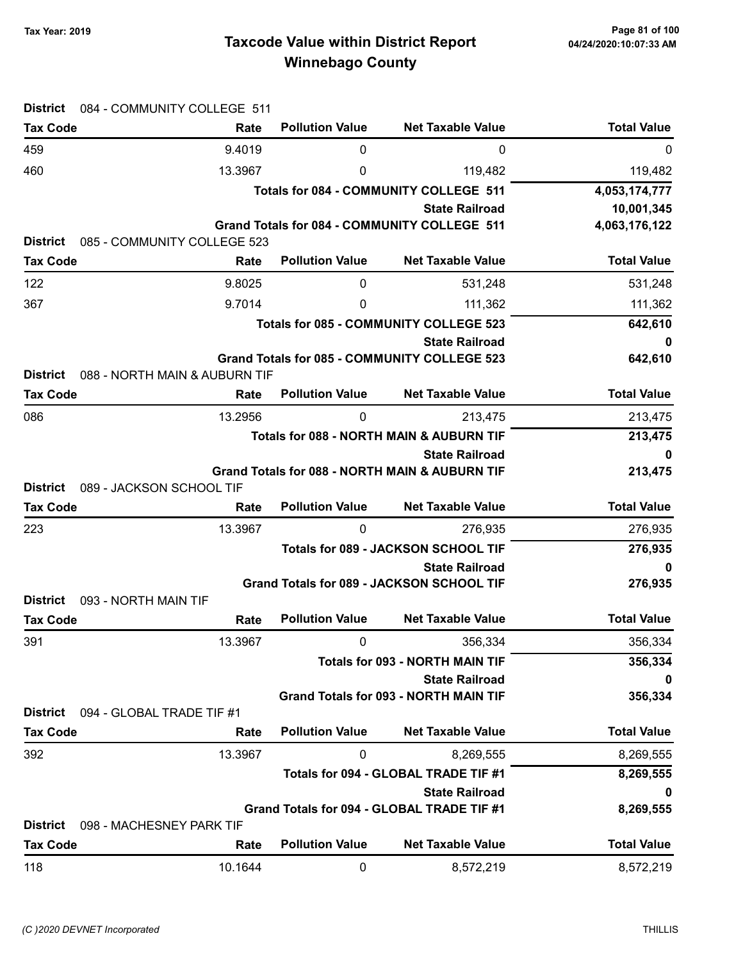## Taxcode Value within District Report Tax Year: 2019 Page 81 of 100 Winnebago County

| <b>District</b> | 084 - COMMUNITY COLLEGE 511   |                        |                                                     |                    |
|-----------------|-------------------------------|------------------------|-----------------------------------------------------|--------------------|
| <b>Tax Code</b> | Rate                          | <b>Pollution Value</b> | <b>Net Taxable Value</b>                            | <b>Total Value</b> |
| 459             | 9.4019                        | 0                      | 0                                                   | 0                  |
| 460             | 13.3967                       | 0                      | 119,482                                             | 119,482            |
|                 |                               |                        | Totals for 084 - COMMUNITY COLLEGE 511              | 4,053,174,777      |
|                 |                               |                        | <b>State Railroad</b>                               | 10,001,345         |
|                 |                               |                        | Grand Totals for 084 - COMMUNITY COLLEGE 511        | 4,063,176,122      |
| <b>District</b> | 085 - COMMUNITY COLLEGE 523   |                        |                                                     |                    |
| <b>Tax Code</b> | Rate                          | <b>Pollution Value</b> | <b>Net Taxable Value</b>                            | <b>Total Value</b> |
| 122             | 9.8025                        | $\mathbf{0}$           | 531,248                                             | 531,248            |
| 367             | 9.7014                        | 0                      | 111,362                                             | 111,362            |
|                 |                               |                        | <b>Totals for 085 - COMMUNITY COLLEGE 523</b>       | 642,610            |
|                 |                               |                        | <b>State Railroad</b>                               | 0                  |
|                 |                               |                        | <b>Grand Totals for 085 - COMMUNITY COLLEGE 523</b> | 642,610            |
| <b>District</b> | 088 - NORTH MAIN & AUBURN TIF |                        |                                                     |                    |
| <b>Tax Code</b> | Rate                          | <b>Pollution Value</b> | <b>Net Taxable Value</b>                            | <b>Total Value</b> |
| 086             | 13.2956                       | 0                      | 213,475                                             | 213,475            |
|                 |                               |                        | Totals for 088 - NORTH MAIN & AUBURN TIF            | 213,475            |
|                 |                               |                        | <b>State Railroad</b>                               | 0                  |
|                 |                               |                        | Grand Totals for 088 - NORTH MAIN & AUBURN TIF      | 213,475            |
| <b>District</b> | 089 - JACKSON SCHOOL TIF      |                        |                                                     |                    |
| <b>Tax Code</b> | Rate                          | <b>Pollution Value</b> | <b>Net Taxable Value</b>                            | <b>Total Value</b> |
| 223             | 13.3967                       | 0                      | 276,935                                             | 276,935            |
|                 |                               |                        | <b>Totals for 089 - JACKSON SCHOOL TIF</b>          | 276,935            |
|                 |                               |                        | <b>State Railroad</b>                               | 0                  |
|                 |                               |                        | <b>Grand Totals for 089 - JACKSON SCHOOL TIF</b>    | 276,935            |
| <b>District</b> | 093 - NORTH MAIN TIF          |                        |                                                     |                    |
| <b>Tax Code</b> | Rate                          | <b>Pollution Value</b> | <b>Net Taxable Value</b>                            | <b>Total Value</b> |
| 391             | 13.3967                       | 0                      | 356,334                                             | 356,334            |
|                 |                               |                        | <b>Totals for 093 - NORTH MAIN TIF</b>              | 356,334            |
|                 |                               |                        | <b>State Railroad</b>                               | 0                  |
|                 |                               |                        | <b>Grand Totals for 093 - NORTH MAIN TIF</b>        | 356,334            |
| <b>District</b> | 094 - GLOBAL TRADE TIF #1     | <b>Pollution Value</b> | <b>Net Taxable Value</b>                            |                    |
| <b>Tax Code</b> | Rate                          |                        |                                                     | <b>Total Value</b> |
| 392             | 13.3967                       | 0                      | 8,269,555                                           | 8,269,555          |
|                 |                               |                        | Totals for 094 - GLOBAL TRADE TIF #1                | 8,269,555          |
|                 |                               |                        | <b>State Railroad</b>                               | 0                  |
|                 |                               |                        | Grand Totals for 094 - GLOBAL TRADE TIF #1          | 8,269,555          |
| <b>District</b> | 098 - MACHESNEY PARK TIF      | <b>Pollution Value</b> |                                                     |                    |
| <b>Tax Code</b> | Rate                          |                        | <b>Net Taxable Value</b>                            | <b>Total Value</b> |
| 118             | 10.1644                       | 0                      | 8,572,219                                           | 8,572,219          |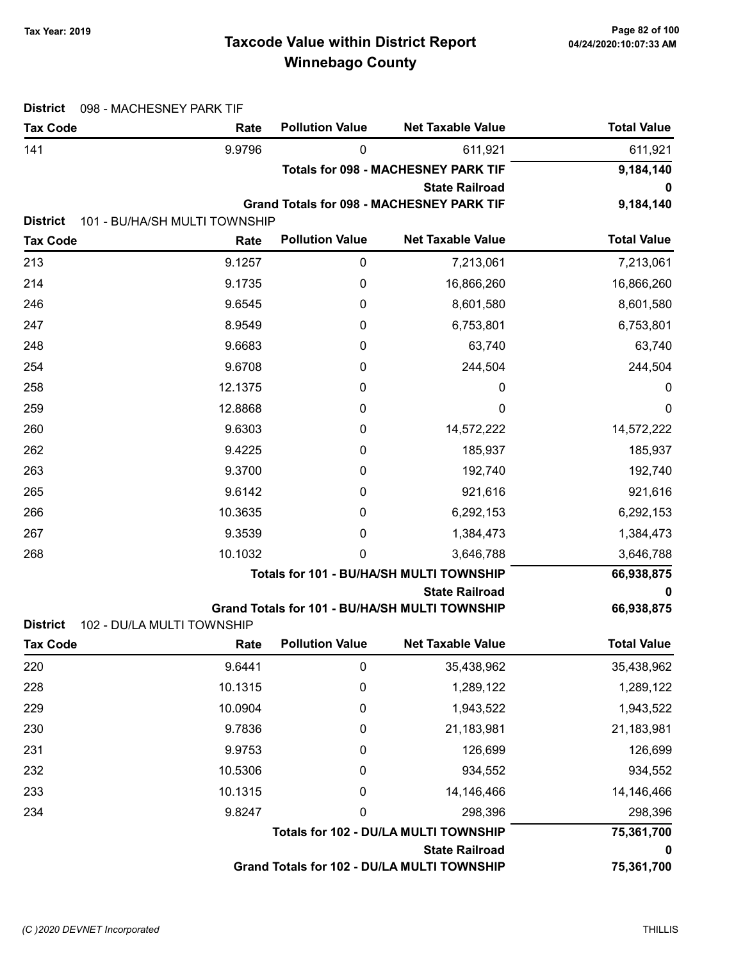## Taxcode Value within District Report Tax Year: 2019 Page 82 of 100 Winnebago County

| <b>District</b> | 098 - MACHESNEY PARK TIF              |                        |                                                |                    |
|-----------------|---------------------------------------|------------------------|------------------------------------------------|--------------------|
| <b>Tax Code</b> | Rate                                  | <b>Pollution Value</b> | <b>Net Taxable Value</b>                       | <b>Total Value</b> |
| 141             | 9.9796                                | 0                      | 611,921                                        | 611,921            |
|                 |                                       |                        | <b>Totals for 098 - MACHESNEY PARK TIF</b>     | 9,184,140          |
|                 |                                       |                        | <b>State Railroad</b>                          | 0                  |
| <b>District</b> |                                       |                        | Grand Totals for 098 - MACHESNEY PARK TIF      | 9,184,140          |
| <b>Tax Code</b> | 101 - BU/HA/SH MULTI TOWNSHIP<br>Rate | <b>Pollution Value</b> | <b>Net Taxable Value</b>                       | <b>Total Value</b> |
| 213             | 9.1257                                | 0                      | 7,213,061                                      | 7,213,061          |
| 214             | 9.1735                                |                        | 16,866,260                                     |                    |
|                 |                                       | 0                      |                                                | 16,866,260         |
| 246             | 9.6545                                | 0                      | 8,601,580                                      | 8,601,580          |
| 247             | 8.9549                                | 0                      | 6,753,801                                      | 6,753,801          |
| 248             | 9.6683                                | 0                      | 63,740                                         | 63,740             |
| 254             | 9.6708                                | 0                      | 244,504                                        | 244,504            |
| 258             | 12.1375                               | 0                      | 0                                              | 0                  |
| 259             | 12.8868                               | 0                      | 0                                              | 0                  |
| 260             | 9.6303                                | 0                      | 14,572,222                                     | 14,572,222         |
| 262             | 9.4225                                | 0                      | 185,937                                        | 185,937            |
| 263             | 9.3700                                | 0                      | 192,740                                        | 192,740            |
| 265             | 9.6142                                | 0                      | 921,616                                        | 921,616            |
| 266             | 10.3635                               | 0                      | 6,292,153                                      | 6,292,153          |
| 267             | 9.3539                                | 0                      | 1,384,473                                      | 1,384,473          |
| 268             | 10.1032                               | 0                      | 3,646,788                                      | 3,646,788          |
|                 |                                       |                        | Totals for 101 - BU/HA/SH MULTI TOWNSHIP       | 66,938,875         |
|                 |                                       |                        | <b>State Railroad</b>                          | 0                  |
| <b>District</b> | 102 - DU/LA MULTI TOWNSHIP            |                        | Grand Totals for 101 - BU/HA/SH MULTI TOWNSHIP | 66,938,875         |
| Tax Code        | Rate                                  | <b>Pollution Value</b> | <b>Net Taxable Value</b>                       | <b>Total Value</b> |
| 220             | 9.6441                                | 0                      | 35,438,962                                     | 35,438,962         |
| 228             | 10.1315                               | $\boldsymbol{0}$       | 1,289,122                                      | 1,289,122          |
| 229             | 10.0904                               | 0                      | 1,943,522                                      | 1,943,522          |
| 230             | 9.7836                                | 0                      | 21,183,981                                     | 21,183,981         |
| 231             | 9.9753                                | 0                      | 126,699                                        | 126,699            |
| 232             | 10.5306                               | 0                      | 934,552                                        | 934,552            |
| 233             | 10.1315                               | 0                      | 14,146,466                                     | 14,146,466         |
| 234             | 9.8247                                | 0                      | 298,396                                        | 298,396            |
|                 |                                       |                        | Totals for 102 - DU/LA MULTI TOWNSHIP          | 75,361,700         |
|                 |                                       |                        | <b>State Railroad</b>                          | 0                  |
|                 |                                       |                        | Grand Totals for 102 - DU/LA MULTI TOWNSHIP    | 75,361,700         |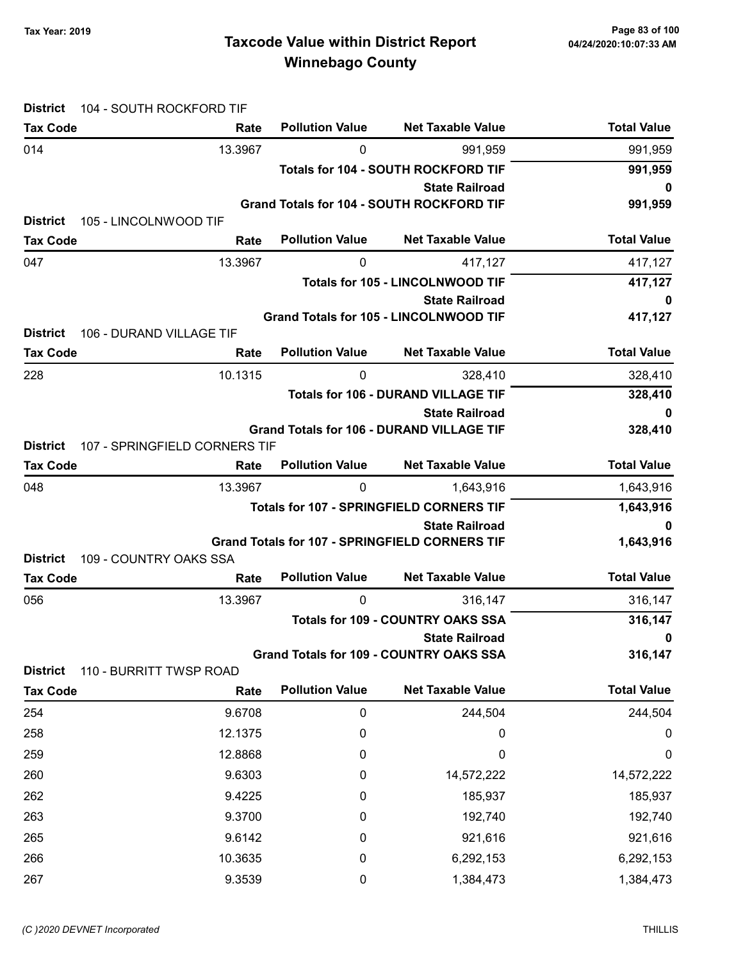| Tax Year: 2019 |  |
|----------------|--|
|                |  |

| <b>District</b>                                              | 104 - SOUTH ROCKFORD TIF      |                                                 |                                                                           |                    |  |
|--------------------------------------------------------------|-------------------------------|-------------------------------------------------|---------------------------------------------------------------------------|--------------------|--|
| <b>Tax Code</b>                                              | Rate                          | <b>Pollution Value</b>                          | <b>Net Taxable Value</b>                                                  | <b>Total Value</b> |  |
| 014                                                          | 13.3967                       | 0                                               | 991,959                                                                   | 991,959            |  |
|                                                              |                               |                                                 | <b>Totals for 104 - SOUTH ROCKFORD TIF</b>                                | 991,959            |  |
|                                                              |                               |                                                 | <b>State Railroad</b>                                                     | 0                  |  |
| <b>District</b><br>105 - LINCOLNWOOD TIF                     |                               |                                                 | <b>Grand Totals for 104 - SOUTH ROCKFORD TIF</b>                          | 991,959            |  |
| <b>Tax Code</b>                                              | Rate                          | <b>Pollution Value</b>                          | <b>Net Taxable Value</b>                                                  | <b>Total Value</b> |  |
| 047                                                          | 13.3967                       | 0                                               | 417,127                                                                   | 417,127            |  |
|                                                              |                               |                                                 | <b>Totals for 105 - LINCOLNWOOD TIF</b>                                   | 417,127            |  |
|                                                              |                               |                                                 | <b>State Railroad</b>                                                     | 0                  |  |
|                                                              |                               |                                                 | <b>Grand Totals for 105 - LINCOLNWOOD TIF</b>                             | 417,127            |  |
| <b>District</b><br>106 - DURAND VILLAGE TIF                  |                               |                                                 |                                                                           |                    |  |
| <b>Tax Code</b>                                              | Rate                          | <b>Pollution Value</b>                          | <b>Net Taxable Value</b>                                                  | <b>Total Value</b> |  |
| 228                                                          | 10.1315                       | 0                                               | 328,410                                                                   | 328,410            |  |
|                                                              |                               |                                                 | <b>Totals for 106 - DURAND VILLAGE TIF</b>                                | 328,410            |  |
|                                                              |                               |                                                 | <b>State Railroad</b><br><b>Grand Totals for 106 - DURAND VILLAGE TIF</b> | 0<br>328,410       |  |
| <b>District</b>                                              | 107 - SPRINGFIELD CORNERS TIF |                                                 |                                                                           |                    |  |
| <b>Tax Code</b>                                              | Rate                          | <b>Pollution Value</b>                          | <b>Net Taxable Value</b>                                                  | <b>Total Value</b> |  |
| 048                                                          | 13.3967                       | 0                                               | 1,643,916                                                                 | 1,643,916          |  |
|                                                              |                               | <b>Totals for 107 - SPRINGFIELD CORNERS TIF</b> | 1,643,916                                                                 |                    |  |
|                                                              | <b>State Railroad</b>         |                                                 |                                                                           |                    |  |
|                                                              |                               |                                                 | <b>Grand Totals for 107 - SPRINGFIELD CORNERS TIF</b>                     | 1,643,916          |  |
| <b>District</b><br>109 - COUNTRY OAKS SSA<br><b>Tax Code</b> | Rate                          | <b>Pollution Value</b>                          | <b>Net Taxable Value</b>                                                  | <b>Total Value</b> |  |
| 056                                                          | 13.3967                       | 0                                               | 316,147                                                                   | 316,147            |  |
|                                                              |                               |                                                 | <b>Totals for 109 - COUNTRY OAKS SSA</b>                                  | 316,147            |  |
|                                                              |                               |                                                 | <b>State Railroad</b>                                                     | 0                  |  |
|                                                              |                               |                                                 | <b>Grand Totals for 109 - COUNTRY OAKS SSA</b>                            | 316,147            |  |
| <b>District</b><br>110 - BURRITT TWSP ROAD                   |                               |                                                 |                                                                           |                    |  |
| <b>Tax Code</b>                                              | Rate                          | <b>Pollution Value</b>                          | <b>Net Taxable Value</b>                                                  | <b>Total Value</b> |  |
| 254                                                          | 9.6708                        | $\pmb{0}$                                       | 244,504                                                                   | 244,504            |  |
| 258                                                          | 12.1375                       | 0                                               | 0                                                                         | 0                  |  |
| 259                                                          | 12.8868                       | 0                                               | 0                                                                         | $\boldsymbol{0}$   |  |
| 260                                                          | 9.6303                        | 0                                               | 14,572,222                                                                | 14,572,222         |  |
| 262                                                          | 9.4225                        | 0                                               | 185,937                                                                   | 185,937            |  |
| 263                                                          | 9.3700                        | 0                                               | 192,740                                                                   | 192,740            |  |
| 265                                                          | 9.6142                        | 0                                               | 921,616                                                                   | 921,616            |  |
| 266                                                          | 10.3635                       | 0                                               | 6,292,153                                                                 | 6,292,153          |  |
| 267                                                          | 9.3539                        | 0                                               | 1,384,473                                                                 | 1,384,473          |  |
|                                                              |                               |                                                 |                                                                           |                    |  |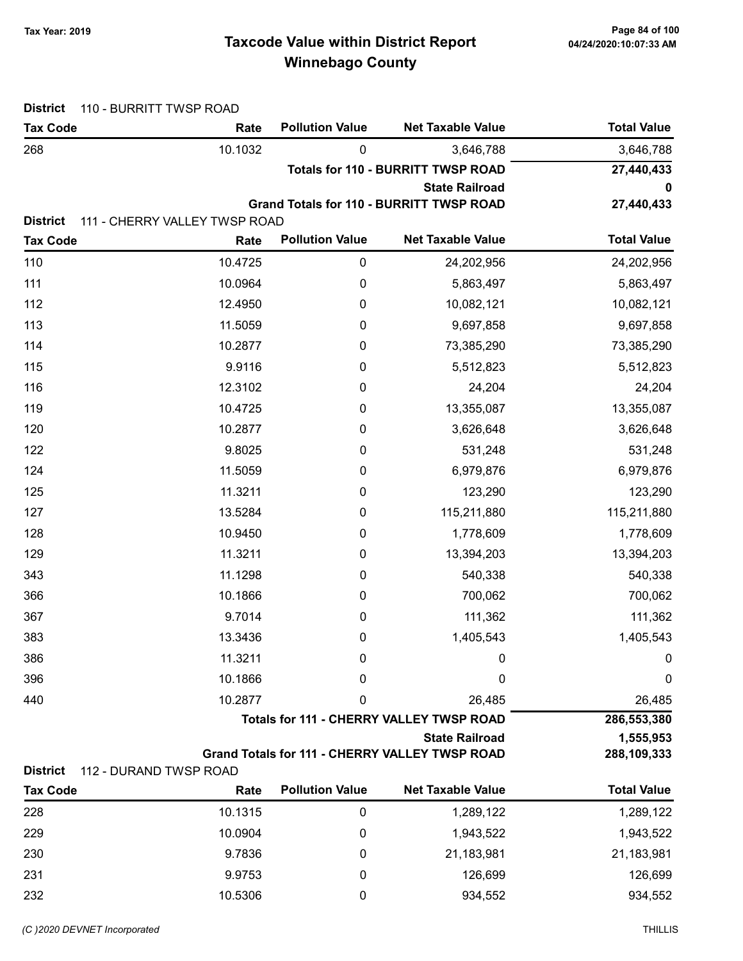## Taxcode Value within District Report Tax Year: 2019 Page 84 of 100 Winnebago County

| <b>District</b> | 110 - BURRITT TWSP ROAD       |                        |                                                       |                    |
|-----------------|-------------------------------|------------------------|-------------------------------------------------------|--------------------|
| <b>Tax Code</b> | Rate                          | <b>Pollution Value</b> | <b>Net Taxable Value</b>                              | <b>Total Value</b> |
| 268             | 10.1032                       | 0                      | 3,646,788                                             | 3,646,788          |
|                 |                               |                        | <b>Totals for 110 - BURRITT TWSP ROAD</b>             | 27,440,433         |
|                 |                               |                        | <b>State Railroad</b>                                 | 0                  |
| <b>District</b> | 111 - CHERRY VALLEY TWSP ROAD |                        | Grand Totals for 110 - BURRITT TWSP ROAD              | 27,440,433         |
| <b>Tax Code</b> | Rate                          | <b>Pollution Value</b> | <b>Net Taxable Value</b>                              | <b>Total Value</b> |
| 110             | 10.4725                       | $\pmb{0}$              | 24,202,956                                            | 24,202,956         |
| 111             | 10.0964                       | 0                      | 5,863,497                                             | 5,863,497          |
| 112             | 12.4950                       | 0                      | 10,082,121                                            | 10,082,121         |
| 113             | 11.5059                       | 0                      | 9,697,858                                             | 9,697,858          |
| 114             | 10.2877                       | 0                      | 73,385,290                                            | 73,385,290         |
| 115             | 9.9116                        | $\boldsymbol{0}$       | 5,512,823                                             | 5,512,823          |
| 116             | 12.3102                       | 0                      | 24,204                                                | 24,204             |
| 119             | 10.4725                       | $\boldsymbol{0}$       | 13,355,087                                            | 13,355,087         |
| 120             | 10.2877                       | 0                      | 3,626,648                                             | 3,626,648          |
| 122             | 9.8025                        | $\boldsymbol{0}$       | 531,248                                               | 531,248            |
| 124             | 11.5059                       | $\boldsymbol{0}$       | 6,979,876                                             | 6,979,876          |
| 125             | 11.3211                       | 0                      | 123,290                                               | 123,290            |
| 127             | 13.5284                       | 0                      | 115,211,880                                           | 115,211,880        |
| 128             | 10.9450                       | 0                      | 1,778,609                                             | 1,778,609          |
| 129             | 11.3211                       | $\boldsymbol{0}$       | 13,394,203                                            | 13,394,203         |
| 343             | 11.1298                       | 0                      | 540,338                                               | 540,338            |
| 366             | 10.1866                       | $\boldsymbol{0}$       | 700,062                                               | 700,062            |
| 367             | 9.7014                        | $\boldsymbol{0}$       | 111,362                                               | 111,362            |
| 383             | 13.3436                       | 0                      | 1,405,543                                             | 1,405,543          |
| 386             | 11.3211                       | 0                      | 0                                                     | 0                  |
| 396             | 10.1866                       | 0                      | 0                                                     | $\boldsymbol{0}$   |
| 440             | 10.2877                       | 0                      | 26,485                                                | 26,485             |
|                 |                               |                        | <b>Totals for 111 - CHERRY VALLEY TWSP ROAD</b>       | 286,553,380        |
|                 |                               |                        | <b>State Railroad</b>                                 | 1,555,953          |
| <b>District</b> | 112 - DURAND TWSP ROAD        |                        | <b>Grand Totals for 111 - CHERRY VALLEY TWSP ROAD</b> | 288,109,333        |
| <b>Tax Code</b> | Rate                          | <b>Pollution Value</b> | <b>Net Taxable Value</b>                              | <b>Total Value</b> |
| 228             | 10.1315                       | $\pmb{0}$              | 1,289,122                                             | 1,289,122          |

| <b>Tax Code</b> | Rate    | <b>Pollution Value</b> | <b>Net Taxable Value</b> | <b>Total Value</b> |
|-----------------|---------|------------------------|--------------------------|--------------------|
| 228             | 10.1315 | 0                      | 1,289,122                | 1,289,122          |
| 229             | 10.0904 | 0                      | 1,943,522                | 1,943,522          |
| 230             | 9.7836  | 0                      | 21,183,981               | 21,183,981         |
| 231             | 9.9753  | 0                      | 126.699                  | 126,699            |
| 232             | 10.5306 | 0                      | 934,552                  | 934,552            |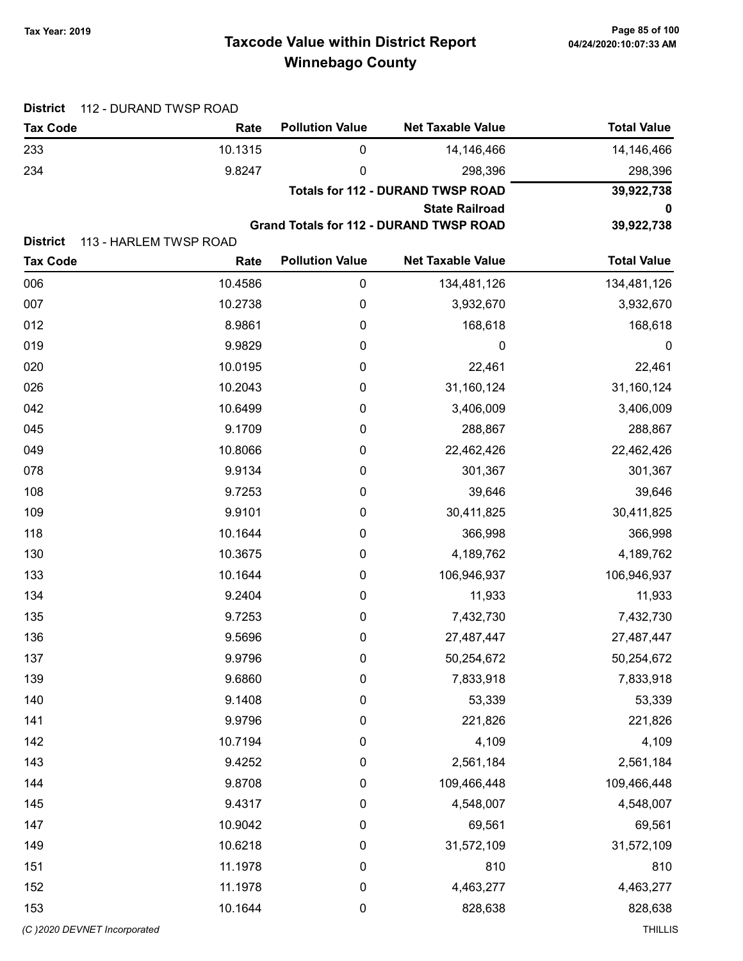## Taxcode Value within District Report Tax Year: 2019 Page 85 of 100 Winnebago County

| <b>District</b><br><b>Tax Code</b> | 112 - DURAND TWSP ROAD<br>Rate | <b>Pollution Value</b> | <b>Net Taxable Value</b>                       | <b>Total Value</b> |
|------------------------------------|--------------------------------|------------------------|------------------------------------------------|--------------------|
| 233                                | 10.1315                        | 0                      | 14,146,466                                     | 14,146,466         |
| 234                                | 9.8247                         | 0                      | 298,396                                        | 298,396            |
|                                    |                                |                        | <b>Totals for 112 - DURAND TWSP ROAD</b>       | 39,922,738         |
|                                    |                                |                        | <b>State Railroad</b>                          | 0                  |
| <b>District</b>                    | 113 - HARLEM TWSP ROAD         |                        | <b>Grand Totals for 112 - DURAND TWSP ROAD</b> | 39,922,738         |
| <b>Tax Code</b>                    | Rate                           | <b>Pollution Value</b> | <b>Net Taxable Value</b>                       | <b>Total Value</b> |
| 006                                | 10.4586                        | $\mathbf 0$            | 134,481,126                                    | 134,481,126        |
| 007                                | 10.2738                        | $\mathbf 0$            | 3,932,670                                      | 3,932,670          |
| 012                                | 8.9861                         | 0                      | 168,618                                        | 168,618            |
| 019                                | 9.9829                         | 0                      | 0                                              | 0                  |
| 020                                | 10.0195                        | 0                      | 22,461                                         | 22,461             |
| 026                                | 10.2043                        | 0                      | 31,160,124                                     | 31,160,124         |
| 042                                | 10.6499                        | $\mathbf 0$            | 3,406,009                                      | 3,406,009          |
| 045                                | 9.1709                         | 0                      | 288,867                                        | 288,867            |
| 049                                | 10.8066                        | 0                      | 22,462,426                                     | 22,462,426         |
| 078                                | 9.9134                         | 0                      | 301,367                                        | 301,367            |
| 108                                | 9.7253                         | 0                      | 39,646                                         | 39,646             |
| 109                                | 9.9101                         | 0                      | 30,411,825                                     | 30,411,825         |
| 118                                | 10.1644                        | 0                      | 366,998                                        | 366,998            |
| 130                                | 10.3675                        | $\boldsymbol{0}$       | 4,189,762                                      | 4,189,762          |
| 133                                | 10.1644                        | 0                      | 106,946,937                                    | 106,946,937        |
| 134                                | 9.2404                         | 0                      | 11,933                                         | 11,933             |
| 135                                | 9.7253                         | 0                      | 7,432,730                                      | 7,432,730          |
| 136                                | 9.5696                         | $\mathbf 0$            | 27,487,447                                     | 27,487,447         |
| 137                                | 9.9796                         | $\boldsymbol{0}$       | 50,254,672                                     | 50,254,672         |
| 139                                | 9.6860                         | $\boldsymbol{0}$       | 7,833,918                                      | 7,833,918          |
| 140                                | 9.1408                         | $\mathbf 0$            | 53,339                                         | 53,339             |
| 141                                | 9.9796                         | 0                      | 221,826                                        | 221,826            |
| 142                                | 10.7194                        | 0                      | 4,109                                          | 4,109              |
| 143                                | 9.4252                         | 0                      | 2,561,184                                      | 2,561,184          |
| 144                                | 9.8708                         | 0                      | 109,466,448                                    | 109,466,448        |
| 145                                | 9.4317                         | 0                      | 4,548,007                                      | 4,548,007          |
| 147                                | 10.9042                        | $\mathbf 0$            | 69,561                                         | 69,561             |
| 149                                | 10.6218                        | $\mathbf 0$            | 31,572,109                                     | 31,572,109         |
| 151                                | 11.1978                        | $\mathbf 0$            | 810                                            | 810                |
| 152                                | 11.1978                        | 0                      | 4,463,277                                      | 4,463,277          |
| 153                                | 10.1644                        | 0                      | 828,638                                        | 828,638            |
| (C) 2020 DEVNET Incorporated       |                                |                        |                                                | <b>THILLIS</b>     |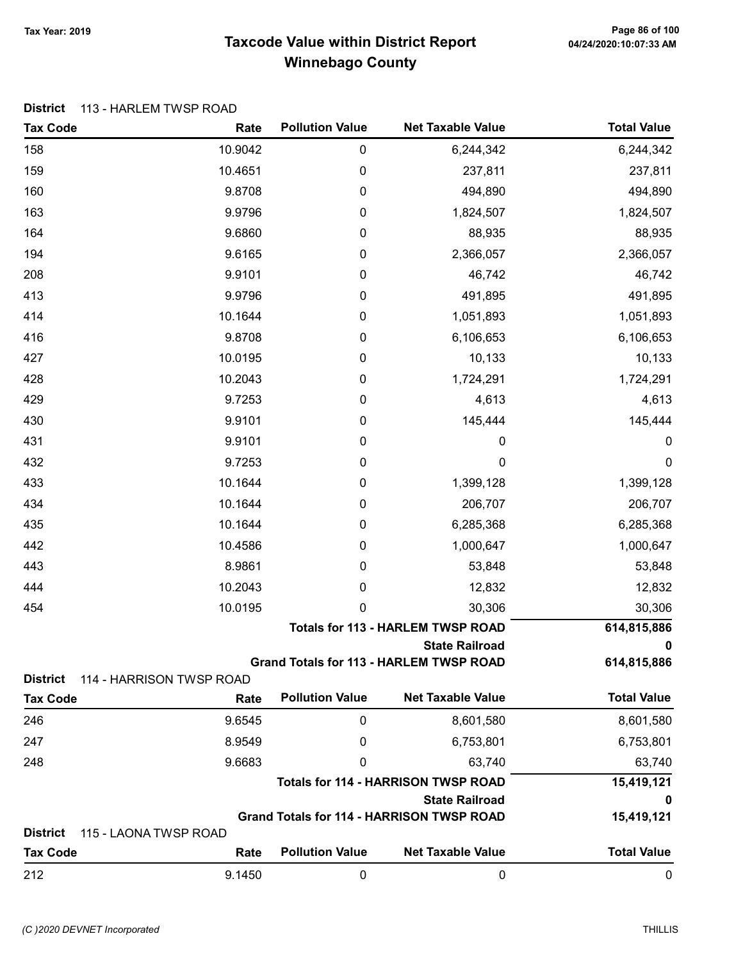## Taxcode Value within District Report Tax Year: 2019 Page 86 of 100 Winnebago County

| District | 113 - HARLEM TWSP ROAD |
|----------|------------------------|
|----------|------------------------|

| <b>Tax Code</b>                    | Rate                             | <b>Pollution Value</b> | <b>Net Taxable Value</b>                         | <b>Total Value</b> |
|------------------------------------|----------------------------------|------------------------|--------------------------------------------------|--------------------|
| 158                                | 10.9042                          | 0                      | 6,244,342                                        | 6,244,342          |
| 159                                | 10.4651                          | 0                      | 237,811                                          | 237,811            |
| 160                                | 9.8708                           | 0                      | 494,890                                          | 494,890            |
| 163                                | 9.9796                           | 0                      | 1,824,507                                        | 1,824,507          |
| 164                                | 9.6860                           | 0                      | 88,935                                           | 88,935             |
| 194                                | 9.6165                           | 0                      | 2,366,057                                        | 2,366,057          |
| 208                                | 9.9101                           | $\boldsymbol{0}$       | 46,742                                           | 46,742             |
| 413                                | 9.9796                           | 0                      | 491,895                                          | 491,895            |
| 414                                | 10.1644                          | 0                      | 1,051,893                                        | 1,051,893          |
| 416                                | 9.8708                           | 0                      | 6,106,653                                        | 6,106,653          |
| 427                                | 10.0195                          | 0                      | 10,133                                           | 10,133             |
| 428                                | 10.2043                          | 0                      | 1,724,291                                        | 1,724,291          |
| 429                                | 9.7253                           | $\boldsymbol{0}$       | 4,613                                            | 4,613              |
| 430                                | 9.9101                           | $\pmb{0}$              | 145,444                                          | 145,444            |
| 431                                | 9.9101                           | $\boldsymbol{0}$       | 0                                                | 0                  |
| 432                                | 9.7253                           | 0                      | $\mathbf 0$                                      | 0                  |
| 433                                | 10.1644                          | 0                      | 1,399,128                                        | 1,399,128          |
| 434                                | 10.1644                          | 0                      | 206,707                                          | 206,707            |
| 435                                | 10.1644                          | 0                      | 6,285,368                                        | 6,285,368          |
| 442                                | 10.4586                          | 0                      | 1,000,647                                        | 1,000,647          |
| 443                                | 8.9861                           | 0                      | 53,848                                           | 53,848             |
| 444                                | 10.2043                          | $\mathbf 0$            | 12,832                                           | 12,832             |
| 454                                | 10.0195                          | 0                      | 30,306                                           | 30,306             |
|                                    |                                  |                        | <b>Totals for 113 - HARLEM TWSP ROAD</b>         | 614,815,886        |
|                                    |                                  |                        | <b>State Railroad</b>                            | 0                  |
|                                    |                                  |                        | Grand Totals for 113 - HARLEM TWSP ROAD          | 614,815,886        |
| <b>District</b><br><b>Tax Code</b> | 114 - HARRISON TWSP ROAD<br>Rate | <b>Pollution Value</b> | <b>Net Taxable Value</b>                         | <b>Total Value</b> |
| 246                                | 9.6545                           | 0                      | 8,601,580                                        | 8,601,580          |
| 247                                | 8.9549                           | 0                      | 6,753,801                                        | 6,753,801          |
| 248                                | 9.6683                           | 0                      | 63,740                                           | 63,740             |
|                                    |                                  |                        | <b>Totals for 114 - HARRISON TWSP ROAD</b>       | 15,419,121         |
|                                    |                                  |                        | <b>State Railroad</b>                            | 0                  |
|                                    |                                  |                        | <b>Grand Totals for 114 - HARRISON TWSP ROAD</b> | 15,419,121         |
| <b>District</b>                    | 115 - LAONA TWSP ROAD            |                        |                                                  |                    |
| <b>Tax Code</b>                    | Rate                             | <b>Pollution Value</b> | <b>Net Taxable Value</b>                         | <b>Total Value</b> |
| 212                                | 9.1450                           | $\pmb{0}$              | 0                                                | $\pmb{0}$          |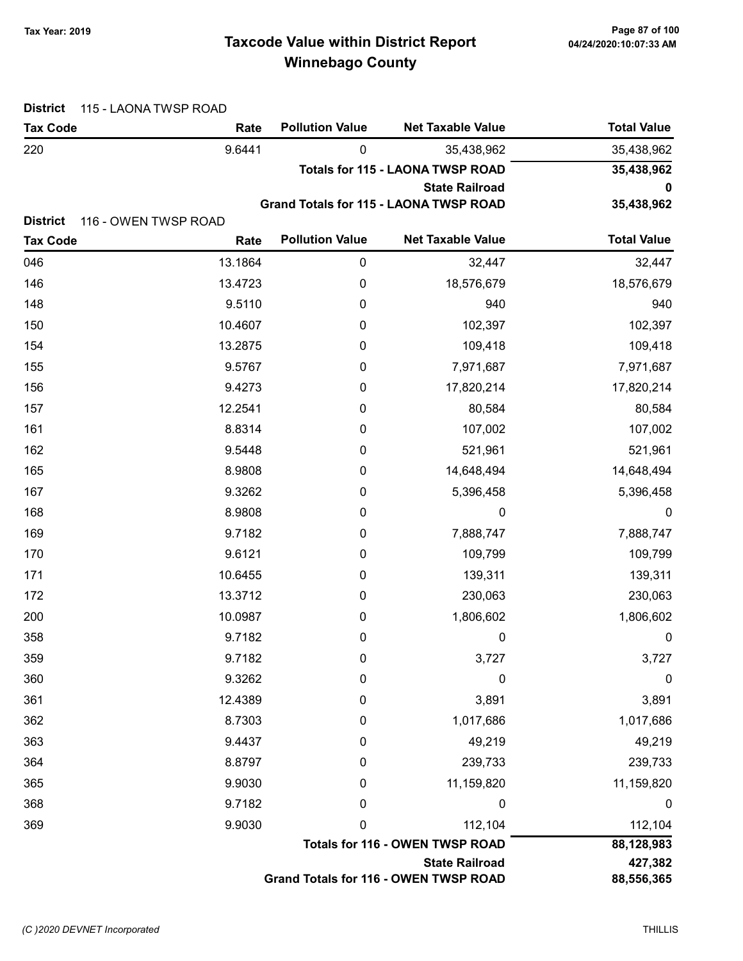## Taxcode Value within District Report Tax Year: 2019 Page 87 of 100 Winnebago County

| <b>District</b> | 115 - LAONA TWSP ROAD                                          |                                         |                                        |                    |  |
|-----------------|----------------------------------------------------------------|-----------------------------------------|----------------------------------------|--------------------|--|
| <b>Tax Code</b> | Rate                                                           | <b>Pollution Value</b>                  | <b>Net Taxable Value</b>               | <b>Total Value</b> |  |
| 220             | 9.6441                                                         | 0                                       | 35,438,962                             | 35,438,962         |  |
|                 |                                                                | <b>Totals for 115 - LAONA TWSP ROAD</b> |                                        |                    |  |
|                 |                                                                |                                         | <b>State Railroad</b>                  | 0<br>35,438,962    |  |
| <b>District</b> | Grand Totals for 115 - LAONA TWSP ROAD<br>116 - OWEN TWSP ROAD |                                         |                                        |                    |  |
| <b>Tax Code</b> | Rate                                                           | <b>Pollution Value</b>                  | <b>Net Taxable Value</b>               | <b>Total Value</b> |  |
| 046             | 13.1864                                                        | $\pmb{0}$                               | 32,447                                 | 32,447             |  |
| 146             | 13.4723                                                        | 0                                       | 18,576,679                             | 18,576,679         |  |
| 148             | 9.5110                                                         | 0                                       | 940                                    | 940                |  |
| 150             | 10.4607                                                        | 0                                       | 102,397                                | 102,397            |  |
| 154             | 13.2875                                                        | 0                                       | 109,418                                | 109,418            |  |
| 155             | 9.5767                                                         | 0                                       | 7,971,687                              | 7,971,687          |  |
| 156             | 9.4273                                                         | 0                                       | 17,820,214                             | 17,820,214         |  |
| 157             | 12.2541                                                        | 0                                       | 80,584                                 | 80,584             |  |
| 161             | 8.8314                                                         | 0                                       | 107,002                                | 107,002            |  |
| 162             | 9.5448                                                         | 0                                       | 521,961                                | 521,961            |  |
| 165             | 8.9808                                                         | 0                                       | 14,648,494                             | 14,648,494         |  |
| 167             | 9.3262                                                         | 0                                       | 5,396,458                              | 5,396,458          |  |
| 168             | 8.9808                                                         | 0                                       | 0                                      | $\boldsymbol{0}$   |  |
| 169             | 9.7182                                                         | 0                                       | 7,888,747                              | 7,888,747          |  |
| 170             | 9.6121                                                         | 0                                       | 109,799                                | 109,799            |  |
| 171             | 10.6455                                                        | 0                                       | 139,311                                | 139,311            |  |
| 172             | 13.3712                                                        | 0                                       | 230,063                                | 230,063            |  |
| 200             | 10.0987                                                        | 0                                       | 1,806,602                              | 1,806,602          |  |
| 358             | 9.7182                                                         | 0                                       | 0                                      | 0                  |  |
| 359             | 9.7182                                                         | 0                                       | 3,727                                  | 3,727              |  |
| 360             | 9.3262                                                         | $\boldsymbol{0}$                        | 0                                      | $\boldsymbol{0}$   |  |
| 361             | 12.4389                                                        | 0                                       | 3,891                                  | 3,891              |  |
| 362             | 8.7303                                                         | 0                                       | 1,017,686                              | 1,017,686          |  |
| 363             | 9.4437                                                         | 0                                       | 49,219                                 | 49,219             |  |
| 364             | 8.8797                                                         | 0                                       | 239,733                                | 239,733            |  |
| 365             | 9.9030                                                         | 0                                       | 11,159,820                             | 11,159,820         |  |
| 368             | 9.7182                                                         | 0                                       | 0                                      | $\boldsymbol{0}$   |  |
| 369             | 9.9030                                                         | 0                                       | 112,104                                | 112,104            |  |
|                 |                                                                |                                         | <b>Totals for 116 - OWEN TWSP ROAD</b> | 88,128,983         |  |
|                 |                                                                |                                         | <b>State Railroad</b>                  | 427,382            |  |
|                 |                                                                |                                         | Grand Totals for 116 - OWEN TWSP ROAD  | 88,556,365         |  |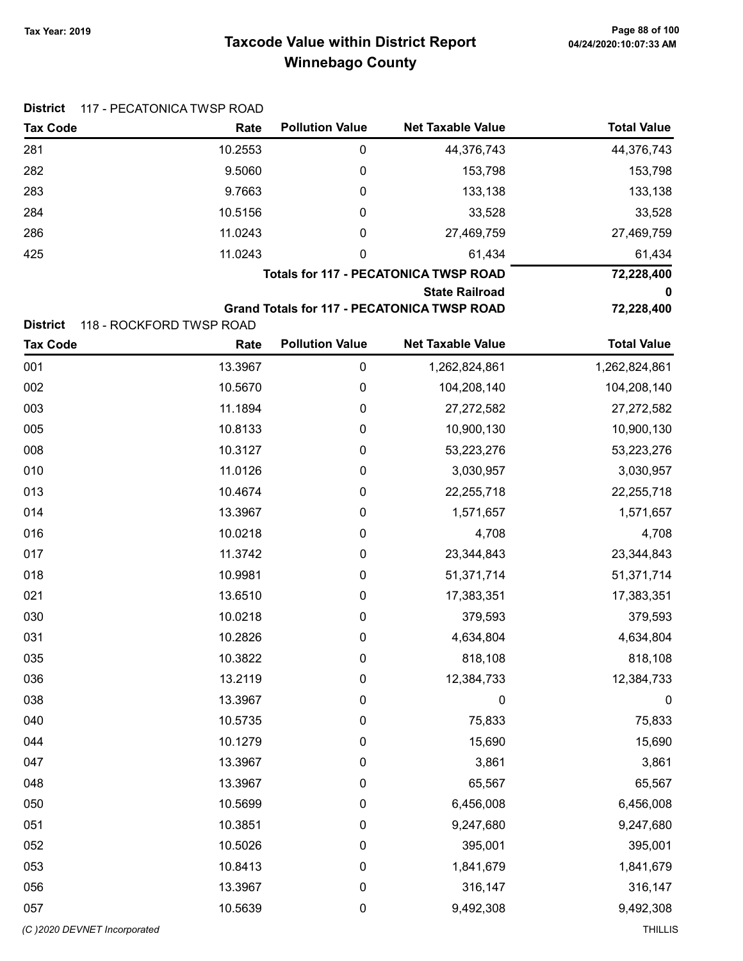District 117 - PECATONICA TWSP ROAD

## Taxcode Value within District Report Tax Year: 2019 Page 88 of 100 Winnebago County

Tax Code **Rate Pollution Value** Net Taxable Value Total Value

| 281                          | 10.2553                          | 0                      | 44,376,743                                         | 44,376,743         |
|------------------------------|----------------------------------|------------------------|----------------------------------------------------|--------------------|
| 282                          | 9.5060                           | 0                      | 153,798                                            | 153,798            |
| 283                          | 9.7663                           | 0                      | 133,138                                            | 133,138            |
| 284                          | 10.5156                          | 0                      | 33,528                                             | 33,528             |
| 286                          | 11.0243                          | 0                      | 27,469,759                                         | 27,469,759         |
| 425                          | 11.0243                          | 0                      | 61,434                                             | 61,434             |
|                              |                                  |                        | <b>Totals for 117 - PECATONICA TWSP ROAD</b>       | 72,228,400         |
|                              |                                  |                        | <b>State Railroad</b>                              | 0                  |
| <b>District</b>              |                                  |                        | <b>Grand Totals for 117 - PECATONICA TWSP ROAD</b> | 72,228,400         |
| <b>Tax Code</b>              | 118 - ROCKFORD TWSP ROAD<br>Rate | <b>Pollution Value</b> | <b>Net Taxable Value</b>                           | <b>Total Value</b> |
| 001                          | 13.3967                          | $\pmb{0}$              | 1,262,824,861                                      | 1,262,824,861      |
| 002                          | 10.5670                          | 0                      | 104,208,140                                        | 104,208,140        |
| 003                          | 11.1894                          | 0                      | 27,272,582                                         | 27,272,582         |
| 005                          | 10.8133                          | 0                      | 10,900,130                                         | 10,900,130         |
| 008                          | 10.3127                          | 0                      | 53,223,276                                         | 53,223,276         |
| 010                          | 11.0126                          | 0                      | 3,030,957                                          | 3,030,957          |
| 013                          | 10.4674                          | 0                      | 22,255,718                                         | 22,255,718         |
| 014                          | 13.3967                          | 0                      | 1,571,657                                          | 1,571,657          |
| 016                          | 10.0218                          | 0                      | 4,708                                              | 4,708              |
| 017                          | 11.3742                          | 0                      | 23,344,843                                         | 23,344,843         |
| 018                          | 10.9981                          | 0                      | 51,371,714                                         | 51,371,714         |
| 021                          | 13.6510                          | 0                      | 17,383,351                                         | 17,383,351         |
| 030                          | 10.0218                          | 0                      | 379,593                                            | 379,593            |
| 031                          | 10.2826                          | 0                      | 4,634,804                                          | 4,634,804          |
| 035                          | 10.3822                          | 0                      | 818,108                                            | 818,108            |
| 036                          | 13.2119                          | 0                      | 12,384,733                                         | 12,384,733         |
| 038                          | 13.3967                          | 0                      | $\mathbf 0$                                        | $\pmb{0}$          |
| 040                          | 10.5735                          | 0                      | 75,833                                             | 75,833             |
| 044                          | 10.1279                          | 0                      | 15,690                                             | 15,690             |
| 047                          | 13.3967                          | 0                      | 3,861                                              | 3,861              |
| 048                          | 13.3967                          | 0                      | 65,567                                             | 65,567             |
| 050                          | 10.5699                          | 0                      | 6,456,008                                          | 6,456,008          |
| 051                          | 10.3851                          | 0                      | 9,247,680                                          | 9,247,680          |
| 052                          | 10.5026                          | 0                      | 395,001                                            | 395,001            |
| 053                          | 10.8413                          | 0                      | 1,841,679                                          | 1,841,679          |
| 056                          | 13.3967                          | 0                      | 316,147                                            | 316,147            |
| 057                          | 10.5639                          | 0                      | 9,492,308                                          | 9,492,308          |
| (C) 2020 DEVNET Incorporated |                                  |                        |                                                    | <b>THILLIS</b>     |
|                              |                                  |                        |                                                    |                    |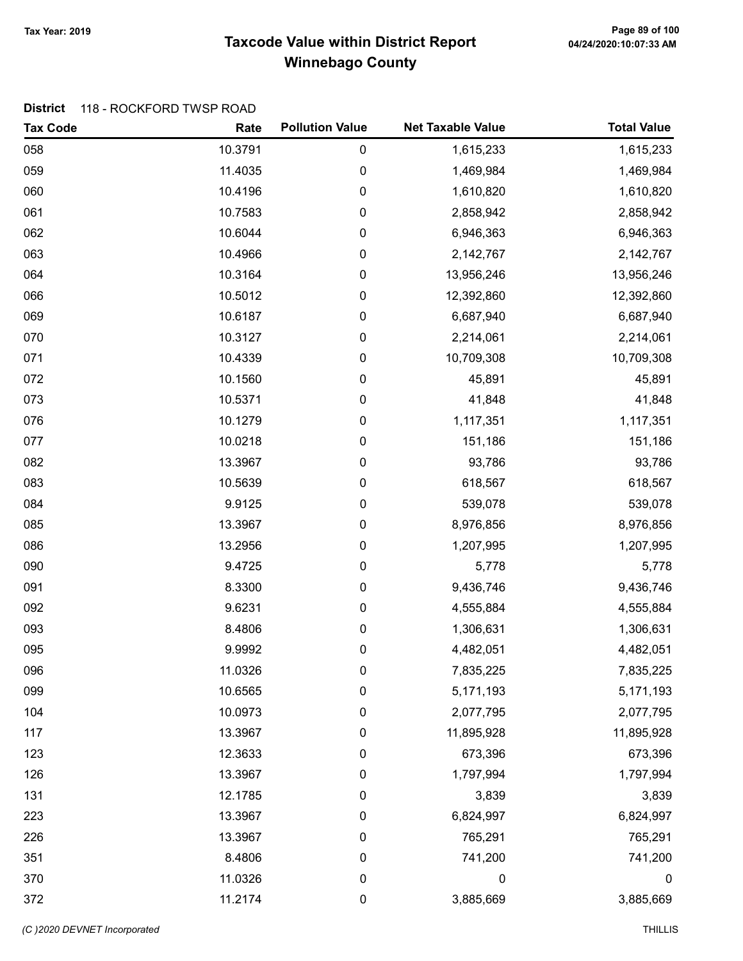## Taxcode Value within District Report Tax Year: 2019 Page 89 of 100 Winnebago County

#### District 118 - ROCKFORD TWSP ROAD

| <b>Tax Code</b> | Rate    | <b>Pollution Value</b> | <b>Net Taxable Value</b> | <b>Total Value</b> |
|-----------------|---------|------------------------|--------------------------|--------------------|
| 058             | 10.3791 | $\pmb{0}$              | 1,615,233                | 1,615,233          |
| 059             | 11.4035 | $\pmb{0}$              | 1,469,984                | 1,469,984          |
| 060             | 10.4196 | $\pmb{0}$              | 1,610,820                | 1,610,820          |
| 061             | 10.7583 | 0                      | 2,858,942                | 2,858,942          |
| 062             | 10.6044 | 0                      | 6,946,363                | 6,946,363          |
| 063             | 10.4966 | 0                      | 2,142,767                | 2,142,767          |
| 064             | 10.3164 | 0                      | 13,956,246               | 13,956,246         |
| 066             | 10.5012 | 0                      | 12,392,860               | 12,392,860         |
| 069             | 10.6187 | 0                      | 6,687,940                | 6,687,940          |
| 070             | 10.3127 | $\pmb{0}$              | 2,214,061                | 2,214,061          |
| 071             | 10.4339 | 0                      | 10,709,308               | 10,709,308         |
| 072             | 10.1560 | 0                      | 45,891                   | 45,891             |
| 073             | 10.5371 | $\pmb{0}$              | 41,848                   | 41,848             |
| 076             | 10.1279 | 0                      | 1,117,351                | 1,117,351          |
| 077             | 10.0218 | 0                      | 151,186                  | 151,186            |
| 082             | 13.3967 | 0                      | 93,786                   | 93,786             |
| 083             | 10.5639 | $\pmb{0}$              | 618,567                  | 618,567            |
| 084             | 9.9125  | 0                      | 539,078                  | 539,078            |
| 085             | 13.3967 | 0                      | 8,976,856                | 8,976,856          |
| 086             | 13.2956 | 0                      | 1,207,995                | 1,207,995          |
| 090             | 9.4725  | 0                      | 5,778                    | 5,778              |
| 091             | 8.3300  | 0                      | 9,436,746                | 9,436,746          |
| 092             | 9.6231  | 0                      | 4,555,884                | 4,555,884          |
| 093             | 8.4806  | 0                      | 1,306,631                | 1,306,631          |
| 095             | 9.9992  | 0                      | 4,482,051                | 4,482,051          |
| 096             | 11.0326 | 0                      | 7,835,225                | 7,835,225          |
| 099             | 10.6565 | 0                      | 5,171,193                | 5,171,193          |
| 104             | 10.0973 | $\pmb{0}$              | 2,077,795                | 2,077,795          |
| 117             | 13.3967 | 0                      | 11,895,928               | 11,895,928         |
| 123             | 12.3633 | 0                      | 673,396                  | 673,396            |
| 126             | 13.3967 | $\boldsymbol{0}$       | 1,797,994                | 1,797,994          |
| 131             | 12.1785 | $\pmb{0}$              | 3,839                    | 3,839              |
| 223             | 13.3967 | $\pmb{0}$              | 6,824,997                | 6,824,997          |
| 226             | 13.3967 | 0                      | 765,291                  | 765,291            |
| 351             | 8.4806  | $\boldsymbol{0}$       | 741,200                  | 741,200            |
| 370             | 11.0326 | $\pmb{0}$              | 0                        | 0                  |
| 372             | 11.2174 | 0                      | 3,885,669                | 3,885,669          |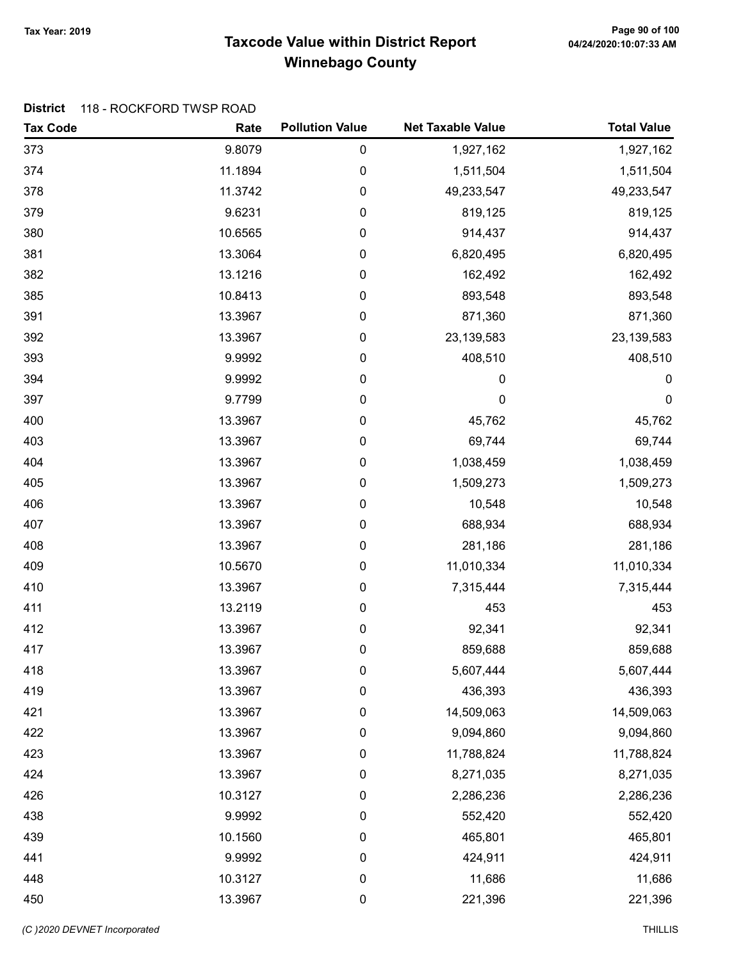## Taxcode Value within District Report Tax Year: 2019 Page 90 of 100 Winnebago County

#### District 118 - ROCKFORD TWSP ROAD

| <b>Tax Code</b> | Rate    | <b>Pollution Value</b> | <b>Net Taxable Value</b> | <b>Total Value</b> |
|-----------------|---------|------------------------|--------------------------|--------------------|
| 373             | 9.8079  | 0                      | 1,927,162                | 1,927,162          |
| 374             | 11.1894 | 0                      | 1,511,504                | 1,511,504          |
| 378             | 11.3742 | 0                      | 49,233,547               | 49,233,547         |
| 379             | 9.6231  | 0                      | 819,125                  | 819,125            |
| 380             | 10.6565 | 0                      | 914,437                  | 914,437            |
| 381             | 13.3064 | 0                      | 6,820,495                | 6,820,495          |
| 382             | 13.1216 | 0                      | 162,492                  | 162,492            |
| 385             | 10.8413 | 0                      | 893,548                  | 893,548            |
| 391             | 13.3967 | 0                      | 871,360                  | 871,360            |
| 392             | 13.3967 | 0                      | 23,139,583               | 23,139,583         |
| 393             | 9.9992  | 0                      | 408,510                  | 408,510            |
| 394             | 9.9992  | 0                      | 0                        | 0                  |
| 397             | 9.7799  | 0                      | 0                        | 0                  |
| 400             | 13.3967 | 0                      | 45,762                   | 45,762             |
| 403             | 13.3967 | 0                      | 69,744                   | 69,744             |
| 404             | 13.3967 | 0                      | 1,038,459                | 1,038,459          |
| 405             | 13.3967 | 0                      | 1,509,273                | 1,509,273          |
| 406             | 13.3967 | 0                      | 10,548                   | 10,548             |
| 407             | 13.3967 | 0                      | 688,934                  | 688,934            |
| 408             | 13.3967 | 0                      | 281,186                  | 281,186            |
| 409             | 10.5670 | 0                      | 11,010,334               | 11,010,334         |
| 410             | 13.3967 | 0                      | 7,315,444                | 7,315,444          |
| 411             | 13.2119 | 0                      | 453                      | 453                |
| 412             | 13.3967 | 0                      | 92,341                   | 92,341             |
| 417             | 13.3967 | 0                      | 859,688                  | 859,688            |
| 418             | 13.3967 | 0                      | 5,607,444                | 5,607,444          |
| 419             | 13.3967 | 0                      | 436,393                  | 436,393            |
| 421             | 13.3967 | 0                      | 14,509,063               | 14,509,063         |
| 422             | 13.3967 | 0                      | 9,094,860                | 9,094,860          |
| 423             | 13.3967 | 0                      | 11,788,824               | 11,788,824         |
| 424             | 13.3967 | 0                      | 8,271,035                | 8,271,035          |
| 426             | 10.3127 | 0                      | 2,286,236                | 2,286,236          |
| 438             | 9.9992  | 0                      | 552,420                  | 552,420            |
| 439             | 10.1560 | 0                      | 465,801                  | 465,801            |
| 441             | 9.9992  | 0                      | 424,911                  | 424,911            |
| 448             | 10.3127 | $\pmb{0}$              | 11,686                   | 11,686             |
| 450             | 13.3967 | $\pmb{0}$              | 221,396                  | 221,396            |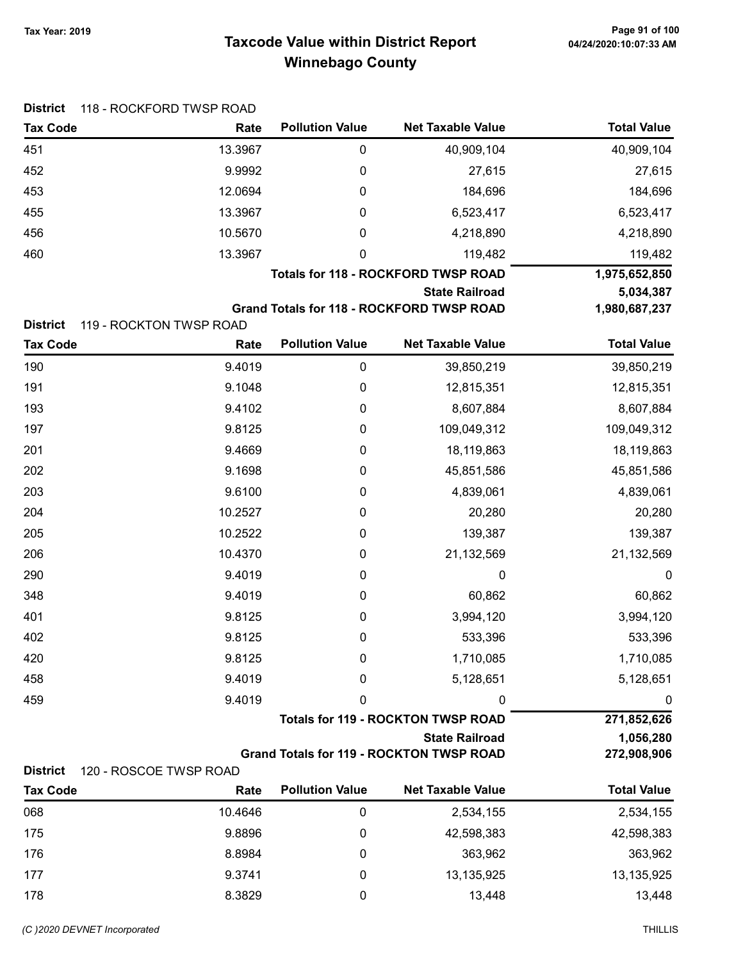# Taxcode Value within District Report Tax Year: 2019 Page 91 of 100 Winnebago County

| <b>District</b> | 118 - ROCKFORD TWSP ROAD |                        |                                                 |                    |
|-----------------|--------------------------|------------------------|-------------------------------------------------|--------------------|
| <b>Tax Code</b> | Rate                     | <b>Pollution Value</b> | <b>Net Taxable Value</b>                        | <b>Total Value</b> |
| 451             | 13.3967                  | $\pmb{0}$              | 40,909,104                                      | 40,909,104         |
| 452             | 9.9992                   | 0                      | 27,615                                          | 27,615             |
| 453             | 12.0694                  | 0                      | 184,696                                         | 184,696            |
| 455             | 13.3967                  | 0                      | 6,523,417                                       | 6,523,417          |
| 456             | 10.5670                  | 0                      | 4,218,890                                       | 4,218,890          |
| 460             | 13.3967                  | 0                      | 119,482                                         | 119,482            |
|                 |                          |                        | <b>Totals for 118 - ROCKFORD TWSP ROAD</b>      | 1,975,652,850      |
|                 |                          |                        | <b>State Railroad</b>                           | 5,034,387          |
|                 |                          |                        | Grand Totals for 118 - ROCKFORD TWSP ROAD       | 1,980,687,237      |
| <b>District</b> | 119 - ROCKTON TWSP ROAD  | <b>Pollution Value</b> | <b>Net Taxable Value</b>                        | <b>Total Value</b> |
| <b>Tax Code</b> | Rate                     |                        |                                                 |                    |
| 190             | 9.4019                   | $\pmb{0}$              | 39,850,219                                      | 39,850,219         |
| 191             | 9.1048                   | 0                      | 12,815,351                                      | 12,815,351         |
| 193             | 9.4102                   | 0                      | 8,607,884                                       | 8,607,884          |
| 197             | 9.8125                   | 0                      | 109,049,312                                     | 109,049,312        |
| 201             | 9.4669                   | 0                      | 18,119,863                                      | 18,119,863         |
| 202             | 9.1698                   | 0                      | 45,851,586                                      | 45,851,586         |
| 203             | 9.6100                   | $\boldsymbol{0}$       | 4,839,061                                       | 4,839,061          |
| 204             | 10.2527                  | $\boldsymbol{0}$       | 20,280                                          | 20,280             |
| 205             | 10.2522                  | 0                      | 139,387                                         | 139,387            |
| 206             | 10.4370                  | $\boldsymbol{0}$       | 21,132,569                                      | 21,132,569         |
| 290             | 9.4019                   | 0                      | 0                                               | $\boldsymbol{0}$   |
| 348             | 9.4019                   | 0                      | 60,862                                          | 60,862             |
| 401             | 9.8125                   | 0                      | 3,994,120                                       | 3,994,120          |
| 402             | 9.8125                   | 0                      | 533,396                                         | 533,396            |
| 420             | 9.8125                   | 0                      | 1,710,085                                       | 1,710,085          |
| 458             | 9.4019                   | 0                      | 5,128,651                                       | 5,128,651          |
| 459             | 9.4019                   | 0                      | 0                                               | 0                  |
|                 |                          |                        | <b>Totals for 119 - ROCKTON TWSP ROAD</b>       | 271,852,626        |
|                 |                          |                        | <b>State Railroad</b>                           | 1,056,280          |
| <b>District</b> | 120 - ROSCOE TWSP ROAD   |                        | <b>Grand Totals for 119 - ROCKTON TWSP ROAD</b> | 272,908,906        |
| <b>Tax Code</b> | Rate                     | <b>Pollution Value</b> | <b>Net Taxable Value</b>                        | <b>Total Value</b> |
| 068             | 10.4646                  | 0                      | 2,534,155                                       | 2,534,155          |
| 175             | 9.8896                   | 0                      | 42,598,383                                      | 42,598,383         |
| 176             | 8.8984                   | 0                      | 363,962                                         | 363,962            |

177 9.3741 0 13,135,925 13,135,925 178 8.3829 0 13,448 13,448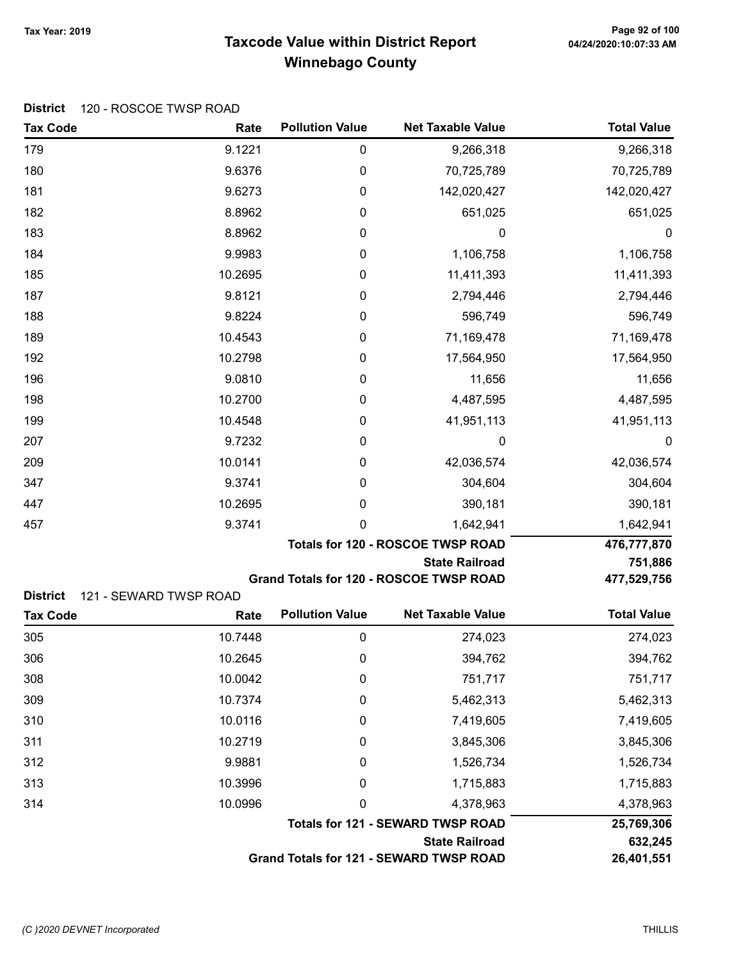## Taxcode Value within District Report Tax Year: 2019 Page 92 of 100 Winnebago County

#### District 120 - ROSCOE TWSP ROAD

| <b>Tax Code</b>                         | Rate                           | <b>Pollution Value</b> | <b>Net Taxable Value</b>                                          | <b>Total Value</b>    |
|-----------------------------------------|--------------------------------|------------------------|-------------------------------------------------------------------|-----------------------|
| 179                                     | 9.1221                         | 0                      | 9,266,318                                                         | 9,266,318             |
| 180                                     | 9.6376                         | 0                      | 70,725,789                                                        | 70,725,789            |
| 181                                     | 9.6273                         | 0                      | 142,020,427                                                       | 142,020,427           |
| 182                                     | 8.8962                         | 0                      | 651,025                                                           | 651,025               |
| 183                                     | 8.8962                         | 0                      | 0                                                                 | $\boldsymbol{0}$      |
| 184                                     | 9.9983                         | 0                      | 1,106,758                                                         | 1,106,758             |
| 185                                     | 10.2695                        | 0                      | 11,411,393                                                        | 11,411,393            |
| 187                                     | 9.8121                         | 0                      | 2,794,446                                                         | 2,794,446             |
| 188                                     | 9.8224                         | 0                      | 596,749                                                           | 596,749               |
| 189                                     | 10.4543                        | 0                      | 71,169,478                                                        | 71,169,478            |
| 192                                     | 10.2798                        | 0                      | 17,564,950                                                        | 17,564,950            |
| 196                                     | 9.0810                         | 0                      | 11,656                                                            | 11,656                |
| 198                                     | 10.2700                        | 0                      | 4,487,595                                                         | 4,487,595             |
| 199                                     | 10.4548                        | 0                      | 41,951,113                                                        | 41,951,113            |
| 207                                     | 9.7232                         | 0                      | 0                                                                 | $\boldsymbol{0}$      |
| 209                                     | 10.0141                        | 0                      | 42,036,574                                                        | 42,036,574            |
| 347                                     | 9.3741                         | 0                      | 304,604                                                           | 304,604               |
| 447                                     | 10.2695                        | 0                      | 390,181                                                           | 390,181               |
| 457                                     | 9.3741                         | 0                      | 1,642,941                                                         | 1,642,941             |
|                                         |                                |                        | <b>Totals for 120 - ROSCOE TWSP ROAD</b>                          | 476,777,870           |
|                                         |                                |                        | <b>State Railroad</b>                                             | 751,886               |
|                                         |                                |                        | Grand Totals for 120 - ROSCOE TWSP ROAD                           | 477,529,756           |
| <b>District</b><br><b>Tax Code</b>      | 121 - SEWARD TWSP ROAD<br>Rate | <b>Pollution Value</b> | <b>Net Taxable Value</b>                                          | <b>Total Value</b>    |
|                                         | 10.7448                        |                        |                                                                   |                       |
| 305                                     |                                | $\boldsymbol{0}$       | 274,023                                                           | 274,023               |
| 306                                     | 10.2645                        | 0                      | 394,762                                                           | 394,762               |
| 308                                     | 10.0042                        | 0                      | 751,717                                                           | 751,717               |
| 309                                     | 10.7374<br>10.0116             | 0                      | 5,462,313                                                         | 5,462,313             |
| 310                                     |                                | 0                      | 7,419,605                                                         | 7,419,605             |
| 311                                     | 10.2719                        | 0                      | 3,845,306                                                         | 3,845,306             |
| 312                                     | 9.9881                         | 0                      | 1,526,734                                                         | 1,526,734             |
| 313                                     | 10.3996                        | 0                      | 1,715,883                                                         | 1,715,883             |
| 314                                     | 10.0996                        | 0                      | 4,378,963                                                         | 4,378,963             |
|                                         |                                |                        | <b>Totals for 121 - SEWARD TWSP ROAD</b><br><b>State Railroad</b> | 25,769,306<br>632,245 |
| Grand Totals for 121 - SEWARD TWSP ROAD |                                |                        |                                                                   | 26,401,551            |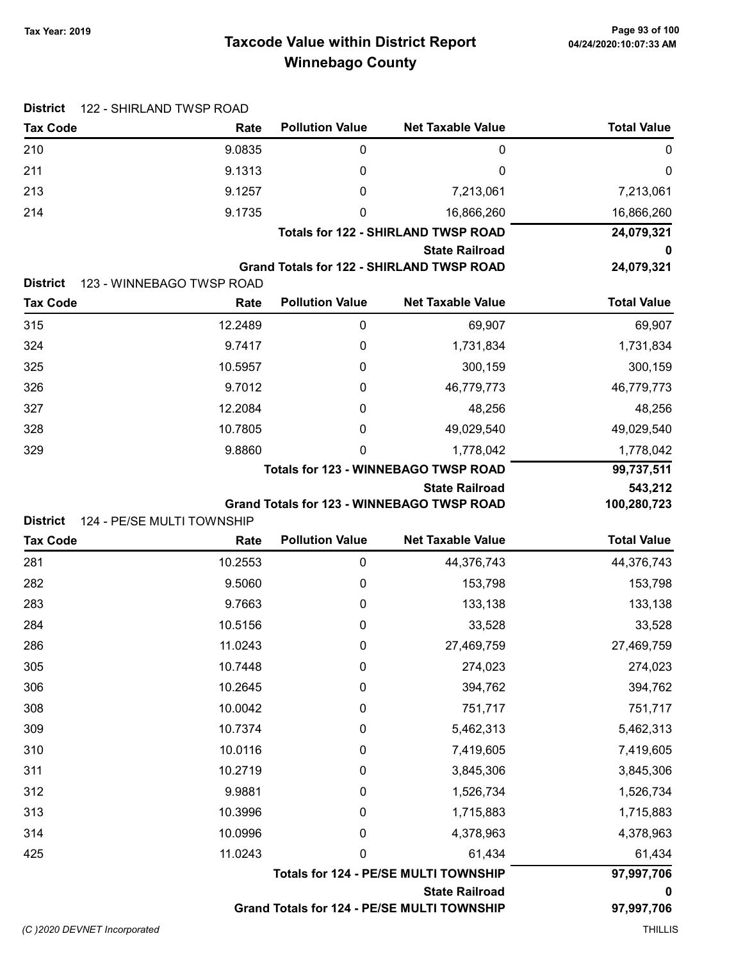## Taxcode Value within District Report Tax Year: 2019 Page 93 of 100 Winnebago County

| <b>District</b>              | 122 - SHIRLAND TWSP ROAD   |                        |                                                          |                       |
|------------------------------|----------------------------|------------------------|----------------------------------------------------------|-----------------------|
| <b>Tax Code</b>              | Rate                       | <b>Pollution Value</b> | <b>Net Taxable Value</b>                                 | <b>Total Value</b>    |
| 210                          | 9.0835                     | 0                      | 0                                                        | $\pmb{0}$             |
| 211                          | 9.1313                     | 0                      | 0                                                        | 0                     |
| 213                          | 9.1257                     | 0                      | 7,213,061                                                | 7,213,061             |
| 214                          | 9.1735                     | 0                      | 16,866,260                                               | 16,866,260            |
|                              |                            |                        | <b>Totals for 122 - SHIRLAND TWSP ROAD</b>               | 24,079,321            |
|                              |                            |                        | <b>State Railroad</b>                                    | 0                     |
| <b>District</b>              | 123 - WINNEBAGO TWSP ROAD  |                        | <b>Grand Totals for 122 - SHIRLAND TWSP ROAD</b>         | 24,079,321            |
| <b>Tax Code</b>              | Rate                       | <b>Pollution Value</b> | <b>Net Taxable Value</b>                                 | <b>Total Value</b>    |
| 315                          | 12.2489                    | $\pmb{0}$              | 69,907                                                   | 69,907                |
| 324                          | 9.7417                     |                        | 1,731,834                                                | 1,731,834             |
| 325                          | 10.5957                    | 0<br>0                 | 300,159                                                  | 300,159               |
| 326                          | 9.7012                     | 0                      | 46,779,773                                               | 46,779,773            |
| 327                          | 12.2084                    | 0                      | 48,256                                                   |                       |
|                              |                            |                        |                                                          | 48,256                |
| 328                          | 10.7805                    | 0                      | 49,029,540                                               | 49,029,540            |
| 329                          | 9.8860                     | 0                      | 1,778,042<br><b>Totals for 123 - WINNEBAGO TWSP ROAD</b> | 1,778,042             |
|                              |                            |                        | <b>State Railroad</b>                                    | 99,737,511<br>543,212 |
|                              |                            |                        | <b>Grand Totals for 123 - WINNEBAGO TWSP ROAD</b>        | 100,280,723           |
| <b>District</b>              | 124 - PE/SE MULTI TOWNSHIP |                        |                                                          |                       |
| <b>Tax Code</b>              | Rate                       | <b>Pollution Value</b> | <b>Net Taxable Value</b>                                 | <b>Total Value</b>    |
| 281                          | 10.2553                    | $\mathbf 0$            | 44,376,743                                               | 44,376,743            |
| 282                          | 9.5060                     | 0                      | 153,798                                                  | 153,798               |
| 283                          | 9.7663                     | 0                      | 133,138                                                  | 133,138               |
| 284                          | 10.5156                    | 0                      | 33,528                                                   | 33,528                |
| 286                          | 11.0243                    | $\pmb{0}$              | 27,469,759                                               | 27,469,759            |
| 305                          | 10.7448                    | 0                      | 274,023                                                  | 274,023               |
| 306                          | 10.2645                    | 0                      | 394,762                                                  | 394,762               |
| 308                          | 10.0042                    | 0                      | 751,717                                                  | 751,717               |
| 309                          | 10.7374                    | 0                      | 5,462,313                                                | 5,462,313             |
| 310                          | 10.0116                    | 0                      | 7,419,605                                                | 7,419,605             |
| 311                          | 10.2719                    | 0                      | 3,845,306                                                | 3,845,306             |
| 312                          | 9.9881                     | 0                      | 1,526,734                                                | 1,526,734             |
| 313                          | 10.3996                    | 0                      | 1,715,883                                                | 1,715,883             |
| 314                          | 10.0996                    | 0                      | 4,378,963                                                | 4,378,963             |
| 425                          | 11.0243                    | 0                      | 61,434                                                   | 61,434                |
|                              |                            |                        | Totals for 124 - PE/SE MULTI TOWNSHIP                    | 97,997,706            |
|                              |                            |                        | <b>State Railroad</b>                                    | 0                     |
|                              |                            |                        | <b>Grand Totals for 124 - PE/SE MULTI TOWNSHIP</b>       | 97,997,706            |
| (C) 2020 DEVNET Incorporated |                            |                        |                                                          | <b>THILLIS</b>        |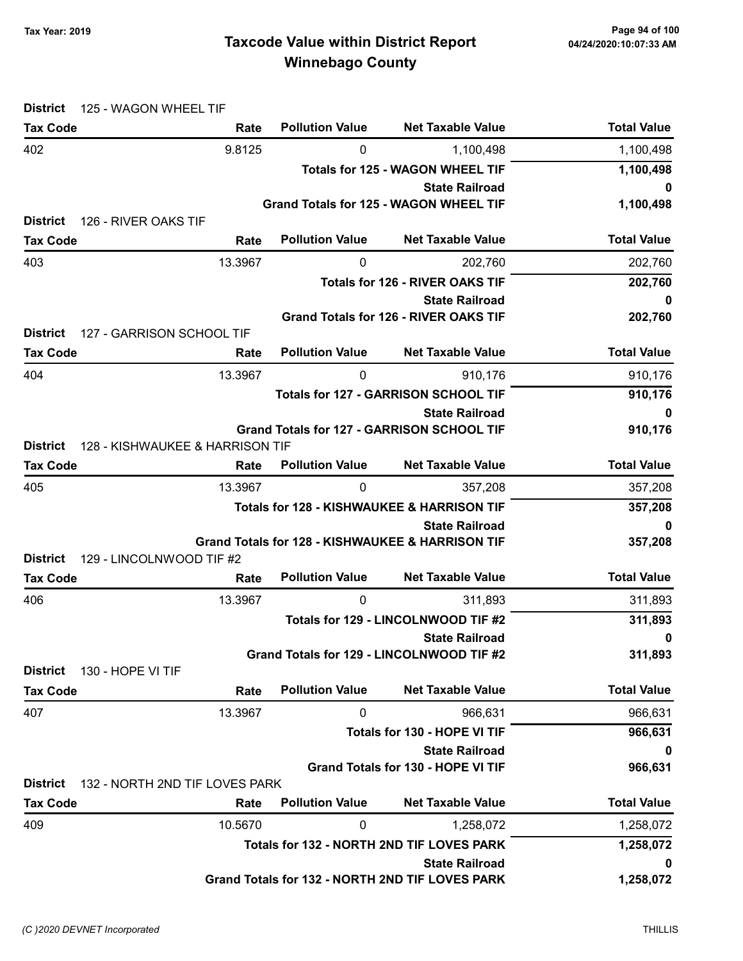## Taxcode Value within District Report Tax Year: 2019 Page 94 of 100 Winnebago County

| <b>District</b> | 125 - WAGON WHEEL TIF           |                                                       |                                                                    |                    |
|-----------------|---------------------------------|-------------------------------------------------------|--------------------------------------------------------------------|--------------------|
| <b>Tax Code</b> | Rate                            | <b>Pollution Value</b>                                | <b>Net Taxable Value</b>                                           | <b>Total Value</b> |
| 402             | 9.8125                          | 0                                                     | 1,100,498                                                          | 1,100,498          |
|                 |                                 | <b>Totals for 125 - WAGON WHEEL TIF</b>               | 1,100,498                                                          |                    |
|                 |                                 |                                                       | <b>State Railroad</b>                                              | 0                  |
|                 |                                 |                                                       | <b>Grand Totals for 125 - WAGON WHEEL TIF</b>                      | 1,100,498          |
| <b>District</b> | 126 - RIVER OAKS TIF            |                                                       |                                                                    |                    |
| <b>Tax Code</b> | Rate                            | <b>Pollution Value</b>                                | <b>Net Taxable Value</b>                                           | <b>Total Value</b> |
| 403             | 13.3967                         | 0                                                     | 202,760                                                            | 202,760            |
|                 |                                 |                                                       | <b>Totals for 126 - RIVER OAKS TIF</b>                             | 202,760            |
|                 |                                 | <b>State Railroad</b>                                 | 0                                                                  |                    |
| <b>District</b> | 127 - GARRISON SCHOOL TIF       |                                                       | <b>Grand Totals for 126 - RIVER OAKS TIF</b>                       | 202,760            |
| <b>Tax Code</b> | Rate                            | <b>Pollution Value</b>                                | <b>Net Taxable Value</b>                                           | <b>Total Value</b> |
| 404             | 13.3967                         | 0                                                     | 910,176                                                            | 910,176            |
|                 |                                 |                                                       | <b>Totals for 127 - GARRISON SCHOOL TIF</b>                        | 910,176            |
|                 |                                 |                                                       | <b>State Railroad</b>                                              | 0                  |
|                 |                                 |                                                       | <b>Grand Totals for 127 - GARRISON SCHOOL TIF</b>                  | 910,176            |
| <b>District</b> | 128 - KISHWAUKEE & HARRISON TIF |                                                       |                                                                    |                    |
| <b>Tax Code</b> | Rate                            | <b>Pollution Value</b>                                | <b>Net Taxable Value</b>                                           | <b>Total Value</b> |
| 405             | 13.3967                         | 0                                                     | 357,208                                                            | 357,208            |
|                 |                                 | <b>Totals for 128 - KISHWAUKEE &amp; HARRISON TIF</b> | 357,208                                                            |                    |
|                 |                                 |                                                       | <b>State Railroad</b>                                              | 0                  |
|                 |                                 |                                                       | Grand Totals for 128 - KISHWAUKEE & HARRISON TIF                   | 357,208            |
| <b>District</b> | 129 - LINCOLNWOOD TIF #2        |                                                       |                                                                    |                    |
| <b>Tax Code</b> | Rate                            | <b>Pollution Value</b>                                | <b>Net Taxable Value</b>                                           | <b>Total Value</b> |
| 406             | 13.3967                         | 0                                                     | 311,893                                                            | 311,893            |
|                 |                                 |                                                       | Totals for 129 - LINCOLNWOOD TIF #2                                | 311,893            |
|                 |                                 | <b>State Railroad</b>                                 | 0                                                                  |                    |
|                 |                                 |                                                       | Grand Totals for 129 - LINCOLNWOOD TIF #2                          | 311,893            |
| <b>District</b> | 130 - HOPE VI TIF               | <b>Pollution Value</b>                                | <b>Net Taxable Value</b>                                           | <b>Total Value</b> |
| <b>Tax Code</b> | Rate                            |                                                       |                                                                    |                    |
| 407             | 13.3967                         | 0                                                     | 966,631                                                            | 966,631            |
|                 |                                 | Totals for 130 - HOPE VI TIF                          | 966,631                                                            |                    |
|                 |                                 |                                                       | <b>State Railroad</b><br><b>Grand Totals for 130 - HOPE VI TIF</b> | 0                  |
| <b>District</b> | 132 - NORTH 2ND TIF LOVES PARK  |                                                       |                                                                    | 966,631            |
| <b>Tax Code</b> | Rate                            | <b>Pollution Value</b>                                | <b>Net Taxable Value</b>                                           | <b>Total Value</b> |
| 409             | 10.5670                         | 0                                                     | 1,258,072                                                          | 1,258,072          |
|                 |                                 |                                                       | Totals for 132 - NORTH 2ND TIF LOVES PARK                          | 1,258,072          |
|                 | <b>State Railroad</b>           |                                                       |                                                                    |                    |
|                 |                                 |                                                       | Grand Totals for 132 - NORTH 2ND TIF LOVES PARK                    | 1,258,072          |
|                 |                                 |                                                       |                                                                    |                    |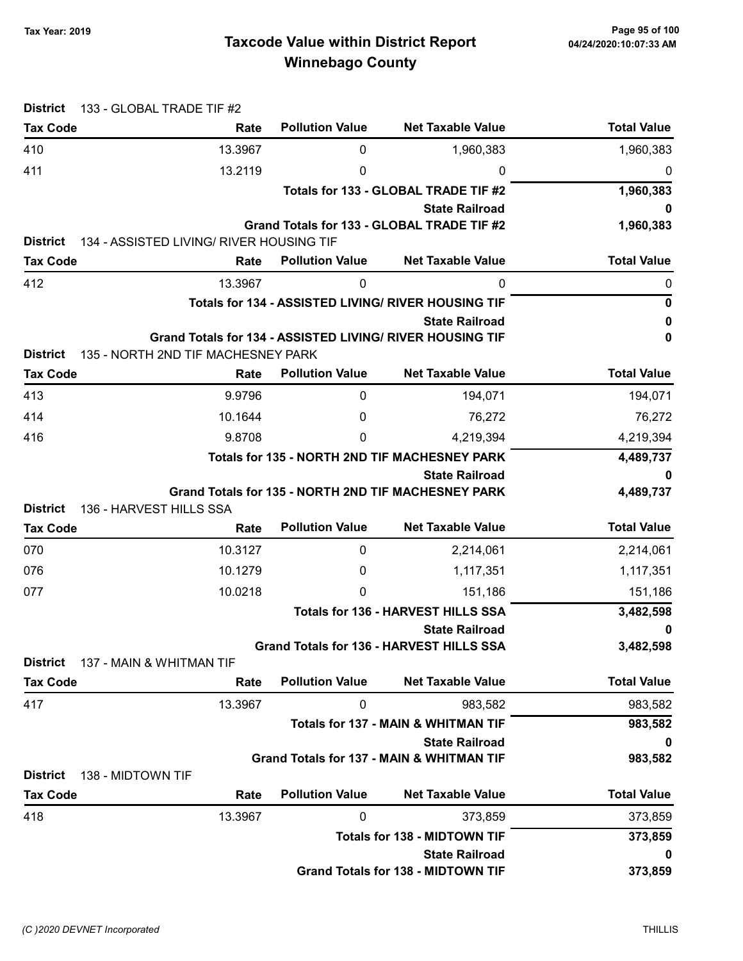## Taxcode Value within District Report Tax Year: 2019 Page 95 of 100 Winnebago County

| <b>District</b>                      | 133 - GLOBAL TRADE TIF #2                        |                        |                                                           |                    |  |
|--------------------------------------|--------------------------------------------------|------------------------|-----------------------------------------------------------|--------------------|--|
| <b>Tax Code</b>                      | Rate                                             | <b>Pollution Value</b> | <b>Net Taxable Value</b>                                  | <b>Total Value</b> |  |
| 410                                  | 13.3967                                          | 0                      | 1,960,383                                                 | 1,960,383          |  |
| 411                                  | 13.2119                                          | 0                      | 0                                                         | 0                  |  |
|                                      |                                                  |                        | Totals for 133 - GLOBAL TRADE TIF #2                      | 1,960,383          |  |
|                                      |                                                  |                        | <b>State Railroad</b>                                     | 0                  |  |
|                                      |                                                  |                        | Grand Totals for 133 - GLOBAL TRADE TIF #2                | 1,960,383          |  |
| <b>District</b><br><b>Tax Code</b>   | 134 - ASSISTED LIVING/ RIVER HOUSING TIF<br>Rate | <b>Pollution Value</b> | <b>Net Taxable Value</b>                                  | <b>Total Value</b> |  |
| 412                                  | 13.3967                                          | 0                      | 0                                                         | 0                  |  |
|                                      |                                                  |                        | Totals for 134 - ASSISTED LIVING/ RIVER HOUSING TIF       | 0                  |  |
|                                      |                                                  |                        | <b>State Railroad</b>                                     | 0                  |  |
|                                      |                                                  |                        | Grand Totals for 134 - ASSISTED LIVING/ RIVER HOUSING TIF | 0                  |  |
| <b>District</b>                      | 135 - NORTH 2ND TIF MACHESNEY PARK               |                        |                                                           |                    |  |
| <b>Tax Code</b>                      | Rate                                             | <b>Pollution Value</b> | <b>Net Taxable Value</b>                                  | <b>Total Value</b> |  |
| 413                                  | 9.9796                                           | 0                      | 194,071                                                   | 194,071            |  |
| 414                                  | 10.1644                                          | 0                      | 76,272                                                    | 76,272             |  |
| 416                                  | 9.8708                                           | 0                      | 4,219,394                                                 | 4,219,394          |  |
|                                      |                                                  |                        | Totals for 135 - NORTH 2ND TIF MACHESNEY PARK             | 4,489,737          |  |
|                                      |                                                  |                        | <b>State Railroad</b>                                     | 0                  |  |
| <b>District</b>                      |                                                  |                        | Grand Totals for 135 - NORTH 2ND TIF MACHESNEY PARK       | 4,489,737          |  |
| <b>Tax Code</b>                      | 136 - HARVEST HILLS SSA<br>Rate                  | <b>Pollution Value</b> | <b>Net Taxable Value</b>                                  | <b>Total Value</b> |  |
| 070                                  | 10.3127                                          | 0                      | 2,214,061                                                 | 2,214,061          |  |
| 076                                  | 10.1279                                          | 0                      | 1,117,351                                                 | 1,117,351          |  |
| 077                                  | 10.0218                                          | 0                      | 151,186                                                   | 151,186            |  |
|                                      |                                                  |                        | <b>Totals for 136 - HARVEST HILLS SSA</b>                 | 3,482,598          |  |
|                                      | <b>State Railroad</b>                            |                        |                                                           |                    |  |
|                                      |                                                  |                        | Grand Totals for 136 - HARVEST HILLS SSA                  | 3,482,598          |  |
| <b>District</b>                      | 137 - MAIN & WHITMAN TIF                         |                        |                                                           |                    |  |
| <b>Tax Code</b>                      | Rate                                             | <b>Pollution Value</b> | <b>Net Taxable Value</b>                                  | <b>Total Value</b> |  |
| 417                                  | 13.3967                                          | 0                      | 983,582                                                   | 983,582            |  |
|                                      |                                                  |                        | <b>Totals for 137 - MAIN &amp; WHITMAN TIF</b>            | 983,582            |  |
|                                      |                                                  |                        | <b>State Railroad</b>                                     | 0                  |  |
| <b>District</b><br>138 - MIDTOWN TIF |                                                  |                        | <b>Grand Totals for 137 - MAIN &amp; WHITMAN TIF</b>      | 983,582            |  |
| <b>Tax Code</b>                      | Rate                                             | <b>Pollution Value</b> | <b>Net Taxable Value</b>                                  | <b>Total Value</b> |  |
| 418                                  | 13.3967                                          | 0                      | 373,859                                                   | 373,859            |  |
|                                      |                                                  |                        | <b>Totals for 138 - MIDTOWN TIF</b>                       | 373,859            |  |
|                                      |                                                  |                        | <b>State Railroad</b>                                     | 0                  |  |
|                                      |                                                  |                        | <b>Grand Totals for 138 - MIDTOWN TIF</b>                 | 373,859            |  |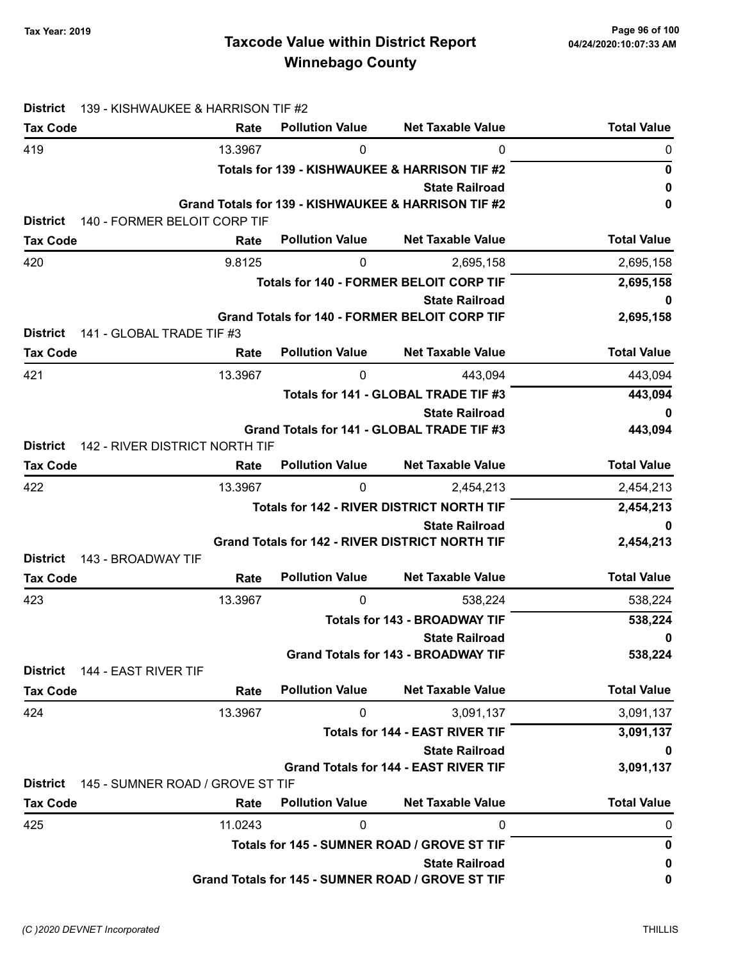## Taxcode Value within District Report Tax Year: 2019 Page 96 of 100 Winnebago County

| <b>District</b>                    | 139 - KISHWAUKEE & HARRISON TIF #2               |                                                |                                                        |                    |
|------------------------------------|--------------------------------------------------|------------------------------------------------|--------------------------------------------------------|--------------------|
| <b>Tax Code</b>                    | Rate                                             | <b>Pollution Value</b>                         | <b>Net Taxable Value</b>                               | <b>Total Value</b> |
| 419                                | 13.3967                                          | 0                                              | 0                                                      | 0                  |
|                                    |                                                  |                                                | Totals for 139 - KISHWAUKEE & HARRISON TIF #2          | 0                  |
|                                    |                                                  |                                                | <b>State Railroad</b>                                  | 0                  |
|                                    |                                                  |                                                | Grand Totals for 139 - KISHWAUKEE & HARRISON TIF #2    | 0                  |
| <b>District</b>                    | 140 - FORMER BELOIT CORP TIF                     |                                                |                                                        |                    |
| <b>Tax Code</b>                    | Rate                                             | <b>Pollution Value</b>                         | <b>Net Taxable Value</b>                               | <b>Total Value</b> |
| 420                                | 9.8125                                           | 0                                              | 2,695,158                                              | 2,695,158          |
|                                    |                                                  | <b>Totals for 140 - FORMER BELOIT CORP TIF</b> | 2,695,158                                              |                    |
|                                    |                                                  |                                                | <b>State Railroad</b>                                  | 0                  |
| <b>District</b>                    | 141 - GLOBAL TRADE TIF #3                        |                                                | <b>Grand Totals for 140 - FORMER BELOIT CORP TIF</b>   | 2,695,158          |
| <b>Tax Code</b>                    | Rate                                             | <b>Pollution Value</b>                         | <b>Net Taxable Value</b>                               | <b>Total Value</b> |
| 421                                | 13.3967                                          | 0                                              | 443,094                                                | 443,094            |
|                                    |                                                  |                                                | Totals for 141 - GLOBAL TRADE TIF #3                   | 443,094            |
|                                    |                                                  |                                                | <b>State Railroad</b>                                  | 0                  |
|                                    | Grand Totals for 141 - GLOBAL TRADE TIF #3       | 443,094                                        |                                                        |                    |
| <b>District</b>                    | 142 - RIVER DISTRICT NORTH TIF                   |                                                |                                                        |                    |
| <b>Tax Code</b>                    | Rate                                             | <b>Pollution Value</b>                         | <b>Net Taxable Value</b>                               | <b>Total Value</b> |
| 422                                | 13.3967                                          | $\mathbf 0$                                    | 2,454,213                                              | 2,454,213          |
|                                    | <b>Totals for 142 - RIVER DISTRICT NORTH TIF</b> | 2,454,213                                      |                                                        |                    |
|                                    |                                                  |                                                | <b>State Railroad</b>                                  | 0                  |
|                                    |                                                  |                                                | <b>Grand Totals for 142 - RIVER DISTRICT NORTH TIF</b> | 2,454,213          |
| <b>District</b>                    | 143 - BROADWAY TIF                               |                                                |                                                        |                    |
| <b>Tax Code</b>                    | Rate                                             | <b>Pollution Value</b>                         | <b>Net Taxable Value</b>                               | <b>Total Value</b> |
| 423                                | 13.3967                                          | 0                                              | 538,224                                                | 538,224            |
|                                    |                                                  | 538,224                                        |                                                        |                    |
|                                    |                                                  | 0                                              |                                                        |                    |
|                                    |                                                  |                                                | <b>Grand Totals for 143 - BROADWAY TIF</b>             | 538,224            |
| <b>District</b><br><b>Tax Code</b> | 144 - EAST RIVER TIF<br>Rate                     | <b>Pollution Value</b>                         | <b>Net Taxable Value</b>                               | <b>Total Value</b> |
| 424                                | 13.3967                                          | 0                                              | 3,091,137                                              | 3,091,137          |
|                                    |                                                  |                                                | <b>Totals for 144 - EAST RIVER TIF</b>                 |                    |
|                                    |                                                  |                                                | <b>State Railroad</b>                                  | 3,091,137          |
|                                    |                                                  |                                                | <b>Grand Totals for 144 - EAST RIVER TIF</b>           | 0<br>3,091,137     |
| <b>District</b>                    | 145 - SUMNER ROAD / GROVE ST TIF                 |                                                |                                                        |                    |
| <b>Tax Code</b>                    | Rate                                             | <b>Pollution Value</b>                         | <b>Net Taxable Value</b>                               | <b>Total Value</b> |
| 425                                | 11.0243                                          | 0                                              | 0                                                      | 0                  |
|                                    |                                                  |                                                | Totals for 145 - SUMNER ROAD / GROVE ST TIF            | $\boldsymbol{0}$   |
|                                    |                                                  |                                                | <b>State Railroad</b>                                  | 0                  |
|                                    |                                                  |                                                | Grand Totals for 145 - SUMNER ROAD / GROVE ST TIF      | 0                  |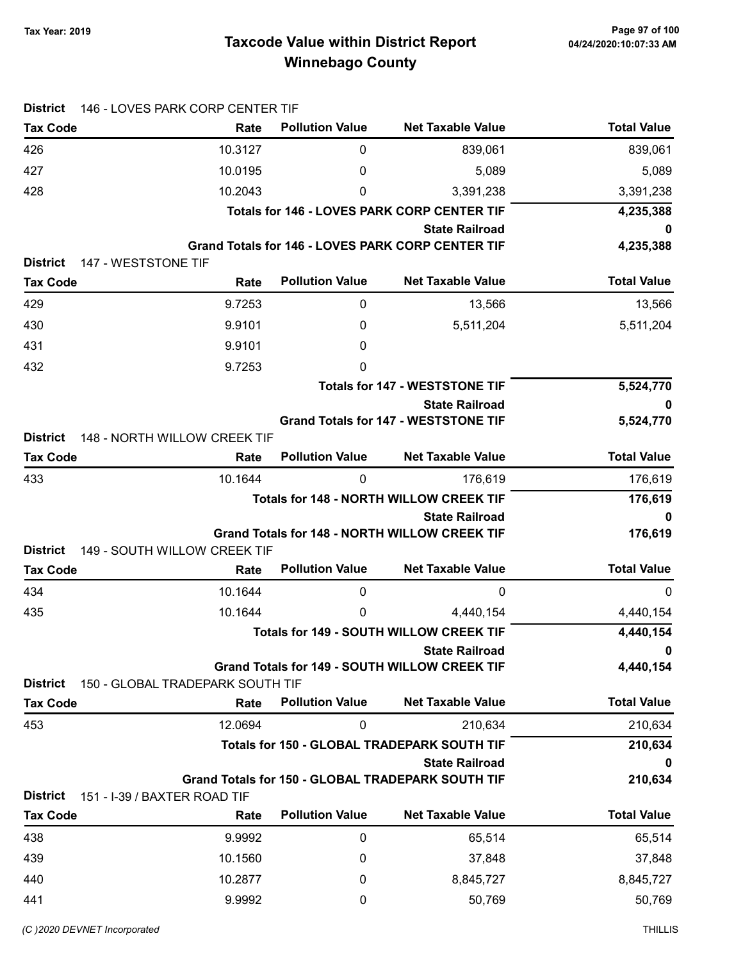## Taxcode Value within District Report Tax Year: 2019 Page 97 of 100 Winnebago County

| <b>District</b>                    | 146 - LOVES PARK CORP CENTER TIF                     |                                                    |                                                          |                    |  |
|------------------------------------|------------------------------------------------------|----------------------------------------------------|----------------------------------------------------------|--------------------|--|
| <b>Tax Code</b>                    | Rate                                                 | <b>Pollution Value</b>                             | <b>Net Taxable Value</b>                                 | <b>Total Value</b> |  |
| 426                                | 10.3127                                              | 0                                                  | 839,061                                                  | 839,061            |  |
| 427                                | 10.0195                                              | 0                                                  | 5,089                                                    | 5,089              |  |
| 428                                | 10.2043                                              | 0                                                  | 3,391,238                                                | 3,391,238          |  |
|                                    |                                                      | <b>Totals for 146 - LOVES PARK CORP CENTER TIF</b> | 4,235,388                                                |                    |  |
|                                    |                                                      |                                                    | <b>State Railroad</b>                                    | 0                  |  |
|                                    |                                                      |                                                    | <b>Grand Totals for 146 - LOVES PARK CORP CENTER TIF</b> | 4,235,388          |  |
| <b>District</b>                    | 147 - WESTSTONE TIF                                  | <b>Pollution Value</b>                             | <b>Net Taxable Value</b>                                 | <b>Total Value</b> |  |
| <b>Tax Code</b>                    | Rate                                                 |                                                    |                                                          |                    |  |
| 429                                | 9.7253                                               | 0                                                  | 13,566                                                   | 13,566             |  |
| 430                                | 9.9101                                               | 0                                                  | 5,511,204                                                | 5,511,204          |  |
| 431                                | 9.9101                                               | 0                                                  |                                                          |                    |  |
| 432                                | 9.7253                                               | 0                                                  |                                                          |                    |  |
|                                    |                                                      |                                                    | <b>Totals for 147 - WESTSTONE TIF</b>                    | 5,524,770          |  |
|                                    |                                                      | <b>State Railroad</b>                              | 0                                                        |                    |  |
| <b>District</b>                    | 148 - NORTH WILLOW CREEK TIF                         |                                                    | <b>Grand Totals for 147 - WESTSTONE TIF</b>              | 5,524,770          |  |
| <b>Tax Code</b>                    | Rate                                                 | <b>Pollution Value</b>                             | <b>Net Taxable Value</b>                                 | <b>Total Value</b> |  |
| 433                                | 10.1644                                              | 0                                                  | 176,619                                                  | 176,619            |  |
|                                    |                                                      |                                                    | <b>Totals for 148 - NORTH WILLOW CREEK TIF</b>           | 176,619            |  |
|                                    |                                                      |                                                    | <b>State Railroad</b>                                    | 0                  |  |
|                                    | <b>Grand Totals for 148 - NORTH WILLOW CREEK TIF</b> |                                                    |                                                          |                    |  |
| <b>District</b>                    | 149 - SOUTH WILLOW CREEK TIF                         |                                                    |                                                          |                    |  |
| <b>Tax Code</b>                    | Rate                                                 | <b>Pollution Value</b>                             | <b>Net Taxable Value</b>                                 | <b>Total Value</b> |  |
| 434                                | 10.1644                                              | 0                                                  | 0                                                        | $\mathbf 0$        |  |
| 435                                | 10.1644                                              | 0                                                  | 4,440,154                                                | 4,440,154          |  |
|                                    |                                                      | <b>Totals for 149 - SOUTH WILLOW CREEK TIF</b>     | 4,440,154                                                |                    |  |
|                                    |                                                      | <b>State Railroad</b>                              | $\mathbf 0$                                              |                    |  |
|                                    |                                                      |                                                    | <b>Grand Totals for 149 - SOUTH WILLOW CREEK TIF</b>     | 4,440,154          |  |
| <b>District</b><br><b>Tax Code</b> | 150 - GLOBAL TRADEPARK SOUTH TIF<br>Rate             | <b>Pollution Value</b>                             | <b>Net Taxable Value</b>                                 | <b>Total Value</b> |  |
|                                    | 12.0694                                              |                                                    |                                                          |                    |  |
| 453                                |                                                      | 0                                                  | 210,634<br>Totals for 150 - GLOBAL TRADEPARK SOUTH TIF   | 210,634            |  |
|                                    |                                                      | <b>State Railroad</b>                              | 210,634<br>0                                             |                    |  |
|                                    | 210,634                                              |                                                    |                                                          |                    |  |
| <b>District</b>                    | 151 - I-39 / BAXTER ROAD TIF                         |                                                    | <b>Grand Totals for 150 - GLOBAL TRADEPARK SOUTH TIF</b> |                    |  |
| <b>Tax Code</b>                    | Rate                                                 | <b>Pollution Value</b>                             | <b>Net Taxable Value</b>                                 | <b>Total Value</b> |  |
| 438                                | 9.9992                                               | 0                                                  | 65,514                                                   | 65,514             |  |
| 439                                | 10.1560                                              | 0                                                  | 37,848                                                   | 37,848             |  |
| 440                                | 10.2877                                              | 0                                                  | 8,845,727                                                | 8,845,727          |  |
| 441                                | 9.9992                                               | 0                                                  | 50,769                                                   | 50,769             |  |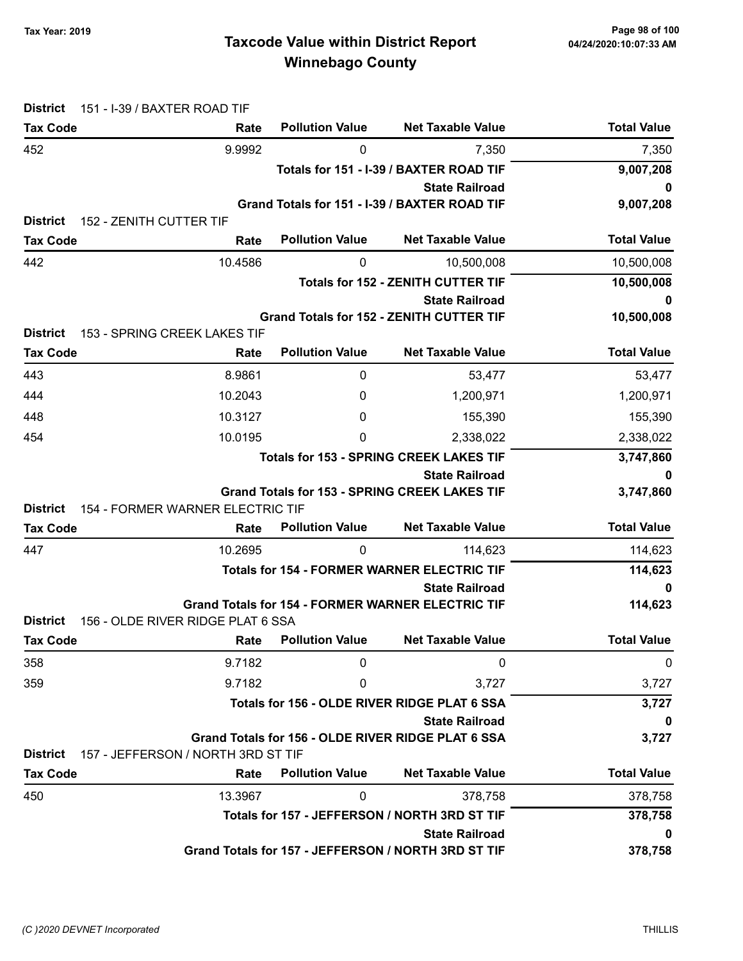| <b>District</b> | 151 - I-39 / BAXTER ROAD TIF       |                                                    |                                                                             |                    |
|-----------------|------------------------------------|----------------------------------------------------|-----------------------------------------------------------------------------|--------------------|
| <b>Tax Code</b> | Rate                               | <b>Pollution Value</b>                             | <b>Net Taxable Value</b>                                                    | <b>Total Value</b> |
| 452             | 9.9992                             | 0                                                  | 7,350                                                                       | 7,350              |
|                 |                                    |                                                    | Totals for 151 - I-39 / BAXTER ROAD TIF                                     | 9,007,208          |
|                 |                                    |                                                    | <b>State Railroad</b>                                                       | 0                  |
|                 |                                    |                                                    | Grand Totals for 151 - I-39 / BAXTER ROAD TIF                               | 9,007,208          |
| <b>District</b> | 152 - ZENITH CUTTER TIF            | <b>Pollution Value</b>                             | <b>Net Taxable Value</b>                                                    | <b>Total Value</b> |
| <b>Tax Code</b> | Rate                               |                                                    |                                                                             |                    |
| 442             | 10.4586                            | 0                                                  | 10,500,008                                                                  | 10,500,008         |
|                 |                                    |                                                    | <b>Totals for 152 - ZENITH CUTTER TIF</b>                                   | 10,500,008         |
|                 |                                    |                                                    | <b>State Railroad</b>                                                       | 0                  |
| <b>District</b> | 153 - SPRING CREEK LAKES TIF       |                                                    | <b>Grand Totals for 152 - ZENITH CUTTER TIF</b>                             | 10,500,008         |
| <b>Tax Code</b> | Rate                               | <b>Pollution Value</b>                             | <b>Net Taxable Value</b>                                                    | <b>Total Value</b> |
| 443             | 8.9861                             | 0                                                  | 53,477                                                                      | 53,477             |
| 444             | 10.2043                            | 0                                                  | 1,200,971                                                                   | 1,200,971          |
| 448             | 10.3127                            | 0                                                  | 155,390                                                                     | 155,390            |
| 454             | 10.0195                            | 0                                                  | 2,338,022                                                                   | 2,338,022          |
|                 |                                    | <b>Totals for 153 - SPRING CREEK LAKES TIF</b>     | 3,747,860                                                                   |                    |
|                 |                                    | <b>State Railroad</b>                              | 0                                                                           |                    |
|                 |                                    |                                                    | <b>Grand Totals for 153 - SPRING CREEK LAKES TIF</b>                        | 3,747,860          |
| <b>District</b> | 154 - FORMER WARNER ELECTRIC TIF   |                                                    |                                                                             |                    |
| <b>Tax Code</b> | Rate                               | <b>Pollution Value</b>                             | <b>Net Taxable Value</b>                                                    | <b>Total Value</b> |
| 447             | 10.2695                            | 0                                                  | 114,623                                                                     | 114,623            |
|                 |                                    | <b>Totals for 154 - FORMER WARNER ELECTRIC TIF</b> | 114,623                                                                     |                    |
|                 |                                    |                                                    | <b>State Railroad</b>                                                       | 0                  |
| <b>District</b> |                                    |                                                    | <b>Grand Totals for 154 - FORMER WARNER ELECTRIC TIF</b>                    | 114,623            |
| <b>Tax Code</b> | 156 - OLDE RIVER RIDGE PLAT 6 SSA  | <b>Rate</b> Pollution Value                        | <b>Net Taxable Value</b>                                                    | <b>Total Value</b> |
|                 |                                    |                                                    |                                                                             |                    |
| 358             | 9.7182                             | $\mathbf{0}$                                       | 0                                                                           | 0                  |
| 359             | 9.7182                             | 0                                                  | 3,727                                                                       | 3,727              |
|                 |                                    | Totals for 156 - OLDE RIVER RIDGE PLAT 6 SSA       | 3,727                                                                       |                    |
|                 |                                    |                                                    | <b>State Railroad</b><br>Grand Totals for 156 - OLDE RIVER RIDGE PLAT 6 SSA | 0<br>3,727         |
| <b>District</b> | 157 - JEFFERSON / NORTH 3RD ST TIF |                                                    |                                                                             |                    |
| <b>Tax Code</b> | Rate                               | <b>Pollution Value</b>                             | <b>Net Taxable Value</b>                                                    | <b>Total Value</b> |
| 450             | 13.3967                            | $\mathbf{0}$                                       | 378,758                                                                     | 378,758            |
|                 |                                    |                                                    | Totals for 157 - JEFFERSON / NORTH 3RD ST TIF                               | 378,758            |
|                 |                                    |                                                    | <b>State Railroad</b>                                                       | 0                  |
|                 |                                    |                                                    | Grand Totals for 157 - JEFFERSON / NORTH 3RD ST TIF                         | 378,758            |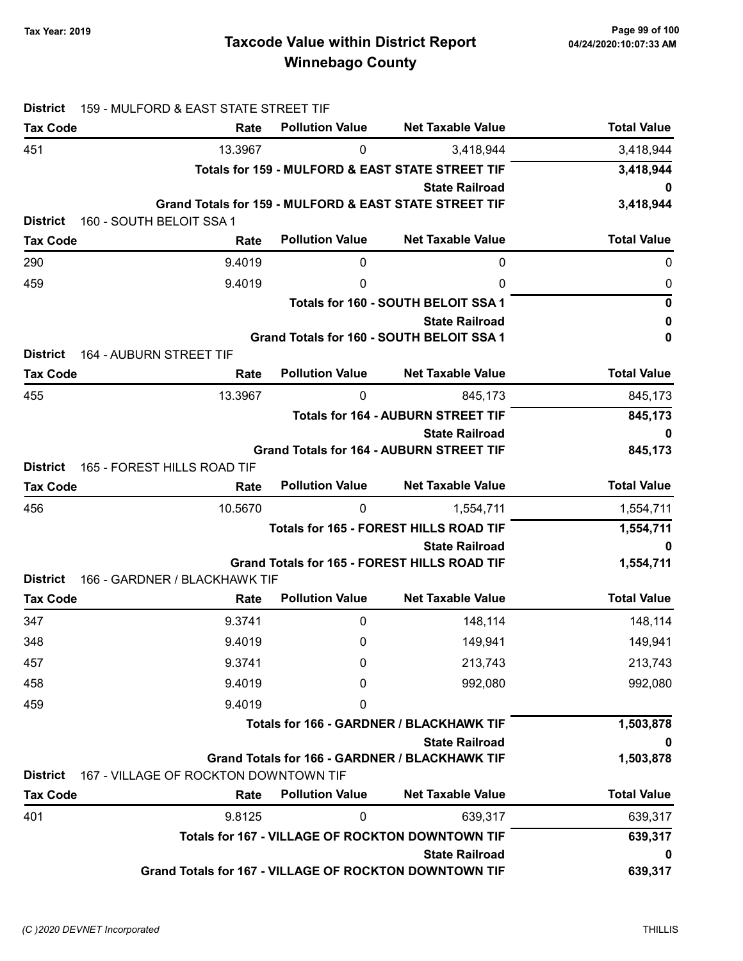## Taxcode Value within District Report Tax Year: 2019 Page 99 of 100 Winnebago County

| <b>District</b> | 159 - MULFORD & EAST STATE STREET TIF                  |                                          |                                                         |                    |
|-----------------|--------------------------------------------------------|------------------------------------------|---------------------------------------------------------|--------------------|
| <b>Tax Code</b> | Rate                                                   | <b>Pollution Value</b>                   | <b>Net Taxable Value</b>                                | <b>Total Value</b> |
| 451             | 13.3967                                                | 0                                        | 3,418,944                                               | 3,418,944          |
|                 |                                                        |                                          | Totals for 159 - MULFORD & EAST STATE STREET TIF        | 3,418,944          |
|                 |                                                        |                                          | <b>State Railroad</b>                                   |                    |
| <b>District</b> | 160 - SOUTH BELOIT SSA 1                               |                                          | Grand Totals for 159 - MULFORD & EAST STATE STREET TIF  | 3,418,944          |
| <b>Tax Code</b> | Rate                                                   | <b>Pollution Value</b>                   | <b>Net Taxable Value</b>                                | <b>Total Value</b> |
| 290             | 9.4019                                                 | 0                                        | 0                                                       | 0                  |
| 459             | 9.4019                                                 | 0                                        | 0                                                       | 0                  |
|                 |                                                        |                                          | Totals for 160 - SOUTH BELOIT SSA 1                     | 0                  |
|                 |                                                        |                                          | <b>State Railroad</b>                                   | 0                  |
|                 |                                                        |                                          | Grand Totals for 160 - SOUTH BELOIT SSA 1               | 0                  |
| <b>District</b> | <b>164 - AUBURN STREET TIF</b>                         |                                          |                                                         |                    |
| <b>Tax Code</b> | Rate                                                   | <b>Pollution Value</b>                   | <b>Net Taxable Value</b>                                | <b>Total Value</b> |
| 455             | 13.3967                                                | 0                                        | 845,173                                                 | 845,173            |
|                 |                                                        |                                          | <b>Totals for 164 - AUBURN STREET TIF</b>               | 845,173            |
|                 |                                                        | <b>State Railroad</b>                    |                                                         |                    |
| <b>District</b> | 165 - FOREST HILLS ROAD TIF                            |                                          | <b>Grand Totals for 164 - AUBURN STREET TIF</b>         | 845,173            |
| <b>Tax Code</b> | Rate                                                   | <b>Pollution Value</b>                   | <b>Net Taxable Value</b>                                | <b>Total Value</b> |
| 456             | 10.5670                                                | 0                                        | 1,554,711                                               | 1,554,711          |
|                 |                                                        |                                          | Totals for 165 - FOREST HILLS ROAD TIF                  | 1,554,711          |
|                 |                                                        |                                          | <b>State Railroad</b>                                   | 0                  |
|                 |                                                        |                                          | <b>Grand Totals for 165 - FOREST HILLS ROAD TIF</b>     | 1,554,711          |
| <b>District</b> | 166 - GARDNER / BLACKHAWK TIF                          |                                          |                                                         |                    |
| <b>Tax Code</b> | Rate                                                   | <b>Pollution Value</b>                   | <b>Net Taxable Value</b>                                | <b>Total Value</b> |
| 347             | 9.3741                                                 | 0                                        | 148,114                                                 | 148,114            |
| 348             | 9.4019                                                 | 0                                        | 149,941                                                 | 149,941            |
| 457             | 9.3741                                                 | 0                                        | 213,743                                                 | 213,743            |
| 458             | 9.4019                                                 | 0                                        | 992,080                                                 | 992,080            |
| 459             | 9.4019                                                 | 0                                        |                                                         |                    |
|                 |                                                        | Totals for 166 - GARDNER / BLACKHAWK TIF | 1,503,878                                               |                    |
|                 |                                                        |                                          | <b>State Railroad</b>                                   | 0                  |
| <b>District</b> | 167 - VILLAGE OF ROCKTON DOWNTOWN TIF                  |                                          | Grand Totals for 166 - GARDNER / BLACKHAWK TIF          | 1,503,878          |
| <b>Tax Code</b> | Rate                                                   | <b>Pollution Value</b>                   | <b>Net Taxable Value</b>                                | <b>Total Value</b> |
| 401             | 9.8125                                                 | 0                                        | 639,317                                                 | 639,317            |
|                 |                                                        |                                          | <b>Totals for 167 - VILLAGE OF ROCKTON DOWNTOWN TIF</b> | 639,317            |
|                 |                                                        |                                          | <b>State Railroad</b>                                   | 0                  |
|                 | Grand Totals for 167 - VILLAGE OF ROCKTON DOWNTOWN TIF |                                          |                                                         | 639,317            |